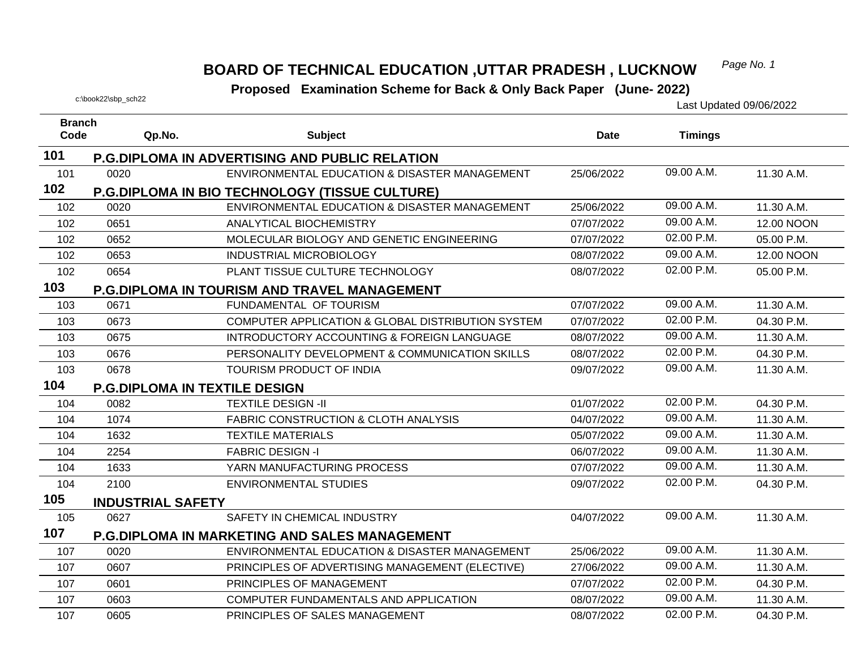#### *Page No. 1* **BOARD OF TECHNICAL EDUCATION ,UTTAR PRADESH , LUCKNOW**

| <b>Branch</b> |                                      |                                                       |            |                |            |
|---------------|--------------------------------------|-------------------------------------------------------|------------|----------------|------------|
| Code          | Qp.No.                               | <b>Subject</b>                                        | Date       | <b>Timings</b> |            |
| 101           |                                      | <b>P.G.DIPLOMA IN ADVERTISING AND PUBLIC RELATION</b> |            |                |            |
| 101           | 0020                                 | ENVIRONMENTAL EDUCATION & DISASTER MANAGEMENT         | 25/06/2022 | 09.00 A.M.     | 11.30 A.M. |
| 102           |                                      | <b>P.G.DIPLOMA IN BIO TECHNOLOGY (TISSUE CULTURE)</b> |            |                |            |
| 102           | 0020                                 | ENVIRONMENTAL EDUCATION & DISASTER MANAGEMENT         | 25/06/2022 | 09.00 A.M.     | 11.30 A.M. |
| 102           | 0651                                 | ANALYTICAL BIOCHEMISTRY                               | 07/07/2022 | 09.00 A.M.     | 12.00 NOON |
| 102           | 0652                                 | MOLECULAR BIOLOGY AND GENETIC ENGINEERING             | 07/07/2022 | 02.00 P.M.     | 05.00 P.M. |
| 102           | 0653                                 | <b>INDUSTRIAL MICROBIOLOGY</b>                        | 08/07/2022 | 09.00 A.M.     | 12.00 NOON |
| 102           | 0654                                 | PLANT TISSUE CULTURE TECHNOLOGY                       | 08/07/2022 | 02.00 P.M.     | 05.00 P.M. |
| 103           |                                      | <b>P.G.DIPLOMA IN TOURISM AND TRAVEL MANAGEMENT</b>   |            |                |            |
| 103           | 0671                                 | FUNDAMENTAL OF TOURISM                                | 07/07/2022 | 09.00 A.M.     | 11.30 A.M. |
| 103           | 0673                                 | COMPUTER APPLICATION & GLOBAL DISTRIBUTION SYSTEM     | 07/07/2022 | 02.00 P.M.     | 04.30 P.M. |
| 103           | 0675                                 | INTRODUCTORY ACCOUNTING & FOREIGN LANGUAGE            | 08/07/2022 | 09.00 A.M.     | 11.30 A.M. |
| 103           | 0676                                 | PERSONALITY DEVELOPMENT & COMMUNICATION SKILLS        | 08/07/2022 | 02.00 P.M.     | 04.30 P.M. |
| 103           | 0678                                 | TOURISM PRODUCT OF INDIA                              | 09/07/2022 | 09.00 A.M.     | 11.30 A.M. |
| 104           | <b>P.G.DIPLOMA IN TEXTILE DESIGN</b> |                                                       |            |                |            |
| 104           | 0082                                 | <b>TEXTILE DESIGN -II</b>                             | 01/07/2022 | 02.00 P.M.     | 04.30 P.M. |
| 104           | 1074                                 | <b>FABRIC CONSTRUCTION &amp; CLOTH ANALYSIS</b>       | 04/07/2022 | 09.00 A.M.     | 11.30 A.M. |
| 104           | 1632                                 | <b>TEXTILE MATERIALS</b>                              | 05/07/2022 | 09.00 A.M.     | 11.30 A.M. |
| 104           | 2254                                 | <b>FABRIC DESIGN -I</b>                               | 06/07/2022 | 09.00 A.M.     | 11.30 A.M. |
| 104           | 1633                                 | YARN MANUFACTURING PROCESS                            | 07/07/2022 | 09.00 A.M.     | 11.30 A.M. |
| 104           | 2100                                 | <b>ENVIRONMENTAL STUDIES</b>                          | 09/07/2022 | 02.00 P.M.     | 04.30 P.M. |
| 105           | <b>INDUSTRIAL SAFETY</b>             |                                                       |            |                |            |
| 105           | 0627                                 | SAFETY IN CHEMICAL INDUSTRY                           | 04/07/2022 | 09.00 A.M.     | 11.30 A.M. |
| 107           |                                      | <b>P.G.DIPLOMA IN MARKETING AND SALES MANAGEMENT</b>  |            |                |            |
| 107           | 0020                                 | ENVIRONMENTAL EDUCATION & DISASTER MANAGEMENT         | 25/06/2022 | 09.00 A.M.     | 11.30 A.M. |
| 107           | 0607                                 | PRINCIPLES OF ADVERTISING MANAGEMENT (ELECTIVE)       | 27/06/2022 | 09.00 A.M.     | 11.30 A.M. |
| 107           | 0601                                 | PRINCIPLES OF MANAGEMENT                              | 07/07/2022 | 02.00 P.M.     | 04.30 P.M. |
| 107           | 0603                                 | COMPUTER FUNDAMENTALS AND APPLICATION                 | 08/07/2022 | 09.00 A.M.     | 11.30 A.M. |
| 107           | 0605                                 | PRINCIPLES OF SALES MANAGEMENT                        | 08/07/2022 | 02.00 P.M.     | 04.30 P.M. |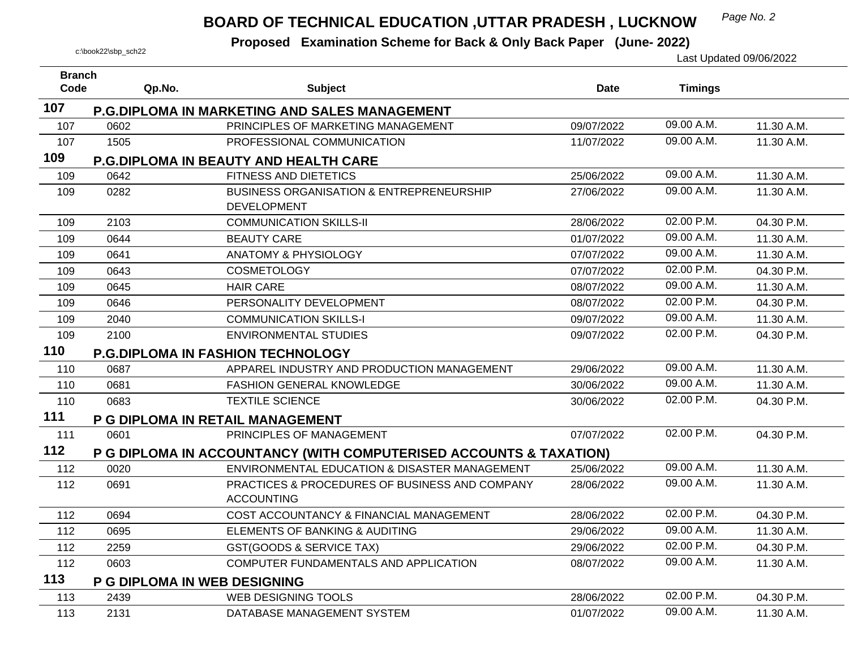## *Page No. 2* **BOARD OF TECHNICAL EDUCATION ,UTTAR PRADESH , LUCKNOW**

| <b>Branch</b> |                              |                                                                    |             |                |            |
|---------------|------------------------------|--------------------------------------------------------------------|-------------|----------------|------------|
| Code          | Qp.No.                       | <b>Subject</b>                                                     | <b>Date</b> | <b>Timings</b> |            |
| 107           |                              | <b>P.G.DIPLOMA IN MARKETING AND SALES MANAGEMENT</b>               |             |                |            |
| 107           | 0602                         | PRINCIPLES OF MARKETING MANAGEMENT                                 | 09/07/2022  | 09.00 A.M.     | 11.30 A.M. |
| 107           | 1505                         | PROFESSIONAL COMMUNICATION                                         | 11/07/2022  | 09.00 A.M.     | 11.30 A.M. |
| 109           |                              | <b>P.G.DIPLOMA IN BEAUTY AND HEALTH CARE</b>                       |             |                |            |
| 109           | 0642                         | FITNESS AND DIETETICS                                              | 25/06/2022  | 09.00 A.M.     | 11.30 A.M. |
| 109           | 0282                         | <b>BUSINESS ORGANISATION &amp; ENTREPRENEURSHIP</b>                | 27/06/2022  | 09.00 A.M.     | 11.30 A.M. |
|               |                              | <b>DEVELOPMENT</b>                                                 |             |                |            |
| 109           | 2103                         | <b>COMMUNICATION SKILLS-II</b>                                     | 28/06/2022  | 02.00 P.M.     | 04.30 P.M. |
| 109           | 0644                         | <b>BEAUTY CARE</b>                                                 | 01/07/2022  | 09.00 A.M.     | 11.30 A.M. |
| 109           | 0641                         | <b>ANATOMY &amp; PHYSIOLOGY</b>                                    | 07/07/2022  | 09.00 A.M.     | 11.30 A.M. |
| 109           | 0643                         | <b>COSMETOLOGY</b>                                                 | 07/07/2022  | 02.00 P.M.     | 04.30 P.M. |
| 109           | 0645                         | <b>HAIR CARE</b>                                                   | 08/07/2022  | 09.00 A.M.     | 11.30 A.M. |
| 109           | 0646                         | PERSONALITY DEVELOPMENT                                            | 08/07/2022  | 02.00 P.M.     | 04.30 P.M. |
| 109           | 2040                         | <b>COMMUNICATION SKILLS-I</b>                                      | 09/07/2022  | 09.00 A.M.     | 11.30 A.M. |
| 109           | 2100                         | <b>ENVIRONMENTAL STUDIES</b>                                       | 09/07/2022  | 02.00 P.M.     | 04.30 P.M. |
| 110           |                              | <b>P.G.DIPLOMA IN FASHION TECHNOLOGY</b>                           |             |                |            |
| 110           | 0687                         | APPAREL INDUSTRY AND PRODUCTION MANAGEMENT                         | 29/06/2022  | 09.00 A.M.     | 11.30 A.M. |
| 110           | 0681                         | FASHION GENERAL KNOWLEDGE                                          | 30/06/2022  | 09.00 A.M.     | 11.30 A.M. |
| 110           | 0683                         | <b>TEXTILE SCIENCE</b>                                             | 30/06/2022  | 02.00 P.M.     | 04.30 P.M. |
| 111           |                              | P G DIPLOMA IN RETAIL MANAGEMENT                                   |             |                |            |
| 111           | 0601                         | PRINCIPLES OF MANAGEMENT                                           | 07/07/2022  | 02.00 P.M.     | 04.30 P.M. |
| 112           |                              | P G DIPLOMA IN ACCOUNTANCY (WITH COMPUTERISED ACCOUNTS & TAXATION) |             |                |            |
| 112           | 0020                         | ENVIRONMENTAL EDUCATION & DISASTER MANAGEMENT                      | 25/06/2022  | 09.00 A.M.     | 11.30 A.M. |
| 112           | 0691                         | <b>PRACTICES &amp; PROCEDURES OF BUSINESS AND COMPANY</b>          | 28/06/2022  | 09.00 A.M.     | 11.30 A.M. |
|               |                              | <b>ACCOUNTING</b>                                                  |             |                |            |
| 112           | 0694                         | COST ACCOUNTANCY & FINANCIAL MANAGEMENT                            | 28/06/2022  | 02.00 P.M.     | 04.30 P.M. |
| 112           | 0695                         | ELEMENTS OF BANKING & AUDITING                                     | 29/06/2022  | 09.00 A.M.     | 11.30 A.M. |
| 112           | 2259                         | <b>GST(GOODS &amp; SERVICE TAX)</b>                                | 29/06/2022  | 02.00 P.M.     | 04.30 P.M. |
| 112           | 0603                         | COMPUTER FUNDAMENTALS AND APPLICATION                              | 08/07/2022  | 09.00 A.M.     | 11.30 A.M. |
| 113           | P G DIPLOMA IN WEB DESIGNING |                                                                    |             |                |            |
| 113           | 2439                         | <b>WEB DESIGNING TOOLS</b>                                         | 28/06/2022  | 02.00 P.M.     | 04.30 P.M. |
| 113           | 2131                         | DATABASE MANAGEMENT SYSTEM                                         | 01/07/2022  | 09.00 A.M.     | 11.30 A.M. |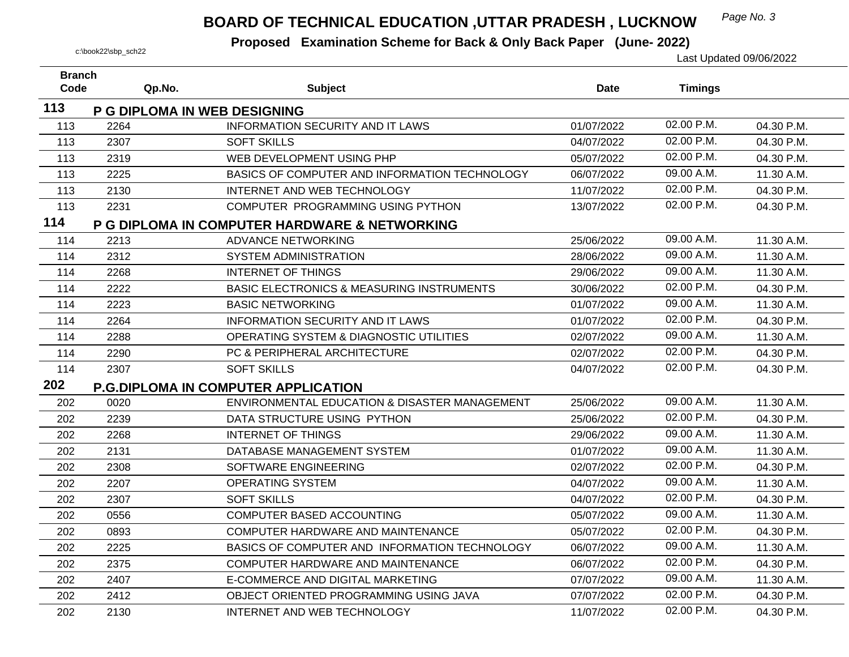## *Page No. 3* **BOARD OF TECHNICAL EDUCATION ,UTTAR PRADESH , LUCKNOW**

| <b>Branch</b> |                              |                                                      |            |                |            |
|---------------|------------------------------|------------------------------------------------------|------------|----------------|------------|
| Code          | Qp.No.                       | <b>Subject</b>                                       | Date       | <b>Timings</b> |            |
| 113           | P G DIPLOMA IN WEB DESIGNING |                                                      |            |                |            |
| 113           | 2264                         | <b>INFORMATION SECURITY AND IT LAWS</b>              | 01/07/2022 | 02.00 P.M.     | 04.30 P.M. |
| 113           | 2307                         | <b>SOFT SKILLS</b>                                   | 04/07/2022 | 02.00 P.M.     | 04.30 P.M. |
| 113           | 2319                         | WEB DEVELOPMENT USING PHP                            | 05/07/2022 | 02.00 P.M.     | 04.30 P.M. |
| 113           | 2225                         | BASICS OF COMPUTER AND INFORMATION TECHNOLOGY        | 06/07/2022 | 09.00 A.M.     | 11.30 A.M. |
| 113           | 2130                         | INTERNET AND WEB TECHNOLOGY                          | 11/07/2022 | 02.00 P.M.     | 04.30 P.M. |
| 113           | 2231                         | COMPUTER PROGRAMMING USING PYTHON                    | 13/07/2022 | 02.00 P.M.     | 04.30 P.M. |
| 114           |                              | P G DIPLOMA IN COMPUTER HARDWARE & NETWORKING        |            |                |            |
| 114           | 2213                         | <b>ADVANCE NETWORKING</b>                            | 25/06/2022 | 09.00 A.M.     | 11.30 A.M. |
| 114           | 2312                         | <b>SYSTEM ADMINISTRATION</b>                         | 28/06/2022 | 09.00 A.M.     | 11.30 A.M. |
| 114           | 2268                         | <b>INTERNET OF THINGS</b>                            | 29/06/2022 | 09.00 A.M.     | 11.30 A.M. |
| 114           | 2222                         | <b>BASIC ELECTRONICS &amp; MEASURING INSTRUMENTS</b> | 30/06/2022 | 02.00 P.M.     | 04.30 P.M. |
| 114           | 2223                         | <b>BASIC NETWORKING</b>                              | 01/07/2022 | 09.00 A.M.     | 11.30 A.M. |
| 114           | 2264                         | <b>INFORMATION SECURITY AND IT LAWS</b>              | 01/07/2022 | 02.00 P.M.     | 04.30 P.M. |
| 114           | 2288                         | OPERATING SYSTEM & DIAGNOSTIC UTILITIES              | 02/07/2022 | 09.00 A.M.     | 11.30 A.M. |
| 114           | 2290                         | PC & PERIPHERAL ARCHITECTURE                         | 02/07/2022 | 02.00 P.M.     | 04.30 P.M. |
| 114           | 2307                         | <b>SOFT SKILLS</b>                                   | 04/07/2022 | 02.00 P.M.     | 04.30 P.M. |
| 202           |                              | P.G.DIPLOMA IN COMPUTER APPLICATION                  |            |                |            |
| 202           | 0020                         | ENVIRONMENTAL EDUCATION & DISASTER MANAGEMENT        | 25/06/2022 | 09.00 A.M.     | 11.30 A.M. |
| 202           | 2239                         | DATA STRUCTURE USING PYTHON                          | 25/06/2022 | 02.00 P.M.     | 04.30 P.M. |
| 202           | 2268                         | <b>INTERNET OF THINGS</b>                            | 29/06/2022 | 09.00 A.M.     | 11.30 A.M. |
| 202           | 2131                         | DATABASE MANAGEMENT SYSTEM                           | 01/07/2022 | 09.00 A.M.     | 11.30 A.M. |
| 202           | 2308                         | SOFTWARE ENGINEERING                                 | 02/07/2022 | 02.00 P.M.     | 04.30 P.M. |
| 202           | 2207                         | OPERATING SYSTEM                                     | 04/07/2022 | 09.00 A.M.     | 11.30 A.M. |
| 202           | 2307                         | <b>SOFT SKILLS</b>                                   | 04/07/2022 | 02.00 P.M.     | 04.30 P.M. |
| 202           | 0556                         | <b>COMPUTER BASED ACCOUNTING</b>                     | 05/07/2022 | 09.00 A.M.     | 11.30 A.M. |
| 202           | 0893                         | COMPUTER HARDWARE AND MAINTENANCE                    | 05/07/2022 | 02.00 P.M.     | 04.30 P.M. |
| 202           | 2225                         | BASICS OF COMPUTER AND INFORMATION TECHNOLOGY        | 06/07/2022 | 09.00 A.M.     | 11.30 A.M. |
| 202           | 2375                         | COMPUTER HARDWARE AND MAINTENANCE                    | 06/07/2022 | 02.00 P.M.     | 04.30 P.M. |
| 202           | 2407                         | E-COMMERCE AND DIGITAL MARKETING                     | 07/07/2022 | 09.00 A.M.     | 11.30 A.M. |
| 202           | 2412                         | OBJECT ORIENTED PROGRAMMING USING JAVA               | 07/07/2022 | 02.00 P.M.     | 04.30 P.M. |
| 202           | 2130                         | INTERNET AND WEB TECHNOLOGY                          | 11/07/2022 | 02.00 P.M.     | 04.30 P.M. |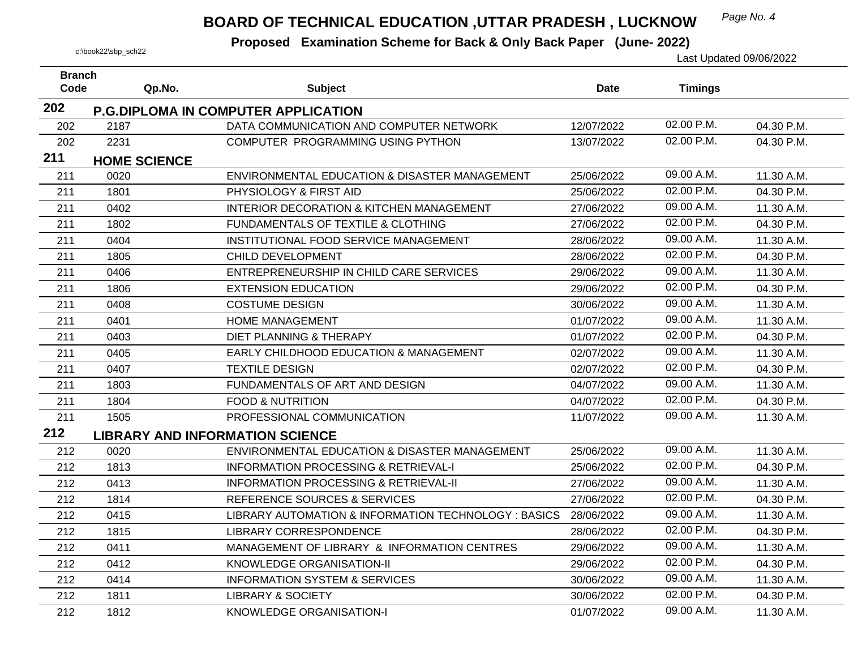## *Page No. 4* **BOARD OF TECHNICAL EDUCATION ,UTTAR PRADESH , LUCKNOW**

| <b>Branch</b><br>Code |      |                     |                                                      |             |                |            |
|-----------------------|------|---------------------|------------------------------------------------------|-------------|----------------|------------|
|                       |      | Qp.No.              | <b>Subject</b>                                       | <b>Date</b> | <b>Timings</b> |            |
| 202                   |      |                     | <b>P.G.DIPLOMA IN COMPUTER APPLICATION</b>           |             |                |            |
| 202                   | 2187 |                     | DATA COMMUNICATION AND COMPUTER NETWORK              | 12/07/2022  | 02.00 P.M.     | 04.30 P.M. |
| 202                   | 2231 |                     | COMPUTER PROGRAMMING USING PYTHON                    | 13/07/2022  | 02.00 P.M.     | 04.30 P.M. |
| 211                   |      | <b>HOME SCIENCE</b> |                                                      |             |                |            |
| 211                   | 0020 |                     | ENVIRONMENTAL EDUCATION & DISASTER MANAGEMENT        | 25/06/2022  | 09.00 A.M.     | 11.30 A.M. |
| 211                   | 1801 |                     | PHYSIOLOGY & FIRST AID                               | 25/06/2022  | 02.00 P.M.     | 04.30 P.M. |
| 211                   | 0402 |                     | <b>INTERIOR DECORATION &amp; KITCHEN MANAGEMENT</b>  | 27/06/2022  | 09.00 A.M.     | 11.30 A.M. |
| 211                   | 1802 |                     | FUNDAMENTALS OF TEXTILE & CLOTHING                   | 27/06/2022  | 02.00 P.M.     | 04.30 P.M. |
| 211                   | 0404 |                     | INSTITUTIONAL FOOD SERVICE MANAGEMENT                | 28/06/2022  | 09.00 A.M.     | 11.30 A.M. |
| 211                   | 1805 |                     | CHILD DEVELOPMENT                                    | 28/06/2022  | 02.00 P.M.     | 04.30 P.M. |
| 211                   | 0406 |                     | ENTREPRENEURSHIP IN CHILD CARE SERVICES              | 29/06/2022  | 09.00 A.M.     | 11.30 A.M. |
| 211                   | 1806 |                     | <b>EXTENSION EDUCATION</b>                           | 29/06/2022  | $02.00$ P.M.   | 04.30 P.M. |
| 211                   | 0408 |                     | <b>COSTUME DESIGN</b>                                | 30/06/2022  | 09.00 A.M.     | 11.30 A.M. |
| 211                   | 0401 |                     | <b>HOME MANAGEMENT</b>                               | 01/07/2022  | 09.00 A.M.     | 11.30 A.M. |
| 211                   | 0403 |                     | <b>DIET PLANNING &amp; THERAPY</b>                   | 01/07/2022  | 02.00 P.M.     | 04.30 P.M. |
| 211                   | 0405 |                     | EARLY CHILDHOOD EDUCATION & MANAGEMENT               | 02/07/2022  | 09.00 A.M.     | 11.30 A.M. |
| 211                   | 0407 |                     | <b>TEXTILE DESIGN</b>                                | 02/07/2022  | 02.00 P.M.     | 04.30 P.M. |
| 211                   | 1803 |                     | FUNDAMENTALS OF ART AND DESIGN                       | 04/07/2022  | 09.00 A.M.     | 11.30 A.M. |
| 211                   | 1804 |                     | <b>FOOD &amp; NUTRITION</b>                          | 04/07/2022  | 02.00 P.M.     | 04.30 P.M. |
| 211                   | 1505 |                     | PROFESSIONAL COMMUNICATION                           | 11/07/2022  | 09.00 A.M.     | 11.30 A.M. |
| 212                   |      |                     | <b>LIBRARY AND INFORMATION SCIENCE</b>               |             |                |            |
| 212                   | 0020 |                     | ENVIRONMENTAL EDUCATION & DISASTER MANAGEMENT        | 25/06/2022  | 09.00 A.M.     | 11.30 A.M. |
| 212                   | 1813 |                     | <b>INFORMATION PROCESSING &amp; RETRIEVAL-I</b>      | 25/06/2022  | 02.00 P.M.     | 04.30 P.M. |
| 212                   | 0413 |                     | <b>INFORMATION PROCESSING &amp; RETRIEVAL-II</b>     | 27/06/2022  | 09.00 A.M.     | 11.30 A.M. |
| 212                   | 1814 |                     | REFERENCE SOURCES & SERVICES                         | 27/06/2022  | 02.00 P.M.     | 04.30 P.M. |
| 212                   | 0415 |                     | LIBRARY AUTOMATION & INFORMATION TECHNOLOGY : BASICS | 28/06/2022  | 09.00 A.M.     | 11.30 A.M. |
| 212                   | 1815 |                     | <b>LIBRARY CORRESPONDENCE</b>                        | 28/06/2022  | 02.00 P.M.     | 04.30 P.M. |
| 212                   | 0411 |                     | MANAGEMENT OF LIBRARY & INFORMATION CENTRES          | 29/06/2022  | 09.00 A.M.     | 11.30 A.M. |
| 212                   | 0412 |                     | KNOWLEDGE ORGANISATION-II                            | 29/06/2022  | 02.00 P.M.     | 04.30 P.M. |
| 212                   | 0414 |                     | <b>INFORMATION SYSTEM &amp; SERVICES</b>             | 30/06/2022  | 09.00 A.M.     | 11.30 A.M. |
| 212                   | 1811 |                     | <b>LIBRARY &amp; SOCIETY</b>                         | 30/06/2022  | 02.00 P.M.     | 04.30 P.M. |
| 212                   | 1812 |                     | KNOWLEDGE ORGANISATION-I                             | 01/07/2022  | 09.00 A.M.     | 11.30 A.M. |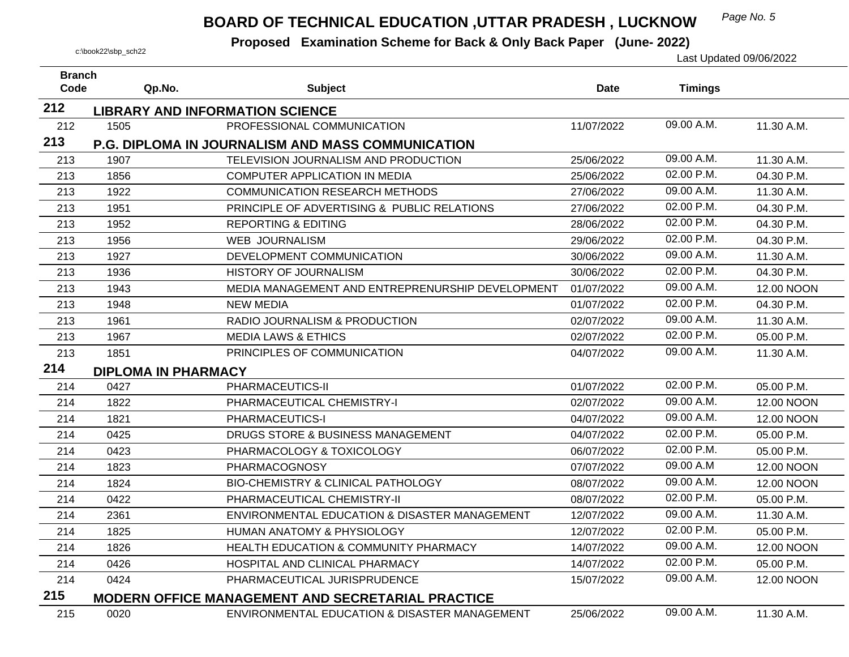## *Page No. 5* **BOARD OF TECHNICAL EDUCATION ,UTTAR PRADESH , LUCKNOW**

| <b>Branch</b> |                            |                                                          |             |                |                   |
|---------------|----------------------------|----------------------------------------------------------|-------------|----------------|-------------------|
| Code          | Qp.No.                     | <b>Subject</b>                                           | <b>Date</b> | <b>Timings</b> |                   |
| 212           |                            | <b>LIBRARY AND INFORMATION SCIENCE</b>                   |             |                |                   |
| 212           | 1505                       | PROFESSIONAL COMMUNICATION                               | 11/07/2022  | 09.00 A.M.     | 11.30 A.M.        |
| 213           |                            | <b>P.G. DIPLOMA IN JOURNALISM AND MASS COMMUNICATION</b> |             |                |                   |
| 213           | 1907                       | TELEVISION JOURNALISM AND PRODUCTION                     | 25/06/2022  | 09.00 A.M.     | 11.30 A.M.        |
| 213           | 1856                       | <b>COMPUTER APPLICATION IN MEDIA</b>                     | 25/06/2022  | 02.00 P.M.     | 04.30 P.M.        |
| 213           | 1922                       | <b>COMMUNICATION RESEARCH METHODS</b>                    | 27/06/2022  | 09.00 A.M.     | 11.30 A.M.        |
| 213           | 1951                       | PRINCIPLE OF ADVERTISING & PUBLIC RELATIONS              | 27/06/2022  | 02.00 P.M.     | 04.30 P.M.        |
| 213           | 1952                       | <b>REPORTING &amp; EDITING</b>                           | 28/06/2022  | 02.00 P.M.     | 04.30 P.M.        |
| 213           | 1956                       | <b>WEB JOURNALISM</b>                                    | 29/06/2022  | 02.00 P.M.     | 04.30 P.M.        |
| 213           | 1927                       | DEVELOPMENT COMMUNICATION                                | 30/06/2022  | 09.00 A.M.     | 11.30 A.M.        |
| 213           | 1936                       | HISTORY OF JOURNALISM                                    | 30/06/2022  | 02.00 P.M.     | 04.30 P.M.        |
| 213           | 1943                       | MEDIA MANAGEMENT AND ENTREPRENURSHIP DEVELOPMENT         | 01/07/2022  | 09.00 A.M.     | 12.00 NOON        |
| 213           | 1948                       | <b>NEW MEDIA</b>                                         | 01/07/2022  | 02.00 P.M.     | 04.30 P.M.        |
| 213           | 1961                       | RADIO JOURNALISM & PRODUCTION                            | 02/07/2022  | 09.00 A.M.     | 11.30 A.M.        |
| 213           | 1967                       | <b>MEDIA LAWS &amp; ETHICS</b>                           | 02/07/2022  | 02.00 P.M.     | 05.00 P.M.        |
| 213           | 1851                       | PRINCIPLES OF COMMUNICATION                              | 04/07/2022  | 09.00 A.M.     | 11.30 A.M.        |
| 214           | <b>DIPLOMA IN PHARMACY</b> |                                                          |             |                |                   |
| 214           | 0427                       | PHARMACEUTICS-II                                         | 01/07/2022  | 02.00 P.M.     | 05.00 P.M.        |
| 214           | 1822                       | PHARMACEUTICAL CHEMISTRY-I                               | 02/07/2022  | 09.00 A.M.     | 12.00 NOON        |
| 214           | 1821                       | PHARMACEUTICS-I                                          | 04/07/2022  | 09.00 A.M.     | <b>12.00 NOON</b> |
| 214           | 0425                       | DRUGS STORE & BUSINESS MANAGEMENT                        | 04/07/2022  | 02.00 P.M.     | 05.00 P.M.        |
| 214           | 0423                       | PHARMACOLOGY & TOXICOLOGY                                | 06/07/2022  | 02.00 P.M.     | 05.00 P.M.        |
| 214           | 1823                       | <b>PHARMACOGNOSY</b>                                     | 07/07/2022  | 09.00 A.M      | 12.00 NOON        |
| 214           | 1824                       | <b>BIO-CHEMISTRY &amp; CLINICAL PATHOLOGY</b>            | 08/07/2022  | 09.00 A.M.     | <b>12.00 NOON</b> |
| 214           | 0422                       | PHARMACEUTICAL CHEMISTRY-II                              | 08/07/2022  | 02.00 P.M.     | 05.00 P.M.        |
| 214           | 2361                       | ENVIRONMENTAL EDUCATION & DISASTER MANAGEMENT            | 12/07/2022  | 09.00 A.M.     | 11.30 A.M.        |
| 214           | 1825                       | <b>HUMAN ANATOMY &amp; PHYSIOLOGY</b>                    | 12/07/2022  | 02.00 P.M.     | 05.00 P.M.        |
| 214           | 1826                       | HEALTH EDUCATION & COMMUNITY PHARMACY                    | 14/07/2022  | 09.00 A.M.     | 12.00 NOON        |
| 214           | 0426                       | HOSPITAL AND CLINICAL PHARMACY                           | 14/07/2022  | 02.00 P.M.     | 05.00 P.M.        |
| 214           | 0424                       | PHARMACEUTICAL JURISPRUDENCE                             | 15/07/2022  | 09.00 A.M.     | 12.00 NOON        |
| 215           |                            | <b>MODERN OFFICE MANAGEMENT AND SECRETARIAL PRACTICE</b> |             |                |                   |
| 215           | 0020                       | ENVIRONMENTAL EDUCATION & DISASTER MANAGEMENT            | 25/06/2022  | 09.00 A.M.     | 11.30 A.M.        |
|               |                            |                                                          |             |                |                   |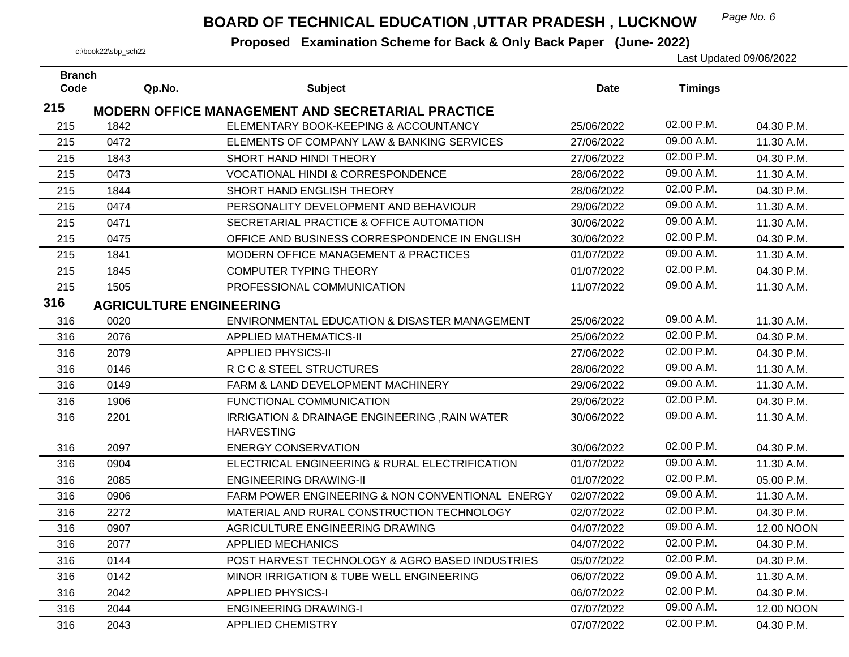## **BOARD OF TECHNICAL EDUCATION ,UTTAR PRADESH, LUCKNOW** Page No. 6

| <b>Branch</b><br>Code |      |                                |                                                          |             |                |            |
|-----------------------|------|--------------------------------|----------------------------------------------------------|-------------|----------------|------------|
|                       |      | Qp.No.                         | <b>Subject</b>                                           | <b>Date</b> | <b>Timings</b> |            |
| 215                   |      |                                | <b>MODERN OFFICE MANAGEMENT AND SECRETARIAL PRACTICE</b> |             |                |            |
| 215                   | 1842 |                                | ELEMENTARY BOOK-KEEPING & ACCOUNTANCY                    | 25/06/2022  | 02.00 P.M.     | 04.30 P.M. |
| 215                   | 0472 |                                | ELEMENTS OF COMPANY LAW & BANKING SERVICES               | 27/06/2022  | 09.00 A.M.     | 11.30 A.M. |
| 215                   | 1843 |                                | SHORT HAND HINDI THEORY                                  | 27/06/2022  | 02.00 P.M.     | 04.30 P.M. |
| 215                   | 0473 |                                | <b>VOCATIONAL HINDI &amp; CORRESPONDENCE</b>             | 28/06/2022  | 09.00 A.M.     | 11.30 A.M. |
| 215                   | 1844 |                                | SHORT HAND ENGLISH THEORY                                | 28/06/2022  | 02.00 P.M.     | 04.30 P.M. |
| 215                   | 0474 |                                | PERSONALITY DEVELOPMENT AND BEHAVIOUR                    | 29/06/2022  | 09.00 A.M.     | 11.30 A.M. |
| 215                   | 0471 |                                | SECRETARIAL PRACTICE & OFFICE AUTOMATION                 | 30/06/2022  | 09.00 A.M.     | 11.30 A.M. |
| 215                   | 0475 |                                | OFFICE AND BUSINESS CORRESPONDENCE IN ENGLISH            | 30/06/2022  | 02.00 P.M.     | 04.30 P.M. |
| 215                   | 1841 |                                | MODERN OFFICE MANAGEMENT & PRACTICES                     | 01/07/2022  | 09.00 A.M.     | 11.30 A.M. |
| 215                   | 1845 |                                | <b>COMPUTER TYPING THEORY</b>                            | 01/07/2022  | 02.00 P.M.     | 04.30 P.M. |
| 215                   | 1505 |                                | PROFESSIONAL COMMUNICATION                               | 11/07/2022  | 09.00 A.M.     | 11.30 A.M. |
| 316                   |      | <b>AGRICULTURE ENGINEERING</b> |                                                          |             |                |            |
| 316                   | 0020 |                                | ENVIRONMENTAL EDUCATION & DISASTER MANAGEMENT            | 25/06/2022  | 09.00 A.M.     | 11.30 A.M. |
| 316                   | 2076 |                                | <b>APPLIED MATHEMATICS-II</b>                            | 25/06/2022  | 02.00 P.M.     | 04.30 P.M. |
| 316                   | 2079 |                                | <b>APPLIED PHYSICS-II</b>                                | 27/06/2022  | 02.00 P.M.     | 04.30 P.M. |
| 316                   | 0146 |                                | R C C & STEEL STRUCTURES                                 | 28/06/2022  | 09.00 A.M.     | 11.30 A.M. |
| 316                   | 0149 |                                | FARM & LAND DEVELOPMENT MACHINERY                        | 29/06/2022  | 09.00 A.M.     | 11.30 A.M. |
| 316                   | 1906 |                                | FUNCTIONAL COMMUNICATION                                 | 29/06/2022  | 02.00 P.M.     | 04.30 P.M. |
| 316                   | 2201 |                                | IRRIGATION & DRAINAGE ENGINEERING , RAIN WATER           | 30/06/2022  | 09.00 A.M.     | 11.30 A.M. |
|                       |      | <b>HARVESTING</b>              |                                                          |             |                |            |
| 316                   | 2097 |                                | <b>ENERGY CONSERVATION</b>                               | 30/06/2022  | 02.00 P.M.     | 04.30 P.M. |
| 316                   | 0904 |                                | ELECTRICAL ENGINEERING & RURAL ELECTRIFICATION           | 01/07/2022  | 09.00 A.M.     | 11.30 A.M. |
| 316                   | 2085 |                                | <b>ENGINEERING DRAWING-II</b>                            | 01/07/2022  | 02.00 P.M.     | 05.00 P.M. |
| 316                   | 0906 |                                | FARM POWER ENGINEERING & NON CONVENTIONAL ENERGY         | 02/07/2022  | 09.00 A.M.     | 11.30 A.M. |
| 316                   | 2272 |                                | MATERIAL AND RURAL CONSTRUCTION TECHNOLOGY               | 02/07/2022  | 02.00 P.M.     | 04.30 P.M. |
| 316                   | 0907 |                                | AGRICULTURE ENGINEERING DRAWING                          | 04/07/2022  | 09.00 A.M.     | 12.00 NOON |
| 316                   | 2077 |                                | <b>APPLIED MECHANICS</b>                                 | 04/07/2022  | 02.00 P.M.     | 04.30 P.M. |
| 316                   | 0144 |                                | POST HARVEST TECHNOLOGY & AGRO BASED INDUSTRIES          | 05/07/2022  | 02.00 P.M.     | 04.30 P.M. |
| 316                   | 0142 |                                | MINOR IRRIGATION & TUBE WELL ENGINEERING                 | 06/07/2022  | 09.00 A.M.     | 11.30 A.M. |
| 316                   | 2042 |                                | <b>APPLIED PHYSICS-I</b>                                 | 06/07/2022  | 02.00 P.M.     | 04.30 P.M. |
| 316                   | 2044 |                                | <b>ENGINEERING DRAWING-I</b>                             | 07/07/2022  | 09.00 A.M.     | 12.00 NOON |
| 316                   | 2043 |                                | <b>APPLIED CHEMISTRY</b>                                 | 07/07/2022  | 02.00 P.M.     | 04.30 P.M. |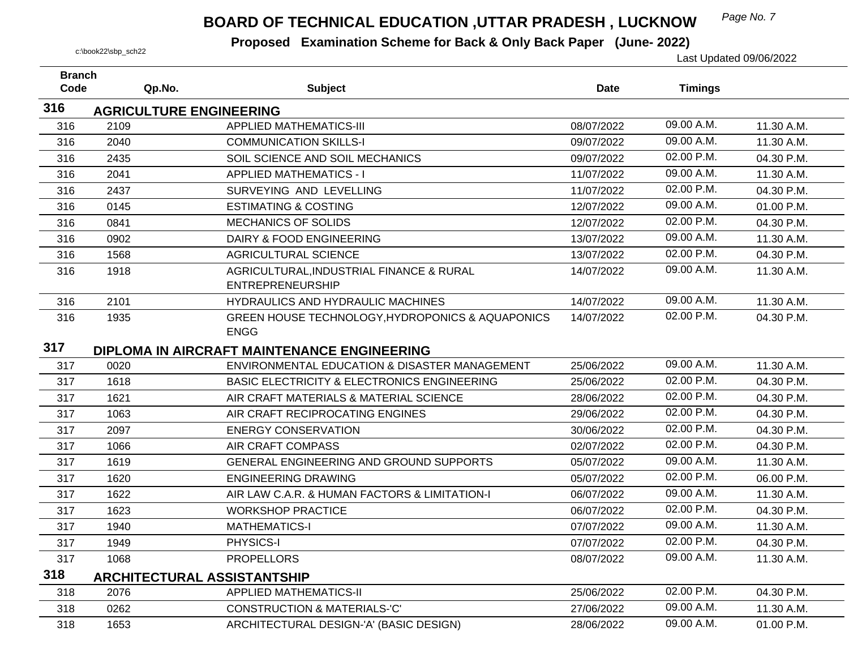## *Page No. 7* **BOARD OF TECHNICAL EDUCATION ,UTTAR PRADESH , LUCKNOW**

| <b>Branch</b> |                                                        |                                                                                                                                                      |             |                                            |
|---------------|--------------------------------------------------------|------------------------------------------------------------------------------------------------------------------------------------------------------|-------------|--------------------------------------------|
|               |                                                        |                                                                                                                                                      |             |                                            |
|               |                                                        |                                                                                                                                                      |             |                                            |
| 2109          | <b>APPLIED MATHEMATICS-III</b>                         | 08/07/2022                                                                                                                                           | 09.00 A.M.  | 11.30 A.M.                                 |
| 2040          | <b>COMMUNICATION SKILLS-I</b>                          | 09/07/2022                                                                                                                                           | 09.00 A.M.  | 11.30 A.M.                                 |
| 2435          | SOIL SCIENCE AND SOIL MECHANICS                        | 09/07/2022                                                                                                                                           | 02.00 P.M.  | 04.30 P.M.                                 |
| 2041          | <b>APPLIED MATHEMATICS - I</b>                         | 11/07/2022                                                                                                                                           | 09.00 A.M.  | 11.30 A.M.                                 |
| 2437          | SURVEYING AND LEVELLING                                | 11/07/2022                                                                                                                                           | 02.00 P.M.  | 04.30 P.M.                                 |
| 0145          | <b>ESTIMATING &amp; COSTING</b>                        | 12/07/2022                                                                                                                                           | 09.00 A.M.  | 01.00 P.M.                                 |
| 0841          | <b>MECHANICS OF SOLIDS</b>                             | 12/07/2022                                                                                                                                           | 02.00 P.M.  | 04.30 P.M.                                 |
| 0902          | DAIRY & FOOD ENGINEERING                               | 13/07/2022                                                                                                                                           | 09.00 A.M.  | 11.30 A.M.                                 |
| 1568          | <b>AGRICULTURAL SCIENCE</b>                            | 13/07/2022                                                                                                                                           | 02.00 P.M.  | 04.30 P.M.                                 |
| 1918          | AGRICULTURAL, INDUSTRIAL FINANCE & RURAL               | 14/07/2022                                                                                                                                           | 09.00 A.M.  | 11.30 A.M.                                 |
|               | <b>ENTREPRENEURSHIP</b>                                |                                                                                                                                                      |             |                                            |
| 2101          | HYDRAULICS AND HYDRAULIC MACHINES                      | 14/07/2022                                                                                                                                           |             | 11.30 A.M.                                 |
| 1935          | GREEN HOUSE TECHNOLOGY, HYDROPONICS & AQUAPONICS       | 14/07/2022                                                                                                                                           | 02.00 P.M.  | 04.30 P.M.                                 |
|               |                                                        |                                                                                                                                                      |             |                                            |
|               |                                                        |                                                                                                                                                      |             |                                            |
| 0020          | ENVIRONMENTAL EDUCATION & DISASTER MANAGEMENT          | 25/06/2022                                                                                                                                           | 09.00 A.M.  | 11.30 A.M.                                 |
| 1618          | <b>BASIC ELECTRICITY &amp; ELECTRONICS ENGINEERING</b> | 25/06/2022                                                                                                                                           | 02.00 P.M.  | 04.30 P.M.                                 |
| 1621          | AIR CRAFT MATERIALS & MATERIAL SCIENCE                 | 28/06/2022                                                                                                                                           |             | 04.30 P.M.                                 |
| 1063          | AIR CRAFT RECIPROCATING ENGINES                        | 29/06/2022                                                                                                                                           | 02.00 P.M.  | 04.30 P.M.                                 |
| 2097          | <b>ENERGY CONSERVATION</b>                             | 30/06/2022                                                                                                                                           | 02.00 P.M.  | 04.30 P.M.                                 |
| 1066          | AIR CRAFT COMPASS                                      | 02/07/2022                                                                                                                                           | 02.00 P.M.  | 04.30 P.M.                                 |
| 1619          | <b>GENERAL ENGINEERING AND GROUND SUPPORTS</b>         | 05/07/2022                                                                                                                                           | 09.00 A.M.  | 11.30 A.M.                                 |
| 1620          | <b>ENGINEERING DRAWING</b>                             | 05/07/2022                                                                                                                                           | 02.00 P.M.  | 06.00 P.M.                                 |
| 1622          | AIR LAW C.A.R. & HUMAN FACTORS & LIMITATION-I          | 06/07/2022                                                                                                                                           | 09.00 A.M.  | 11.30 A.M.                                 |
| 1623          | <b>WORKSHOP PRACTICE</b>                               | 06/07/2022                                                                                                                                           | 02.00 P.M.  | 04.30 P.M.                                 |
| 1940          | <b>MATHEMATICS-I</b>                                   | 07/07/2022                                                                                                                                           | 09.00 A.M.  | 11.30 A.M.                                 |
| 1949          | PHYSICS-I                                              | 07/07/2022                                                                                                                                           | 02.00 P.M.  | 04.30 P.M.                                 |
| 1068          | <b>PROPELLORS</b>                                      | 08/07/2022                                                                                                                                           | 09.00 A.M.  | 11.30 A.M.                                 |
|               |                                                        |                                                                                                                                                      |             |                                            |
| 2076          | <b>APPLIED MATHEMATICS-II</b>                          | 25/06/2022                                                                                                                                           | 02.00 P.M.  | 04.30 P.M.                                 |
| 0262          | <b>CONSTRUCTION &amp; MATERIALS-'C'</b>                | 27/06/2022                                                                                                                                           | 09.00 A.M.  | 11.30 A.M.                                 |
| 1653          | ARCHITECTURAL DESIGN-'A' (BASIC DESIGN)                | 28/06/2022                                                                                                                                           | 09.00 A.M.  | 01.00 P.M.                                 |
|               | Code<br>Qp.No.                                         | <b>Subject</b><br><b>AGRICULTURE ENGINEERING</b><br><b>ENGG</b><br><b>DIPLOMA IN AIRCRAFT MAINTENANCE ENGINEERING</b><br>ARCHITECTURAL ASSISTANTSHIP | <b>Date</b> | <b>Timings</b><br>09.00 A.M.<br>02.00 P.M. |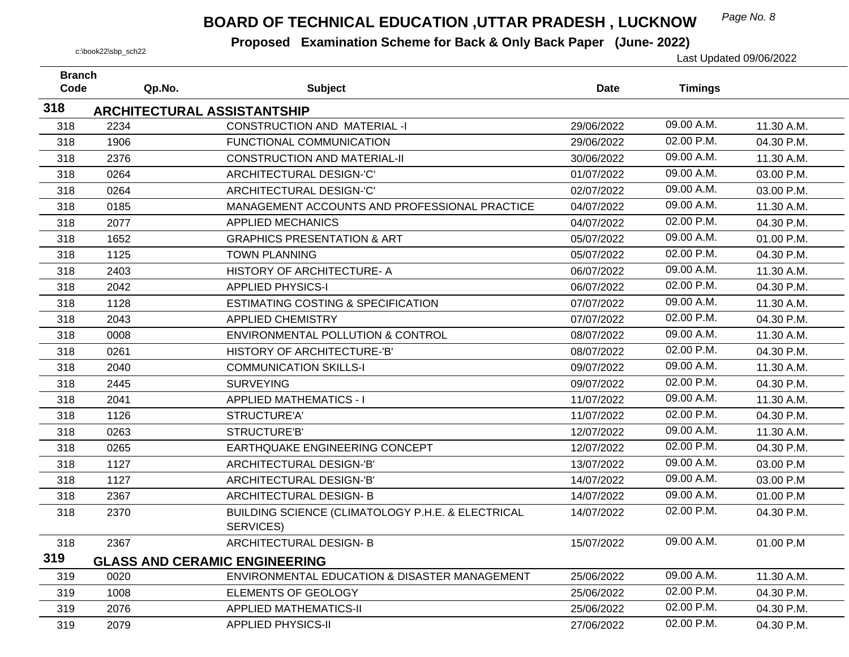## *Page No. 8* **BOARD OF TECHNICAL EDUCATION ,UTTAR PRADESH , LUCKNOW**

| <b>Branch</b><br>Code |      | Qp.No.                             | <b>Subject</b>                                                 | <b>Date</b> | <b>Timings</b> |            |
|-----------------------|------|------------------------------------|----------------------------------------------------------------|-------------|----------------|------------|
|                       |      |                                    |                                                                |             |                |            |
| 318                   |      | <b>ARCHITECTURAL ASSISTANTSHIP</b> |                                                                |             |                |            |
| 318                   | 2234 |                                    | <b>CONSTRUCTION AND MATERIAL -I</b>                            | 29/06/2022  | 09.00 A.M.     | 11.30 A.M. |
| 318                   | 1906 |                                    | <b>FUNCTIONAL COMMUNICATION</b>                                | 29/06/2022  | 02.00 P.M.     | 04.30 P.M. |
| 318                   | 2376 |                                    | <b>CONSTRUCTION AND MATERIAL-II</b>                            | 30/06/2022  | 09.00 A.M.     | 11.30 A.M. |
| 318                   | 0264 |                                    | ARCHITECTURAL DESIGN-'C'                                       | 01/07/2022  | 09.00 A.M.     | 03.00 P.M. |
| 318                   | 0264 |                                    | ARCHITECTURAL DESIGN-'C'                                       | 02/07/2022  | 09.00 A.M.     | 03.00 P.M. |
| 318                   | 0185 |                                    | MANAGEMENT ACCOUNTS AND PROFESSIONAL PRACTICE                  | 04/07/2022  | 09.00 A.M.     | 11.30 A.M. |
| 318                   | 2077 |                                    | <b>APPLIED MECHANICS</b>                                       | 04/07/2022  | 02.00 P.M.     | 04.30 P.M. |
| 318                   | 1652 |                                    | <b>GRAPHICS PRESENTATION &amp; ART</b>                         | 05/07/2022  | 09.00 A.M.     | 01.00 P.M. |
| 318                   | 1125 |                                    | <b>TOWN PLANNING</b>                                           | 05/07/2022  | 02.00 P.M.     | 04.30 P.M. |
| 318                   | 2403 |                                    | HISTORY OF ARCHITECTURE- A                                     | 06/07/2022  | 09.00 A.M.     | 11.30 A.M. |
| 318                   | 2042 |                                    | <b>APPLIED PHYSICS-I</b>                                       | 06/07/2022  | 02.00 P.M.     | 04.30 P.M. |
| 318                   | 1128 |                                    | <b>ESTIMATING COSTING &amp; SPECIFICATION</b>                  | 07/07/2022  | 09.00 A.M.     | 11.30 A.M. |
| 318                   | 2043 |                                    | <b>APPLIED CHEMISTRY</b>                                       | 07/07/2022  | 02.00 P.M.     | 04.30 P.M. |
| 318                   | 0008 |                                    | <b>ENVIRONMENTAL POLLUTION &amp; CONTROL</b>                   | 08/07/2022  | 09.00 A.M.     | 11.30 A.M. |
| 318                   | 0261 |                                    | <b>HISTORY OF ARCHITECTURE-'B'</b>                             | 08/07/2022  | 02.00 P.M.     | 04.30 P.M. |
| 318                   | 2040 |                                    | <b>COMMUNICATION SKILLS-I</b>                                  | 09/07/2022  | 09.00 A.M.     | 11.30 A.M. |
| 318                   | 2445 |                                    | <b>SURVEYING</b>                                               | 09/07/2022  | 02.00 P.M.     | 04.30 P.M. |
| 318                   | 2041 |                                    | <b>APPLIED MATHEMATICS - I</b>                                 | 11/07/2022  | 09.00 A.M.     | 11.30 A.M. |
| 318                   | 1126 |                                    | STRUCTURE'A'                                                   | 11/07/2022  | 02.00 P.M.     | 04.30 P.M. |
| 318                   | 0263 |                                    | STRUCTURE'B'                                                   | 12/07/2022  | 09.00 A.M.     | 11.30 A.M. |
| 318                   | 0265 |                                    | EARTHQUAKE ENGINEERING CONCEPT                                 | 12/07/2022  | 02.00 P.M.     | 04.30 P.M. |
| 318                   | 1127 |                                    | ARCHITECTURAL DESIGN-'B'                                       | 13/07/2022  | 09.00 A.M.     | 03.00 P.M  |
| 318                   | 1127 |                                    | ARCHITECTURAL DESIGN-'B'                                       | 14/07/2022  | 09.00 A.M.     | 03.00 P.M  |
| 318                   | 2367 |                                    | ARCHITECTURAL DESIGN-B                                         | 14/07/2022  | 09.00 A.M.     | 01.00 P.M  |
| 318                   | 2370 |                                    | BUILDING SCIENCE (CLIMATOLOGY P.H.E. & ELECTRICAL<br>SERVICES) | 14/07/2022  | 02.00 P.M.     | 04.30 P.M. |
| 318                   | 2367 |                                    | ARCHITECTURAL DESIGN-B                                         | 15/07/2022  | 09.00 A.M.     | 01.00 P.M  |
| 319                   |      |                                    | <b>GLASS AND CERAMIC ENGINEERING</b>                           |             |                |            |
| 319                   | 0020 |                                    | ENVIRONMENTAL EDUCATION & DISASTER MANAGEMENT                  | 25/06/2022  | 09.00 A.M.     | 11.30 A.M. |
| 319                   | 1008 |                                    | ELEMENTS OF GEOLOGY                                            | 25/06/2022  | 02.00 P.M.     | 04.30 P.M. |
| 319                   | 2076 |                                    | <b>APPLIED MATHEMATICS-II</b>                                  | 25/06/2022  | 02.00 P.M.     | 04.30 P.M. |
| 319                   | 2079 |                                    | <b>APPLIED PHYSICS-II</b>                                      | 27/06/2022  | 02.00 P.M.     | 04.30 P.M. |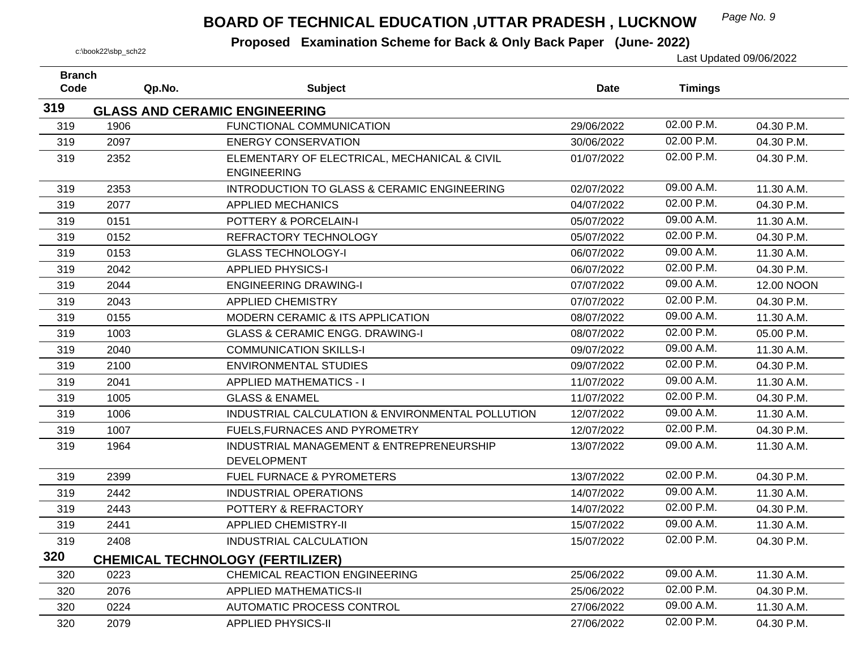## *Page No. 9* **BOARD OF TECHNICAL EDUCATION ,UTTAR PRADESH , LUCKNOW**

| <b>Branch</b> |        |                                                  |             |                |            |
|---------------|--------|--------------------------------------------------|-------------|----------------|------------|
| Code          | Qp.No. | <b>Subject</b>                                   | <b>Date</b> | <b>Timings</b> |            |
| 319           |        | <b>GLASS AND CERAMIC ENGINEERING</b>             |             |                |            |
| 319           | 1906   | FUNCTIONAL COMMUNICATION                         | 29/06/2022  | 02.00 P.M.     | 04.30 P.M. |
| 319           | 2097   | <b>ENERGY CONSERVATION</b>                       | 30/06/2022  | 02.00 P.M.     | 04.30 P.M. |
| 319           | 2352   | ELEMENTARY OF ELECTRICAL, MECHANICAL & CIVIL     | 01/07/2022  | 02.00 P.M.     | 04.30 P.M. |
|               |        | <b>ENGINEERING</b>                               |             |                |            |
| 319           | 2353   | INTRODUCTION TO GLASS & CERAMIC ENGINEERING      | 02/07/2022  | 09.00 A.M.     | 11.30 A.M. |
| 319           | 2077   | <b>APPLIED MECHANICS</b>                         | 04/07/2022  | 02.00 P.M.     | 04.30 P.M. |
| 319           | 0151   | POTTERY & PORCELAIN-I                            | 05/07/2022  | 09.00 A.M.     | 11.30 A.M. |
| 319           | 0152   | REFRACTORY TECHNOLOGY                            | 05/07/2022  | 02.00 P.M.     | 04.30 P.M. |
| 319           | 0153   | <b>GLASS TECHNOLOGY-I</b>                        | 06/07/2022  | 09.00 A.M.     | 11.30 A.M. |
| 319           | 2042   | <b>APPLIED PHYSICS-I</b>                         | 06/07/2022  | 02.00 P.M.     | 04.30 P.M. |
| 319           | 2044   | <b>ENGINEERING DRAWING-I</b>                     | 07/07/2022  | 09.00 A.M.     | 12.00 NOON |
| 319           | 2043   | <b>APPLIED CHEMISTRY</b>                         | 07/07/2022  | 02.00 P.M.     | 04.30 P.M. |
| 319           | 0155   | <b>MODERN CERAMIC &amp; ITS APPLICATION</b>      | 08/07/2022  | 09.00 A.M.     | 11.30 A.M. |
| 319           | 1003   | <b>GLASS &amp; CERAMIC ENGG, DRAWING-I</b>       | 08/07/2022  | 02.00 P.M.     | 05.00 P.M. |
| 319           | 2040   | <b>COMMUNICATION SKILLS-I</b>                    | 09/07/2022  | 09.00 A.M.     | 11.30 A.M. |
| 319           | 2100   | <b>ENVIRONMENTAL STUDIES</b>                     | 09/07/2022  | 02.00 P.M.     | 04.30 P.M. |
| 319           | 2041   | <b>APPLIED MATHEMATICS - I</b>                   | 11/07/2022  | 09.00 A.M.     | 11.30 A.M. |
| 319           | 1005   | <b>GLASS &amp; ENAMEL</b>                        | 11/07/2022  | 02.00 P.M.     | 04.30 P.M. |
| 319           | 1006   | INDUSTRIAL CALCULATION & ENVIRONMENTAL POLLUTION | 12/07/2022  | 09.00 A.M.     | 11.30 A.M. |
| 319           | 1007   | FUELS, FURNACES AND PYROMETRY                    | 12/07/2022  | 02.00 P.M.     | 04.30 P.M. |
| 319           | 1964   | INDUSTRIAL MANAGEMENT & ENTREPRENEURSHIP         | 13/07/2022  | 09.00 A.M.     | 11.30 A.M. |
|               |        | <b>DEVELOPMENT</b>                               |             |                |            |
| 319           | 2399   | FUEL FURNACE & PYROMETERS                        | 13/07/2022  | 02.00 P.M.     | 04.30 P.M. |
| 319           | 2442   | <b>INDUSTRIAL OPERATIONS</b>                     | 14/07/2022  | 09.00 A.M.     | 11.30 A.M. |
| 319           | 2443   | POTTERY & REFRACTORY                             | 14/07/2022  | 02.00 P.M.     | 04.30 P.M. |
| 319           | 2441   | <b>APPLIED CHEMISTRY-II</b>                      | 15/07/2022  | 09.00 A.M.     | 11.30 A.M. |
| 319           | 2408   | <b>INDUSTRIAL CALCULATION</b>                    | 15/07/2022  | 02.00 P.M.     | 04.30 P.M. |
| 320           |        | <b>CHEMICAL TECHNOLOGY (FERTILIZER)</b>          |             |                |            |
| 320           | 0223   | <b>CHEMICAL REACTION ENGINEERING</b>             | 25/06/2022  | 09.00 A.M.     | 11.30 A.M. |
| 320           | 2076   | <b>APPLIED MATHEMATICS-II</b>                    | 25/06/2022  | 02.00 P.M.     | 04.30 P.M. |
| 320           | 0224   | AUTOMATIC PROCESS CONTROL                        | 27/06/2022  | 09.00 A.M.     | 11.30 A.M. |
| 320           | 2079   | <b>APPLIED PHYSICS-II</b>                        | 27/06/2022  | 02.00 P.M.     | 04.30 P.M. |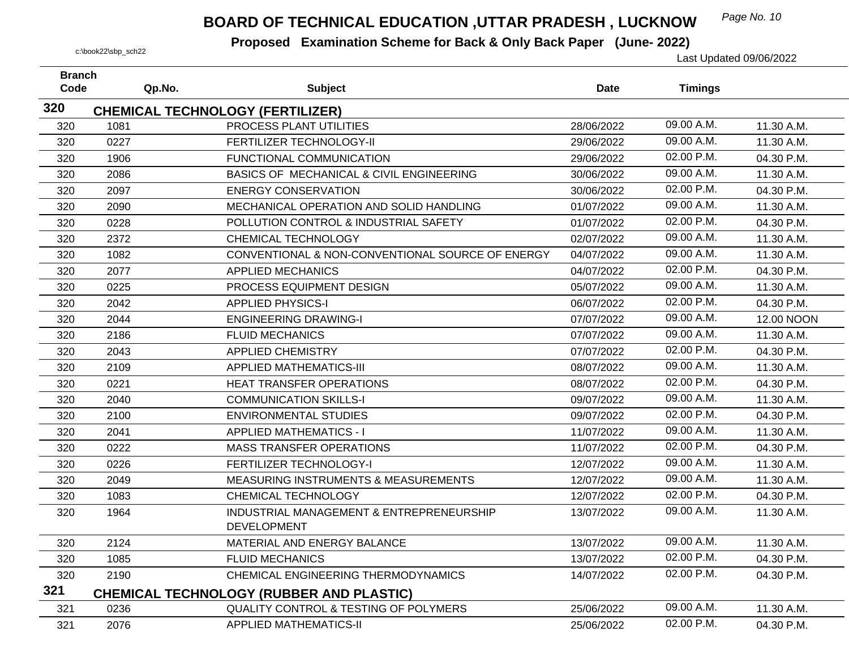## *Page No. 10* **BOARD OF TECHNICAL EDUCATION ,UTTAR PRADESH , LUCKNOW**

| <b>Branch</b><br>Code | Qp.No. | <b>Subject</b>                                                     | Date       | <b>Timings</b> |            |
|-----------------------|--------|--------------------------------------------------------------------|------------|----------------|------------|
| 320                   |        |                                                                    |            |                |            |
| 320                   | 1081   | <b>CHEMICAL TECHNOLOGY (FERTILIZER)</b><br>PROCESS PLANT UTILITIES | 28/06/2022 | 09.00 A.M.     | 11.30 A.M. |
|                       | 0227   | FERTILIZER TECHNOLOGY-II                                           | 29/06/2022 | 09.00 A.M.     | 11.30 A.M. |
| 320<br>320            | 1906   | FUNCTIONAL COMMUNICATION                                           | 29/06/2022 | 02.00 P.M.     | 04.30 P.M. |
|                       | 2086   | BASICS OF MECHANICAL & CIVIL ENGINEERING                           |            | 09.00 A.M.     |            |
| 320                   |        | <b>ENERGY CONSERVATION</b>                                         | 30/06/2022 | 02.00 P.M.     | 11.30 A.M. |
| 320                   | 2097   |                                                                    | 30/06/2022 | 09.00 A.M.     | 04.30 P.M. |
| 320                   | 2090   | MECHANICAL OPERATION AND SOLID HANDLING                            | 01/07/2022 | 02.00 P.M.     | 11.30 A.M. |
| 320                   | 0228   | POLLUTION CONTROL & INDUSTRIAL SAFETY                              | 01/07/2022 |                | 04.30 P.M. |
| 320                   | 2372   | CHEMICAL TECHNOLOGY                                                | 02/07/2022 | 09.00 A.M.     | 11.30 A.M. |
| 320                   | 1082   | CONVENTIONAL & NON-CONVENTIONAL SOURCE OF ENERGY                   | 04/07/2022 | 09.00 A.M.     | 11.30 A.M. |
| 320                   | 2077   | <b>APPLIED MECHANICS</b>                                           | 04/07/2022 | 02.00 P.M.     | 04.30 P.M. |
| 320                   | 0225   | PROCESS EQUIPMENT DESIGN                                           | 05/07/2022 | 09.00 A.M.     | 11.30 A.M. |
| 320                   | 2042   | <b>APPLIED PHYSICS-I</b>                                           | 06/07/2022 | 02.00 P.M.     | 04.30 P.M. |
| 320                   | 2044   | <b>ENGINEERING DRAWING-I</b>                                       | 07/07/2022 | 09.00 A.M.     | 12.00 NOON |
| 320                   | 2186   | <b>FLUID MECHANICS</b>                                             | 07/07/2022 | 09.00 A.M.     | 11.30 A.M. |
| 320                   | 2043   | <b>APPLIED CHEMISTRY</b>                                           | 07/07/2022 | 02.00 P.M.     | 04.30 P.M. |
| 320                   | 2109   | <b>APPLIED MATHEMATICS-III</b>                                     | 08/07/2022 | 09.00 A.M.     | 11.30 A.M. |
| 320                   | 0221   | <b>HEAT TRANSFER OPERATIONS</b>                                    | 08/07/2022 | 02.00 P.M.     | 04.30 P.M. |
| 320                   | 2040   | <b>COMMUNICATION SKILLS-I</b>                                      | 09/07/2022 | 09.00 A.M.     | 11.30 A.M. |
| 320                   | 2100   | <b>ENVIRONMENTAL STUDIES</b>                                       | 09/07/2022 | 02.00 P.M.     | 04.30 P.M. |
| 320                   | 2041   | <b>APPLIED MATHEMATICS - I</b>                                     | 11/07/2022 | 09.00 A.M.     | 11.30 A.M. |
| 320                   | 0222   | <b>MASS TRANSFER OPERATIONS</b>                                    | 11/07/2022 | 02.00 P.M.     | 04.30 P.M. |
| 320                   | 0226   | FERTILIZER TECHNOLOGY-I                                            | 12/07/2022 | 09.00 A.M.     | 11.30 A.M. |
| 320                   | 2049   | <b>MEASURING INSTRUMENTS &amp; MEASUREMENTS</b>                    | 12/07/2022 | 09.00 A.M.     | 11.30 A.M. |
| 320                   | 1083   | <b>CHEMICAL TECHNOLOGY</b>                                         | 12/07/2022 | 02.00 P.M.     | 04.30 P.M. |
| 320                   | 1964   | INDUSTRIAL MANAGEMENT & ENTREPRENEURSHIP<br><b>DEVELOPMENT</b>     | 13/07/2022 | 09.00 A.M.     | 11.30 A.M. |
| 320                   | 2124   | MATERIAL AND ENERGY BALANCE                                        | 13/07/2022 | 09.00 A.M.     | 11.30 A.M. |
| 320                   | 1085   | <b>FLUID MECHANICS</b>                                             | 13/07/2022 | 02.00 P.M.     | 04.30 P.M. |
| 320                   | 2190   | CHEMICAL ENGINEERING THERMODYNAMICS                                | 14/07/2022 | 02.00 P.M.     | 04.30 P.M. |
| 321                   |        | <b>CHEMICAL TECHNOLOGY (RUBBER AND PLASTIC)</b>                    |            |                |            |
| 321                   | 0236   | <b>QUALITY CONTROL &amp; TESTING OF POLYMERS</b>                   | 25/06/2022 | 09.00 A.M.     | 11.30 A.M. |
| 321                   | 2076   | <b>APPLIED MATHEMATICS-II</b>                                      | 25/06/2022 | 02.00 P.M.     | 04.30 P.M. |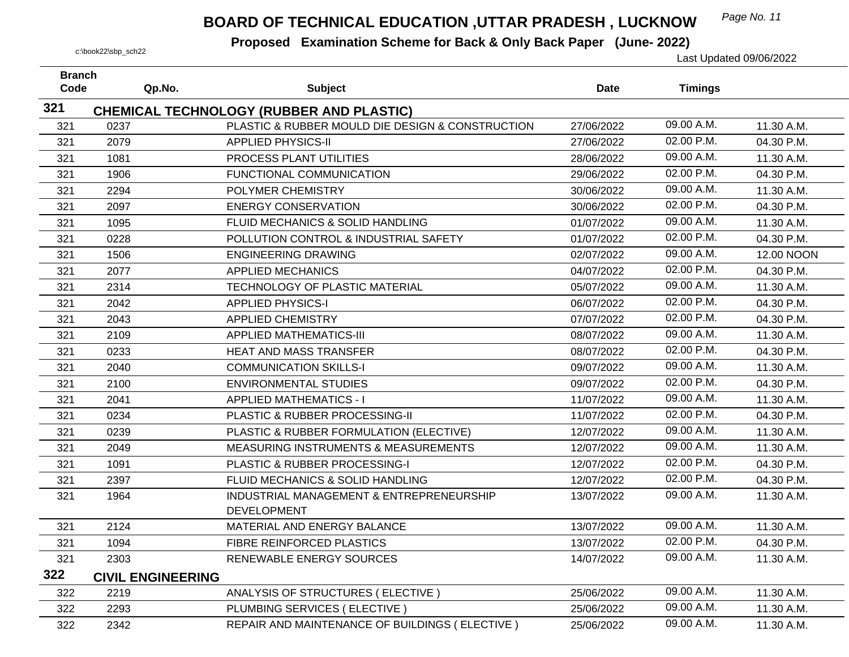## *Page No. 11* **BOARD OF TECHNICAL EDUCATION ,UTTAR PRADESH , LUCKNOW**

| <b>Branch</b><br>Code |                                  |                                                                |             |                |            |
|-----------------------|----------------------------------|----------------------------------------------------------------|-------------|----------------|------------|
|                       | Qp.No.                           | <b>Subject</b>                                                 | <b>Date</b> | <b>Timings</b> |            |
| 321                   |                                  | <b>CHEMICAL TECHNOLOGY (RUBBER AND PLASTIC)</b>                |             |                |            |
| 321                   | 0237                             | PLASTIC & RUBBER MOULD DIE DESIGN & CONSTRUCTION               | 27/06/2022  | 09.00 A.M.     | 11.30 A.M. |
| 321                   | 2079                             | <b>APPLIED PHYSICS-II</b>                                      | 27/06/2022  | 02.00 P.M.     | 04.30 P.M. |
| 321                   | 1081                             | PROCESS PLANT UTILITIES                                        | 28/06/2022  | 09.00 A.M.     | 11.30 A.M. |
| 321                   | 1906                             | FUNCTIONAL COMMUNICATION                                       | 29/06/2022  | 02.00 P.M.     | 04.30 P.M. |
| 321                   | 2294                             | POLYMER CHEMISTRY                                              | 30/06/2022  | 09.00 A.M.     | 11.30 A.M. |
| 321                   | 2097                             | <b>ENERGY CONSERVATION</b>                                     | 30/06/2022  | 02.00 P.M.     | 04.30 P.M. |
| 321                   | 1095                             | FLUID MECHANICS & SOLID HANDLING                               | 01/07/2022  | 09.00 A.M.     | 11.30 A.M. |
| 321                   | 0228                             | POLLUTION CONTROL & INDUSTRIAL SAFETY                          | 01/07/2022  | 02.00 P.M.     | 04.30 P.M. |
| 321                   | 1506                             | <b>ENGINEERING DRAWING</b>                                     | 02/07/2022  | 09.00 A.M.     | 12.00 NOON |
| 321                   | 2077                             | <b>APPLIED MECHANICS</b>                                       | 04/07/2022  | 02.00 P.M.     | 04.30 P.M. |
| 321                   | 2314                             | TECHNOLOGY OF PLASTIC MATERIAL                                 | 05/07/2022  | 09.00 A.M.     | 11.30 A.M. |
| 321                   | 2042                             | <b>APPLIED PHYSICS-I</b>                                       | 06/07/2022  | 02.00 P.M.     | 04.30 P.M. |
| 321                   | 2043                             | <b>APPLIED CHEMISTRY</b>                                       | 07/07/2022  | 02.00 P.M.     | 04.30 P.M. |
| 321                   | 2109                             | <b>APPLIED MATHEMATICS-III</b>                                 | 08/07/2022  | 09.00 A.M.     | 11.30 A.M. |
| 321                   | 0233                             | <b>HEAT AND MASS TRANSFER</b>                                  | 08/07/2022  | 02.00 P.M.     | 04.30 P.M. |
| 321                   | 2040                             | <b>COMMUNICATION SKILLS-I</b>                                  | 09/07/2022  | 09.00 A.M.     | 11.30 A.M. |
| 321                   | 2100                             | <b>ENVIRONMENTAL STUDIES</b>                                   | 09/07/2022  | 02.00 P.M.     | 04.30 P.M. |
| 321                   | 2041                             | <b>APPLIED MATHEMATICS - I</b>                                 | 11/07/2022  | 09.00 A.M.     | 11.30 A.M. |
| 321                   | 0234                             | PLASTIC & RUBBER PROCESSING-II                                 | 11/07/2022  | 02.00 P.M.     | 04.30 P.M. |
| 321                   | 0239                             | PLASTIC & RUBBER FORMULATION (ELECTIVE)                        | 12/07/2022  | 09.00 A.M.     | 11.30 A.M. |
| 321                   | 2049                             | <b>MEASURING INSTRUMENTS &amp; MEASUREMENTS</b>                | 12/07/2022  | 09.00 A.M.     | 11.30 A.M. |
| 321                   | 1091                             | PLASTIC & RUBBER PROCESSING-I                                  | 12/07/2022  | 02.00 P.M.     | 04.30 P.M. |
| 321                   | 2397                             | FLUID MECHANICS & SOLID HANDLING                               | 12/07/2022  | 02.00 P.M.     | 04.30 P.M. |
| 321                   | 1964                             | INDUSTRIAL MANAGEMENT & ENTREPRENEURSHIP<br><b>DEVELOPMENT</b> | 13/07/2022  | 09.00 A.M.     | 11.30 A.M. |
| 321                   | 2124                             | MATERIAL AND ENERGY BALANCE                                    | 13/07/2022  | 09.00 A.M.     | 11.30 A.M. |
|                       | 1094                             | FIBRE REINFORCED PLASTICS                                      | 13/07/2022  | 02.00 P.M.     | 04.30 P.M. |
| 321<br>321            | 2303                             | RENEWABLE ENERGY SOURCES                                       | 14/07/2022  | 09.00 A.M.     | 11.30 A.M. |
| 322                   |                                  |                                                                |             |                |            |
| 322                   | <b>CIVIL ENGINEERING</b><br>2219 | ANALYSIS OF STRUCTURES (ELECTIVE)                              | 25/06/2022  | 09.00 A.M.     | 11.30 A.M. |
|                       |                                  | PLUMBING SERVICES (ELECTIVE)                                   |             | 09.00 A.M.     |            |
| 322                   | 2293                             |                                                                | 25/06/2022  | 09.00 A.M.     | 11.30 A.M. |
| 322                   | 2342                             | REPAIR AND MAINTENANCE OF BUILDINGS (ELECTIVE)                 | 25/06/2022  |                | 11.30 A.M. |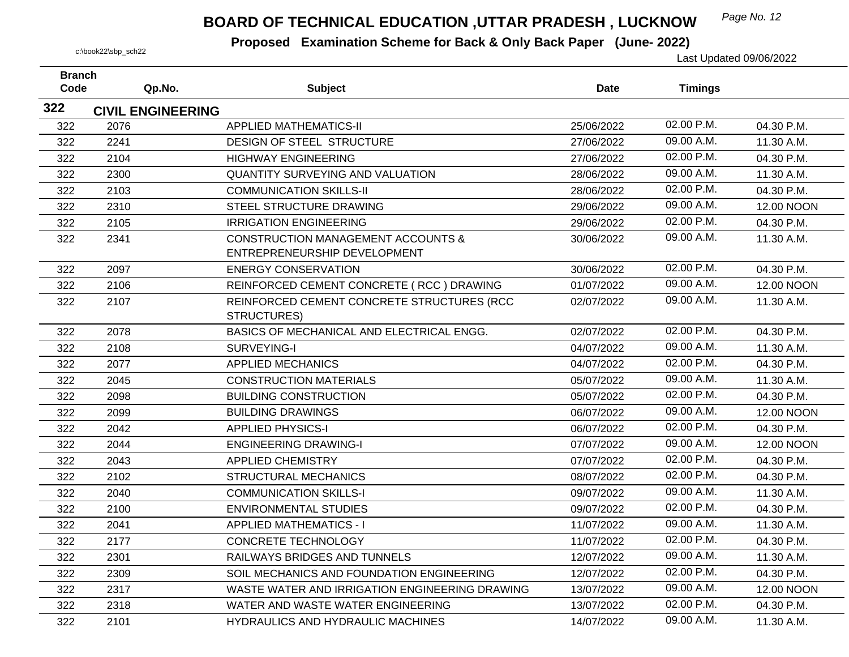## *Page No. 12* **BOARD OF TECHNICAL EDUCATION ,UTTAR PRADESH , LUCKNOW**

| <b>Branch</b> |                          |                                                | <b>Date</b> |                |            |
|---------------|--------------------------|------------------------------------------------|-------------|----------------|------------|
| Code          | Qp.No.                   | <b>Subject</b>                                 |             | <b>Timings</b> |            |
| 322           | <b>CIVIL ENGINEERING</b> |                                                |             |                |            |
| 322           | 2076                     | <b>APPLIED MATHEMATICS-II</b>                  | 25/06/2022  | 02.00 P.M.     | 04.30 P.M. |
| 322           | 2241                     | DESIGN OF STEEL STRUCTURE                      | 27/06/2022  | 09.00 A.M.     | 11.30 A.M. |
| 322           | 2104                     | <b>HIGHWAY ENGINEERING</b>                     | 27/06/2022  | 02.00 P.M.     | 04.30 P.M. |
| 322           | 2300                     | QUANTITY SURVEYING AND VALUATION               | 28/06/2022  | 09.00 A.M.     | 11.30 A.M. |
| 322           | 2103                     | <b>COMMUNICATION SKILLS-II</b>                 | 28/06/2022  | 02.00 P.M.     | 04.30 P.M. |
| 322           | 2310                     | STEEL STRUCTURE DRAWING                        | 29/06/2022  | 09.00 A.M.     | 12.00 NOON |
| 322           | 2105                     | <b>IRRIGATION ENGINEERING</b>                  | 29/06/2022  | 02.00 P.M.     | 04.30 P.M. |
| 322           | 2341                     | <b>CONSTRUCTION MANAGEMENT ACCOUNTS &amp;</b>  | 30/06/2022  | 09.00 A.M.     | 11.30 A.M. |
|               |                          | ENTREPRENEURSHIP DEVELOPMENT                   |             |                |            |
| 322           | 2097                     | <b>ENERGY CONSERVATION</b>                     | 30/06/2022  | 02.00 P.M.     | 04.30 P.M. |
| 322           | 2106                     | REINFORCED CEMENT CONCRETE (RCC) DRAWING       | 01/07/2022  | 09.00 A.M.     | 12.00 NOON |
| 322           | 2107                     | REINFORCED CEMENT CONCRETE STRUCTURES (RCC     | 02/07/2022  | 09.00 A.M.     | 11.30 A.M. |
|               |                          | <b>STRUCTURES)</b>                             |             |                |            |
| 322           | 2078                     | BASICS OF MECHANICAL AND ELECTRICAL ENGG.      | 02/07/2022  | 02.00 P.M.     | 04.30 P.M. |
| 322           | 2108                     | SURVEYING-I                                    | 04/07/2022  | 09.00 A.M.     | 11.30 A.M. |
| 322           | 2077                     | <b>APPLIED MECHANICS</b>                       | 04/07/2022  | 02.00 P.M.     | 04.30 P.M. |
| 322           | 2045                     | <b>CONSTRUCTION MATERIALS</b>                  | 05/07/2022  | 09.00 A.M.     | 11.30 A.M. |
| 322           | 2098                     | <b>BUILDING CONSTRUCTION</b>                   | 05/07/2022  | 02.00 P.M.     | 04.30 P.M. |
| 322           | 2099                     | <b>BUILDING DRAWINGS</b>                       | 06/07/2022  | 09.00 A.M.     | 12.00 NOON |
| 322           | 2042                     | <b>APPLIED PHYSICS-I</b>                       | 06/07/2022  | 02.00 P.M.     | 04.30 P.M. |
| 322           | 2044                     | <b>ENGINEERING DRAWING-I</b>                   | 07/07/2022  | 09.00 A.M.     | 12.00 NOON |
| 322           | 2043                     | <b>APPLIED CHEMISTRY</b>                       | 07/07/2022  | 02.00 P.M.     | 04.30 P.M. |
| 322           | 2102                     | <b>STRUCTURAL MECHANICS</b>                    | 08/07/2022  | 02.00 P.M.     | 04.30 P.M. |
| 322           | 2040                     | <b>COMMUNICATION SKILLS-I</b>                  | 09/07/2022  | 09.00 A.M.     | 11.30 A.M. |
| 322           | 2100                     | <b>ENVIRONMENTAL STUDIES</b>                   | 09/07/2022  | 02.00 P.M.     | 04.30 P.M. |
| 322           | 2041                     | <b>APPLIED MATHEMATICS - I</b>                 | 11/07/2022  | 09.00 A.M.     | 11.30 A.M. |
| 322           | 2177                     | <b>CONCRETE TECHNOLOGY</b>                     | 11/07/2022  | 02.00 P.M.     | 04.30 P.M. |
| 322           | 2301                     | RAILWAYS BRIDGES AND TUNNELS                   | 12/07/2022  | 09.00 A.M.     | 11.30 A.M. |
| 322           | 2309                     | SOIL MECHANICS AND FOUNDATION ENGINEERING      | 12/07/2022  | 02.00 P.M.     | 04.30 P.M. |
| 322           | 2317                     | WASTE WATER AND IRRIGATION ENGINEERING DRAWING | 13/07/2022  | 09.00 A.M.     | 12.00 NOON |
| 322           | 2318                     | WATER AND WASTE WATER ENGINEERING              | 13/07/2022  | 02.00 P.M.     | 04.30 P.M. |
| 322           | 2101                     | <b>HYDRAULICS AND HYDRAULIC MACHINES</b>       | 14/07/2022  | 09.00 A.M.     | 11.30 A.M. |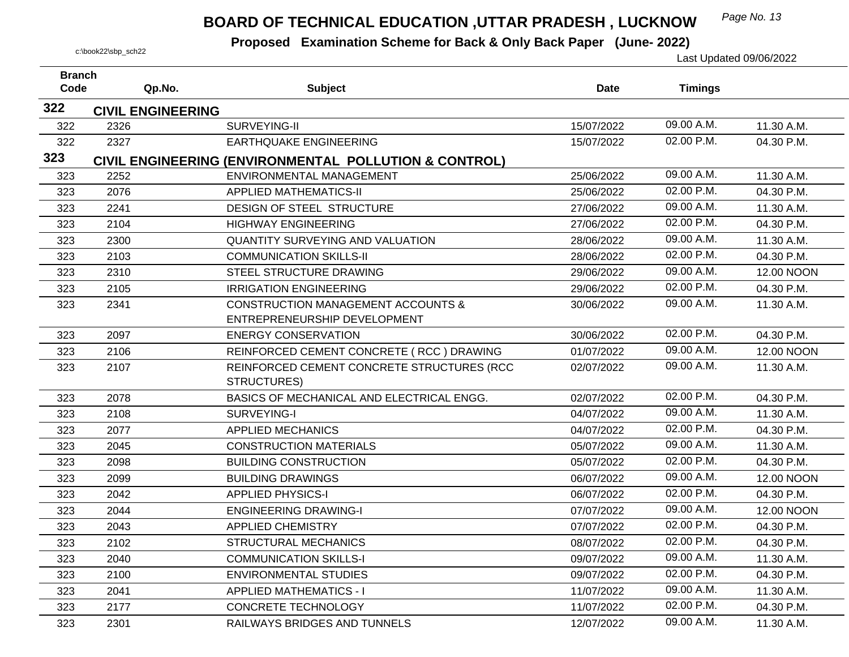## *Page No. 13* **BOARD OF TECHNICAL EDUCATION ,UTTAR PRADESH , LUCKNOW**

| <b>Branch</b><br>Code | Qp.No.                           | <b>Subject</b>                                                                    | <b>Date</b> | <b>Timings</b> |            |
|-----------------------|----------------------------------|-----------------------------------------------------------------------------------|-------------|----------------|------------|
| 322                   |                                  |                                                                                   |             |                |            |
| 322                   | <b>CIVIL ENGINEERING</b><br>2326 | SURVEYING-II                                                                      | 15/07/2022  | 09.00 A.M.     | 11.30 A.M. |
| 322                   | 2327                             | <b>EARTHQUAKE ENGINEERING</b>                                                     | 15/07/2022  | 02.00 P.M.     | 04.30 P.M. |
| 323                   |                                  |                                                                                   |             |                |            |
| 323                   | 2252                             | CIVIL ENGINEERING (ENVIRONMENTAL POLLUTION & CONTROL)<br>ENVIRONMENTAL MANAGEMENT | 25/06/2022  | 09.00 A.M.     | 11.30 A.M. |
| 323                   | 2076                             | <b>APPLIED MATHEMATICS-II</b>                                                     | 25/06/2022  | 02.00 P.M.     | 04.30 P.M. |
|                       |                                  |                                                                                   |             | 09.00 A.M.     |            |
| 323                   | 2241                             | DESIGN OF STEEL STRUCTURE                                                         | 27/06/2022  | 02.00 P.M.     | 11.30 A.M. |
| 323                   | 2104                             | <b>HIGHWAY ENGINEERING</b>                                                        | 27/06/2022  |                | 04.30 P.M. |
| 323                   | 2300                             | <b>QUANTITY SURVEYING AND VALUATION</b>                                           | 28/06/2022  | 09.00 A.M.     | 11.30 A.M. |
| 323                   | 2103                             | <b>COMMUNICATION SKILLS-II</b>                                                    | 28/06/2022  | 02.00 P.M.     | 04.30 P.M. |
| 323                   | 2310                             | STEEL STRUCTURE DRAWING                                                           | 29/06/2022  | 09.00 A.M.     | 12.00 NOON |
| 323                   | 2105                             | <b>IRRIGATION ENGINEERING</b>                                                     | 29/06/2022  | 02.00 P.M.     | 04.30 P.M. |
| 323                   | 2341                             | <b>CONSTRUCTION MANAGEMENT ACCOUNTS &amp;</b>                                     | 30/06/2022  | 09.00 A.M.     | 11.30 A.M. |
|                       |                                  | ENTREPRENEURSHIP DEVELOPMENT                                                      |             |                |            |
| 323                   | 2097                             | <b>ENERGY CONSERVATION</b>                                                        | 30/06/2022  | 02.00 P.M.     | 04.30 P.M. |
| 323                   | 2106                             | REINFORCED CEMENT CONCRETE (RCC) DRAWING                                          | 01/07/2022  | 09.00 A.M.     | 12.00 NOON |
| 323                   | 2107                             | REINFORCED CEMENT CONCRETE STRUCTURES (RCC                                        | 02/07/2022  | 09.00 A.M.     | 11.30 A.M. |
|                       |                                  | STRUCTURES)                                                                       |             |                |            |
| 323                   | 2078                             | BASICS OF MECHANICAL AND ELECTRICAL ENGG.                                         | 02/07/2022  | 02.00 P.M.     | 04.30 P.M. |
| 323                   | 2108                             | SURVEYING-I                                                                       | 04/07/2022  | 09.00 A.M.     | 11.30 A.M. |
| 323                   | 2077                             | <b>APPLIED MECHANICS</b>                                                          | 04/07/2022  | 02.00 P.M.     | 04.30 P.M. |
| 323                   | 2045                             | <b>CONSTRUCTION MATERIALS</b>                                                     | 05/07/2022  | 09.00 A.M.     | 11.30 A.M. |
| 323                   | 2098                             | <b>BUILDING CONSTRUCTION</b>                                                      | 05/07/2022  | 02.00 P.M.     | 04.30 P.M. |
| 323                   | 2099                             | <b>BUILDING DRAWINGS</b>                                                          | 06/07/2022  | 09.00 A.M.     | 12.00 NOON |
| 323                   | 2042                             | <b>APPLIED PHYSICS-I</b>                                                          | 06/07/2022  | 02.00 P.M.     | 04.30 P.M. |
| 323                   | 2044                             | <b>ENGINEERING DRAWING-I</b>                                                      | 07/07/2022  | 09.00 A.M.     | 12.00 NOON |
| 323                   | 2043                             | <b>APPLIED CHEMISTRY</b>                                                          | 07/07/2022  | 02.00 P.M.     | 04.30 P.M. |
| 323                   | 2102                             | <b>STRUCTURAL MECHANICS</b>                                                       | 08/07/2022  | 02.00 P.M.     | 04.30 P.M. |
| 323                   | 2040                             | <b>COMMUNICATION SKILLS-I</b>                                                     | 09/07/2022  | 09.00 A.M.     | 11.30 A.M. |
| 323                   | 2100                             | <b>ENVIRONMENTAL STUDIES</b>                                                      | 09/07/2022  | 02.00 P.M.     | 04.30 P.M. |
| 323                   | 2041                             | <b>APPLIED MATHEMATICS - I</b>                                                    | 11/07/2022  | 09.00 A.M.     | 11.30 A.M. |
| 323                   | 2177                             | <b>CONCRETE TECHNOLOGY</b>                                                        | 11/07/2022  | 02.00 P.M.     | 04.30 P.M. |
| 323                   | 2301                             | RAILWAYS BRIDGES AND TUNNELS                                                      | 12/07/2022  | 09.00 A.M.     | 11.30 A.M. |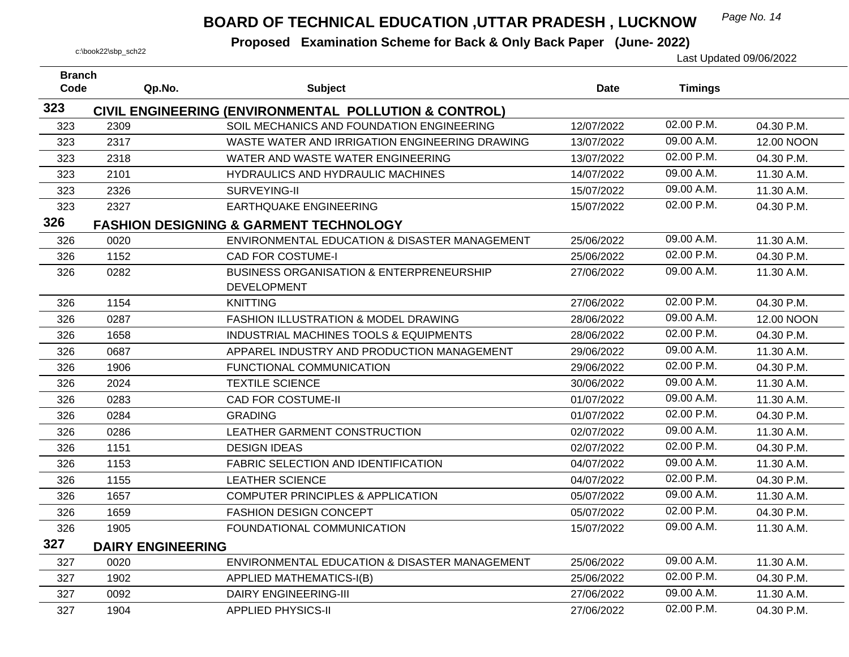## *Page No. 14* **BOARD OF TECHNICAL EDUCATION ,UTTAR PRADESH , LUCKNOW**

| <b>Branch</b> |                          |                                                       |             |                |            |
|---------------|--------------------------|-------------------------------------------------------|-------------|----------------|------------|
| Code          | Qp.No.                   | <b>Subject</b>                                        | <b>Date</b> | <b>Timings</b> |            |
| 323           |                          | CIVIL ENGINEERING (ENVIRONMENTAL POLLUTION & CONTROL) |             |                |            |
| 323           | 2309                     | SOIL MECHANICS AND FOUNDATION ENGINEERING             | 12/07/2022  | 02.00 P.M.     | 04.30 P.M. |
| 323           | 2317                     | WASTE WATER AND IRRIGATION ENGINEERING DRAWING        | 13/07/2022  | 09.00 A.M.     | 12.00 NOON |
| 323           | 2318                     | WATER AND WASTE WATER ENGINEERING                     | 13/07/2022  | 02.00 P.M.     | 04.30 P.M. |
| 323           | 2101                     | HYDRAULICS AND HYDRAULIC MACHINES                     | 14/07/2022  | 09.00 A.M.     | 11.30 A.M. |
| 323           | 2326                     | SURVEYING-II                                          | 15/07/2022  | 09.00 A.M.     | 11.30 A.M. |
| 323           | 2327                     | <b>EARTHQUAKE ENGINEERING</b>                         | 15/07/2022  | 02.00 P.M.     | 04.30 P.M. |
| 326           |                          | <b>FASHION DESIGNING &amp; GARMENT TECHNOLOGY</b>     |             |                |            |
| 326           | 0020                     | ENVIRONMENTAL EDUCATION & DISASTER MANAGEMENT         | 25/06/2022  | 09.00 A.M.     | 11.30 A.M. |
| 326           | 1152                     | <b>CAD FOR COSTUME-I</b>                              | 25/06/2022  | 02.00 P.M.     | 04.30 P.M. |
| 326           | 0282                     | <b>BUSINESS ORGANISATION &amp; ENTERPRENEURSHIP</b>   | 27/06/2022  | 09.00 A.M.     | 11.30 A.M. |
|               |                          | <b>DEVELOPMENT</b>                                    |             |                |            |
| 326           | 1154                     | <b>KNITTING</b>                                       | 27/06/2022  | 02.00 P.M.     | 04.30 P.M. |
| 326           | 0287                     | <b>FASHION ILLUSTRATION &amp; MODEL DRAWING</b>       | 28/06/2022  | 09.00 A.M.     | 12.00 NOON |
| 326           | 1658                     | INDUSTRIAL MACHINES TOOLS & EQUIPMENTS                | 28/06/2022  | 02.00 P.M.     | 04.30 P.M. |
| 326           | 0687                     | APPAREL INDUSTRY AND PRODUCTION MANAGEMENT            | 29/06/2022  | 09.00 A.M.     | 11.30 A.M. |
| 326           | 1906                     | FUNCTIONAL COMMUNICATION                              | 29/06/2022  | 02.00 P.M.     | 04.30 P.M. |
| 326           | 2024                     | <b>TEXTILE SCIENCE</b>                                | 30/06/2022  | 09.00 A.M.     | 11.30 A.M. |
| 326           | 0283                     | <b>CAD FOR COSTUME-II</b>                             | 01/07/2022  | 09.00 A.M.     | 11.30 A.M. |
| 326           | 0284                     | <b>GRADING</b>                                        | 01/07/2022  | 02.00 P.M.     | 04.30 P.M. |
| 326           | 0286                     | LEATHER GARMENT CONSTRUCTION                          | 02/07/2022  | 09.00 A.M.     | 11.30 A.M. |
| 326           | 1151                     | <b>DESIGN IDEAS</b>                                   | 02/07/2022  | 02.00 P.M.     | 04.30 P.M. |
| 326           | 1153                     | FABRIC SELECTION AND IDENTIFICATION                   | 04/07/2022  | 09.00 A.M.     | 11.30 A.M. |
| 326           | 1155                     | <b>LEATHER SCIENCE</b>                                | 04/07/2022  | 02.00 P.M.     | 04.30 P.M. |
| 326           | 1657                     | <b>COMPUTER PRINCIPLES &amp; APPLICATION</b>          | 05/07/2022  | 09.00 A.M.     | 11.30 A.M. |
| 326           | 1659                     | <b>FASHION DESIGN CONCEPT</b>                         | 05/07/2022  | 02.00 P.M.     | 04.30 P.M. |
| 326           | 1905                     | FOUNDATIONAL COMMUNICATION                            | 15/07/2022  | 09.00 A.M.     | 11.30 A.M. |
| 327           | <b>DAIRY ENGINEERING</b> |                                                       |             |                |            |
| 327           | 0020                     | ENVIRONMENTAL EDUCATION & DISASTER MANAGEMENT         | 25/06/2022  | 09.00 A.M.     | 11.30 A.M. |
| 327           | 1902                     | <b>APPLIED MATHEMATICS-I(B)</b>                       | 25/06/2022  | 02.00 P.M.     | 04.30 P.M. |
| 327           | 0092                     | <b>DAIRY ENGINEERING-III</b>                          | 27/06/2022  | 09.00 A.M.     | 11.30 A.M. |
| 327           | 1904                     | <b>APPLIED PHYSICS-II</b>                             | 27/06/2022  | 02.00 P.M.     | 04.30 P.M. |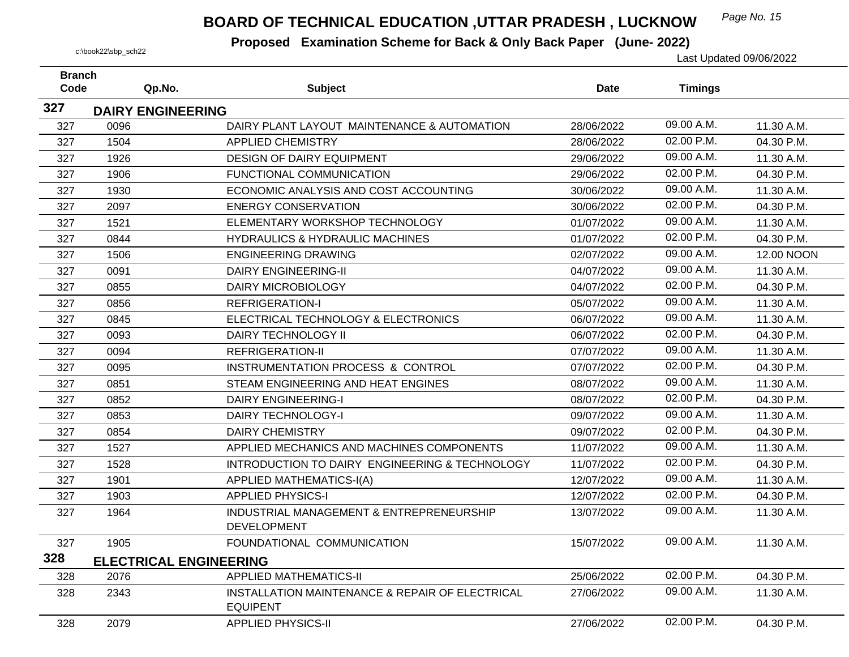## *Page No. 15* **BOARD OF TECHNICAL EDUCATION ,UTTAR PRADESH , LUCKNOW**

| <b>Branch</b> |      |                                                                    |             |                |            |
|---------------|------|--------------------------------------------------------------------|-------------|----------------|------------|
| Code          |      | Qp.No.<br><b>Subject</b>                                           | <b>Date</b> | <b>Timings</b> |            |
| 327           |      | <b>DAIRY ENGINEERING</b>                                           |             |                |            |
| 327           | 0096 | DAIRY PLANT LAYOUT MAINTENANCE & AUTOMATION                        | 28/06/2022  | 09.00 A.M.     | 11.30 A.M. |
| 327           | 1504 | <b>APPLIED CHEMISTRY</b>                                           | 28/06/2022  | 02.00 P.M.     | 04.30 P.M. |
| 327           | 1926 | DESIGN OF DAIRY EQUIPMENT                                          | 29/06/2022  | 09.00 A.M.     | 11.30 A.M. |
| 327           | 1906 | FUNCTIONAL COMMUNICATION                                           | 29/06/2022  | 02.00 P.M.     | 04.30 P.M. |
| 327           | 1930 | ECONOMIC ANALYSIS AND COST ACCOUNTING                              | 30/06/2022  | 09.00 A.M.     | 11.30 A.M. |
| 327           | 2097 | <b>ENERGY CONSERVATION</b>                                         | 30/06/2022  | 02.00 P.M.     | 04.30 P.M. |
| 327           | 1521 | ELEMENTARY WORKSHOP TECHNOLOGY                                     | 01/07/2022  | 09.00 A.M.     | 11.30 A.M. |
| 327           | 0844 | <b>HYDRAULICS &amp; HYDRAULIC MACHINES</b>                         | 01/07/2022  | 02.00 P.M.     | 04.30 P.M. |
| 327           | 1506 | <b>ENGINEERING DRAWING</b>                                         | 02/07/2022  | 09.00 A.M.     | 12.00 NOON |
| 327           | 0091 | <b>DAIRY ENGINEERING-II</b>                                        | 04/07/2022  | 09.00 A.M.     | 11.30 A.M. |
| 327           | 0855 | <b>DAIRY MICROBIOLOGY</b>                                          | 04/07/2022  | 02.00 P.M.     | 04.30 P.M. |
| 327           | 0856 | <b>REFRIGERATION-I</b>                                             | 05/07/2022  | 09.00 A.M.     | 11.30 A.M. |
| 327           | 0845 | ELECTRICAL TECHNOLOGY & ELECTRONICS                                | 06/07/2022  | 09.00 A.M.     | 11.30 A.M. |
| 327           | 0093 | DAIRY TECHNOLOGY II                                                | 06/07/2022  | 02.00 P.M.     | 04.30 P.M. |
| 327           | 0094 | REFRIGERATION-II                                                   | 07/07/2022  | 09.00 A.M.     | 11.30 A.M. |
| 327           | 0095 | INSTRUMENTATION PROCESS & CONTROL                                  | 07/07/2022  | 02.00 P.M.     | 04.30 P.M. |
| 327           | 0851 | STEAM ENGINEERING AND HEAT ENGINES                                 | 08/07/2022  | 09.00 A.M.     | 11.30 A.M. |
| 327           | 0852 | <b>DAIRY ENGINEERING-I</b>                                         | 08/07/2022  | 02.00 P.M.     | 04.30 P.M. |
| 327           | 0853 | DAIRY TECHNOLOGY-I                                                 | 09/07/2022  | 09.00 A.M.     | 11.30 A.M. |
| 327           | 0854 | <b>DAIRY CHEMISTRY</b>                                             | 09/07/2022  | 02.00 P.M.     | 04.30 P.M. |
| 327           | 1527 | APPLIED MECHANICS AND MACHINES COMPONENTS                          | 11/07/2022  | 09.00 A.M.     | 11.30 A.M. |
| 327           | 1528 | INTRODUCTION TO DAIRY ENGINEERING & TECHNOLOGY                     | 11/07/2022  | 02.00 P.M.     | 04.30 P.M. |
| 327           | 1901 | <b>APPLIED MATHEMATICS-I(A)</b>                                    | 12/07/2022  | 09.00 A.M.     | 11.30 A.M. |
| 327           | 1903 | <b>APPLIED PHYSICS-I</b>                                           | 12/07/2022  | 02.00 P.M.     | 04.30 P.M. |
| 327           | 1964 | INDUSTRIAL MANAGEMENT & ENTREPRENEURSHIP<br><b>DEVELOPMENT</b>     | 13/07/2022  | 09.00 A.M.     | 11.30 A.M. |
| 327           | 1905 | FOUNDATIONAL COMMUNICATION                                         | 15/07/2022  | 09.00 A.M.     | 11.30 A.M. |
| 328           |      | <b>ELECTRICAL ENGINEERING</b>                                      |             |                |            |
| 328           | 2076 | <b>APPLIED MATHEMATICS-II</b>                                      | 25/06/2022  | 02.00 P.M.     | 04.30 P.M. |
| 328           | 2343 | INSTALLATION MAINTENANCE & REPAIR OF ELECTRICAL<br><b>EQUIPENT</b> | 27/06/2022  | 09.00 A.M.     | 11.30 A.M. |
| 328           | 2079 | <b>APPLIED PHYSICS-II</b>                                          | 27/06/2022  | 02.00 P.M.     | 04.30 P.M. |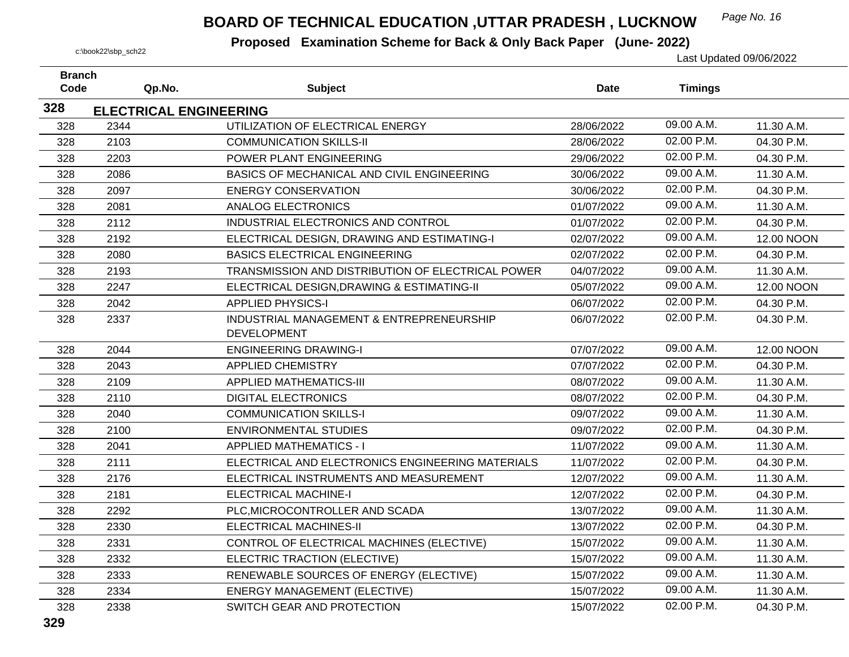## *Page No. 16* **BOARD OF TECHNICAL EDUCATION ,UTTAR PRADESH , LUCKNOW**

| <b>Branch</b><br>Code | Qp.No.                        | <b>Subject</b>                                    | <b>Date</b> | <b>Timings</b> |            |
|-----------------------|-------------------------------|---------------------------------------------------|-------------|----------------|------------|
|                       |                               |                                                   |             |                |            |
| 328                   | <b>ELECTRICAL ENGINEERING</b> |                                                   |             | 09.00 A.M.     |            |
| 328                   | 2344                          | UTILIZATION OF ELECTRICAL ENERGY                  | 28/06/2022  | 02.00 P.M.     | 11.30 A.M. |
| 328                   | 2103                          | <b>COMMUNICATION SKILLS-II</b>                    | 28/06/2022  |                | 04.30 P.M. |
| 328                   | 2203                          | POWER PLANT ENGINEERING                           | 29/06/2022  | 02.00 P.M.     | 04.30 P.M. |
| 328                   | 2086                          | BASICS OF MECHANICAL AND CIVIL ENGINEERING        | 30/06/2022  | 09.00 A.M.     | 11.30 A.M. |
| 328                   | 2097                          | <b>ENERGY CONSERVATION</b>                        | 30/06/2022  | 02.00 P.M.     | 04.30 P.M. |
| 328                   | 2081                          | <b>ANALOG ELECTRONICS</b>                         | 01/07/2022  | 09.00 A.M.     | 11.30 A.M. |
| 328                   | 2112                          | INDUSTRIAL ELECTRONICS AND CONTROL                | 01/07/2022  | 02.00 P.M.     | 04.30 P.M. |
| 328                   | 2192                          | ELECTRICAL DESIGN, DRAWING AND ESTIMATING-I       | 02/07/2022  | 09.00 A.M.     | 12.00 NOON |
| 328                   | 2080                          | <b>BASICS ELECTRICAL ENGINEERING</b>              | 02/07/2022  | 02.00 P.M.     | 04.30 P.M. |
| 328                   | 2193                          | TRANSMISSION AND DISTRIBUTION OF ELECTRICAL POWER | 04/07/2022  | 09.00 A.M.     | 11.30 A.M. |
| 328                   | 2247                          | ELECTRICAL DESIGN, DRAWING & ESTIMATING-II        | 05/07/2022  | 09.00 A.M.     | 12.00 NOON |
| 328                   | 2042                          | <b>APPLIED PHYSICS-I</b>                          | 06/07/2022  | 02.00 P.M.     | 04.30 P.M. |
| 328                   | 2337                          | INDUSTRIAL MANAGEMENT & ENTREPRENEURSHIP          | 06/07/2022  | 02.00 P.M.     | 04.30 P.M. |
|                       |                               | <b>DEVELOPMENT</b>                                |             |                |            |
| 328                   | 2044                          | <b>ENGINEERING DRAWING-I</b>                      | 07/07/2022  | 09.00 A.M.     | 12.00 NOON |
| 328                   | 2043                          | <b>APPLIED CHEMISTRY</b>                          | 07/07/2022  | 02.00 P.M.     | 04.30 P.M. |
| 328                   | 2109                          | <b>APPLIED MATHEMATICS-III</b>                    | 08/07/2022  | 09.00 A.M.     | 11.30 A.M. |
| 328                   | 2110                          | <b>DIGITAL ELECTRONICS</b>                        | 08/07/2022  | 02.00 P.M.     | 04.30 P.M. |
| 328                   | 2040                          | <b>COMMUNICATION SKILLS-I</b>                     | 09/07/2022  | 09.00 A.M.     | 11.30 A.M. |
| 328                   | 2100                          | <b>ENVIRONMENTAL STUDIES</b>                      | 09/07/2022  | 02.00 P.M.     | 04.30 P.M. |
| 328                   | 2041                          | <b>APPLIED MATHEMATICS - I</b>                    | 11/07/2022  | 09.00 A.M.     | 11.30 A.M. |
| 328                   | 2111                          | ELECTRICAL AND ELECTRONICS ENGINEERING MATERIALS  | 11/07/2022  | 02.00 P.M.     | 04.30 P.M. |
| 328                   | 2176                          | ELECTRICAL INSTRUMENTS AND MEASUREMENT            | 12/07/2022  | 09.00 A.M.     | 11.30 A.M. |
| 328                   | 2181                          | <b>ELECTRICAL MACHINE-I</b>                       | 12/07/2022  | 02.00 P.M.     | 04.30 P.M. |
| 328                   | 2292                          | PLC, MICROCONTROLLER AND SCADA                    | 13/07/2022  | 09.00 A.M.     | 11.30 A.M. |
| 328                   | 2330                          | <b>ELECTRICAL MACHINES-II</b>                     | 13/07/2022  | 02.00 P.M.     | 04.30 P.M. |
| 328                   | 2331                          | CONTROL OF ELECTRICAL MACHINES (ELECTIVE)         | 15/07/2022  | 09.00 A.M.     | 11.30 A.M. |
| 328                   | 2332                          | ELECTRIC TRACTION (ELECTIVE)                      | 15/07/2022  | 09.00 A.M.     | 11.30 A.M. |
| 328                   | 2333                          | RENEWABLE SOURCES OF ENERGY (ELECTIVE)            | 15/07/2022  | 09.00 A.M.     | 11.30 A.M. |
| 328                   | 2334                          | <b>ENERGY MANAGEMENT (ELECTIVE)</b>               | 15/07/2022  | 09.00 A.M.     | 11.30 A.M. |
| 328                   | 2338                          | SWITCH GEAR AND PROTECTION                        | 15/07/2022  | 02.00 P.M.     | 04.30 P.M. |
|                       |                               |                                                   |             |                |            |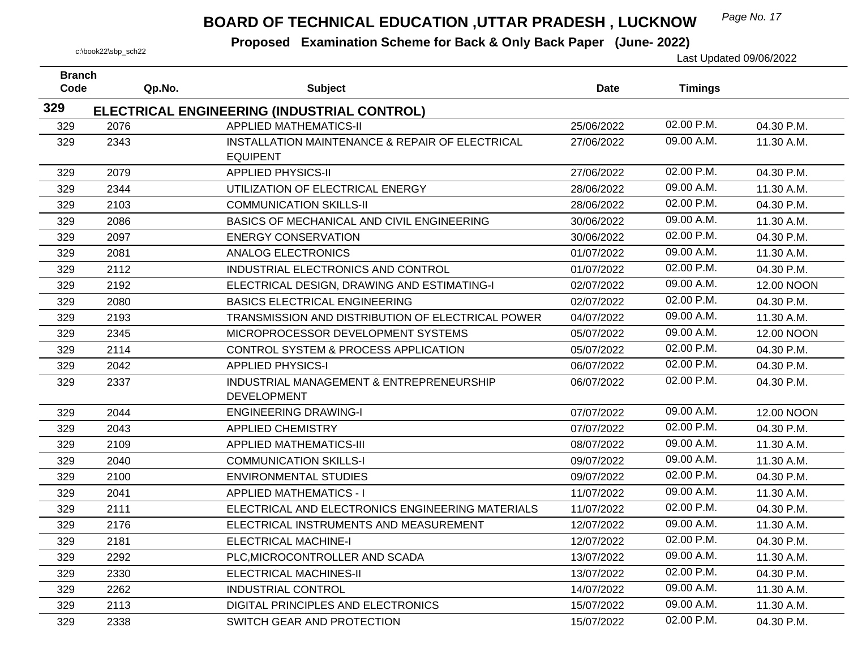## *Page No. 17* **BOARD OF TECHNICAL EDUCATION ,UTTAR PRADESH , LUCKNOW**

| <b>Branch</b><br>Code | Qp.No. | <b>Subject</b>                                                     | Date       | <b>Timings</b> |            |
|-----------------------|--------|--------------------------------------------------------------------|------------|----------------|------------|
| 329                   |        |                                                                    |            |                |            |
|                       |        | ELECTRICAL ENGINEERING (INDUSTRIAL CONTROL)                        |            | 02.00 P.M.     |            |
| 329                   | 2076   | <b>APPLIED MATHEMATICS-II</b>                                      | 25/06/2022 |                | 04.30 P.M. |
| 329                   | 2343   | INSTALLATION MAINTENANCE & REPAIR OF ELECTRICAL<br><b>EQUIPENT</b> | 27/06/2022 | 09.00 A.M.     | 11.30 A.M. |
| 329                   | 2079   | <b>APPLIED PHYSICS-II</b>                                          | 27/06/2022 | 02.00 P.M.     | 04.30 P.M. |
| 329                   | 2344   | UTILIZATION OF ELECTRICAL ENERGY                                   | 28/06/2022 | 09.00 A.M.     | 11.30 A.M. |
| 329                   | 2103   | <b>COMMUNICATION SKILLS-II</b>                                     | 28/06/2022 | 02.00 P.M.     | 04.30 P.M. |
| 329                   | 2086   | BASICS OF MECHANICAL AND CIVIL ENGINEERING                         | 30/06/2022 | 09.00 A.M.     | 11.30 A.M. |
| 329                   | 2097   | <b>ENERGY CONSERVATION</b>                                         | 30/06/2022 | 02.00 P.M.     | 04.30 P.M. |
| 329                   | 2081   | <b>ANALOG ELECTRONICS</b>                                          | 01/07/2022 | 09.00 A.M.     | 11.30 A.M. |
| 329                   | 2112   | INDUSTRIAL ELECTRONICS AND CONTROL                                 | 01/07/2022 | 02.00 P.M.     | 04.30 P.M. |
| 329                   | 2192   | ELECTRICAL DESIGN, DRAWING AND ESTIMATING-I                        | 02/07/2022 | 09.00 A.M.     | 12.00 NOON |
| 329                   | 2080   | <b>BASICS ELECTRICAL ENGINEERING</b>                               | 02/07/2022 | 02.00 P.M.     | 04.30 P.M. |
| 329                   | 2193   | TRANSMISSION AND DISTRIBUTION OF ELECTRICAL POWER                  | 04/07/2022 | 09.00 A.M.     | 11.30 A.M. |
| 329                   | 2345   | MICROPROCESSOR DEVELOPMENT SYSTEMS                                 | 05/07/2022 | 09.00 A.M.     | 12.00 NOON |
| 329                   | 2114   | CONTROL SYSTEM & PROCESS APPLICATION                               | 05/07/2022 | 02.00 P.M.     | 04.30 P.M. |
| 329                   | 2042   | <b>APPLIED PHYSICS-I</b>                                           | 06/07/2022 | 02.00 P.M.     | 04.30 P.M. |
| 329                   | 2337   | INDUSTRIAL MANAGEMENT & ENTREPRENEURSHIP                           | 06/07/2022 | 02.00 P.M.     | 04.30 P.M. |
|                       |        | <b>DEVELOPMENT</b>                                                 |            |                |            |
| 329                   | 2044   | <b>ENGINEERING DRAWING-I</b>                                       | 07/07/2022 | 09.00 A.M.     | 12.00 NOON |
| 329                   | 2043   | <b>APPLIED CHEMISTRY</b>                                           | 07/07/2022 | 02.00 P.M.     | 04.30 P.M. |
| 329                   | 2109   | <b>APPLIED MATHEMATICS-III</b>                                     | 08/07/2022 | 09.00 A.M.     | 11.30 A.M. |
| 329                   | 2040   | <b>COMMUNICATION SKILLS-I</b>                                      | 09/07/2022 | 09.00 A.M.     | 11.30 A.M. |
| 329                   | 2100   | <b>ENVIRONMENTAL STUDIES</b>                                       | 09/07/2022 | 02.00 P.M.     | 04.30 P.M. |
| 329                   | 2041   | <b>APPLIED MATHEMATICS - I</b>                                     | 11/07/2022 | 09.00 A.M.     | 11.30 A.M. |
| 329                   | 2111   | ELECTRICAL AND ELECTRONICS ENGINEERING MATERIALS                   | 11/07/2022 | 02.00 P.M.     | 04.30 P.M. |
| 329                   | 2176   | ELECTRICAL INSTRUMENTS AND MEASUREMENT                             | 12/07/2022 | 09.00 A.M.     | 11.30 A.M. |
| 329                   | 2181   | <b>ELECTRICAL MACHINE-I</b>                                        | 12/07/2022 | 02.00 P.M.     | 04.30 P.M. |
| 329                   | 2292   | PLC, MICROCONTROLLER AND SCADA                                     | 13/07/2022 | 09.00 A.M.     | 11.30 A.M. |
| 329                   | 2330   | <b>ELECTRICAL MACHINES-II</b>                                      | 13/07/2022 | 02.00 P.M.     | 04.30 P.M. |
| 329                   | 2262   | <b>INDUSTRIAL CONTROL</b>                                          | 14/07/2022 | 09.00 A.M.     | 11.30 A.M. |
| 329                   | 2113   | DIGITAL PRINCIPLES AND ELECTRONICS                                 | 15/07/2022 | 09.00 A.M.     | 11.30 A.M. |
| 329                   | 2338   | SWITCH GEAR AND PROTECTION                                         | 15/07/2022 | 02.00 P.M.     | 04.30 P.M. |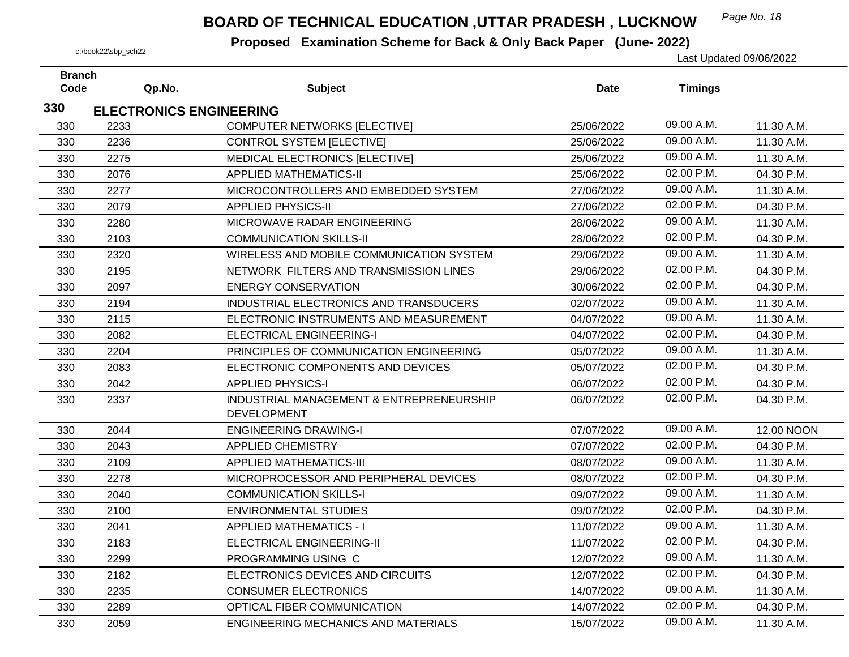## *Page No. 18* **BOARD OF TECHNICAL EDUCATION ,UTTAR PRADESH , LUCKNOW**

| <b>Branch</b><br>Code | Qp.No.                                 | <b>Subject</b>                             | <b>Date</b> | <b>Timings</b> |            |
|-----------------------|----------------------------------------|--------------------------------------------|-------------|----------------|------------|
| 330                   |                                        |                                            |             |                |            |
| 330                   | <b>ELECTRONICS ENGINEERING</b><br>2233 | <b>COMPUTER NETWORKS [ELECTIVE]</b>        | 25/06/2022  | 09.00 A.M.     | 11.30 A.M. |
| 330                   | 2236                                   | <b>CONTROL SYSTEM [ELECTIVE]</b>           | 25/06/2022  | 09.00 A.M.     | 11.30 A.M. |
| 330                   | 2275                                   | MEDICAL ELECTRONICS [ELECTIVE]             | 25/06/2022  | 09.00 A.M.     | 11.30 A.M. |
| 330                   | 2076                                   | <b>APPLIED MATHEMATICS-II</b>              | 25/06/2022  | 02.00 P.M.     | 04.30 P.M. |
| 330                   | 2277                                   | MICROCONTROLLERS AND EMBEDDED SYSTEM       | 27/06/2022  | 09.00 A.M.     | 11.30 A.M. |
| 330                   | 2079                                   | <b>APPLIED PHYSICS-II</b>                  | 27/06/2022  | 02.00 P.M.     | 04.30 P.M. |
| 330                   | 2280                                   | MICROWAVE RADAR ENGINEERING                | 28/06/2022  | 09.00 A.M.     | 11.30 A.M. |
| 330                   | 2103                                   | <b>COMMUNICATION SKILLS-II</b>             | 28/06/2022  | 02.00 P.M.     | 04.30 P.M. |
| 330                   | 2320                                   | WIRELESS AND MOBILE COMMUNICATION SYSTEM   | 29/06/2022  | 09.00 A.M.     | 11.30 A.M. |
| 330                   | 2195                                   | NETWORK FILTERS AND TRANSMISSION LINES     | 29/06/2022  | 02.00 P.M.     | 04.30 P.M. |
| 330                   | 2097                                   | <b>ENERGY CONSERVATION</b>                 | 30/06/2022  | 02.00 P.M.     | 04.30 P.M. |
| 330                   | 2194                                   | INDUSTRIAL ELECTRONICS AND TRANSDUCERS     | 02/07/2022  | 09.00 A.M.     | 11.30 A.M. |
| 330                   | 2115                                   | ELECTRONIC INSTRUMENTS AND MEASUREMENT     | 04/07/2022  | 09.00 A.M.     | 11.30 A.M. |
| 330                   | 2082                                   | <b>ELECTRICAL ENGINEERING-I</b>            | 04/07/2022  | 02.00 P.M.     | 04.30 P.M. |
| 330                   | 2204                                   | PRINCIPLES OF COMMUNICATION ENGINEERING    | 05/07/2022  | 09.00 A.M.     | 11.30 A.M. |
| 330                   | 2083                                   | ELECTRONIC COMPONENTS AND DEVICES          | 05/07/2022  | 02.00 P.M.     | 04.30 P.M. |
| 330                   | 2042                                   | <b>APPLIED PHYSICS-I</b>                   | 06/07/2022  | 02.00 P.M.     | 04.30 P.M. |
| 330                   | 2337                                   | INDUSTRIAL MANAGEMENT & ENTREPRENEURSHIP   | 06/07/2022  | 02.00 P.M.     | 04.30 P.M. |
|                       |                                        | <b>DEVELOPMENT</b>                         |             |                |            |
| 330                   | 2044                                   | <b>ENGINEERING DRAWING-I</b>               | 07/07/2022  | 09.00 A.M.     | 12.00 NOON |
| 330                   | 2043                                   | <b>APPLIED CHEMISTRY</b>                   | 07/07/2022  | 02.00 P.M.     | 04.30 P.M. |
| 330                   | 2109                                   | <b>APPLIED MATHEMATICS-III</b>             | 08/07/2022  | 09.00 A.M.     | 11.30 A.M. |
| 330                   | 2278                                   | MICROPROCESSOR AND PERIPHERAL DEVICES      | 08/07/2022  | 02.00 P.M.     | 04.30 P.M. |
| 330                   | 2040                                   | <b>COMMUNICATION SKILLS-I</b>              | 09/07/2022  | 09.00 A.M.     | 11.30 A.M. |
| 330                   | 2100                                   | <b>ENVIRONMENTAL STUDIES</b>               | 09/07/2022  | 02.00 P.M.     | 04.30 P.M. |
| 330                   | 2041                                   | <b>APPLIED MATHEMATICS - I</b>             | 11/07/2022  | 09.00 A.M.     | 11.30 A.M. |
| 330                   | 2183                                   | ELECTRICAL ENGINEERING-II                  | 11/07/2022  | 02.00 P.M.     | 04.30 P.M. |
| 330                   | 2299                                   | PROGRAMMING USING C                        | 12/07/2022  | 09.00 A.M.     | 11.30 A.M. |
| 330                   | 2182                                   | ELECTRONICS DEVICES AND CIRCUITS           | 12/07/2022  | 02.00 P.M.     | 04.30 P.M. |
| 330                   | 2235                                   | <b>CONSUMER ELECTRONICS</b>                | 14/07/2022  | 09.00 A.M.     | 11.30 A.M. |
| 330                   | 2289                                   | OPTICAL FIBER COMMUNICATION                | 14/07/2022  | 02.00 P.M.     | 04.30 P.M. |
| 330                   | 2059                                   | <b>ENGINEERING MECHANICS AND MATERIALS</b> | 15/07/2022  | 09.00 A.M.     | 11.30 A.M. |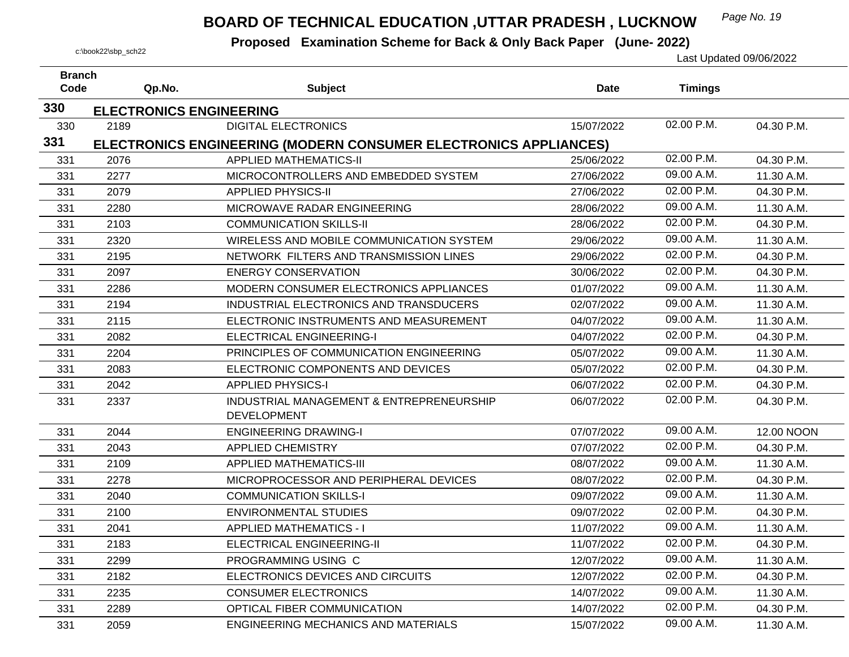## *Page No. 19* **BOARD OF TECHNICAL EDUCATION ,UTTAR PRADESH , LUCKNOW**

| <b>Branch</b> |                                |                                                                  |             |                |                   |
|---------------|--------------------------------|------------------------------------------------------------------|-------------|----------------|-------------------|
| Code          | Qp.No.                         | <b>Subject</b>                                                   | <b>Date</b> | <b>Timings</b> |                   |
| 330           | <b>ELECTRONICS ENGINEERING</b> |                                                                  |             |                |                   |
| 330           | 2189                           | <b>DIGITAL ELECTRONICS</b>                                       | 15/07/2022  | 02.00 P.M.     | 04.30 P.M.        |
| 331           |                                | ELECTRONICS ENGINEERING (MODERN CONSUMER ELECTRONICS APPLIANCES) |             |                |                   |
| 331           | 2076                           | <b>APPLIED MATHEMATICS-II</b>                                    | 25/06/2022  | 02.00 P.M.     | 04.30 P.M.        |
| 331           | 2277                           | MICROCONTROLLERS AND EMBEDDED SYSTEM                             | 27/06/2022  | 09.00 A.M.     | 11.30 A.M.        |
| 331           | 2079                           | <b>APPLIED PHYSICS-II</b>                                        | 27/06/2022  | 02.00 P.M.     | 04.30 P.M.        |
| 331           | 2280                           | MICROWAVE RADAR ENGINEERING                                      | 28/06/2022  | 09.00 A.M.     | 11.30 A.M.        |
| 331           | 2103                           | <b>COMMUNICATION SKILLS-II</b>                                   | 28/06/2022  | 02.00 P.M.     | 04.30 P.M.        |
| 331           | 2320                           | WIRELESS AND MOBILE COMMUNICATION SYSTEM                         | 29/06/2022  | 09.00 A.M.     | 11.30 A.M.        |
| 331           | 2195                           | NETWORK FILTERS AND TRANSMISSION LINES                           | 29/06/2022  | 02.00 P.M.     | 04.30 P.M.        |
| 331           | 2097                           | <b>ENERGY CONSERVATION</b>                                       | 30/06/2022  | 02.00 P.M.     | 04.30 P.M.        |
| 331           | 2286                           | MODERN CONSUMER ELECTRONICS APPLIANCES                           | 01/07/2022  | 09.00 A.M.     | 11.30 A.M.        |
| 331           | 2194                           | INDUSTRIAL ELECTRONICS AND TRANSDUCERS                           | 02/07/2022  | 09.00 A.M.     | 11.30 A.M.        |
| 331           | 2115                           | ELECTRONIC INSTRUMENTS AND MEASUREMENT                           | 04/07/2022  | 09.00 A.M.     | 11.30 A.M.        |
| 331           | 2082                           | <b>ELECTRICAL ENGINEERING-I</b>                                  | 04/07/2022  | 02.00 P.M.     | 04.30 P.M.        |
| 331           | 2204                           | PRINCIPLES OF COMMUNICATION ENGINEERING                          | 05/07/2022  | 09.00 A.M.     | 11.30 A.M.        |
| 331           | 2083                           | ELECTRONIC COMPONENTS AND DEVICES                                | 05/07/2022  | 02.00 P.M.     | 04.30 P.M.        |
| 331           | 2042                           | <b>APPLIED PHYSICS-I</b>                                         | 06/07/2022  | 02.00 P.M.     | 04.30 P.M.        |
| 331           | 2337                           | INDUSTRIAL MANAGEMENT & ENTREPRENEURSHIP<br><b>DEVELOPMENT</b>   | 06/07/2022  | 02.00 P.M.     | 04.30 P.M.        |
| 331           | 2044                           | <b>ENGINEERING DRAWING-I</b>                                     | 07/07/2022  | 09.00 A.M.     | <b>12.00 NOON</b> |
| 331           | 2043                           | <b>APPLIED CHEMISTRY</b>                                         | 07/07/2022  | 02.00 P.M.     | 04.30 P.M.        |
| 331           | 2109                           | <b>APPLIED MATHEMATICS-III</b>                                   | 08/07/2022  | 09.00 A.M.     | 11.30 A.M.        |
| 331           | 2278                           | MICROPROCESSOR AND PERIPHERAL DEVICES                            | 08/07/2022  | 02.00 P.M.     | 04.30 P.M.        |
| 331           | 2040                           | <b>COMMUNICATION SKILLS-I</b>                                    | 09/07/2022  | 09.00 A.M.     | 11.30 A.M.        |
| 331           | 2100                           | <b>ENVIRONMENTAL STUDIES</b>                                     | 09/07/2022  | 02.00 P.M.     | 04.30 P.M.        |
| 331           | 2041                           | <b>APPLIED MATHEMATICS - I</b>                                   | 11/07/2022  | 09.00 A.M.     | 11.30 A.M.        |
| 331           | 2183                           | ELECTRICAL ENGINEERING-II                                        | 11/07/2022  | 02.00 P.M.     | 04.30 P.M.        |
| 331           | 2299                           | PROGRAMMING USING C                                              | 12/07/2022  | 09.00 A.M.     | 11.30 A.M.        |
| 331           | 2182                           | ELECTRONICS DEVICES AND CIRCUITS                                 | 12/07/2022  | 02.00 P.M.     | 04.30 P.M.        |
| 331           | 2235                           | <b>CONSUMER ELECTRONICS</b>                                      | 14/07/2022  | 09.00 A.M.     | 11.30 A.M.        |
| 331           | 2289                           | OPTICAL FIBER COMMUNICATION                                      | 14/07/2022  | 02.00 P.M.     | 04.30 P.M.        |
| 331           | 2059                           | <b>ENGINEERING MECHANICS AND MATERIALS</b>                       | 15/07/2022  | 09.00 A.M.     | 11.30 A.M.        |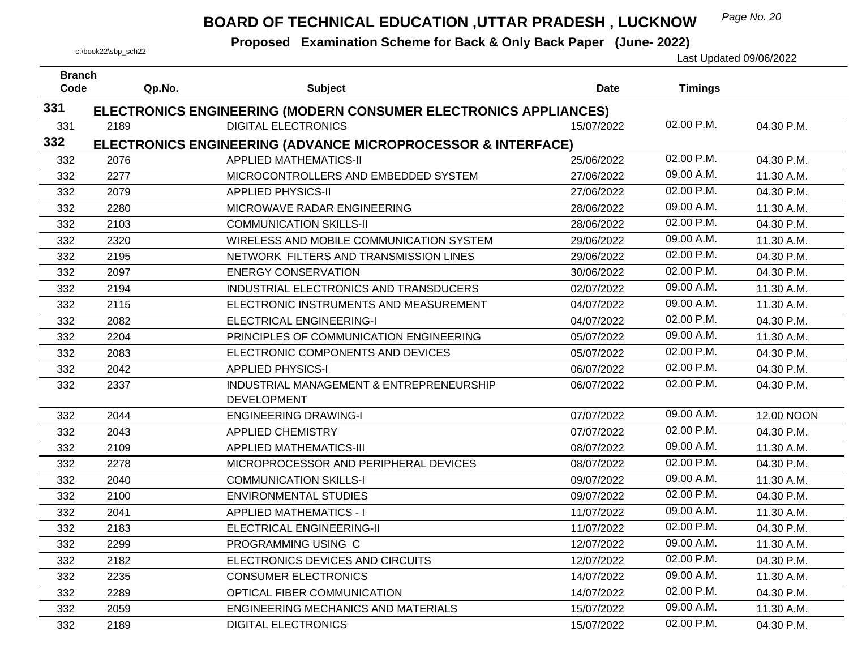## *Page No. 20* **BOARD OF TECHNICAL EDUCATION ,UTTAR PRADESH , LUCKNOW**

| <b>Branch</b> |        |                                                                         |             |                |            |
|---------------|--------|-------------------------------------------------------------------------|-------------|----------------|------------|
| Code          | Qp.No. | <b>Subject</b>                                                          | <b>Date</b> | <b>Timings</b> |            |
| 331           |        | ELECTRONICS ENGINEERING (MODERN CONSUMER ELECTRONICS APPLIANCES)        |             |                |            |
| 331           | 2189   | <b>DIGITAL ELECTRONICS</b>                                              | 15/07/2022  | 02.00 P.M.     | 04.30 P.M. |
| 332           |        | <b>ELECTRONICS ENGINEERING (ADVANCE MICROPROCESSOR &amp; INTERFACE)</b> |             |                |            |
| 332           | 2076   | <b>APPLIED MATHEMATICS-II</b>                                           | 25/06/2022  | 02.00 P.M.     | 04.30 P.M. |
| 332           | 2277   | MICROCONTROLLERS AND EMBEDDED SYSTEM                                    | 27/06/2022  | 09.00 A.M.     | 11.30 A.M. |
| 332           | 2079   | <b>APPLIED PHYSICS-II</b>                                               | 27/06/2022  | 02.00 P.M.     | 04.30 P.M. |
| 332           | 2280   | MICROWAVE RADAR ENGINEERING                                             | 28/06/2022  | 09.00 A.M.     | 11.30 A.M. |
| 332           | 2103   | <b>COMMUNICATION SKILLS-II</b>                                          | 28/06/2022  | 02.00 P.M.     | 04.30 P.M. |
| 332           | 2320   | WIRELESS AND MOBILE COMMUNICATION SYSTEM                                | 29/06/2022  | 09.00 A.M.     | 11.30 A.M. |
| 332           | 2195   | NETWORK FILTERS AND TRANSMISSION LINES                                  | 29/06/2022  | 02.00 P.M.     | 04.30 P.M. |
| 332           | 2097   | <b>ENERGY CONSERVATION</b>                                              | 30/06/2022  | 02.00 P.M.     | 04.30 P.M. |
| 332           | 2194   | INDUSTRIAL ELECTRONICS AND TRANSDUCERS                                  | 02/07/2022  | 09.00 A.M.     | 11.30 A.M. |
| 332           | 2115   | ELECTRONIC INSTRUMENTS AND MEASUREMENT                                  | 04/07/2022  | 09.00 A.M.     | 11.30 A.M. |
| 332           | 2082   | ELECTRICAL ENGINEERING-I                                                | 04/07/2022  | 02.00 P.M.     | 04.30 P.M. |
| 332           | 2204   | PRINCIPLES OF COMMUNICATION ENGINEERING                                 | 05/07/2022  | 09.00 A.M.     | 11.30 A.M. |
| 332           | 2083   | ELECTRONIC COMPONENTS AND DEVICES                                       | 05/07/2022  | 02.00 P.M.     | 04.30 P.M. |
| 332           | 2042   | <b>APPLIED PHYSICS-I</b>                                                | 06/07/2022  | 02.00 P.M.     | 04.30 P.M. |
| 332           | 2337   | INDUSTRIAL MANAGEMENT & ENTREPRENEURSHIP                                | 06/07/2022  | 02.00 P.M.     | 04.30 P.M. |
|               |        | <b>DEVELOPMENT</b>                                                      |             |                |            |
| 332           | 2044   | <b>ENGINEERING DRAWING-I</b>                                            | 07/07/2022  | 09.00 A.M.     | 12.00 NOON |
| 332           | 2043   | <b>APPLIED CHEMISTRY</b>                                                | 07/07/2022  | 02.00 P.M.     | 04.30 P.M. |
| 332           | 2109   | <b>APPLIED MATHEMATICS-III</b>                                          | 08/07/2022  | 09.00 A.M.     | 11.30 A.M. |
| 332           | 2278   | MICROPROCESSOR AND PERIPHERAL DEVICES                                   | 08/07/2022  | 02.00 P.M.     | 04.30 P.M. |
| 332           | 2040   | <b>COMMUNICATION SKILLS-I</b>                                           | 09/07/2022  | 09.00 A.M.     | 11.30 A.M. |
| 332           | 2100   | <b>ENVIRONMENTAL STUDIES</b>                                            | 09/07/2022  | 02.00 P.M.     | 04.30 P.M. |
| 332           | 2041   | <b>APPLIED MATHEMATICS - I</b>                                          | 11/07/2022  | 09.00 A.M.     | 11.30 A.M. |
| 332           | 2183   | ELECTRICAL ENGINEERING-II                                               | 11/07/2022  | 02.00 P.M.     | 04.30 P.M. |
| 332           | 2299   | PROGRAMMING USING C                                                     | 12/07/2022  | 09.00 A.M.     | 11.30 A.M. |
| 332           | 2182   | ELECTRONICS DEVICES AND CIRCUITS                                        | 12/07/2022  | 02.00 P.M.     | 04.30 P.M. |
| 332           | 2235   | <b>CONSUMER ELECTRONICS</b>                                             | 14/07/2022  | 09.00 A.M.     | 11.30 A.M. |
| 332           | 2289   | OPTICAL FIBER COMMUNICATION                                             | 14/07/2022  | 02.00 P.M.     | 04.30 P.M. |
| 332           | 2059   | <b>ENGINEERING MECHANICS AND MATERIALS</b>                              | 15/07/2022  | 09.00 A.M.     | 11.30 A.M. |
| 332           | 2189   | <b>DIGITAL ELECTRONICS</b>                                              | 15/07/2022  | 02.00 P.M.     | 04.30 P.M. |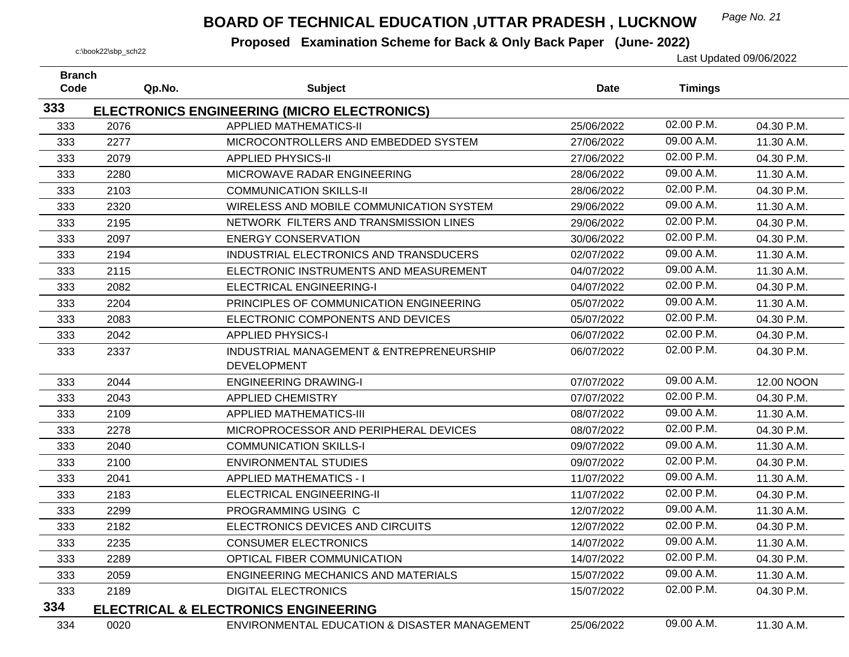## *Page No. 21* **BOARD OF TECHNICAL EDUCATION ,UTTAR PRADESH , LUCKNOW**

| <b>Branch</b><br>Code | Qp.No. | <b>Subject</b>                                  | <b>Date</b> | <b>Timings</b> |                   |
|-----------------------|--------|-------------------------------------------------|-------------|----------------|-------------------|
|                       |        |                                                 |             |                |                   |
| 333                   |        | ELECTRONICS ENGINEERING (MICRO ELECTRONICS)     |             |                |                   |
| 333                   | 2076   | <b>APPLIED MATHEMATICS-II</b>                   | 25/06/2022  | 02.00 P.M.     | 04.30 P.M.        |
| 333                   | 2277   | MICROCONTROLLERS AND EMBEDDED SYSTEM            | 27/06/2022  | 09.00 A.M.     | 11.30 A.M.        |
| 333                   | 2079   | <b>APPLIED PHYSICS-II</b>                       | 27/06/2022  | 02.00 P.M.     | 04.30 P.M.        |
| 333                   | 2280   | MICROWAVE RADAR ENGINEERING                     | 28/06/2022  | 09.00 A.M.     | 11.30 A.M.        |
| 333                   | 2103   | <b>COMMUNICATION SKILLS-II</b>                  | 28/06/2022  | 02.00 P.M.     | 04.30 P.M.        |
| 333                   | 2320   | WIRELESS AND MOBILE COMMUNICATION SYSTEM        | 29/06/2022  | 09.00 A.M.     | 11.30 A.M.        |
| 333                   | 2195   | NETWORK FILTERS AND TRANSMISSION LINES          | 29/06/2022  | 02.00 P.M.     | 04.30 P.M.        |
| 333                   | 2097   | <b>ENERGY CONSERVATION</b>                      | 30/06/2022  | 02.00 P.M.     | 04.30 P.M.        |
| 333                   | 2194   | INDUSTRIAL ELECTRONICS AND TRANSDUCERS          | 02/07/2022  | 09.00 A.M.     | 11.30 A.M.        |
| 333                   | 2115   | ELECTRONIC INSTRUMENTS AND MEASUREMENT          | 04/07/2022  | 09.00 A.M.     | 11.30 A.M.        |
| 333                   | 2082   | <b>ELECTRICAL ENGINEERING-I</b>                 | 04/07/2022  | 02.00 P.M.     | 04.30 P.M.        |
| 333                   | 2204   | PRINCIPLES OF COMMUNICATION ENGINEERING         | 05/07/2022  | 09.00 A.M.     | 11.30 A.M.        |
| 333                   | 2083   | ELECTRONIC COMPONENTS AND DEVICES               | 05/07/2022  | 02.00 P.M.     | 04.30 P.M.        |
| 333                   | 2042   | <b>APPLIED PHYSICS-I</b>                        | 06/07/2022  | 02.00 P.M.     | 04.30 P.M.        |
| 333                   | 2337   | INDUSTRIAL MANAGEMENT & ENTREPRENEURSHIP        | 06/07/2022  | 02.00 P.M.     | 04.30 P.M.        |
|                       |        | <b>DEVELOPMENT</b>                              |             |                |                   |
| 333                   | 2044   | <b>ENGINEERING DRAWING-I</b>                    | 07/07/2022  | 09.00 A.M.     | <b>12.00 NOON</b> |
| 333                   | 2043   | <b>APPLIED CHEMISTRY</b>                        | 07/07/2022  | 02.00 P.M.     | 04.30 P.M.        |
| 333                   | 2109   | <b>APPLIED MATHEMATICS-III</b>                  | 08/07/2022  | 09.00 A.M.     | 11.30 A.M.        |
| 333                   | 2278   | MICROPROCESSOR AND PERIPHERAL DEVICES           | 08/07/2022  | 02.00 P.M.     | 04.30 P.M.        |
| 333                   | 2040   | <b>COMMUNICATION SKILLS-I</b>                   | 09/07/2022  | 09.00 A.M.     | 11.30 A.M.        |
| 333                   | 2100   | <b>ENVIRONMENTAL STUDIES</b>                    | 09/07/2022  | 02.00 P.M.     | 04.30 P.M.        |
| 333                   | 2041   | <b>APPLIED MATHEMATICS - I</b>                  | 11/07/2022  | 09.00 A.M.     | 11.30 A.M.        |
| 333                   | 2183   | ELECTRICAL ENGINEERING-II                       | 11/07/2022  | 02.00 P.M.     | 04.30 P.M.        |
| 333                   | 2299   | PROGRAMMING USING C                             | 12/07/2022  | 09.00 A.M.     | 11.30 A.M.        |
| 333                   | 2182   | ELECTRONICS DEVICES AND CIRCUITS                | 12/07/2022  | 02.00 P.M.     | 04.30 P.M.        |
| 333                   | 2235   | <b>CONSUMER ELECTRONICS</b>                     | 14/07/2022  | 09.00 A.M.     | 11.30 A.M.        |
| 333                   | 2289   | OPTICAL FIBER COMMUNICATION                     | 14/07/2022  | 02.00 P.M.     | 04.30 P.M.        |
| 333                   | 2059   | <b>ENGINEERING MECHANICS AND MATERIALS</b>      | 15/07/2022  | 09.00 A.M.     | 11.30 A.M.        |
| 333                   | 2189   | <b>DIGITAL ELECTRONICS</b>                      | 15/07/2022  | 02.00 P.M.     | 04.30 P.M.        |
| 334                   |        | <b>ELECTRICAL &amp; ELECTRONICS ENGINEERING</b> |             |                |                   |
| 334                   | 0020   | ENVIRONMENTAL EDUCATION & DISASTER MANAGEMENT   | 25/06/2022  | 09.00 A.M.     | 11.30 A.M.        |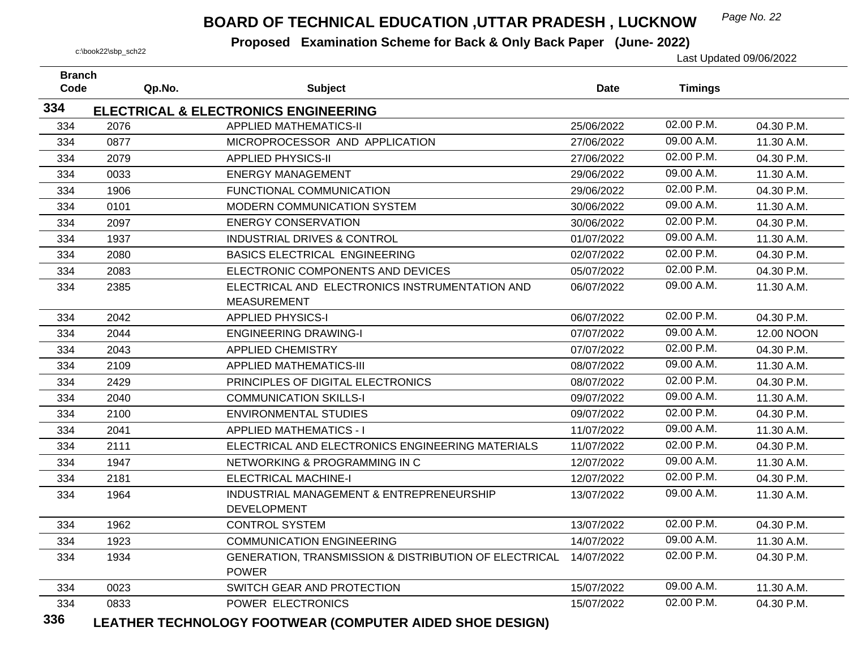## *Page No. 22* **BOARD OF TECHNICAL EDUCATION ,UTTAR PRADESH , LUCKNOW**

 **Proposed Examination Scheme for Back & Only Back Paper (June- 2022)** c:\book22\sbp\_sch22 Last Updated 09/06/2022

| <b>Branch</b> |        |                                                                       |             |                |            |
|---------------|--------|-----------------------------------------------------------------------|-------------|----------------|------------|
| Code          | Qp.No. | <b>Subject</b>                                                        | <b>Date</b> | <b>Timings</b> |            |
| 334           |        | <b>ELECTRICAL &amp; ELECTRONICS ENGINEERING</b>                       |             |                |            |
| 334           | 2076   | <b>APPLIED MATHEMATICS-II</b>                                         | 25/06/2022  | 02.00 P.M.     | 04.30 P.M. |
| 334           | 0877   | MICROPROCESSOR AND APPLICATION                                        | 27/06/2022  | 09.00 A.M.     | 11.30 A.M. |
| 334           | 2079   | <b>APPLIED PHYSICS-II</b>                                             | 27/06/2022  | 02.00 P.M.     | 04.30 P.M. |
| 334           | 0033   | <b>ENERGY MANAGEMENT</b>                                              | 29/06/2022  | 09.00 A.M.     | 11.30 A.M. |
| 334           | 1906   | FUNCTIONAL COMMUNICATION                                              | 29/06/2022  | 02.00 P.M.     | 04.30 P.M. |
| 334           | 0101   | MODERN COMMUNICATION SYSTEM                                           | 30/06/2022  | 09.00 A.M.     | 11.30 A.M. |
| 334           | 2097   | <b>ENERGY CONSERVATION</b>                                            | 30/06/2022  | 02.00 P.M.     | 04.30 P.M. |
| 334           | 1937   | <b>INDUSTRIAL DRIVES &amp; CONTROL</b>                                | 01/07/2022  | 09.00 A.M.     | 11.30 A.M. |
| 334           | 2080   | <b>BASICS ELECTRICAL ENGINEERING</b>                                  | 02/07/2022  | 02.00 P.M.     | 04.30 P.M. |
| 334           | 2083   | ELECTRONIC COMPONENTS AND DEVICES                                     | 05/07/2022  | 02.00 P.M.     | 04.30 P.M. |
| 334           | 2385   | ELECTRICAL AND ELECTRONICS INSTRUMENTATION AND                        | 06/07/2022  | 09.00 A.M.     | 11.30 A.M. |
|               |        | <b>MEASUREMENT</b>                                                    |             |                |            |
| 334           | 2042   | <b>APPLIED PHYSICS-I</b>                                              | 06/07/2022  | 02.00 P.M.     | 04.30 P.M. |
| 334           | 2044   | <b>ENGINEERING DRAWING-I</b>                                          | 07/07/2022  | 09.00 A.M.     | 12.00 NOON |
| 334           | 2043   | <b>APPLIED CHEMISTRY</b>                                              | 07/07/2022  | 02.00 P.M.     | 04.30 P.M. |
| 334           | 2109   | <b>APPLIED MATHEMATICS-III</b>                                        | 08/07/2022  | 09.00 A.M.     | 11.30 A.M. |
| 334           | 2429   | PRINCIPLES OF DIGITAL ELECTRONICS                                     | 08/07/2022  | 02.00 P.M.     | 04.30 P.M. |
| 334           | 2040   | <b>COMMUNICATION SKILLS-I</b>                                         | 09/07/2022  | 09.00 A.M.     | 11.30 A.M. |
| 334           | 2100   | <b>ENVIRONMENTAL STUDIES</b>                                          | 09/07/2022  | 02.00 P.M.     | 04.30 P.M. |
| 334           | 2041   | <b>APPLIED MATHEMATICS - I</b>                                        | 11/07/2022  | 09.00 A.M.     | 11.30 A.M. |
| 334           | 2111   | ELECTRICAL AND ELECTRONICS ENGINEERING MATERIALS                      | 11/07/2022  | 02.00 P.M.     | 04.30 P.M. |
| 334           | 1947   | NETWORKING & PROGRAMMING IN C                                         | 12/07/2022  | 09.00 A.M.     | 11.30 A.M. |
| 334           | 2181   | <b>ELECTRICAL MACHINE-I</b>                                           | 12/07/2022  | 02.00 P.M.     | 04.30 P.M. |
| 334           | 1964   | INDUSTRIAL MANAGEMENT & ENTREPRENEURSHIP<br><b>DEVELOPMENT</b>        | 13/07/2022  | 09.00 A.M.     | 11.30 A.M. |
| 334           | 1962   | <b>CONTROL SYSTEM</b>                                                 | 13/07/2022  | 02.00 P.M.     | 04.30 P.M. |
| 334           | 1923   | <b>COMMUNICATION ENGINEERING</b>                                      | 14/07/2022  | 09.00 A.M.     | 11.30 A.M. |
| 334           | 1934   | GENERATION, TRANSMISSION & DISTRIBUTION OF ELECTRICAL<br><b>POWER</b> | 14/07/2022  | 02.00 P.M.     | 04.30 P.M. |
| 334           | 0023   | SWITCH GEAR AND PROTECTION                                            | 15/07/2022  | 09.00 A.M.     | 11.30 A.M. |
| 334<br>22c    | 0833   | POWER ELECTRONICS                                                     | 15/07/2022  | 02.00 P.M.     | 04.30 P.M. |

**336LEATHER TECHNOLOGY FOOTWEAR (COMPUTER AIDED SHOE DESIGN)**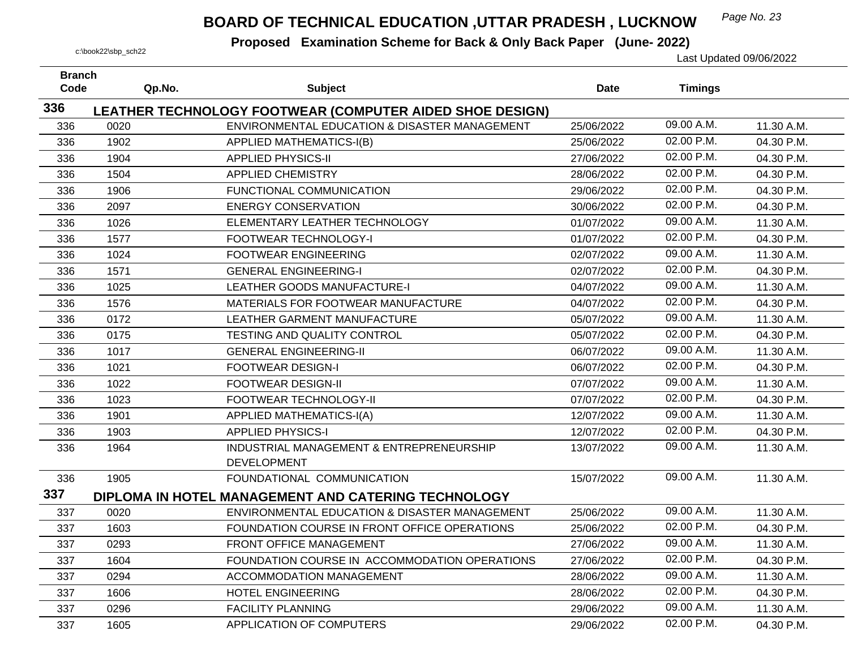## *Page No. 23* **BOARD OF TECHNICAL EDUCATION ,UTTAR PRADESH , LUCKNOW**

| <b>Branch</b><br>Code | Qp.No. | <b>Subject</b>                                                                                            | <b>Date</b> | <b>Timings</b> |            |
|-----------------------|--------|-----------------------------------------------------------------------------------------------------------|-------------|----------------|------------|
| 336                   |        |                                                                                                           |             |                |            |
| 336                   | 0020   | LEATHER TECHNOLOGY FOOTWEAR (COMPUTER AIDED SHOE DESIGN)<br>ENVIRONMENTAL EDUCATION & DISASTER MANAGEMENT | 25/06/2022  | 09.00 A.M.     | 11.30 A.M. |
| 336                   | 1902   | APPLIED MATHEMATICS-I(B)                                                                                  | 25/06/2022  | 02.00 P.M.     | 04.30 P.M. |
| 336                   | 1904   | <b>APPLIED PHYSICS-II</b>                                                                                 | 27/06/2022  | 02.00 P.M.     | 04.30 P.M. |
| 336                   | 1504   | <b>APPLIED CHEMISTRY</b>                                                                                  | 28/06/2022  | 02.00 P.M.     | 04.30 P.M. |
| 336                   | 1906   | FUNCTIONAL COMMUNICATION                                                                                  | 29/06/2022  | 02.00 P.M.     | 04.30 P.M. |
| 336                   | 2097   | <b>ENERGY CONSERVATION</b>                                                                                | 30/06/2022  | 02.00 P.M.     | 04.30 P.M. |
|                       | 1026   | ELEMENTARY LEATHER TECHNOLOGY                                                                             | 01/07/2022  | 09.00 A.M.     | 11.30 A.M. |
| 336                   |        |                                                                                                           |             | 02.00 P.M.     | 04.30 P.M. |
| 336                   | 1577   | FOOTWEAR TECHNOLOGY-I                                                                                     | 01/07/2022  | 09.00 A.M.     |            |
| 336                   | 1024   | <b>FOOTWEAR ENGINEERING</b>                                                                               | 02/07/2022  | 02.00 P.M.     | 11.30 A.M. |
| 336                   | 1571   | <b>GENERAL ENGINEERING-I</b>                                                                              | 02/07/2022  |                | 04.30 P.M. |
| 336                   | 1025   | <b>LEATHER GOODS MANUFACTURE-I</b>                                                                        | 04/07/2022  | 09.00 A.M.     | 11.30 A.M. |
| 336                   | 1576   | MATERIALS FOR FOOTWEAR MANUFACTURE                                                                        | 04/07/2022  | 02.00 P.M.     | 04.30 P.M. |
| 336                   | 0172   | LEATHER GARMENT MANUFACTURE                                                                               | 05/07/2022  | 09.00 A.M.     | 11.30 A.M. |
| 336                   | 0175   | TESTING AND QUALITY CONTROL                                                                               | 05/07/2022  | 02.00 P.M.     | 04.30 P.M. |
| 336                   | 1017   | <b>GENERAL ENGINEERING-II</b>                                                                             | 06/07/2022  | 09.00 A.M.     | 11.30 A.M. |
| 336                   | 1021   | <b>FOOTWEAR DESIGN-I</b>                                                                                  | 06/07/2022  | 02.00 P.M.     | 04.30 P.M. |
| 336                   | 1022   | <b>FOOTWEAR DESIGN-II</b>                                                                                 | 07/07/2022  | 09.00 A.M.     | 11.30 A.M. |
| 336                   | 1023   | FOOTWEAR TECHNOLOGY-II                                                                                    | 07/07/2022  | 02.00 P.M.     | 04.30 P.M. |
| 336                   | 1901   | <b>APPLIED MATHEMATICS-I(A)</b>                                                                           | 12/07/2022  | 09.00 A.M.     | 11.30 A.M. |
| 336                   | 1903   | <b>APPLIED PHYSICS-I</b>                                                                                  | 12/07/2022  | 02.00 P.M.     | 04.30 P.M. |
| 336                   | 1964   | INDUSTRIAL MANAGEMENT & ENTREPRENEURSHIP<br><b>DEVELOPMENT</b>                                            | 13/07/2022  | 09.00 A.M.     | 11.30 A.M. |
| 336                   | 1905   | FOUNDATIONAL COMMUNICATION                                                                                | 15/07/2022  | 09.00 A.M.     | 11.30 A.M. |
| 337                   |        | DIPLOMA IN HOTEL MANAGEMENT AND CATERING TECHNOLOGY                                                       |             |                |            |
| 337                   | 0020   | ENVIRONMENTAL EDUCATION & DISASTER MANAGEMENT                                                             | 25/06/2022  | 09.00 A.M.     | 11.30 A.M. |
| 337                   | 1603   | FOUNDATION COURSE IN FRONT OFFICE OPERATIONS                                                              | 25/06/2022  | 02.00 P.M.     | 04.30 P.M. |
| 337                   | 0293   | FRONT OFFICE MANAGEMENT                                                                                   | 27/06/2022  | 09.00 A.M.     | 11.30 A.M. |
| 337                   | 1604   | FOUNDATION COURSE IN ACCOMMODATION OPERATIONS                                                             | 27/06/2022  | 02.00 P.M.     | 04.30 P.M. |
| 337                   | 0294   | <b>ACCOMMODATION MANAGEMENT</b>                                                                           | 28/06/2022  | $09.00$ A.M.   | 11.30 A.M. |
| 337                   | 1606   | <b>HOTEL ENGINEERING</b>                                                                                  | 28/06/2022  | 02.00 P.M.     | 04.30 P.M. |
| 337                   | 0296   | <b>FACILITY PLANNING</b>                                                                                  | 29/06/2022  | 09.00 A.M.     | 11.30 A.M. |
| 337                   | 1605   | APPLICATION OF COMPUTERS                                                                                  | 29/06/2022  | 02.00 P.M.     | 04.30 P.M. |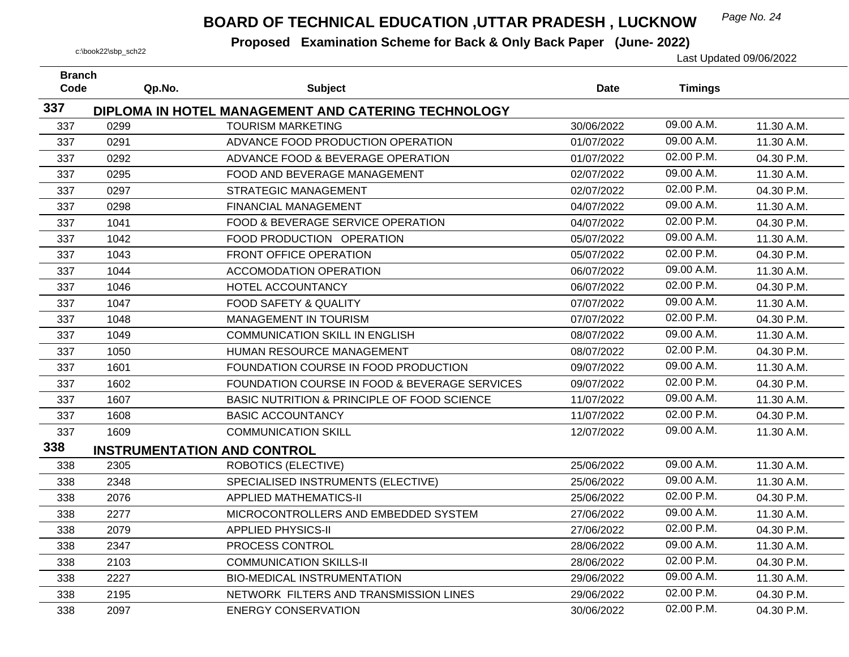## *Page No. 24* **BOARD OF TECHNICAL EDUCATION ,UTTAR PRADESH , LUCKNOW**

| <b>Branch</b><br>Code | Qp.No. | <b>Subject</b>                                      | <b>Date</b> | <b>Timings</b> |            |
|-----------------------|--------|-----------------------------------------------------|-------------|----------------|------------|
| 337                   |        |                                                     |             |                |            |
|                       |        | DIPLOMA IN HOTEL MANAGEMENT AND CATERING TECHNOLOGY |             | 09.00 A.M.     |            |
| 337                   | 0299   | <b>TOURISM MARKETING</b>                            | 30/06/2022  |                | 11.30 A.M. |
| 337                   | 0291   | ADVANCE FOOD PRODUCTION OPERATION                   | 01/07/2022  | 09.00 A.M.     | 11.30 A.M. |
| 337                   | 0292   | ADVANCE FOOD & BEVERAGE OPERATION                   | 01/07/2022  | 02.00 P.M.     | 04.30 P.M. |
| 337                   | 0295   | FOOD AND BEVERAGE MANAGEMENT                        | 02/07/2022  | 09.00 A.M.     | 11.30 A.M. |
| 337                   | 0297   | <b>STRATEGIC MANAGEMENT</b>                         | 02/07/2022  | 02.00 P.M.     | 04.30 P.M. |
| 337                   | 0298   | <b>FINANCIAL MANAGEMENT</b>                         | 04/07/2022  | 09.00 A.M.     | 11.30 A.M. |
| 337                   | 1041   | FOOD & BEVERAGE SERVICE OPERATION                   | 04/07/2022  | 02.00 P.M.     | 04.30 P.M. |
| 337                   | 1042   | FOOD PRODUCTION OPERATION                           | 05/07/2022  | 09.00 A.M.     | 11.30 A.M. |
| 337                   | 1043   | FRONT OFFICE OPERATION                              | 05/07/2022  | 02.00 P.M.     | 04.30 P.M. |
| 337                   | 1044   | ACCOMODATION OPERATION                              | 06/07/2022  | 09.00 A.M.     | 11.30 A.M. |
| 337                   | 1046   | HOTEL ACCOUNTANCY                                   | 06/07/2022  | 02.00 P.M.     | 04.30 P.M. |
| 337                   | 1047   | <b>FOOD SAFETY &amp; QUALITY</b>                    | 07/07/2022  | 09.00 A.M.     | 11.30 A.M. |
| 337                   | 1048   | MANAGEMENT IN TOURISM                               | 07/07/2022  | 02.00 P.M.     | 04.30 P.M. |
| 337                   | 1049   | <b>COMMUNICATION SKILL IN ENGLISH</b>               | 08/07/2022  | 09.00 A.M.     | 11.30 A.M. |
| 337                   | 1050   | HUMAN RESOURCE MANAGEMENT                           | 08/07/2022  | 02.00 P.M.     | 04.30 P.M. |
| 337                   | 1601   | FOUNDATION COURSE IN FOOD PRODUCTION                | 09/07/2022  | 09.00 A.M.     | 11.30 A.M. |
| 337                   | 1602   | FOUNDATION COURSE IN FOOD & BEVERAGE SERVICES       | 09/07/2022  | 02.00 P.M.     | 04.30 P.M. |
| 337                   | 1607   | BASIC NUTRITION & PRINCIPLE OF FOOD SCIENCE         | 11/07/2022  | 09.00 A.M.     | 11.30 A.M. |
| 337                   | 1608   | <b>BASIC ACCOUNTANCY</b>                            | 11/07/2022  | 02.00 P.M.     | 04.30 P.M. |
| 337                   | 1609   | <b>COMMUNICATION SKILL</b>                          | 12/07/2022  | 09.00 A.M.     | 11.30 A.M. |
| 338                   |        | <b>INSTRUMENTATION AND CONTROL</b>                  |             |                |            |
| 338                   | 2305   | ROBOTICS (ELECTIVE)                                 | 25/06/2022  | 09.00 A.M.     | 11.30 A.M. |
| 338                   | 2348   | SPECIALISED INSTRUMENTS (ELECTIVE)                  | 25/06/2022  | 09.00 A.M.     | 11.30 A.M. |
| 338                   | 2076   | <b>APPLIED MATHEMATICS-II</b>                       | 25/06/2022  | 02.00 P.M.     | 04.30 P.M. |
| 338                   | 2277   | MICROCONTROLLERS AND EMBEDDED SYSTEM                | 27/06/2022  | 09.00 A.M.     | 11.30 A.M. |
| 338                   | 2079   | <b>APPLIED PHYSICS-II</b>                           | 27/06/2022  | 02.00 P.M.     | 04.30 P.M. |
| 338                   | 2347   | PROCESS CONTROL                                     | 28/06/2022  | 09.00 A.M.     | 11.30 A.M. |
| 338                   | 2103   | <b>COMMUNICATION SKILLS-II</b>                      | 28/06/2022  | 02.00 P.M.     | 04.30 P.M. |
| 338                   | 2227   | <b>BIO-MEDICAL INSTRUMENTATION</b>                  | 29/06/2022  | 09.00 A.M.     | 11.30 A.M. |
| 338                   | 2195   | NETWORK FILTERS AND TRANSMISSION LINES              | 29/06/2022  | 02.00 P.M.     | 04.30 P.M. |
| 338                   | 2097   | <b>ENERGY CONSERVATION</b>                          | 30/06/2022  | 02.00 P.M.     | 04.30 P.M. |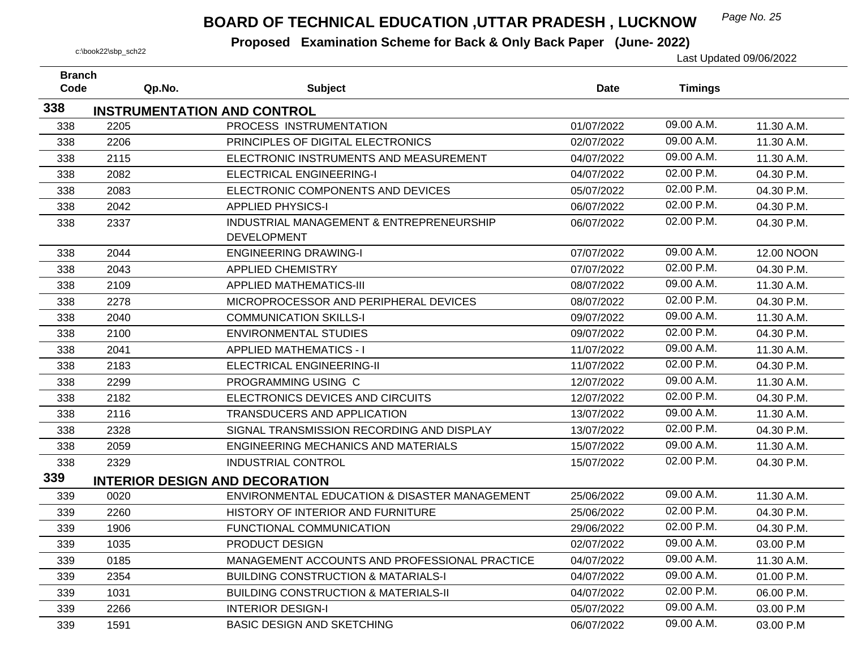## *Page No. 25* **BOARD OF TECHNICAL EDUCATION ,UTTAR PRADESH , LUCKNOW**

| <b>Branch</b> |        |                                                 |            |                |            |
|---------------|--------|-------------------------------------------------|------------|----------------|------------|
| Code          | Qp.No. | <b>Subject</b>                                  | Date       | <b>Timings</b> |            |
| 338           |        | <b>INSTRUMENTATION AND CONTROL</b>              |            |                |            |
| 338           | 2205   | PROCESS INSTRUMENTATION                         | 01/07/2022 | 09.00 A.M.     | 11.30 A.M. |
| 338           | 2206   | PRINCIPLES OF DIGITAL ELECTRONICS               | 02/07/2022 | 09.00 A.M.     | 11.30 A.M. |
| 338           | 2115   | ELECTRONIC INSTRUMENTS AND MEASUREMENT          | 04/07/2022 | 09.00 A.M.     | 11.30 A.M. |
| 338           | 2082   | <b>ELECTRICAL ENGINEERING-I</b>                 | 04/07/2022 | 02.00 P.M.     | 04.30 P.M. |
| 338           | 2083   | ELECTRONIC COMPONENTS AND DEVICES               | 05/07/2022 | 02.00 P.M.     | 04.30 P.M. |
| 338           | 2042   | <b>APPLIED PHYSICS-I</b>                        | 06/07/2022 | 02.00 P.M.     | 04.30 P.M. |
| 338           | 2337   | INDUSTRIAL MANAGEMENT & ENTREPRENEURSHIP        | 06/07/2022 | 02.00 P.M.     | 04.30 P.M. |
|               |        | <b>DEVELOPMENT</b>                              |            |                |            |
| 338           | 2044   | <b>ENGINEERING DRAWING-I</b>                    | 07/07/2022 | 09.00 A.M.     | 12.00 NOON |
| 338           | 2043   | <b>APPLIED CHEMISTRY</b>                        | 07/07/2022 | 02.00 P.M.     | 04.30 P.M. |
| 338           | 2109   | <b>APPLIED MATHEMATICS-III</b>                  | 08/07/2022 | 09.00 A.M.     | 11.30 A.M. |
| 338           | 2278   | MICROPROCESSOR AND PERIPHERAL DEVICES           | 08/07/2022 | 02.00 P.M.     | 04.30 P.M. |
| 338           | 2040   | <b>COMMUNICATION SKILLS-I</b>                   | 09/07/2022 | 09.00 A.M.     | 11.30 A.M. |
| 338           | 2100   | <b>ENVIRONMENTAL STUDIES</b>                    | 09/07/2022 | 02.00 P.M.     | 04.30 P.M. |
| 338           | 2041   | <b>APPLIED MATHEMATICS - I</b>                  | 11/07/2022 | 09.00 A.M.     | 11.30 A.M. |
| 338           | 2183   | ELECTRICAL ENGINEERING-II                       | 11/07/2022 | 02.00 P.M.     | 04.30 P.M. |
| 338           | 2299   | PROGRAMMING USING C                             | 12/07/2022 | 09.00 A.M.     | 11.30 A.M. |
| 338           | 2182   | ELECTRONICS DEVICES AND CIRCUITS                | 12/07/2022 | 02.00 P.M.     | 04.30 P.M. |
| 338           | 2116   | <b>TRANSDUCERS AND APPLICATION</b>              | 13/07/2022 | 09.00 A.M.     | 11.30 A.M. |
| 338           | 2328   | SIGNAL TRANSMISSION RECORDING AND DISPLAY       | 13/07/2022 | 02.00 P.M.     | 04.30 P.M. |
| 338           | 2059   | <b>ENGINEERING MECHANICS AND MATERIALS</b>      | 15/07/2022 | 09.00 A.M.     | 11.30 A.M. |
| 338           | 2329   | <b>INDUSTRIAL CONTROL</b>                       | 15/07/2022 | 02.00 P.M.     | 04.30 P.M. |
| 339           |        | <b>INTERIOR DESIGN AND DECORATION</b>           |            |                |            |
| 339           | 0020   | ENVIRONMENTAL EDUCATION & DISASTER MANAGEMENT   | 25/06/2022 | 09.00 A.M.     | 11.30 A.M. |
| 339           | 2260   | HISTORY OF INTERIOR AND FURNITURE               | 25/06/2022 | 02.00 P.M.     | 04.30 P.M. |
| 339           | 1906   | FUNCTIONAL COMMUNICATION                        | 29/06/2022 | 02.00 P.M.     | 04.30 P.M. |
| 339           | 1035   | PRODUCT DESIGN                                  | 02/07/2022 | 09.00 A.M.     | 03.00 P.M  |
| 339           | 0185   | MANAGEMENT ACCOUNTS AND PROFESSIONAL PRACTICE   | 04/07/2022 | 09.00 A.M.     | 11.30 A.M. |
| 339           | 2354   | <b>BUILDING CONSTRUCTION &amp; MATARIALS-I</b>  | 04/07/2022 | 09.00 A.M.     | 01.00 P.M. |
| 339           | 1031   | <b>BUILDING CONSTRUCTION &amp; MATERIALS-II</b> | 04/07/2022 | 02.00 P.M.     | 06.00 P.M. |
| 339           | 2266   | <b>INTERIOR DESIGN-I</b>                        | 05/07/2022 | 09.00 A.M.     | 03.00 P.M  |
| 339           | 1591   | <b>BASIC DESIGN AND SKETCHING</b>               | 06/07/2022 | 09.00 A.M.     | 03.00 P.M  |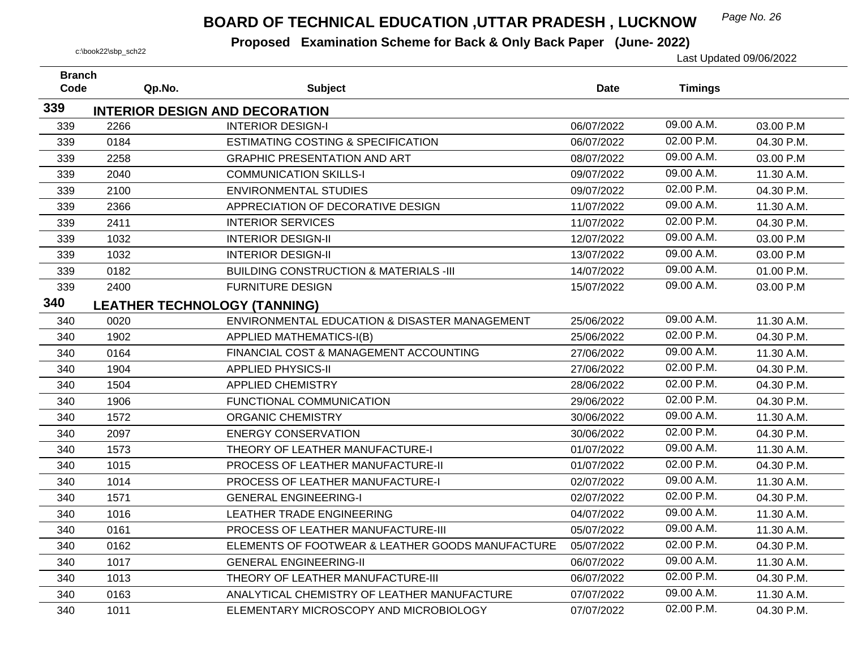## *Page No. 26* **BOARD OF TECHNICAL EDUCATION ,UTTAR PRADESH , LUCKNOW**

| <b>Branch</b><br>Code | Qp.No.                              | <b>Subject</b>                                    | Date       | <b>Timings</b> |            |
|-----------------------|-------------------------------------|---------------------------------------------------|------------|----------------|------------|
|                       |                                     |                                                   |            |                |            |
| 339                   |                                     | <b>INTERIOR DESIGN AND DECORATION</b>             |            |                |            |
| 339                   | 2266                                | <b>INTERIOR DESIGN-I</b>                          | 06/07/2022 | 09.00 A.M.     | 03.00 P.M  |
| 339                   | 0184                                | <b>ESTIMATING COSTING &amp; SPECIFICATION</b>     | 06/07/2022 | 02.00 P.M.     | 04.30 P.M. |
| 339                   | 2258                                | <b>GRAPHIC PRESENTATION AND ART</b>               | 08/07/2022 | 09.00 A.M.     | 03.00 P.M  |
| 339                   | 2040                                | <b>COMMUNICATION SKILLS-I</b>                     | 09/07/2022 | 09.00 A.M.     | 11.30 A.M. |
| 339                   | 2100                                | <b>ENVIRONMENTAL STUDIES</b>                      | 09/07/2022 | 02.00 P.M.     | 04.30 P.M. |
| 339                   | 2366                                | APPRECIATION OF DECORATIVE DESIGN                 | 11/07/2022 | 09.00 A.M.     | 11.30 A.M. |
| 339                   | 2411                                | <b>INTERIOR SERVICES</b>                          | 11/07/2022 | 02.00 P.M.     | 04.30 P.M. |
| 339                   | 1032                                | <b>INTERIOR DESIGN-II</b>                         | 12/07/2022 | 09.00 A.M.     | 03.00 P.M  |
| 339                   | 1032                                | <b>INTERIOR DESIGN-II</b>                         | 13/07/2022 | 09.00 A.M.     | 03.00 P.M  |
| 339                   | 0182                                | <b>BUILDING CONSTRUCTION &amp; MATERIALS -III</b> | 14/07/2022 | 09.00 A.M.     | 01.00 P.M. |
| 339                   | 2400                                | <b>FURNITURE DESIGN</b>                           | 15/07/2022 | 09.00 A.M.     | 03.00 P.M  |
| 340                   | <b>LEATHER TECHNOLOGY (TANNING)</b> |                                                   |            |                |            |
| 340                   | 0020                                | ENVIRONMENTAL EDUCATION & DISASTER MANAGEMENT     | 25/06/2022 | 09.00 A.M.     | 11.30 A.M. |
| 340                   | 1902                                | APPLIED MATHEMATICS-I(B)                          | 25/06/2022 | 02.00 P.M.     | 04.30 P.M. |
| 340                   | 0164                                | FINANCIAL COST & MANAGEMENT ACCOUNTING            | 27/06/2022 | 09.00 A.M.     | 11.30 A.M. |
| 340                   | 1904                                | <b>APPLIED PHYSICS-II</b>                         | 27/06/2022 | 02.00 P.M.     | 04.30 P.M. |
| 340                   | 1504                                | <b>APPLIED CHEMISTRY</b>                          | 28/06/2022 | 02.00 P.M.     | 04.30 P.M. |
| 340                   | 1906                                | FUNCTIONAL COMMUNICATION                          | 29/06/2022 | 02.00 P.M.     | 04.30 P.M. |
| 340                   | 1572                                | <b>ORGANIC CHEMISTRY</b>                          | 30/06/2022 | 09.00 A.M.     | 11.30 A.M. |
| 340                   | 2097                                | <b>ENERGY CONSERVATION</b>                        | 30/06/2022 | 02.00 P.M.     | 04.30 P.M. |
| 340                   | 1573                                | THEORY OF LEATHER MANUFACTURE-I                   | 01/07/2022 | 09.00 A.M.     | 11.30 A.M. |
| 340                   | 1015                                | PROCESS OF LEATHER MANUFACTURE-II                 | 01/07/2022 | 02.00 P.M.     | 04.30 P.M. |
| 340                   | 1014                                | PROCESS OF LEATHER MANUFACTURE-I                  | 02/07/2022 | 09.00 A.M.     | 11.30 A.M. |
| 340                   | 1571                                | <b>GENERAL ENGINEERING-I</b>                      | 02/07/2022 | 02.00 P.M.     | 04.30 P.M. |
| 340                   | 1016                                | LEATHER TRADE ENGINEERING                         | 04/07/2022 | 09.00 A.M.     | 11.30 A.M. |
| 340                   | 0161                                | PROCESS OF LEATHER MANUFACTURE-III                | 05/07/2022 | 09.00 A.M.     | 11.30 A.M. |
| 340                   | 0162                                | ELEMENTS OF FOOTWEAR & LEATHER GOODS MANUFACTURE  | 05/07/2022 | 02.00 P.M.     | 04.30 P.M. |
| 340                   | 1017                                | <b>GENERAL ENGINEERING-II</b>                     | 06/07/2022 | 09.00 A.M.     | 11.30 A.M. |
| 340                   | 1013                                | THEORY OF LEATHER MANUFACTURE-III                 | 06/07/2022 | 02.00 P.M.     | 04.30 P.M. |
| 340                   | 0163                                | ANALYTICAL CHEMISTRY OF LEATHER MANUFACTURE       | 07/07/2022 | 09.00 A.M.     | 11.30 A.M. |
| 340                   | 1011                                | ELEMENTARY MICROSCOPY AND MICROBIOLOGY            | 07/07/2022 | 02.00 P.M.     | 04.30 P.M. |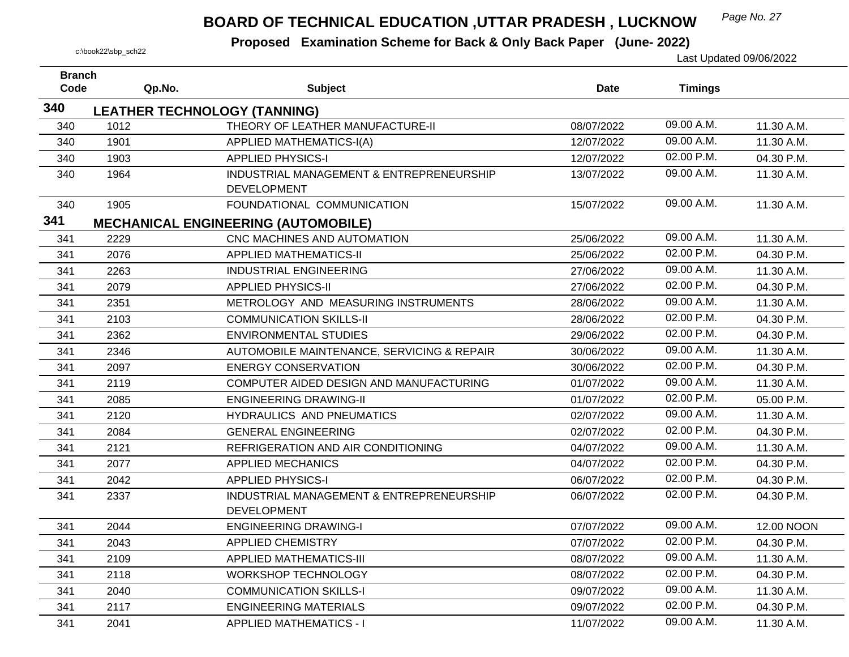## *Page No. 27* **BOARD OF TECHNICAL EDUCATION ,UTTAR PRADESH , LUCKNOW**

| <b>Branch</b> |        |                                            |            |                |            |
|---------------|--------|--------------------------------------------|------------|----------------|------------|
| Code          | Qp.No. | <b>Subject</b>                             | Date       | <b>Timings</b> |            |
| 340           |        | <b>LEATHER TECHNOLOGY (TANNING)</b>        |            |                |            |
| 340           | 1012   | THEORY OF LEATHER MANUFACTURE-II           | 08/07/2022 | 09.00 A.M.     | 11.30 A.M. |
| 340           | 1901   | <b>APPLIED MATHEMATICS-I(A)</b>            | 12/07/2022 | 09.00 A.M.     | 11.30 A.M. |
| 340           | 1903   | <b>APPLIED PHYSICS-I</b>                   | 12/07/2022 | 02.00 P.M.     | 04.30 P.M. |
| 340           | 1964   | INDUSTRIAL MANAGEMENT & ENTREPRENEURSHIP   | 13/07/2022 | 09.00 A.M.     | 11.30 A.M. |
|               |        | <b>DEVELOPMENT</b>                         |            |                |            |
| 340           | 1905   | FOUNDATIONAL COMMUNICATION                 | 15/07/2022 | 09.00 A.M.     | 11.30 A.M. |
| 341           |        | <b>MECHANICAL ENGINEERING (AUTOMOBILE)</b> |            |                |            |
| 341           | 2229   | CNC MACHINES AND AUTOMATION                | 25/06/2022 | 09.00 A.M.     | 11.30 A.M. |
| 341           | 2076   | <b>APPLIED MATHEMATICS-II</b>              | 25/06/2022 | 02.00 P.M.     | 04.30 P.M. |
| 341           | 2263   | <b>INDUSTRIAL ENGINEERING</b>              | 27/06/2022 | 09.00 A.M.     | 11.30 A.M. |
| 341           | 2079   | <b>APPLIED PHYSICS-II</b>                  | 27/06/2022 | 02.00 P.M.     | 04.30 P.M. |
| 341           | 2351   | METROLOGY AND MEASURING INSTRUMENTS        | 28/06/2022 | 09.00 A.M.     | 11.30 A.M. |
| 341           | 2103   | <b>COMMUNICATION SKILLS-II</b>             | 28/06/2022 | 02.00 P.M.     | 04.30 P.M. |
| 341           | 2362   | <b>ENVIRONMENTAL STUDIES</b>               | 29/06/2022 | 02.00 P.M.     | 04.30 P.M. |
| 341           | 2346   | AUTOMOBILE MAINTENANCE, SERVICING & REPAIR | 30/06/2022 | 09.00 A.M.     | 11.30 A.M. |
| 341           | 2097   | <b>ENERGY CONSERVATION</b>                 | 30/06/2022 | 02.00 P.M.     | 04.30 P.M. |
| 341           | 2119   | COMPUTER AIDED DESIGN AND MANUFACTURING    | 01/07/2022 | 09.00 A.M.     | 11.30 A.M. |
| 341           | 2085   | <b>ENGINEERING DRAWING-II</b>              | 01/07/2022 | 02.00 P.M.     | 05.00 P.M. |
| 341           | 2120   | HYDRAULICS AND PNEUMATICS                  | 02/07/2022 | 09.00 A.M.     | 11.30 A.M. |
| 341           | 2084   | <b>GENERAL ENGINEERING</b>                 | 02/07/2022 | 02.00 P.M.     | 04.30 P.M. |
| 341           | 2121   | REFRIGERATION AND AIR CONDITIONING         | 04/07/2022 | 09.00 A.M.     | 11.30 A.M. |
| 341           | 2077   | <b>APPLIED MECHANICS</b>                   | 04/07/2022 | 02.00 P.M.     | 04.30 P.M. |
| 341           | 2042   | <b>APPLIED PHYSICS-I</b>                   | 06/07/2022 | 02.00 P.M.     | 04.30 P.M. |
| 341           | 2337   | INDUSTRIAL MANAGEMENT & ENTREPRENEURSHIP   | 06/07/2022 | 02.00 P.M.     | 04.30 P.M. |
|               |        | <b>DEVELOPMENT</b>                         |            |                |            |
| 341           | 2044   | <b>ENGINEERING DRAWING-I</b>               | 07/07/2022 | 09.00 A.M.     | 12.00 NOON |
| 341           | 2043   | <b>APPLIED CHEMISTRY</b>                   | 07/07/2022 | 02.00 P.M.     | 04.30 P.M. |
| 341           | 2109   | <b>APPLIED MATHEMATICS-III</b>             | 08/07/2022 | 09.00 A.M.     | 11.30 A.M. |
| 341           | 2118   | WORKSHOP TECHNOLOGY                        | 08/07/2022 | 02.00 P.M.     | 04.30 P.M. |
| 341           | 2040   | <b>COMMUNICATION SKILLS-I</b>              | 09/07/2022 | 09.00 A.M.     | 11.30 A.M. |
| 341           | 2117   | <b>ENGINEERING MATERIALS</b>               | 09/07/2022 | 02.00 P.M.     | 04.30 P.M. |
| 341           | 2041   | <b>APPLIED MATHEMATICS - I</b>             | 11/07/2022 | 09.00 A.M.     | 11.30 A.M. |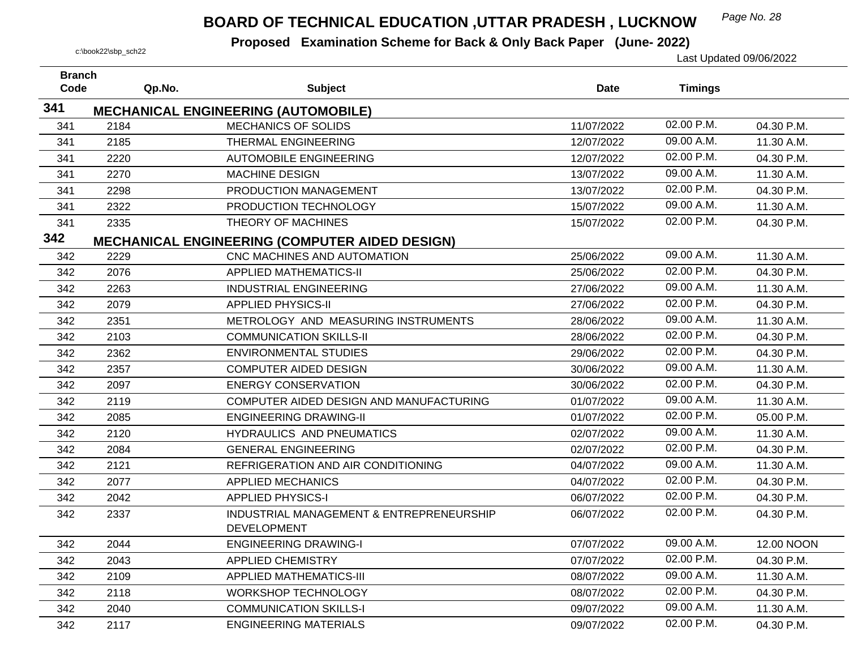## *Page No. 28* **BOARD OF TECHNICAL EDUCATION ,UTTAR PRADESH , LUCKNOW**

| <b>Branch</b> |        |                                                                |             |                |            |
|---------------|--------|----------------------------------------------------------------|-------------|----------------|------------|
| Code          | Qp.No. | <b>Subject</b>                                                 | <b>Date</b> | <b>Timings</b> |            |
| 341           |        | <b>MECHANICAL ENGINEERING (AUTOMOBILE)</b>                     |             |                |            |
| 341           | 2184   | <b>MECHANICS OF SOLIDS</b>                                     | 11/07/2022  | 02.00 P.M.     | 04.30 P.M. |
| 341           | 2185   | <b>THERMAL ENGINEERING</b>                                     | 12/07/2022  | 09.00 A.M.     | 11.30 A.M. |
| 341           | 2220   | <b>AUTOMOBILE ENGINEERING</b>                                  | 12/07/2022  | 02.00 P.M.     | 04.30 P.M. |
| 341           | 2270   | <b>MACHINE DESIGN</b>                                          | 13/07/2022  | 09.00 A.M.     | 11.30 A.M. |
| 341           | 2298   | PRODUCTION MANAGEMENT                                          | 13/07/2022  | 02.00 P.M.     | 04.30 P.M. |
| 341           | 2322   | PRODUCTION TECHNOLOGY                                          | 15/07/2022  | 09.00 A.M.     | 11.30 A.M. |
| 341           | 2335   | THEORY OF MACHINES                                             | 15/07/2022  | 02.00 P.M.     | 04.30 P.M. |
| 342           |        | <b>MECHANICAL ENGINEERING (COMPUTER AIDED DESIGN)</b>          |             |                |            |
| 342           | 2229   | CNC MACHINES AND AUTOMATION                                    | 25/06/2022  | 09.00 A.M.     | 11.30 A.M. |
| 342           | 2076   | <b>APPLIED MATHEMATICS-II</b>                                  | 25/06/2022  | 02.00 P.M.     | 04.30 P.M. |
| 342           | 2263   | <b>INDUSTRIAL ENGINEERING</b>                                  | 27/06/2022  | 09.00 A.M.     | 11.30 A.M. |
| 342           | 2079   | <b>APPLIED PHYSICS-II</b>                                      | 27/06/2022  | 02.00 P.M.     | 04.30 P.M. |
| 342           | 2351   | METROLOGY AND MEASURING INSTRUMENTS                            | 28/06/2022  | 09.00 A.M.     | 11.30 A.M. |
| 342           | 2103   | <b>COMMUNICATION SKILLS-II</b>                                 | 28/06/2022  | 02.00 P.M.     | 04.30 P.M. |
| 342           | 2362   | <b>ENVIRONMENTAL STUDIES</b>                                   | 29/06/2022  | 02.00 P.M.     | 04.30 P.M. |
| 342           | 2357   | <b>COMPUTER AIDED DESIGN</b>                                   | 30/06/2022  | 09.00 A.M.     | 11.30 A.M. |
| 342           | 2097   | <b>ENERGY CONSERVATION</b>                                     | 30/06/2022  | 02.00 P.M.     | 04.30 P.M. |
| 342           | 2119   | COMPUTER AIDED DESIGN AND MANUFACTURING                        | 01/07/2022  | 09.00 A.M.     | 11.30 A.M. |
| 342           | 2085   | <b>ENGINEERING DRAWING-II</b>                                  | 01/07/2022  | 02.00 P.M.     | 05.00 P.M. |
| 342           | 2120   | <b>HYDRAULICS AND PNEUMATICS</b>                               | 02/07/2022  | 09.00 A.M.     | 11.30 A.M. |
| 342           | 2084   | <b>GENERAL ENGINEERING</b>                                     | 02/07/2022  | 02.00 P.M.     | 04.30 P.M. |
| 342           | 2121   | REFRIGERATION AND AIR CONDITIONING                             | 04/07/2022  | 09.00 A.M.     | 11.30 A.M. |
| 342           | 2077   | <b>APPLIED MECHANICS</b>                                       | 04/07/2022  | 02.00 P.M.     | 04.30 P.M. |
| 342           | 2042   | <b>APPLIED PHYSICS-I</b>                                       | 06/07/2022  | 02.00 P.M.     | 04.30 P.M. |
| 342           | 2337   | INDUSTRIAL MANAGEMENT & ENTREPRENEURSHIP<br><b>DEVELOPMENT</b> | 06/07/2022  | 02.00 P.M.     | 04.30 P.M. |
| 342           | 2044   | <b>ENGINEERING DRAWING-I</b>                                   | 07/07/2022  | 09.00 A.M.     | 12.00 NOON |
| 342           | 2043   | <b>APPLIED CHEMISTRY</b>                                       | 07/07/2022  | 02.00 P.M.     | 04.30 P.M. |
| 342           | 2109   | <b>APPLIED MATHEMATICS-III</b>                                 | 08/07/2022  | 09.00 A.M.     | 11.30 A.M. |
| 342           | 2118   | <b>WORKSHOP TECHNOLOGY</b>                                     | 08/07/2022  | 02.00 P.M.     | 04.30 P.M. |
| 342           | 2040   | <b>COMMUNICATION SKILLS-I</b>                                  | 09/07/2022  | 09.00 A.M.     | 11.30 A.M. |
| 342           | 2117   | <b>ENGINEERING MATERIALS</b>                                   | 09/07/2022  | 02.00 P.M.     | 04.30 P.M. |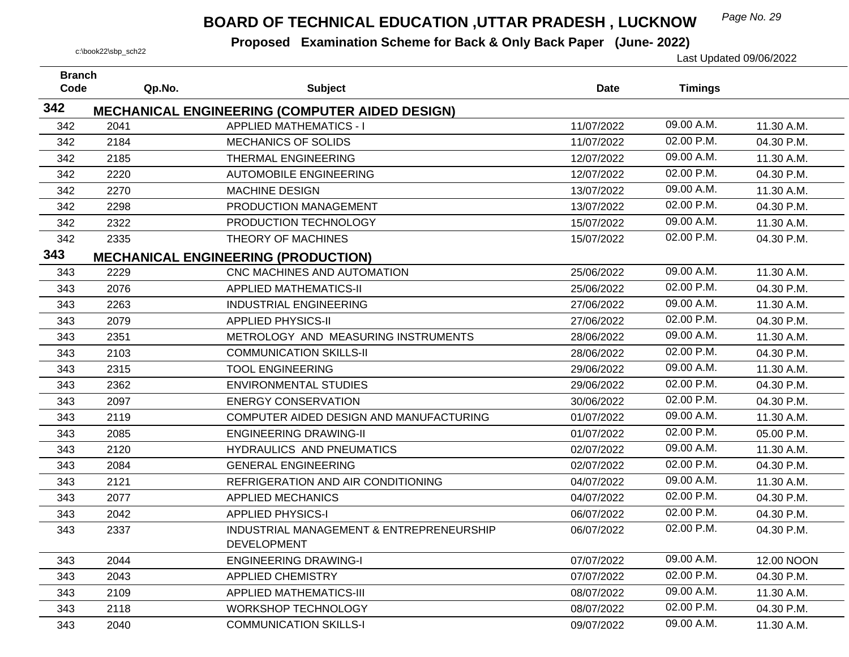## *Page No. 29* **BOARD OF TECHNICAL EDUCATION ,UTTAR PRADESH , LUCKNOW**

| <b>Branch</b><br>Code | Qp.No. | <b>Subject</b>                                        | <b>Date</b> | <b>Timings</b> |            |
|-----------------------|--------|-------------------------------------------------------|-------------|----------------|------------|
|                       |        |                                                       |             |                |            |
| 342                   |        | <b>MECHANICAL ENGINEERING (COMPUTER AIDED DESIGN)</b> |             |                |            |
| 342                   | 2041   | <b>APPLIED MATHEMATICS - I</b>                        | 11/07/2022  | 09.00 A.M.     | 11.30 A.M. |
| 342                   | 2184   | <b>MECHANICS OF SOLIDS</b>                            | 11/07/2022  | 02.00 P.M.     | 04.30 P.M. |
| 342                   | 2185   | THERMAL ENGINEERING                                   | 12/07/2022  | 09.00 A.M.     | 11.30 A.M. |
| 342                   | 2220   | <b>AUTOMOBILE ENGINEERING</b>                         | 12/07/2022  | 02.00 P.M.     | 04.30 P.M. |
| 342                   | 2270   | <b>MACHINE DESIGN</b>                                 | 13/07/2022  | 09.00 A.M.     | 11.30 A.M. |
| 342                   | 2298   | PRODUCTION MANAGEMENT                                 | 13/07/2022  | 02.00 P.M.     | 04.30 P.M. |
| 342                   | 2322   | PRODUCTION TECHNOLOGY                                 | 15/07/2022  | 09.00 A.M.     | 11.30 A.M. |
| 342                   | 2335   | THEORY OF MACHINES                                    | 15/07/2022  | 02.00 P.M.     | 04.30 P.M. |
| 343                   |        | <b>MECHANICAL ENGINEERING (PRODUCTION)</b>            |             |                |            |
| 343                   | 2229   | CNC MACHINES AND AUTOMATION                           | 25/06/2022  | 09.00 A.M.     | 11.30 A.M. |
| 343                   | 2076   | <b>APPLIED MATHEMATICS-II</b>                         | 25/06/2022  | 02.00 P.M.     | 04.30 P.M. |
| 343                   | 2263   | <b>INDUSTRIAL ENGINEERING</b>                         | 27/06/2022  | 09.00 A.M.     | 11.30 A.M. |
| 343                   | 2079   | <b>APPLIED PHYSICS-II</b>                             | 27/06/2022  | 02.00 P.M.     | 04.30 P.M. |
| 343                   | 2351   | METROLOGY AND MEASURING INSTRUMENTS                   | 28/06/2022  | 09.00 A.M.     | 11.30 A.M. |
| 343                   | 2103   | <b>COMMUNICATION SKILLS-II</b>                        | 28/06/2022  | 02.00 P.M.     | 04.30 P.M. |
| 343                   | 2315   | <b>TOOL ENGINEERING</b>                               | 29/06/2022  | 09.00 A.M.     | 11.30 A.M. |
| 343                   | 2362   | <b>ENVIRONMENTAL STUDIES</b>                          | 29/06/2022  | 02.00 P.M.     | 04.30 P.M. |
| 343                   | 2097   | <b>ENERGY CONSERVATION</b>                            | 30/06/2022  | 02.00 P.M.     | 04.30 P.M. |
| 343                   | 2119   | COMPUTER AIDED DESIGN AND MANUFACTURING               | 01/07/2022  | 09.00 A.M.     | 11.30 A.M. |
| 343                   | 2085   | <b>ENGINEERING DRAWING-II</b>                         | 01/07/2022  | 02.00 P.M.     | 05.00 P.M. |
| 343                   | 2120   | HYDRAULICS AND PNEUMATICS                             | 02/07/2022  | 09.00 A.M.     | 11.30 A.M. |
| 343                   | 2084   | <b>GENERAL ENGINEERING</b>                            | 02/07/2022  | 02.00 P.M.     | 04.30 P.M. |
| 343                   | 2121   | REFRIGERATION AND AIR CONDITIONING                    | 04/07/2022  | 09.00 A.M.     | 11.30 A.M. |
| 343                   | 2077   | <b>APPLIED MECHANICS</b>                              | 04/07/2022  | 02.00 P.M.     | 04.30 P.M. |
| 343                   | 2042   | <b>APPLIED PHYSICS-I</b>                              | 06/07/2022  | 02.00 P.M.     | 04.30 P.M. |
| 343                   | 2337   | INDUSTRIAL MANAGEMENT & ENTREPRENEURSHIP              | 06/07/2022  | 02.00 P.M.     | 04.30 P.M. |
|                       |        | <b>DEVELOPMENT</b>                                    |             |                |            |
| 343                   | 2044   | <b>ENGINEERING DRAWING-I</b>                          | 07/07/2022  | 09.00 A.M.     | 12.00 NOON |
| 343                   | 2043   | <b>APPLIED CHEMISTRY</b>                              | 07/07/2022  | 02.00 P.M.     | 04.30 P.M. |
| 343                   | 2109   | <b>APPLIED MATHEMATICS-III</b>                        | 08/07/2022  | 09.00 A.M.     | 11.30 A.M. |
| 343                   | 2118   | <b>WORKSHOP TECHNOLOGY</b>                            | 08/07/2022  | 02.00 P.M.     | 04.30 P.M. |
| 343                   | 2040   | <b>COMMUNICATION SKILLS-I</b>                         | 09/07/2022  | 09.00 A.M.     | 11.30 A.M. |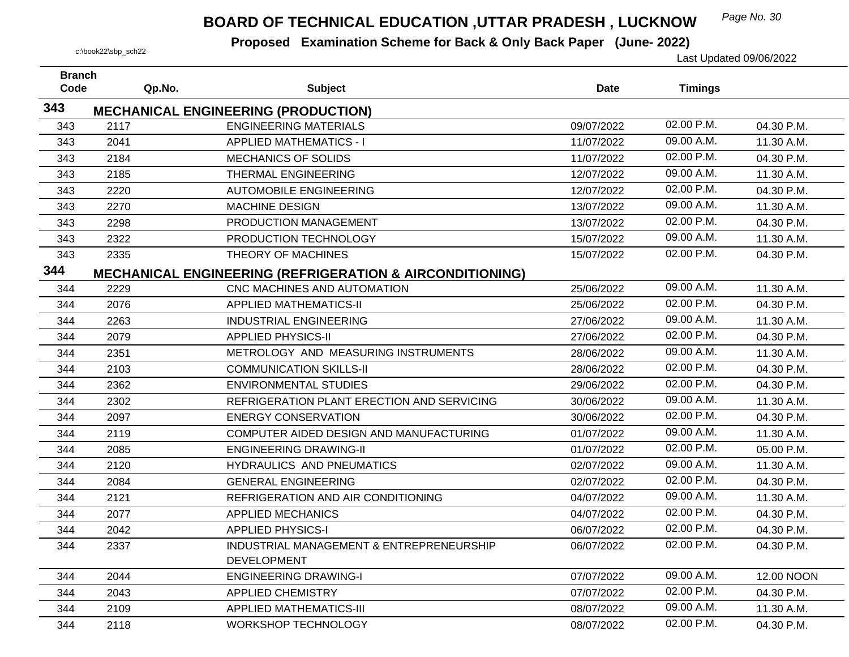## *Page No. 30* **BOARD OF TECHNICAL EDUCATION ,UTTAR PRADESH , LUCKNOW**

| <b>Branch</b> |        |                                                                     |             |                |            |
|---------------|--------|---------------------------------------------------------------------|-------------|----------------|------------|
| Code          | Qp.No. | <b>Subject</b>                                                      | <b>Date</b> | <b>Timings</b> |            |
| 343           |        | <b>MECHANICAL ENGINEERING (PRODUCTION)</b>                          |             |                |            |
| 343           | 2117   | <b>ENGINEERING MATERIALS</b>                                        | 09/07/2022  | 02.00 P.M.     | 04.30 P.M. |
| 343           | 2041   | <b>APPLIED MATHEMATICS - I</b>                                      | 11/07/2022  | 09.00 A.M.     | 11.30 A.M. |
| 343           | 2184   | <b>MECHANICS OF SOLIDS</b>                                          | 11/07/2022  | 02.00 P.M.     | 04.30 P.M. |
| 343           | 2185   | THERMAL ENGINEERING                                                 | 12/07/2022  | 09.00 A.M.     | 11.30 A.M. |
| 343           | 2220   | <b>AUTOMOBILE ENGINEERING</b>                                       | 12/07/2022  | 02.00 P.M.     | 04.30 P.M. |
| 343           | 2270   | <b>MACHINE DESIGN</b>                                               | 13/07/2022  | 09.00 A.M.     | 11.30 A.M. |
| 343           | 2298   | PRODUCTION MANAGEMENT                                               | 13/07/2022  | 02.00 P.M.     | 04.30 P.M. |
| 343           | 2322   | PRODUCTION TECHNOLOGY                                               | 15/07/2022  | 09.00 A.M.     | 11.30 A.M. |
| 343           | 2335   | THEORY OF MACHINES                                                  | 15/07/2022  | 02.00 P.M.     | 04.30 P.M. |
| 344           |        | <b>MECHANICAL ENGINEERING (REFRIGERATION &amp; AIRCONDITIONING)</b> |             |                |            |
| 344           | 2229   | CNC MACHINES AND AUTOMATION                                         | 25/06/2022  | 09.00 A.M.     | 11.30 A.M. |
| 344           | 2076   | <b>APPLIED MATHEMATICS-II</b>                                       | 25/06/2022  | 02.00 P.M.     | 04.30 P.M. |
| 344           | 2263   | <b>INDUSTRIAL ENGINEERING</b>                                       | 27/06/2022  | 09.00 A.M.     | 11.30 A.M. |
| 344           | 2079   | <b>APPLIED PHYSICS-II</b>                                           | 27/06/2022  | 02.00 P.M.     | 04.30 P.M. |
| 344           | 2351   | METROLOGY AND MEASURING INSTRUMENTS                                 | 28/06/2022  | 09.00 A.M.     | 11.30 A.M. |
| 344           | 2103   | <b>COMMUNICATION SKILLS-II</b>                                      | 28/06/2022  | 02.00 P.M.     | 04.30 P.M. |
| 344           | 2362   | <b>ENVIRONMENTAL STUDIES</b>                                        | 29/06/2022  | 02.00 P.M.     | 04.30 P.M. |
| 344           | 2302   | REFRIGERATION PLANT ERECTION AND SERVICING                          | 30/06/2022  | 09.00 A.M.     | 11.30 A.M. |
| 344           | 2097   | <b>ENERGY CONSERVATION</b>                                          | 30/06/2022  | 02.00 P.M.     | 04.30 P.M. |
| 344           | 2119   | COMPUTER AIDED DESIGN AND MANUFACTURING                             | 01/07/2022  | 09.00 A.M.     | 11.30 A.M. |
| 344           | 2085   | <b>ENGINEERING DRAWING-II</b>                                       | 01/07/2022  | 02.00 P.M.     | 05.00 P.M. |
| 344           | 2120   | HYDRAULICS AND PNEUMATICS                                           | 02/07/2022  | 09.00 A.M.     | 11.30 A.M. |
| 344           | 2084   | <b>GENERAL ENGINEERING</b>                                          | 02/07/2022  | 02.00 P.M.     | 04.30 P.M. |
| 344           | 2121   | REFRIGERATION AND AIR CONDITIONING                                  | 04/07/2022  | 09.00 A.M.     | 11.30 A.M. |
| 344           | 2077   | <b>APPLIED MECHANICS</b>                                            | 04/07/2022  | 02.00 P.M.     | 04.30 P.M. |
| 344           | 2042   | <b>APPLIED PHYSICS-I</b>                                            | 06/07/2022  | 02.00 P.M.     | 04.30 P.M. |
| 344           | 2337   | INDUSTRIAL MANAGEMENT & ENTREPRENEURSHIP<br><b>DEVELOPMENT</b>      | 06/07/2022  | 02.00 P.M.     | 04.30 P.M. |
| 344           | 2044   | <b>ENGINEERING DRAWING-I</b>                                        | 07/07/2022  | 09.00 A.M.     | 12.00 NOON |
| 344           | 2043   | <b>APPLIED CHEMISTRY</b>                                            | 07/07/2022  | 02.00 P.M.     | 04.30 P.M. |
| 344           | 2109   | <b>APPLIED MATHEMATICS-III</b>                                      | 08/07/2022  | 09.00 A.M.     | 11.30 A.M. |
| 344           | 2118   | <b>WORKSHOP TECHNOLOGY</b>                                          | 08/07/2022  | 02.00 P.M.     | 04.30 P.M. |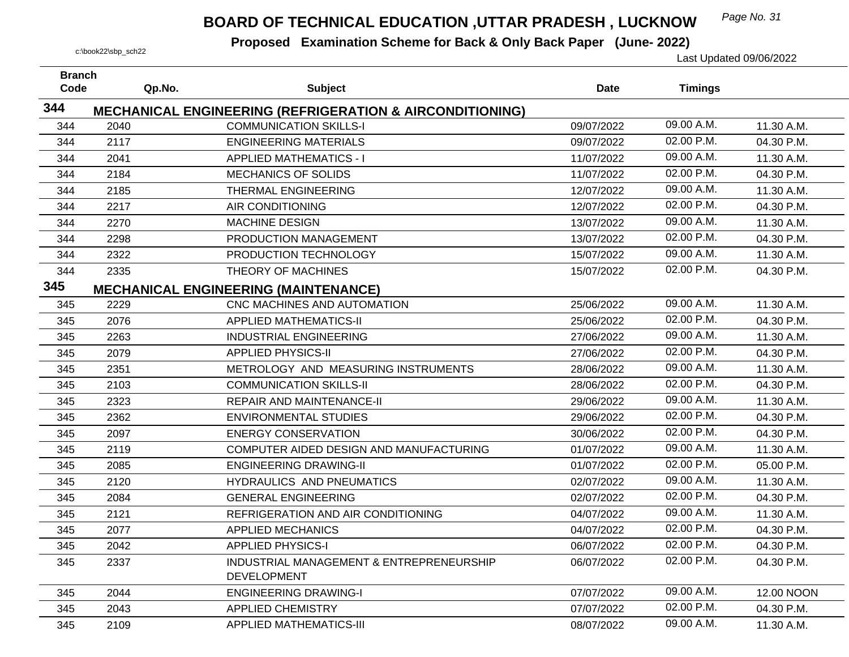## *Page No. 31* **BOARD OF TECHNICAL EDUCATION ,UTTAR PRADESH , LUCKNOW**

| <b>Branch</b><br>Code |        |                                                                     | <b>Date</b> |                |            |
|-----------------------|--------|---------------------------------------------------------------------|-------------|----------------|------------|
|                       | Qp.No. | <b>Subject</b>                                                      |             | <b>Timings</b> |            |
| 344                   |        | <b>MECHANICAL ENGINEERING (REFRIGERATION &amp; AIRCONDITIONING)</b> |             |                |            |
| 344                   | 2040   | <b>COMMUNICATION SKILLS-I</b>                                       | 09/07/2022  | 09.00 A.M.     | 11.30 A.M. |
| 344                   | 2117   | <b>ENGINEERING MATERIALS</b>                                        | 09/07/2022  | 02.00 P.M.     | 04.30 P.M. |
| 344                   | 2041   | <b>APPLIED MATHEMATICS - I</b>                                      | 11/07/2022  | 09.00 A.M.     | 11.30 A.M. |
| 344                   | 2184   | <b>MECHANICS OF SOLIDS</b>                                          | 11/07/2022  | 02.00 P.M.     | 04.30 P.M. |
| 344                   | 2185   | <b>THERMAL ENGINEERING</b>                                          | 12/07/2022  | 09.00 A.M.     | 11.30 A.M. |
| 344                   | 2217   | <b>AIR CONDITIONING</b>                                             | 12/07/2022  | 02.00 P.M.     | 04.30 P.M. |
| 344                   | 2270   | <b>MACHINE DESIGN</b>                                               | 13/07/2022  | 09.00 A.M.     | 11.30 A.M. |
| 344                   | 2298   | PRODUCTION MANAGEMENT                                               | 13/07/2022  | 02.00 P.M.     | 04.30 P.M. |
| 344                   | 2322   | PRODUCTION TECHNOLOGY                                               | 15/07/2022  | 09.00 A.M.     | 11.30 A.M. |
| 344                   | 2335   | THEORY OF MACHINES                                                  | 15/07/2022  | 02.00 P.M.     | 04.30 P.M. |
| 345                   |        | <b>MECHANICAL ENGINEERING (MAINTENANCE)</b>                         |             |                |            |
| 345                   | 2229   | CNC MACHINES AND AUTOMATION                                         | 25/06/2022  | 09.00 A.M.     | 11.30 A.M. |
| 345                   | 2076   | <b>APPLIED MATHEMATICS-II</b>                                       | 25/06/2022  | 02.00 P.M.     | 04.30 P.M. |
| 345                   | 2263   | <b>INDUSTRIAL ENGINEERING</b>                                       | 27/06/2022  | 09.00 A.M.     | 11.30 A.M. |
| 345                   | 2079   | <b>APPLIED PHYSICS-II</b>                                           | 27/06/2022  | 02.00 P.M.     | 04.30 P.M. |
| 345                   | 2351   | METROLOGY AND MEASURING INSTRUMENTS                                 | 28/06/2022  | 09.00 A.M.     | 11.30 A.M. |
| 345                   | 2103   | <b>COMMUNICATION SKILLS-II</b>                                      | 28/06/2022  | 02.00 P.M.     | 04.30 P.M. |
| 345                   | 2323   | <b>REPAIR AND MAINTENANCE-II</b>                                    | 29/06/2022  | 09.00 A.M.     | 11.30 A.M. |
| 345                   | 2362   | <b>ENVIRONMENTAL STUDIES</b>                                        | 29/06/2022  | 02.00 P.M.     | 04.30 P.M. |
| 345                   | 2097   | <b>ENERGY CONSERVATION</b>                                          | 30/06/2022  | 02.00 P.M.     | 04.30 P.M. |
| 345                   | 2119   | COMPUTER AIDED DESIGN AND MANUFACTURING                             | 01/07/2022  | 09.00 A.M.     | 11.30 A.M. |
| 345                   | 2085   | <b>ENGINEERING DRAWING-II</b>                                       | 01/07/2022  | 02.00 P.M.     | 05.00 P.M. |
| 345                   | 2120   | HYDRAULICS AND PNEUMATICS                                           | 02/07/2022  | 09.00 A.M.     | 11.30 A.M. |
| 345                   | 2084   | <b>GENERAL ENGINEERING</b>                                          | 02/07/2022  | 02.00 P.M.     | 04.30 P.M. |
| 345                   | 2121   | REFRIGERATION AND AIR CONDITIONING                                  | 04/07/2022  | 09.00 A.M.     | 11.30 A.M. |
| 345                   | 2077   | <b>APPLIED MECHANICS</b>                                            | 04/07/2022  | 02.00 P.M.     | 04.30 P.M. |
| 345                   | 2042   | <b>APPLIED PHYSICS-I</b>                                            | 06/07/2022  | 02.00 P.M.     | 04.30 P.M. |
| 345                   | 2337   | INDUSTRIAL MANAGEMENT & ENTREPRENEURSHIP                            | 06/07/2022  | 02.00 P.M.     | 04.30 P.M. |
|                       |        | <b>DEVELOPMENT</b>                                                  |             |                |            |
| 345                   | 2044   | <b>ENGINEERING DRAWING-I</b>                                        | 07/07/2022  | 09.00 A.M.     | 12.00 NOON |
| 345                   | 2043   | APPLIED CHEMISTRY                                                   | 07/07/2022  | 02.00 P.M.     | 04.30 P.M. |
| 345                   | 2109   | <b>APPLIED MATHEMATICS-III</b>                                      | 08/07/2022  | 09.00 A.M.     | 11.30 A.M. |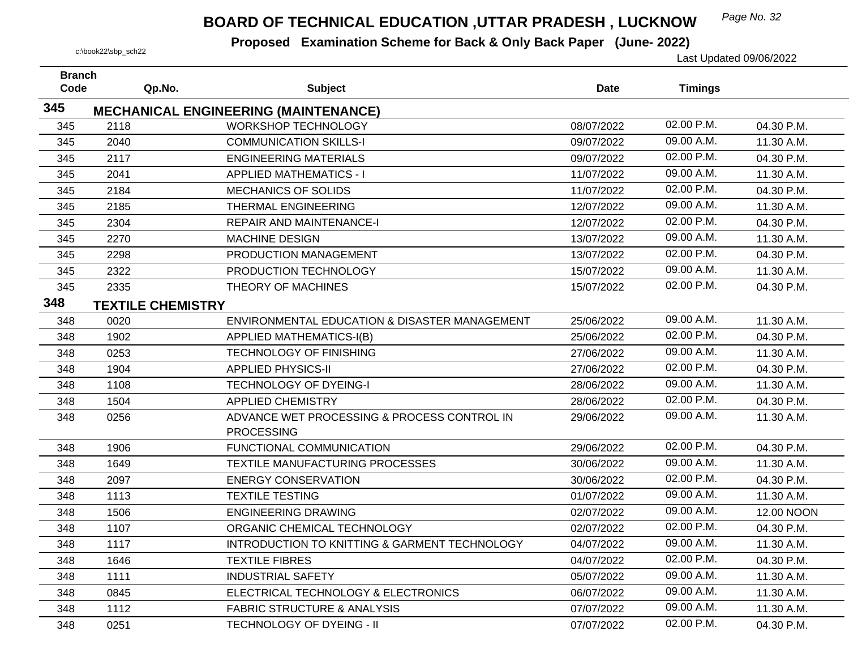## *Page No. 32* **BOARD OF TECHNICAL EDUCATION ,UTTAR PRADESH , LUCKNOW**

| <b>Branch</b> |                          |                                               |            |                |            |
|---------------|--------------------------|-----------------------------------------------|------------|----------------|------------|
| Code          | Qp.No.                   | <b>Subject</b>                                | Date       | <b>Timings</b> |            |
| 345           |                          | <b>MECHANICAL ENGINEERING (MAINTENANCE)</b>   |            |                |            |
| 345           | 2118                     | <b>WORKSHOP TECHNOLOGY</b>                    | 08/07/2022 | 02.00 P.M.     | 04.30 P.M. |
| 345           | 2040                     | <b>COMMUNICATION SKILLS-I</b>                 | 09/07/2022 | 09.00 A.M.     | 11.30 A.M. |
| 345           | 2117                     | <b>ENGINEERING MATERIALS</b>                  | 09/07/2022 | 02.00 P.M.     | 04.30 P.M. |
| 345           | 2041                     | <b>APPLIED MATHEMATICS - I</b>                | 11/07/2022 | 09.00 A.M.     | 11.30 A.M. |
| 345           | 2184                     | <b>MECHANICS OF SOLIDS</b>                    | 11/07/2022 | 02.00 P.M.     | 04.30 P.M. |
| 345           | 2185                     | THERMAL ENGINEERING                           | 12/07/2022 | 09.00 A.M.     | 11.30 A.M. |
| 345           | 2304                     | <b>REPAIR AND MAINTENANCE-I</b>               | 12/07/2022 | 02.00 P.M.     | 04.30 P.M. |
| 345           | 2270                     | <b>MACHINE DESIGN</b>                         | 13/07/2022 | 09.00 A.M.     | 11.30 A.M. |
| 345           | 2298                     | PRODUCTION MANAGEMENT                         | 13/07/2022 | 02.00 P.M.     | 04.30 P.M. |
| 345           | 2322                     | PRODUCTION TECHNOLOGY                         | 15/07/2022 | 09.00 A.M.     | 11.30 A.M. |
| 345           | 2335                     | THEORY OF MACHINES                            | 15/07/2022 | 02.00 P.M.     | 04.30 P.M. |
| 348           | <b>TEXTILE CHEMISTRY</b> |                                               |            |                |            |
| 348           | 0020                     | ENVIRONMENTAL EDUCATION & DISASTER MANAGEMENT | 25/06/2022 | 09.00 A.M.     | 11.30 A.M. |
| 348           | 1902                     | <b>APPLIED MATHEMATICS-I(B)</b>               | 25/06/2022 | 02.00 P.M.     | 04.30 P.M. |
| 348           | 0253                     | <b>TECHNOLOGY OF FINISHING</b>                | 27/06/2022 | 09.00 A.M.     | 11.30 A.M. |
| 348           | 1904                     | <b>APPLIED PHYSICS-II</b>                     | 27/06/2022 | 02.00 P.M.     | 04.30 P.M. |
| 348           | 1108                     | <b>TECHNOLOGY OF DYEING-I</b>                 | 28/06/2022 | 09.00 A.M.     | 11.30 A.M. |
| 348           | 1504                     | <b>APPLIED CHEMISTRY</b>                      | 28/06/2022 | 02.00 P.M.     | 04.30 P.M. |
| 348           | 0256                     | ADVANCE WET PROCESSING & PROCESS CONTROL IN   | 29/06/2022 | 09.00 A.M.     | 11.30 A.M. |
|               |                          | <b>PROCESSING</b>                             |            |                |            |
| 348           | 1906                     | FUNCTIONAL COMMUNICATION                      | 29/06/2022 | 02.00 P.M.     | 04.30 P.M. |
| 348           | 1649                     | TEXTILE MANUFACTURING PROCESSES               | 30/06/2022 | 09.00 A.M.     | 11.30 A.M. |
| 348           | 2097                     | <b>ENERGY CONSERVATION</b>                    | 30/06/2022 | 02.00 P.M.     | 04.30 P.M. |
| 348           | 1113                     | <b>TEXTILE TESTING</b>                        | 01/07/2022 | 09.00 A.M.     | 11.30 A.M. |
| 348           | 1506                     | <b>ENGINEERING DRAWING</b>                    | 02/07/2022 | 09.00 A.M.     | 12.00 NOON |
| 348           | 1107                     | ORGANIC CHEMICAL TECHNOLOGY                   | 02/07/2022 | 02.00 P.M.     | 04.30 P.M. |
| 348           | 1117                     | INTRODUCTION TO KNITTING & GARMENT TECHNOLOGY | 04/07/2022 | 09.00 A.M.     | 11.30 A.M. |
| 348           | 1646                     | <b>TEXTILE FIBRES</b>                         | 04/07/2022 | 02.00 P.M.     | 04.30 P.M. |
| 348           | 1111                     | <b>INDUSTRIAL SAFETY</b>                      | 05/07/2022 | 09.00 A.M.     | 11.30 A.M. |
| 348           | 0845                     | ELECTRICAL TECHNOLOGY & ELECTRONICS           | 06/07/2022 | 09.00 A.M.     | 11.30 A.M. |
| 348           | 1112                     | <b>FABRIC STRUCTURE &amp; ANALYSIS</b>        | 07/07/2022 | 09.00 A.M.     | 11.30 A.M. |
| 348           | 0251                     | TECHNOLOGY OF DYEING - II                     | 07/07/2022 | 02.00 P.M.     | 04.30 P.M. |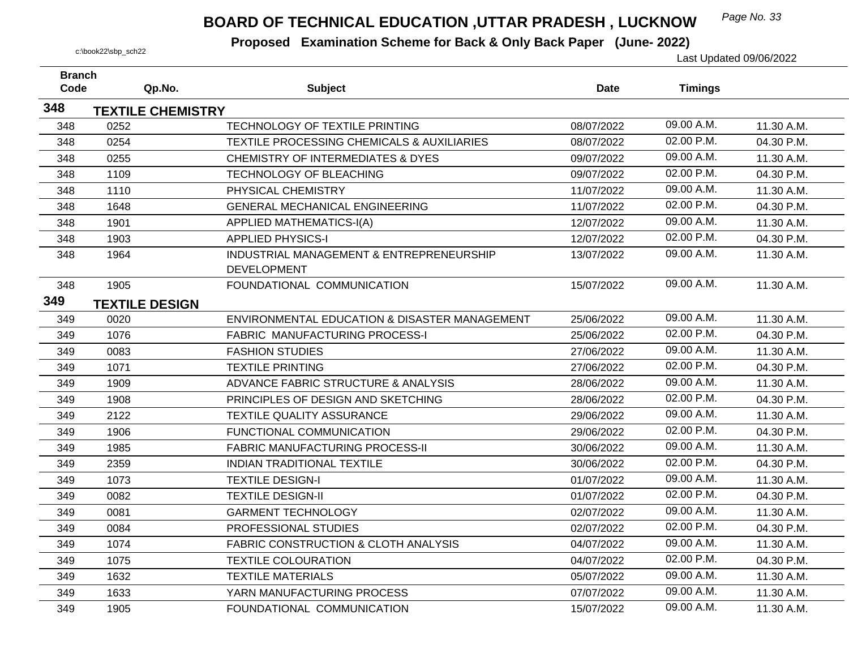## *Page No. 33* **BOARD OF TECHNICAL EDUCATION ,UTTAR PRADESH , LUCKNOW**

| <b>Branch</b> |                          |                                                                |             |                |            |
|---------------|--------------------------|----------------------------------------------------------------|-------------|----------------|------------|
| Code          | Qp.No.                   | <b>Subject</b>                                                 | <b>Date</b> | <b>Timings</b> |            |
| 348           | <b>TEXTILE CHEMISTRY</b> |                                                                |             |                |            |
| 348           | 0252                     | TECHNOLOGY OF TEXTILE PRINTING                                 | 08/07/2022  | 09.00 A.M.     | 11.30 A.M. |
| 348           | 0254                     | TEXTILE PROCESSING CHEMICALS & AUXILIARIES                     | 08/07/2022  | 02.00 P.M.     | 04.30 P.M. |
| 348           | 0255                     | <b>CHEMISTRY OF INTERMEDIATES &amp; DYES</b>                   | 09/07/2022  | 09.00 A.M.     | 11.30 A.M. |
| 348           | 1109                     | TECHNOLOGY OF BLEACHING                                        | 09/07/2022  | 02.00 P.M.     | 04.30 P.M. |
| 348           | 1110                     | PHYSICAL CHEMISTRY                                             | 11/07/2022  | 09.00 A.M.     | 11.30 A.M. |
| 348           | 1648                     | <b>GENERAL MECHANICAL ENGINEERING</b>                          | 11/07/2022  | 02.00 P.M.     | 04.30 P.M. |
| 348           | 1901                     | <b>APPLIED MATHEMATICS-I(A)</b>                                | 12/07/2022  | 09.00 A.M.     | 11.30 A.M. |
| 348           | 1903                     | <b>APPLIED PHYSICS-I</b>                                       | 12/07/2022  | 02.00 P.M.     | 04.30 P.M. |
| 348           | 1964                     | INDUSTRIAL MANAGEMENT & ENTREPRENEURSHIP<br><b>DEVELOPMENT</b> | 13/07/2022  | 09.00 A.M.     | 11.30 A.M. |
| 348           | 1905                     | FOUNDATIONAL COMMUNICATION                                     | 15/07/2022  | 09.00 A.M.     | 11.30 A.M. |
| 349           | <b>TEXTILE DESIGN</b>    |                                                                |             |                |            |
| 349           | 0020                     | ENVIRONMENTAL EDUCATION & DISASTER MANAGEMENT                  | 25/06/2022  | 09.00 A.M.     | 11.30 A.M. |
| 349           | 1076                     | <b>FABRIC MANUFACTURING PROCESS-I</b>                          | 25/06/2022  | 02.00 P.M.     | 04.30 P.M. |
| 349           | 0083                     | <b>FASHION STUDIES</b>                                         | 27/06/2022  | 09.00 A.M.     | 11.30 A.M. |
| 349           | 1071                     | <b>TEXTILE PRINTING</b>                                        | 27/06/2022  | 02.00 P.M.     | 04.30 P.M. |
| 349           | 1909                     | ADVANCE FABRIC STRUCTURE & ANALYSIS                            | 28/06/2022  | 09.00 A.M.     | 11.30 A.M. |
| 349           | 1908                     | PRINCIPLES OF DESIGN AND SKETCHING                             | 28/06/2022  | 02.00 P.M.     | 04.30 P.M. |
| 349           | 2122                     | <b>TEXTILE QUALITY ASSURANCE</b>                               | 29/06/2022  | 09.00 A.M.     | 11.30 A.M. |
| 349           | 1906                     | FUNCTIONAL COMMUNICATION                                       | 29/06/2022  | 02.00 P.M.     | 04.30 P.M. |
| 349           | 1985                     | <b>FABRIC MANUFACTURING PROCESS-II</b>                         | 30/06/2022  | 09.00 A.M.     | 11.30 A.M. |
| 349           | 2359                     | <b>INDIAN TRADITIONAL TEXTILE</b>                              | 30/06/2022  | 02.00 P.M.     | 04.30 P.M. |
| 349           | 1073                     | <b>TEXTILE DESIGN-I</b>                                        | 01/07/2022  | 09.00 A.M.     | 11.30 A.M. |
| 349           | 0082                     | <b>TEXTILE DESIGN-II</b>                                       | 01/07/2022  | 02.00 P.M.     | 04.30 P.M. |
| 349           | 0081                     | <b>GARMENT TECHNOLOGY</b>                                      | 02/07/2022  | 09.00 A.M.     | 11.30 A.M. |
| 349           | 0084                     | PROFESSIONAL STUDIES                                           | 02/07/2022  | 02.00 P.M.     | 04.30 P.M. |
| 349           | 1074                     | <b>FABRIC CONSTRUCTION &amp; CLOTH ANALYSIS</b>                | 04/07/2022  | 09.00 A.M.     | 11.30 A.M. |
| 349           | 1075                     | <b>TEXTILE COLOURATION</b>                                     | 04/07/2022  | 02.00 P.M.     | 04.30 P.M. |
| 349           | 1632                     | <b>TEXTILE MATERIALS</b>                                       | 05/07/2022  | 09.00 A.M.     | 11.30 A.M. |
| 349           | 1633                     | YARN MANUFACTURING PROCESS                                     | 07/07/2022  | 09.00 A.M.     | 11.30 A.M. |
| 349           | 1905                     | FOUNDATIONAL COMMUNICATION                                     | 15/07/2022  | 09.00 A.M.     | 11.30 A.M. |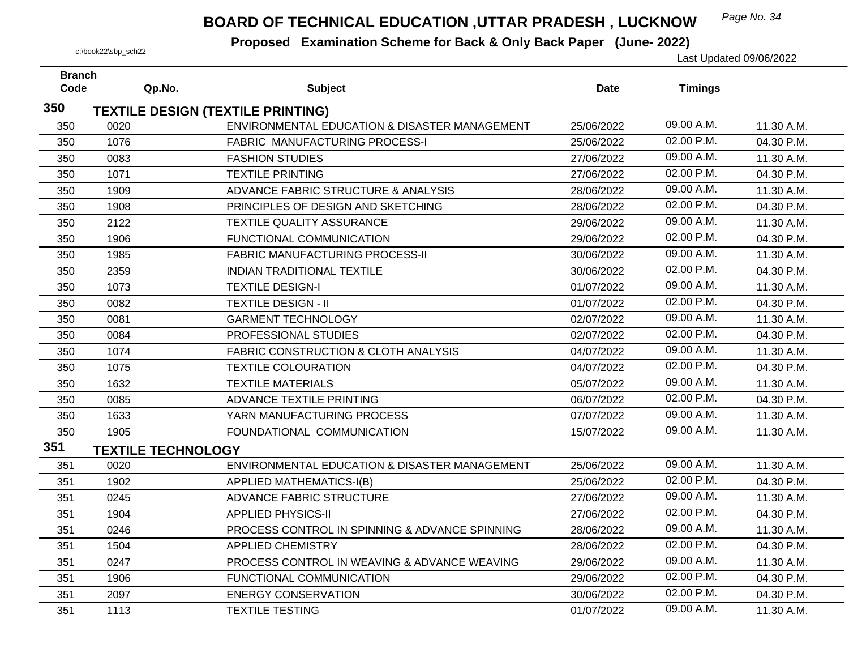## *Page No. 34* **BOARD OF TECHNICAL EDUCATION ,UTTAR PRADESH , LUCKNOW**

| <b>Branch</b> |                           |                                                 |            |                |            |
|---------------|---------------------------|-------------------------------------------------|------------|----------------|------------|
| Code          | Qp.No.                    | <b>Subject</b>                                  | Date       | <b>Timings</b> |            |
| 350           |                           | <b>TEXTILE DESIGN (TEXTILE PRINTING)</b>        |            |                |            |
| 350           | 0020                      | ENVIRONMENTAL EDUCATION & DISASTER MANAGEMENT   | 25/06/2022 | 09.00 A.M.     | 11.30 A.M. |
| 350           | 1076                      | FABRIC MANUFACTURING PROCESS-I                  | 25/06/2022 | 02.00 P.M.     | 04.30 P.M. |
| 350           | 0083                      | <b>FASHION STUDIES</b>                          | 27/06/2022 | 09.00 A.M.     | 11.30 A.M. |
| 350           | 1071                      | <b>TEXTILE PRINTING</b>                         | 27/06/2022 | 02.00 P.M.     | 04.30 P.M. |
| 350           | 1909                      | ADVANCE FABRIC STRUCTURE & ANALYSIS             | 28/06/2022 | 09.00 A.M.     | 11.30 A.M. |
| 350           | 1908                      | PRINCIPLES OF DESIGN AND SKETCHING              | 28/06/2022 | 02.00 P.M.     | 04.30 P.M. |
| 350           | 2122                      | TEXTILE QUALITY ASSURANCE                       | 29/06/2022 | 09.00 A.M.     | 11.30 A.M. |
| 350           | 1906                      | FUNCTIONAL COMMUNICATION                        | 29/06/2022 | 02.00 P.M.     | 04.30 P.M. |
| 350           | 1985                      | <b>FABRIC MANUFACTURING PROCESS-II</b>          | 30/06/2022 | 09.00 A.M.     | 11.30 A.M. |
| 350           | 2359                      | <b>INDIAN TRADITIONAL TEXTILE</b>               | 30/06/2022 | 02.00 P.M.     | 04.30 P.M. |
| 350           | 1073                      | <b>TEXTILE DESIGN-I</b>                         | 01/07/2022 | 09.00 A.M.     | 11.30 A.M. |
| 350           | 0082                      | <b>TEXTILE DESIGN - II</b>                      | 01/07/2022 | 02.00 P.M.     | 04.30 P.M. |
| 350           | 0081                      | <b>GARMENT TECHNOLOGY</b>                       | 02/07/2022 | 09.00 A.M.     | 11.30 A.M. |
| 350           | 0084                      | PROFESSIONAL STUDIES                            | 02/07/2022 | 02.00 P.M.     | 04.30 P.M. |
| 350           | 1074                      | <b>FABRIC CONSTRUCTION &amp; CLOTH ANALYSIS</b> | 04/07/2022 | 09.00 A.M.     | 11.30 A.M. |
| 350           | 1075                      | <b>TEXTILE COLOURATION</b>                      | 04/07/2022 | 02.00 P.M.     | 04.30 P.M. |
| 350           | 1632                      | <b>TEXTILE MATERIALS</b>                        | 05/07/2022 | 09.00 A.M.     | 11.30 A.M. |
| 350           | 0085                      | ADVANCE TEXTILE PRINTING                        | 06/07/2022 | 02.00 P.M.     | 04.30 P.M. |
| 350           | 1633                      | YARN MANUFACTURING PROCESS                      | 07/07/2022 | 09.00 A.M.     | 11.30 A.M. |
| 350           | 1905                      | FOUNDATIONAL COMMUNICATION                      | 15/07/2022 | 09.00 A.M.     | 11.30 A.M. |
| 351           | <b>TEXTILE TECHNOLOGY</b> |                                                 |            |                |            |
| 351           | 0020                      | ENVIRONMENTAL EDUCATION & DISASTER MANAGEMENT   | 25/06/2022 | 09.00 A.M.     | 11.30 A.M. |
| 351           | 1902                      | <b>APPLIED MATHEMATICS-I(B)</b>                 | 25/06/2022 | 02.00 P.M.     | 04.30 P.M. |
| 351           | 0245                      | ADVANCE FABRIC STRUCTURE                        | 27/06/2022 | 09.00 A.M.     | 11.30 A.M. |
| 351           | 1904                      | <b>APPLIED PHYSICS-II</b>                       | 27/06/2022 | 02.00 P.M.     | 04.30 P.M. |
| 351           | 0246                      | PROCESS CONTROL IN SPINNING & ADVANCE SPINNING  | 28/06/2022 | 09.00 A.M.     | 11.30 A.M. |
| 351           | 1504                      | <b>APPLIED CHEMISTRY</b>                        | 28/06/2022 | 02.00 P.M.     | 04.30 P.M. |
| 351           | 0247                      | PROCESS CONTROL IN WEAVING & ADVANCE WEAVING    | 29/06/2022 | 09.00 A.M.     | 11.30 A.M. |
| 351           | 1906                      | FUNCTIONAL COMMUNICATION                        | 29/06/2022 | 02.00 P.M.     | 04.30 P.M. |
| 351           | 2097                      | <b>ENERGY CONSERVATION</b>                      | 30/06/2022 | 02.00 P.M.     | 04.30 P.M. |
| 351           | 1113                      | <b>TEXTILE TESTING</b>                          | 01/07/2022 | 09.00 A.M.     | 11.30 A.M. |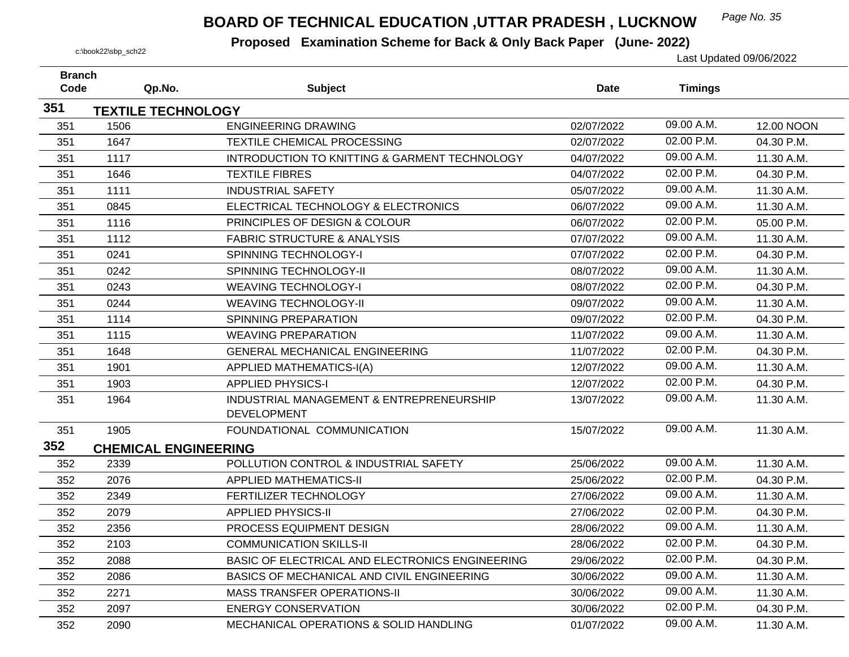## *Page No. 35* **BOARD OF TECHNICAL EDUCATION ,UTTAR PRADESH , LUCKNOW**

| <b>Branch</b> |                             |                                                          |             |                |            |
|---------------|-----------------------------|----------------------------------------------------------|-------------|----------------|------------|
| Code          | Qp.No.                      | <b>Subject</b>                                           | <b>Date</b> | <b>Timings</b> |            |
| 351           | <b>TEXTILE TECHNOLOGY</b>   |                                                          |             |                |            |
| 351           | 1506                        | <b>ENGINEERING DRAWING</b>                               | 02/07/2022  | 09.00 A.M.     | 12.00 NOON |
| 351           | 1647                        | <b>TEXTILE CHEMICAL PROCESSING</b>                       | 02/07/2022  | 02.00 P.M.     | 04.30 P.M. |
| 351           | 1117                        | <b>INTRODUCTION TO KNITTING &amp; GARMENT TECHNOLOGY</b> | 04/07/2022  | 09.00 A.M.     | 11.30 A.M. |
| 351           | 1646                        | <b>TEXTILE FIBRES</b>                                    | 04/07/2022  | 02.00 P.M.     | 04.30 P.M. |
| 351           | 1111                        | <b>INDUSTRIAL SAFETY</b>                                 | 05/07/2022  | 09.00 A.M.     | 11.30 A.M. |
| 351           | 0845                        | ELECTRICAL TECHNOLOGY & ELECTRONICS                      | 06/07/2022  | 09.00 A.M.     | 11.30 A.M. |
| 351           | 1116                        | PRINCIPLES OF DESIGN & COLOUR                            | 06/07/2022  | 02.00 P.M.     | 05.00 P.M. |
| 351           | 1112                        | <b>FABRIC STRUCTURE &amp; ANALYSIS</b>                   | 07/07/2022  | 09.00 A.M.     | 11.30 A.M. |
| 351           | 0241                        | SPINNING TECHNOLOGY-I                                    | 07/07/2022  | 02.00 P.M.     | 04.30 P.M. |
| 351           | 0242                        | SPINNING TECHNOLOGY-II                                   | 08/07/2022  | 09.00 A.M.     | 11.30 A.M. |
| 351           | 0243                        | <b>WEAVING TECHNOLOGY-I</b>                              | 08/07/2022  | 02.00 P.M.     | 04.30 P.M. |
| 351           | 0244                        | <b>WEAVING TECHNOLOGY-II</b>                             | 09/07/2022  | 09.00 A.M.     | 11.30 A.M. |
| 351           | 1114                        | SPINNING PREPARATION                                     | 09/07/2022  | 02.00 P.M.     | 04.30 P.M. |
| 351           | 1115                        | <b>WEAVING PREPARATION</b>                               | 11/07/2022  | 09.00 A.M.     | 11.30 A.M. |
| 351           | 1648                        | <b>GENERAL MECHANICAL ENGINEERING</b>                    | 11/07/2022  | 02.00 P.M.     | 04.30 P.M. |
| 351           | 1901                        | <b>APPLIED MATHEMATICS-I(A)</b>                          | 12/07/2022  | 09.00 A.M.     | 11.30 A.M. |
| 351           | 1903                        | <b>APPLIED PHYSICS-I</b>                                 | 12/07/2022  | 02.00 P.M.     | 04.30 P.M. |
| 351           | 1964                        | INDUSTRIAL MANAGEMENT & ENTREPRENEURSHIP                 | 13/07/2022  | 09.00 A.M.     | 11.30 A.M. |
|               |                             | <b>DEVELOPMENT</b>                                       |             |                |            |
| 351           | 1905                        | FOUNDATIONAL COMMUNICATION                               | 15/07/2022  | 09.00 A.M.     | 11.30 A.M. |
| 352           | <b>CHEMICAL ENGINEERING</b> |                                                          |             |                |            |
| 352           | 2339                        | POLLUTION CONTROL & INDUSTRIAL SAFETY                    | 25/06/2022  | 09.00 A.M.     | 11.30 A.M. |
| 352           | 2076                        | <b>APPLIED MATHEMATICS-II</b>                            | 25/06/2022  | 02.00 P.M.     | 04.30 P.M. |
| 352           | 2349                        | FERTILIZER TECHNOLOGY                                    | 27/06/2022  | 09.00 A.M.     | 11.30 A.M. |
| 352           | 2079                        | <b>APPLIED PHYSICS-II</b>                                | 27/06/2022  | 02.00 P.M.     | 04.30 P.M. |
| 352           | 2356                        | PROCESS EQUIPMENT DESIGN                                 | 28/06/2022  | 09.00 A.M.     | 11.30 A.M. |
| 352           | 2103                        | <b>COMMUNICATION SKILLS-II</b>                           | 28/06/2022  | 02.00 P.M.     | 04.30 P.M. |
| 352           | 2088                        | BASIC OF ELECTRICAL AND ELECTRONICS ENGINEERING          | 29/06/2022  | 02.00 P.M.     | 04.30 P.M. |
| 352           | 2086                        | BASICS OF MECHANICAL AND CIVIL ENGINEERING               | 30/06/2022  | 09.00 A.M.     | 11.30 A.M. |
| 352           | 2271                        | <b>MASS TRANSFER OPERATIONS-II</b>                       | 30/06/2022  | 09.00 A.M.     | 11.30 A.M. |
| 352           | 2097                        | <b>ENERGY CONSERVATION</b>                               | 30/06/2022  | 02.00 P.M.     | 04.30 P.M. |
| 352           | 2090                        | MECHANICAL OPERATIONS & SOLID HANDLING                   | 01/07/2022  | 09.00 A.M.     | 11.30 A.M. |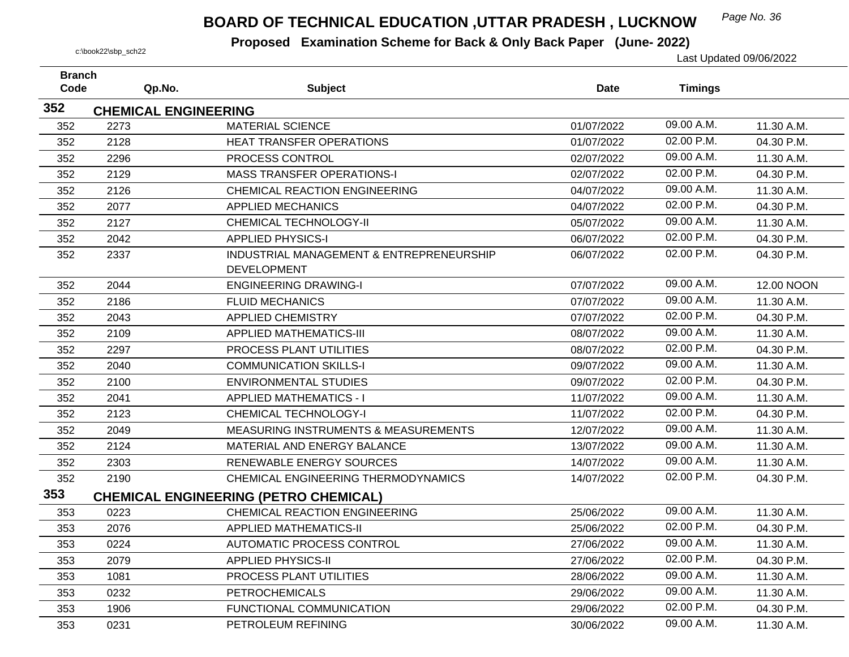## *Page No. 36* **BOARD OF TECHNICAL EDUCATION ,UTTAR PRADESH , LUCKNOW**

| <b>Branch</b> |                             |                                                 |             |                |            |
|---------------|-----------------------------|-------------------------------------------------|-------------|----------------|------------|
| Code          | Qp.No.                      | <b>Subject</b>                                  | <b>Date</b> | <b>Timings</b> |            |
| 352           | <b>CHEMICAL ENGINEERING</b> |                                                 |             |                |            |
| 352           | 2273                        | <b>MATERIAL SCIENCE</b>                         | 01/07/2022  | 09.00 A.M.     | 11.30 A.M. |
| 352           | 2128                        | <b>HEAT TRANSFER OPERATIONS</b>                 | 01/07/2022  | 02.00 P.M.     | 04.30 P.M. |
| 352           | 2296                        | PROCESS CONTROL                                 | 02/07/2022  | 09.00 A.M.     | 11.30 A.M. |
| 352           | 2129                        | <b>MASS TRANSFER OPERATIONS-I</b>               | 02/07/2022  | 02.00 P.M.     | 04.30 P.M. |
| 352           | 2126                        | <b>CHEMICAL REACTION ENGINEERING</b>            | 04/07/2022  | 09.00 A.M.     | 11.30 A.M. |
| 352           | 2077                        | <b>APPLIED MECHANICS</b>                        | 04/07/2022  | 02.00 P.M.     | 04.30 P.M. |
| 352           | 2127                        | <b>CHEMICAL TECHNOLOGY-II</b>                   | 05/07/2022  | 09.00 A.M.     | 11.30 A.M. |
| 352           | 2042                        | <b>APPLIED PHYSICS-I</b>                        | 06/07/2022  | 02.00 P.M.     | 04.30 P.M. |
| 352           | 2337                        | INDUSTRIAL MANAGEMENT & ENTREPRENEURSHIP        | 06/07/2022  | 02.00 P.M.     | 04.30 P.M. |
|               |                             | <b>DEVELOPMENT</b>                              |             |                |            |
| 352           | 2044                        | <b>ENGINEERING DRAWING-I</b>                    | 07/07/2022  | 09.00 A.M.     | 12.00 NOON |
| 352           | 2186                        | <b>FLUID MECHANICS</b>                          | 07/07/2022  | 09.00 A.M.     | 11.30 A.M. |
| 352           | 2043                        | <b>APPLIED CHEMISTRY</b>                        | 07/07/2022  | 02.00 P.M.     | 04.30 P.M. |
| 352           | 2109                        | <b>APPLIED MATHEMATICS-III</b>                  | 08/07/2022  | 09.00 A.M.     | 11.30 A.M. |
| 352           | 2297                        | PROCESS PLANT UTILITIES                         | 08/07/2022  | 02.00 P.M.     | 04.30 P.M. |
| 352           | 2040                        | <b>COMMUNICATION SKILLS-I</b>                   | 09/07/2022  | 09.00 A.M.     | 11.30 A.M. |
| 352           | 2100                        | <b>ENVIRONMENTAL STUDIES</b>                    | 09/07/2022  | 02.00 P.M.     | 04.30 P.M. |
| 352           | 2041                        | <b>APPLIED MATHEMATICS - I</b>                  | 11/07/2022  | 09.00 A.M.     | 11.30 A.M. |
| 352           | 2123                        | <b>CHEMICAL TECHNOLOGY-I</b>                    | 11/07/2022  | 02.00 P.M.     | 04.30 P.M. |
| 352           | 2049                        | <b>MEASURING INSTRUMENTS &amp; MEASUREMENTS</b> | 12/07/2022  | 09.00 A.M.     | 11.30 A.M. |
| 352           | 2124                        | MATERIAL AND ENERGY BALANCE                     | 13/07/2022  | 09.00 A.M.     | 11.30 A.M. |
| 352           | 2303                        | RENEWABLE ENERGY SOURCES                        | 14/07/2022  | 09.00 A.M.     | 11.30 A.M. |
| 352           | 2190                        | CHEMICAL ENGINEERING THERMODYNAMICS             | 14/07/2022  | 02.00 P.M.     | 04.30 P.M. |
| 353           |                             | <b>CHEMICAL ENGINEERING (PETRO CHEMICAL)</b>    |             |                |            |
| 353           | 0223                        | <b>CHEMICAL REACTION ENGINEERING</b>            | 25/06/2022  | 09.00 A.M.     | 11.30 A.M. |
| 353           | 2076                        | <b>APPLIED MATHEMATICS-II</b>                   | 25/06/2022  | 02.00 P.M.     | 04.30 P.M. |
| 353           | 0224                        | <b>AUTOMATIC PROCESS CONTROL</b>                | 27/06/2022  | 09.00 A.M.     | 11.30 A.M. |
| 353           | 2079                        | <b>APPLIED PHYSICS-II</b>                       | 27/06/2022  | 02.00 P.M.     | 04.30 P.M. |
| 353           | 1081                        | PROCESS PLANT UTILITIES                         | 28/06/2022  | 09.00 A.M.     | 11.30 A.M. |
| 353           | 0232                        | <b>PETROCHEMICALS</b>                           | 29/06/2022  | 09.00 A.M.     | 11.30 A.M. |
| 353           | 1906                        | FUNCTIONAL COMMUNICATION                        | 29/06/2022  | 02.00 P.M.     | 04.30 P.M. |
| 353           | 0231                        | PETROLEUM REFINING                              | 30/06/2022  | 09.00 A.M.     | 11.30 A.M. |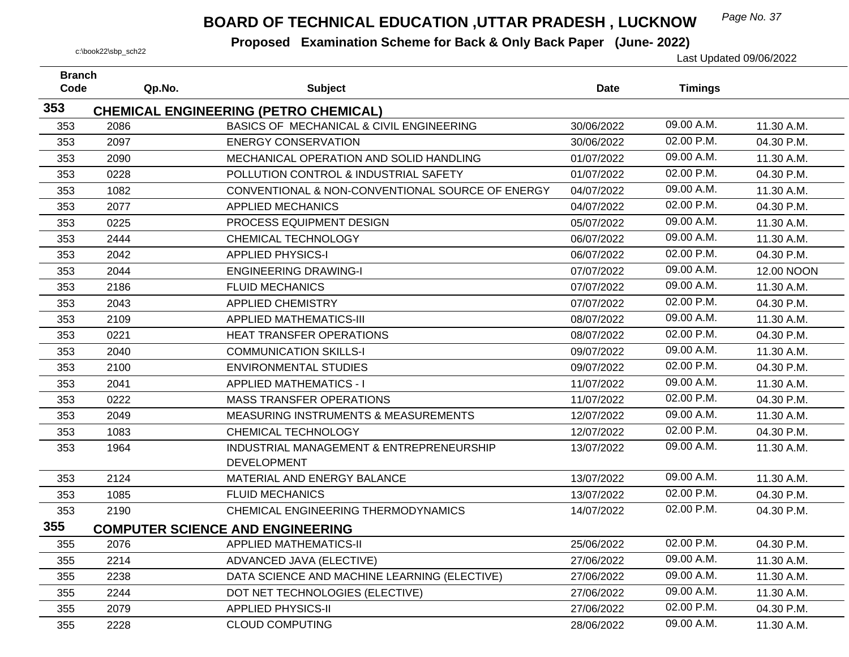## *Page No. 37* **BOARD OF TECHNICAL EDUCATION ,UTTAR PRADESH , LUCKNOW**

| <b>Branch</b> |        |                                                                |             |                |            |
|---------------|--------|----------------------------------------------------------------|-------------|----------------|------------|
| Code          | Qp.No. | <b>Subject</b>                                                 | <b>Date</b> | <b>Timings</b> |            |
| 353           |        | <b>CHEMICAL ENGINEERING (PETRO CHEMICAL)</b>                   |             |                |            |
| 353           | 2086   | BASICS OF MECHANICAL & CIVIL ENGINEERING                       | 30/06/2022  | 09.00 A.M.     | 11.30 A.M. |
| 353           | 2097   | <b>ENERGY CONSERVATION</b>                                     | 30/06/2022  | 02.00 P.M.     | 04.30 P.M. |
| 353           | 2090   | MECHANICAL OPERATION AND SOLID HANDLING                        | 01/07/2022  | 09.00 A.M.     | 11.30 A.M. |
| 353           | 0228   | POLLUTION CONTROL & INDUSTRIAL SAFETY                          | 01/07/2022  | 02.00 P.M.     | 04.30 P.M. |
| 353           | 1082   | CONVENTIONAL & NON-CONVENTIONAL SOURCE OF ENERGY               | 04/07/2022  | 09.00 A.M.     | 11.30 A.M. |
| 353           | 2077   | <b>APPLIED MECHANICS</b>                                       | 04/07/2022  | 02.00 P.M.     | 04.30 P.M. |
| 353           | 0225   | PROCESS EQUIPMENT DESIGN                                       | 05/07/2022  | 09.00 A.M.     | 11.30 A.M. |
| 353           | 2444   | CHEMICAL TECHNOLOGY                                            | 06/07/2022  | 09.00 A.M.     | 11.30 A.M. |
| 353           | 2042   | <b>APPLIED PHYSICS-I</b>                                       | 06/07/2022  | 02.00 P.M.     | 04.30 P.M. |
| 353           | 2044   | <b>ENGINEERING DRAWING-I</b>                                   | 07/07/2022  | 09.00 A.M.     | 12.00 NOON |
| 353           | 2186   | <b>FLUID MECHANICS</b>                                         | 07/07/2022  | 09.00 A.M.     | 11.30 A.M. |
| 353           | 2043   | <b>APPLIED CHEMISTRY</b>                                       | 07/07/2022  | 02.00 P.M.     | 04.30 P.M. |
| 353           | 2109   | <b>APPLIED MATHEMATICS-III</b>                                 | 08/07/2022  | 09.00 A.M.     | 11.30 A.M. |
| 353           | 0221   | HEAT TRANSFER OPERATIONS                                       | 08/07/2022  | 02.00 P.M.     | 04.30 P.M. |
| 353           | 2040   | <b>COMMUNICATION SKILLS-I</b>                                  | 09/07/2022  | 09.00 A.M.     | 11.30 A.M. |
| 353           | 2100   | <b>ENVIRONMENTAL STUDIES</b>                                   | 09/07/2022  | 02.00 P.M.     | 04.30 P.M. |
| 353           | 2041   | <b>APPLIED MATHEMATICS - I</b>                                 | 11/07/2022  | 09.00 A.M.     | 11.30 A.M. |
| 353           | 0222   | <b>MASS TRANSFER OPERATIONS</b>                                | 11/07/2022  | 02.00 P.M.     | 04.30 P.M. |
| 353           | 2049   | MEASURING INSTRUMENTS & MEASUREMENTS                           | 12/07/2022  | 09.00 A.M.     | 11.30 A.M. |
| 353           | 1083   | CHEMICAL TECHNOLOGY                                            | 12/07/2022  | 02.00 P.M.     | 04.30 P.M. |
| 353           | 1964   | INDUSTRIAL MANAGEMENT & ENTREPRENEURSHIP<br><b>DEVELOPMENT</b> | 13/07/2022  | 09.00 A.M.     | 11.30 A.M. |
| 353           | 2124   | MATERIAL AND ENERGY BALANCE                                    | 13/07/2022  | 09.00 A.M.     | 11.30 A.M. |
| 353           | 1085   | <b>FLUID MECHANICS</b>                                         | 13/07/2022  | 02.00 P.M.     | 04.30 P.M. |
| 353           | 2190   | CHEMICAL ENGINEERING THERMODYNAMICS                            | 14/07/2022  | 02.00 P.M.     | 04.30 P.M. |
| 355           |        | <b>COMPUTER SCIENCE AND ENGINEERING</b>                        |             |                |            |
| 355           | 2076   | <b>APPLIED MATHEMATICS-II</b>                                  | 25/06/2022  | 02.00 P.M.     | 04.30 P.M. |
| 355           | 2214   | ADVANCED JAVA (ELECTIVE)                                       | 27/06/2022  | 09.00 A.M.     | 11.30 A.M. |
| 355           | 2238   | DATA SCIENCE AND MACHINE LEARNING (ELECTIVE)                   | 27/06/2022  | 09.00 A.M.     | 11.30 A.M. |
| 355           | 2244   | DOT NET TECHNOLOGIES (ELECTIVE)                                | 27/06/2022  | 09.00 A.M.     | 11.30 A.M. |
| 355           | 2079   | <b>APPLIED PHYSICS-II</b>                                      | 27/06/2022  | 02.00 P.M.     | 04.30 P.M. |
| 355           | 2228   | <b>CLOUD COMPUTING</b>                                         | 28/06/2022  | 09.00 A.M.     | 11.30 A.M. |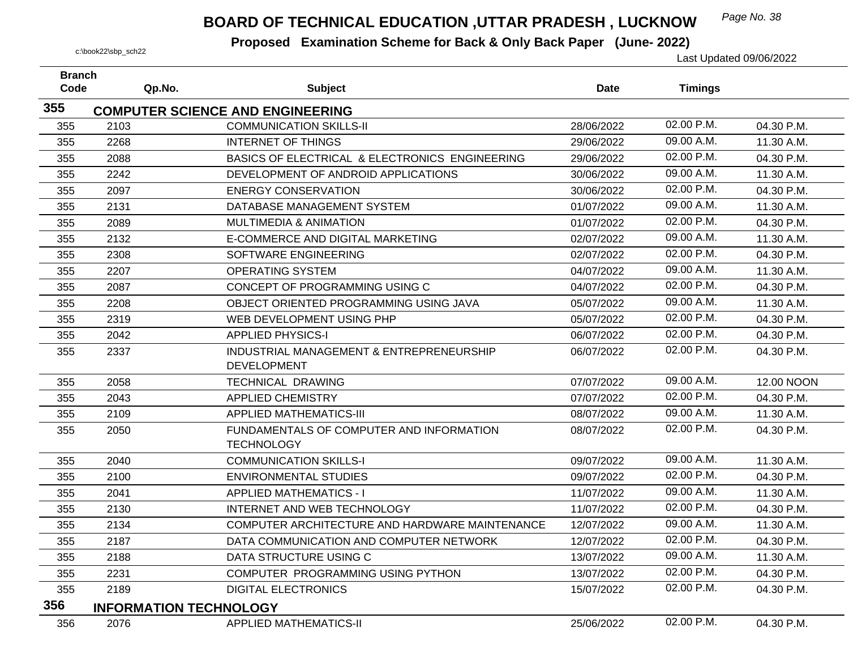## *Page No. 38* **BOARD OF TECHNICAL EDUCATION ,UTTAR PRADESH , LUCKNOW**

| <b>Branch</b><br>Code | Qp.No. | <b>Subject</b>                                 | <b>Date</b> | <b>Timings</b> |            |
|-----------------------|--------|------------------------------------------------|-------------|----------------|------------|
|                       |        |                                                |             |                |            |
| 355                   |        | <b>COMPUTER SCIENCE AND ENGINEERING</b>        |             |                |            |
| 355                   | 2103   | <b>COMMUNICATION SKILLS-II</b>                 | 28/06/2022  | 02.00 P.M.     | 04.30 P.M. |
| 355                   | 2268   | <b>INTERNET OF THINGS</b>                      | 29/06/2022  | 09.00 A.M.     | 11.30 A.M. |
| 355                   | 2088   | BASICS OF ELECTRICAL & ELECTRONICS ENGINEERING | 29/06/2022  | 02.00 P.M.     | 04.30 P.M. |
| 355                   | 2242   | DEVELOPMENT OF ANDROID APPLICATIONS            | 30/06/2022  | 09.00 A.M.     | 11.30 A.M. |
| 355                   | 2097   | <b>ENERGY CONSERVATION</b>                     | 30/06/2022  | 02.00 P.M.     | 04.30 P.M. |
| 355                   | 2131   | DATABASE MANAGEMENT SYSTEM                     | 01/07/2022  | 09.00 A.M.     | 11.30 A.M. |
| 355                   | 2089   | <b>MULTIMEDIA &amp; ANIMATION</b>              | 01/07/2022  | 02.00 P.M.     | 04.30 P.M. |
| 355                   | 2132   | E-COMMERCE AND DIGITAL MARKETING               | 02/07/2022  | 09.00 A.M.     | 11.30 A.M. |
| 355                   | 2308   | SOFTWARE ENGINEERING                           | 02/07/2022  | 02.00 P.M.     | 04.30 P.M. |
| 355                   | 2207   | <b>OPERATING SYSTEM</b>                        | 04/07/2022  | 09.00 A.M.     | 11.30 A.M. |
| 355                   | 2087   | CONCEPT OF PROGRAMMING USING C                 | 04/07/2022  | 02.00 P.M.     | 04.30 P.M. |
| 355                   | 2208   | OBJECT ORIENTED PROGRAMMING USING JAVA         | 05/07/2022  | 09.00 A.M.     | 11.30 A.M. |
| 355                   | 2319   | WEB DEVELOPMENT USING PHP                      | 05/07/2022  | 02.00 P.M.     | 04.30 P.M. |
| 355                   | 2042   | <b>APPLIED PHYSICS-I</b>                       | 06/07/2022  | 02.00 P.M.     | 04.30 P.M. |
| 355                   | 2337   | INDUSTRIAL MANAGEMENT & ENTREPRENEURSHIP       | 06/07/2022  | 02.00 P.M.     | 04.30 P.M. |
|                       |        | <b>DEVELOPMENT</b>                             |             |                |            |
| 355                   | 2058   | <b>TECHNICAL DRAWING</b>                       | 07/07/2022  | 09.00 A.M.     | 12.00 NOON |
| 355                   | 2043   | <b>APPLIED CHEMISTRY</b>                       | 07/07/2022  | 02.00 P.M.     | 04.30 P.M. |
| 355                   | 2109   | <b>APPLIED MATHEMATICS-III</b>                 | 08/07/2022  | 09.00 A.M.     | 11.30 A.M. |
| 355                   | 2050   | FUNDAMENTALS OF COMPUTER AND INFORMATION       | 08/07/2022  | 02.00 P.M.     | 04.30 P.M. |
|                       |        | <b>TECHNOLOGY</b>                              |             |                |            |
| 355                   | 2040   | <b>COMMUNICATION SKILLS-I</b>                  | 09/07/2022  | 09.00 A.M.     | 11.30 A.M. |
| 355                   | 2100   | <b>ENVIRONMENTAL STUDIES</b>                   | 09/07/2022  | 02.00 P.M.     | 04.30 P.M. |
| 355                   | 2041   | <b>APPLIED MATHEMATICS - I</b>                 | 11/07/2022  | 09.00 A.M.     | 11.30 A.M. |
| 355                   | 2130   | <b>INTERNET AND WEB TECHNOLOGY</b>             | 11/07/2022  | 02.00 P.M.     | 04.30 P.M. |
| 355                   | 2134   | COMPUTER ARCHITECTURE AND HARDWARE MAINTENANCE | 12/07/2022  | 09.00 A.M.     | 11.30 A.M. |
| 355                   | 2187   | DATA COMMUNICATION AND COMPUTER NETWORK        | 12/07/2022  | 02.00 P.M.     | 04.30 P.M. |
| 355                   | 2188   | DATA STRUCTURE USING C                         | 13/07/2022  | 09.00 A.M.     | 11.30 A.M. |
| 355                   | 2231   | COMPUTER PROGRAMMING USING PYTHON              | 13/07/2022  | 02.00 P.M.     | 04.30 P.M. |
| 355                   | 2189   | <b>DIGITAL ELECTRONICS</b>                     | 15/07/2022  | 02.00 P.M.     | 04.30 P.M. |
| 356                   |        | <b>INFORMATION TECHNOLOGY</b>                  |             |                |            |
| 356                   | 2076   | <b>APPLIED MATHEMATICS-II</b>                  | 25/06/2022  | 02.00 P.M.     | 04.30 P.M. |
|                       |        |                                                |             |                |            |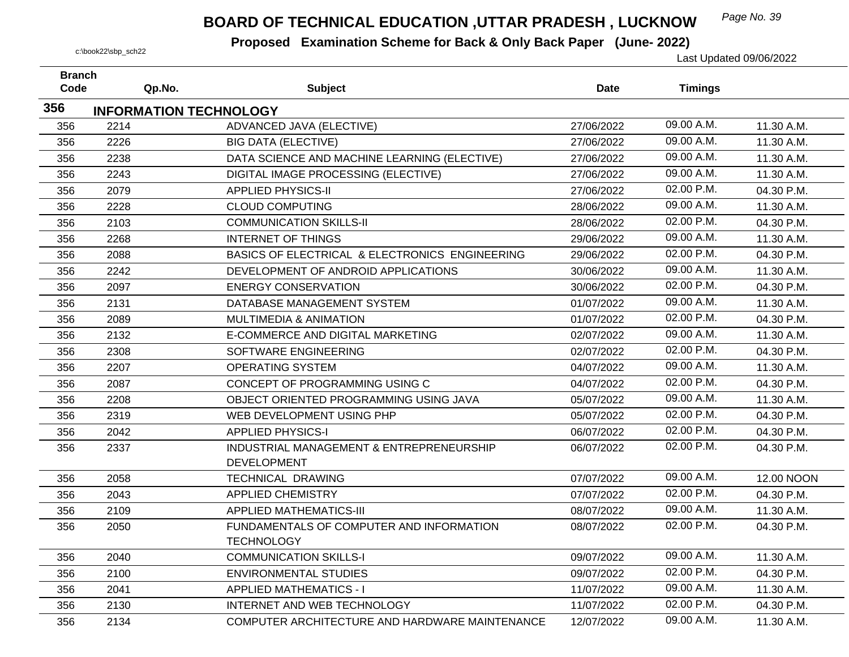## *Page No. 39* **BOARD OF TECHNICAL EDUCATION ,UTTAR PRADESH , LUCKNOW**

| <b>Branch</b><br>Code | Qp.No.                        | <b>Subject</b>                                                 | Date       | <b>Timings</b> |            |
|-----------------------|-------------------------------|----------------------------------------------------------------|------------|----------------|------------|
|                       |                               |                                                                |            |                |            |
| 356                   | <b>INFORMATION TECHNOLOGY</b> |                                                                |            |                |            |
| 356                   | 2214                          | ADVANCED JAVA (ELECTIVE)                                       | 27/06/2022 | 09.00 A.M.     | 11.30 A.M. |
| 356                   | 2226                          | <b>BIG DATA (ELECTIVE)</b>                                     | 27/06/2022 | 09.00 A.M.     | 11.30 A.M. |
| 356                   | 2238                          | DATA SCIENCE AND MACHINE LEARNING (ELECTIVE)                   | 27/06/2022 | 09.00 A.M.     | 11.30 A.M. |
| 356                   | 2243                          | DIGITAL IMAGE PROCESSING (ELECTIVE)                            | 27/06/2022 | 09.00 A.M.     | 11.30 A.M. |
| 356                   | 2079                          | <b>APPLIED PHYSICS-II</b>                                      | 27/06/2022 | 02.00 P.M.     | 04.30 P.M. |
| 356                   | 2228                          | <b>CLOUD COMPUTING</b>                                         | 28/06/2022 | 09.00 A.M.     | 11.30 A.M. |
| 356                   | 2103                          | <b>COMMUNICATION SKILLS-II</b>                                 | 28/06/2022 | 02.00 P.M.     | 04.30 P.M. |
| 356                   | 2268                          | <b>INTERNET OF THINGS</b>                                      | 29/06/2022 | 09.00 A.M.     | 11.30 A.M. |
| 356                   | 2088                          | BASICS OF ELECTRICAL & ELECTRONICS ENGINEERING                 | 29/06/2022 | 02.00 P.M.     | 04.30 P.M. |
| 356                   | 2242                          | DEVELOPMENT OF ANDROID APPLICATIONS                            | 30/06/2022 | 09.00 A.M.     | 11.30 A.M. |
| 356                   | 2097                          | <b>ENERGY CONSERVATION</b>                                     | 30/06/2022 | 02.00 P.M.     | 04.30 P.M. |
| 356                   | 2131                          | DATABASE MANAGEMENT SYSTEM                                     | 01/07/2022 | 09.00 A.M.     | 11.30 A.M. |
| 356                   | 2089                          | <b>MULTIMEDIA &amp; ANIMATION</b>                              | 01/07/2022 | 02.00 P.M.     | 04.30 P.M. |
| 356                   | 2132                          | E-COMMERCE AND DIGITAL MARKETING                               | 02/07/2022 | 09.00 A.M.     | 11.30 A.M. |
| 356                   | 2308                          | SOFTWARE ENGINEERING                                           | 02/07/2022 | 02.00 P.M.     | 04.30 P.M. |
| 356                   | 2207                          | <b>OPERATING SYSTEM</b>                                        | 04/07/2022 | 09.00 A.M.     | 11.30 A.M. |
| 356                   | 2087                          | CONCEPT OF PROGRAMMING USING C                                 | 04/07/2022 | 02.00 P.M.     | 04.30 P.M. |
| 356                   | 2208                          | OBJECT ORIENTED PROGRAMMING USING JAVA                         | 05/07/2022 | 09.00 A.M.     | 11.30 A.M. |
| 356                   | 2319                          | WEB DEVELOPMENT USING PHP                                      | 05/07/2022 | 02.00 P.M.     | 04.30 P.M. |
| 356                   | 2042                          | <b>APPLIED PHYSICS-I</b>                                       | 06/07/2022 | 02.00 P.M.     | 04.30 P.M. |
| 356                   | 2337                          | INDUSTRIAL MANAGEMENT & ENTREPRENEURSHIP<br><b>DEVELOPMENT</b> | 06/07/2022 | 02.00 P.M.     | 04.30 P.M. |
| 356                   | 2058                          | TECHNICAL DRAWING                                              | 07/07/2022 | 09.00 A.M.     | 12.00 NOON |
| 356                   | 2043                          | <b>APPLIED CHEMISTRY</b>                                       | 07/07/2022 | 02.00 P.M.     | 04.30 P.M. |
| 356                   | 2109                          | <b>APPLIED MATHEMATICS-III</b>                                 | 08/07/2022 | 09.00 A.M.     | 11.30 A.M. |
| 356                   | 2050                          | FUNDAMENTALS OF COMPUTER AND INFORMATION<br><b>TECHNOLOGY</b>  | 08/07/2022 | 02.00 P.M.     | 04.30 P.M. |
| 356                   | 2040                          | <b>COMMUNICATION SKILLS-I</b>                                  | 09/07/2022 | 09.00 A.M.     | 11.30 A.M. |
| 356                   | 2100                          | <b>ENVIRONMENTAL STUDIES</b>                                   | 09/07/2022 | 02.00 P.M.     | 04.30 P.M. |
| 356                   | 2041                          | <b>APPLIED MATHEMATICS - I</b>                                 | 11/07/2022 | 09.00 A.M.     | 11.30 A.M. |
| 356                   | 2130                          | INTERNET AND WEB TECHNOLOGY                                    | 11/07/2022 | 02.00 P.M.     | 04.30 P.M. |
| 356                   | 2134                          | COMPUTER ARCHITECTURE AND HARDWARE MAINTENANCE                 | 12/07/2022 | 09.00 A.M.     | 11.30 A.M. |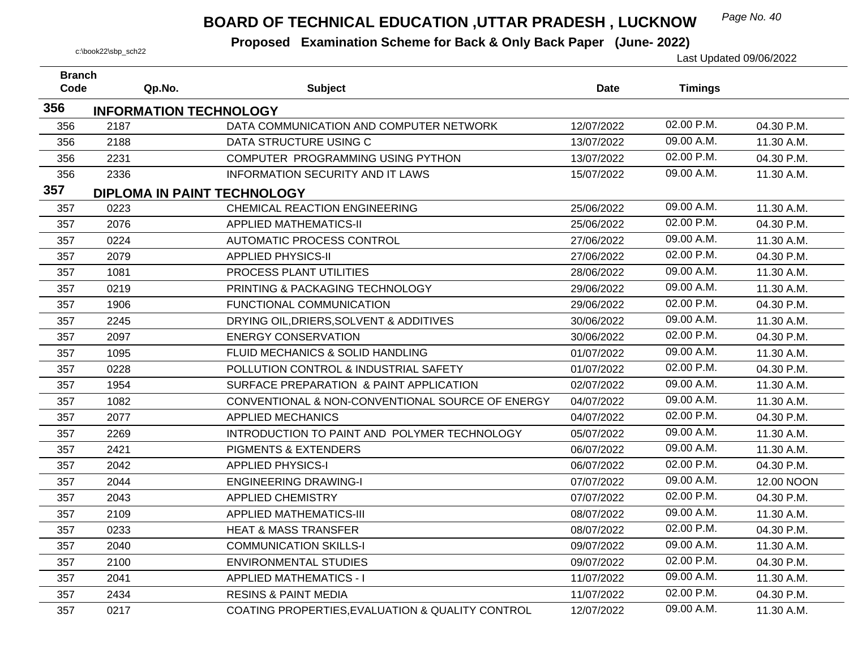## *Page No. 40* **BOARD OF TECHNICAL EDUCATION ,UTTAR PRADESH , LUCKNOW**

| <b>Branch</b> |                               |                                                  |            |                |            |
|---------------|-------------------------------|--------------------------------------------------|------------|----------------|------------|
| Code          | Qp.No.                        | <b>Subject</b>                                   | Date       | <b>Timings</b> |            |
| 356           | <b>INFORMATION TECHNOLOGY</b> |                                                  |            |                |            |
| 356           | 2187                          | DATA COMMUNICATION AND COMPUTER NETWORK          | 12/07/2022 | 02.00 P.M.     | 04.30 P.M. |
| 356           | 2188                          | DATA STRUCTURE USING C                           | 13/07/2022 | 09.00 A.M.     | 11.30 A.M. |
| 356           | 2231                          | COMPUTER PROGRAMMING USING PYTHON                | 13/07/2022 | 02.00 P.M.     | 04.30 P.M. |
| 356           | 2336                          | <b>INFORMATION SECURITY AND IT LAWS</b>          | 15/07/2022 | 09.00 A.M.     | 11.30 A.M. |
| 357           | DIPLOMA IN PAINT TECHNOLOGY   |                                                  |            |                |            |
| 357           | 0223                          | CHEMICAL REACTION ENGINEERING                    | 25/06/2022 | 09.00 A.M.     | 11.30 A.M. |
| 357           | 2076                          | <b>APPLIED MATHEMATICS-II</b>                    | 25/06/2022 | 02.00 P.M.     | 04.30 P.M. |
| 357           | 0224                          | AUTOMATIC PROCESS CONTROL                        | 27/06/2022 | 09.00 A.M.     | 11.30 A.M. |
| 357           | 2079                          | <b>APPLIED PHYSICS-II</b>                        | 27/06/2022 | 02.00 P.M.     | 04.30 P.M. |
| 357           | 1081                          | PROCESS PLANT UTILITIES                          | 28/06/2022 | 09.00 A.M.     | 11.30 A.M. |
| 357           | 0219                          | PRINTING & PACKAGING TECHNOLOGY                  | 29/06/2022 | 09.00 A.M.     | 11.30 A.M. |
| 357           | 1906                          | FUNCTIONAL COMMUNICATION                         | 29/06/2022 | 02.00 P.M.     | 04.30 P.M. |
| 357           | 2245                          | DRYING OIL, DRIERS, SOLVENT & ADDITIVES          | 30/06/2022 | 09.00 A.M.     | 11.30 A.M. |
| 357           | 2097                          | <b>ENERGY CONSERVATION</b>                       | 30/06/2022 | 02.00 P.M.     | 04.30 P.M. |
| 357           | 1095                          | FLUID MECHANICS & SOLID HANDLING                 | 01/07/2022 | 09.00 A.M.     | 11.30 A.M. |
| 357           | 0228                          | POLLUTION CONTROL & INDUSTRIAL SAFETY            | 01/07/2022 | 02.00 P.M.     | 04.30 P.M. |
| 357           | 1954                          | SURFACE PREPARATION & PAINT APPLICATION          | 02/07/2022 | 09.00 A.M.     | 11.30 A.M. |
| 357           | 1082                          | CONVENTIONAL & NON-CONVENTIONAL SOURCE OF ENERGY | 04/07/2022 | 09.00 A.M.     | 11.30 A.M. |
| 357           | 2077                          | <b>APPLIED MECHANICS</b>                         | 04/07/2022 | 02.00 P.M.     | 04.30 P.M. |
| 357           | 2269                          | INTRODUCTION TO PAINT AND POLYMER TECHNOLOGY     | 05/07/2022 | 09.00 A.M.     | 11.30 A.M. |
| 357           | 2421                          | <b>PIGMENTS &amp; EXTENDERS</b>                  | 06/07/2022 | 09.00 A.M.     | 11.30 A.M. |
| 357           | 2042                          | <b>APPLIED PHYSICS-I</b>                         | 06/07/2022 | 02.00 P.M.     | 04.30 P.M. |
| 357           | 2044                          | <b>ENGINEERING DRAWING-I</b>                     | 07/07/2022 | 09.00 A.M.     | 12.00 NOON |
| 357           | 2043                          | <b>APPLIED CHEMISTRY</b>                         | 07/07/2022 | 02.00 P.M.     | 04.30 P.M. |
| 357           | 2109                          | <b>APPLIED MATHEMATICS-III</b>                   | 08/07/2022 | 09.00 A.M.     | 11.30 A.M. |
| 357           | 0233                          | <b>HEAT &amp; MASS TRANSFER</b>                  | 08/07/2022 | 02.00 P.M.     | 04.30 P.M. |
| 357           | 2040                          | <b>COMMUNICATION SKILLS-I</b>                    | 09/07/2022 | 09.00 A.M.     | 11.30 A.M. |
| 357           | 2100                          | <b>ENVIRONMENTAL STUDIES</b>                     | 09/07/2022 | 02.00 P.M.     | 04.30 P.M. |
| 357           | 2041                          | <b>APPLIED MATHEMATICS - I</b>                   | 11/07/2022 | 09.00 A.M.     | 11.30 A.M. |
| 357           | 2434                          | <b>RESINS &amp; PAINT MEDIA</b>                  | 11/07/2022 | 02.00 P.M.     | 04.30 P.M. |
| 357           | 0217                          | COATING PROPERTIES, EVALUATION & QUALITY CONTROL | 12/07/2022 | 09.00 A.M.     | 11.30 A.M. |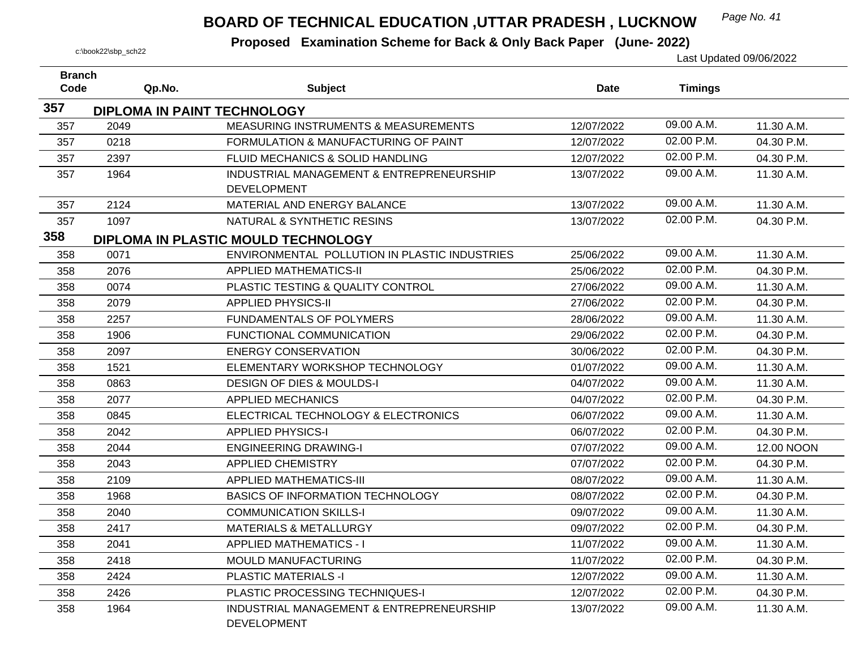## *Page No. 41* **BOARD OF TECHNICAL EDUCATION ,UTTAR PRADESH , LUCKNOW**

| <b>Branch</b><br>Code | Qp.No.                      | <b>Subject</b>                                                 | <b>Date</b> | <b>Timings</b> |            |
|-----------------------|-----------------------------|----------------------------------------------------------------|-------------|----------------|------------|
|                       |                             |                                                                |             |                |            |
| 357                   | DIPLOMA IN PAINT TECHNOLOGY |                                                                |             |                |            |
| 357                   | 2049                        | <b>MEASURING INSTRUMENTS &amp; MEASUREMENTS</b>                | 12/07/2022  | 09.00 A.M.     | 11.30 A.M. |
| 357                   | 0218                        | FORMULATION & MANUFACTURING OF PAINT                           | 12/07/2022  | 02.00 P.M.     | 04.30 P.M. |
| 357                   | 2397                        | FLUID MECHANICS & SOLID HANDLING                               | 12/07/2022  | 02.00 P.M.     | 04.30 P.M. |
| 357                   | 1964                        | INDUSTRIAL MANAGEMENT & ENTREPRENEURSHIP                       | 13/07/2022  | 09.00 A.M.     | 11.30 A.M. |
|                       |                             | <b>DEVELOPMENT</b>                                             |             |                |            |
| 357                   | 2124                        | MATERIAL AND ENERGY BALANCE                                    | 13/07/2022  | 09.00 A.M.     | 11.30 A.M. |
| 357                   | 1097                        | NATURAL & SYNTHETIC RESINS                                     | 13/07/2022  | 02.00 P.M.     | 04.30 P.M. |
| 358                   |                             | DIPLOMA IN PLASTIC MOULD TECHNOLOGY                            |             |                |            |
| 358                   | 0071                        | ENVIRONMENTAL POLLUTION IN PLASTIC INDUSTRIES                  | 25/06/2022  | 09.00 A.M.     | 11.30 A.M. |
| 358                   | 2076                        | <b>APPLIED MATHEMATICS-II</b>                                  | 25/06/2022  | 02.00 P.M.     | 04.30 P.M. |
| 358                   | 0074                        | PLASTIC TESTING & QUALITY CONTROL                              | 27/06/2022  | 09.00 A.M.     | 11.30 A.M. |
| 358                   | 2079                        | <b>APPLIED PHYSICS-II</b>                                      | 27/06/2022  | 02.00 P.M.     | 04.30 P.M. |
| 358                   | 2257                        | FUNDAMENTALS OF POLYMERS                                       | 28/06/2022  | 09.00 A.M.     | 11.30 A.M. |
| 358                   | 1906                        | FUNCTIONAL COMMUNICATION                                       | 29/06/2022  | 02.00 P.M.     | 04.30 P.M. |
| 358                   | 2097                        | <b>ENERGY CONSERVATION</b>                                     | 30/06/2022  | 02.00 P.M.     | 04.30 P.M. |
| 358                   | 1521                        | ELEMENTARY WORKSHOP TECHNOLOGY                                 | 01/07/2022  | 09.00 A.M.     | 11.30 A.M. |
| 358                   | 0863                        | <b>DESIGN OF DIES &amp; MOULDS-I</b>                           | 04/07/2022  | 09.00 A.M.     | 11.30 A.M. |
| 358                   | 2077                        | <b>APPLIED MECHANICS</b>                                       | 04/07/2022  | 02.00 P.M.     | 04.30 P.M. |
| 358                   | 0845                        | ELECTRICAL TECHNOLOGY & ELECTRONICS                            | 06/07/2022  | 09.00 A.M.     | 11.30 A.M. |
| 358                   | 2042                        | <b>APPLIED PHYSICS-I</b>                                       | 06/07/2022  | 02.00 P.M.     | 04.30 P.M. |
| 358                   | 2044                        | <b>ENGINEERING DRAWING-I</b>                                   | 07/07/2022  | 09.00 A.M.     | 12.00 NOON |
| 358                   | 2043                        | <b>APPLIED CHEMISTRY</b>                                       | 07/07/2022  | 02.00 P.M.     | 04.30 P.M. |
| 358                   | 2109                        | <b>APPLIED MATHEMATICS-III</b>                                 | 08/07/2022  | 09.00 A.M.     | 11.30 A.M. |
| 358                   | 1968                        | <b>BASICS OF INFORMATION TECHNOLOGY</b>                        | 08/07/2022  | 02.00 P.M.     | 04.30 P.M. |
| 358                   | 2040                        | <b>COMMUNICATION SKILLS-I</b>                                  | 09/07/2022  | 09.00 A.M.     | 11.30 A.M. |
| 358                   | 2417                        | <b>MATERIALS &amp; METALLURGY</b>                              | 09/07/2022  | 02.00 P.M.     | 04.30 P.M. |
| 358                   | 2041                        | <b>APPLIED MATHEMATICS - I</b>                                 | 11/07/2022  | 09.00 A.M.     | 11.30 A.M. |
| 358                   | 2418                        | MOULD MANUFACTURING                                            | 11/07/2022  | 02.00 P.M.     | 04.30 P.M. |
| 358                   | 2424                        | <b>PLASTIC MATERIALS -I</b>                                    | 12/07/2022  | 09.00 A.M.     | 11.30 A.M. |
| 358                   | 2426                        | PLASTIC PROCESSING TECHNIQUES-I                                | 12/07/2022  | 02.00 P.M.     | 04.30 P.M. |
| 358                   | 1964                        | INDUSTRIAL MANAGEMENT & ENTREPRENEURSHIP<br><b>DEVELOPMENT</b> | 13/07/2022  | 09.00 A.M.     | 11.30 A.M. |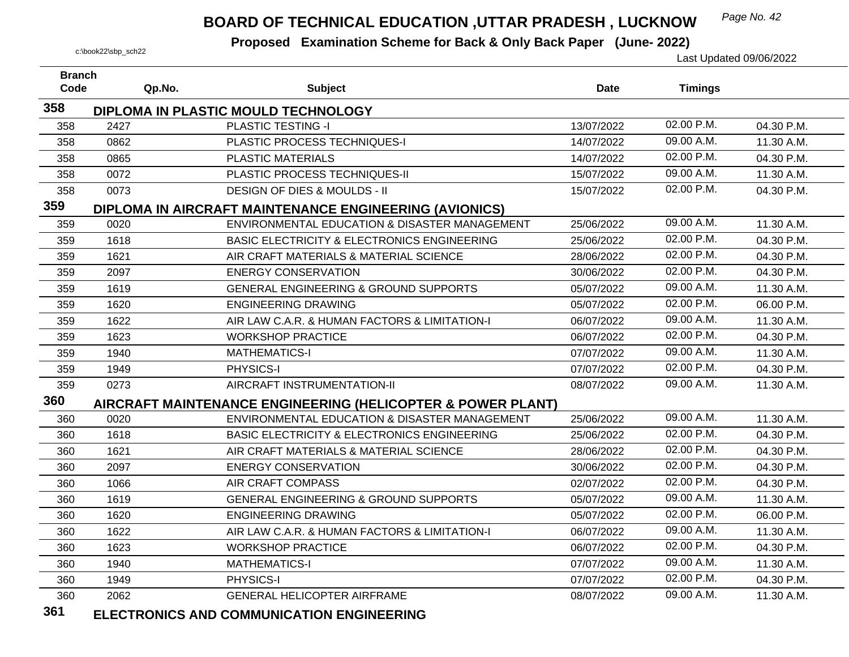## *Page No. 42* **BOARD OF TECHNICAL EDUCATION ,UTTAR PRADESH , LUCKNOW**

 **Proposed Examination Scheme for Back & Only Back Paper (June- 2022)** c:\book22\sbp\_sch22 Last Updated 09/06/2022

| <b>Branch</b> |        |                                                             |            |                |            |
|---------------|--------|-------------------------------------------------------------|------------|----------------|------------|
| Code          | Qp.No. | <b>Subject</b>                                              | Date       | <b>Timings</b> |            |
| 358           |        | DIPLOMA IN PLASTIC MOULD TECHNOLOGY                         |            |                |            |
| 358           | 2427   | <b>PLASTIC TESTING -I</b>                                   | 13/07/2022 | 02.00 P.M.     | 04.30 P.M. |
| 358           | 0862   | PLASTIC PROCESS TECHNIQUES-I                                | 14/07/2022 | 09.00 A.M.     | 11.30 A.M. |
| 358           | 0865   | <b>PLASTIC MATERIALS</b>                                    | 14/07/2022 | 02.00 P.M.     | 04.30 P.M. |
| 358           | 0072   | PLASTIC PROCESS TECHNIQUES-II                               | 15/07/2022 | 09.00 A.M.     | 11.30 A.M. |
| 358           | 0073   | <b>DESIGN OF DIES &amp; MOULDS - II</b>                     | 15/07/2022 | 02.00 P.M.     | 04.30 P.M. |
| 359           |        | DIPLOMA IN AIRCRAFT MAINTENANCE ENGINEERING (AVIONICS)      |            |                |            |
| 359           | 0020   | ENVIRONMENTAL EDUCATION & DISASTER MANAGEMENT               | 25/06/2022 | 09.00 A.M.     | 11.30 A.M. |
| 359           | 1618   | <b>BASIC ELECTRICITY &amp; ELECTRONICS ENGINEERING</b>      | 25/06/2022 | 02.00 P.M.     | 04.30 P.M. |
| 359           | 1621   | AIR CRAFT MATERIALS & MATERIAL SCIENCE                      | 28/06/2022 | 02.00 P.M.     | 04.30 P.M. |
| 359           | 2097   | <b>ENERGY CONSERVATION</b>                                  | 30/06/2022 | 02.00 P.M.     | 04.30 P.M. |
| 359           | 1619   | GENERAL ENGINEERING & GROUND SUPPORTS                       | 05/07/2022 | 09.00 A.M.     | 11.30 A.M. |
| 359           | 1620   | <b>ENGINEERING DRAWING</b>                                  | 05/07/2022 | 02.00 P.M.     | 06.00 P.M. |
| 359           | 1622   | AIR LAW C.A.R. & HUMAN FACTORS & LIMITATION-I               | 06/07/2022 | 09.00 A.M.     | 11.30 A.M. |
| 359           | 1623   | <b>WORKSHOP PRACTICE</b>                                    | 06/07/2022 | 02.00 P.M.     | 04.30 P.M. |
| 359           | 1940   | <b>MATHEMATICS-I</b>                                        | 07/07/2022 | 09.00 A.M.     | 11.30 A.M. |
| 359           | 1949   | PHYSICS-I                                                   | 07/07/2022 | 02.00 P.M.     | 04.30 P.M. |
| 359           | 0273   | AIRCRAFT INSTRUMENTATION-II                                 | 08/07/2022 | 09.00 A.M.     | 11.30 A.M. |
| 360           |        | AIRCRAFT MAINTENANCE ENGINEERING (HELICOPTER & POWER PLANT) |            |                |            |
| 360           | 0020   | ENVIRONMENTAL EDUCATION & DISASTER MANAGEMENT               | 25/06/2022 | 09.00 A.M.     | 11.30 A.M. |
| 360           | 1618   | <b>BASIC ELECTRICITY &amp; ELECTRONICS ENGINEERING</b>      | 25/06/2022 | 02.00 P.M.     | 04.30 P.M. |
| 360           | 1621   | AIR CRAFT MATERIALS & MATERIAL SCIENCE                      | 28/06/2022 | 02.00 P.M.     | 04.30 P.M. |
| 360           | 2097   | <b>ENERGY CONSERVATION</b>                                  | 30/06/2022 | 02.00 P.M.     | 04.30 P.M. |
| 360           | 1066   | AIR CRAFT COMPASS                                           | 02/07/2022 | 02.00 P.M.     | 04.30 P.M. |
| 360           | 1619   | <b>GENERAL ENGINEERING &amp; GROUND SUPPORTS</b>            | 05/07/2022 | 09.00 A.M.     | 11.30 A.M. |
| 360           | 1620   | <b>ENGINEERING DRAWING</b>                                  | 05/07/2022 | 02.00 P.M.     | 06.00 P.M. |
| 360           | 1622   | AIR LAW C.A.R. & HUMAN FACTORS & LIMITATION-I               | 06/07/2022 | 09.00 A.M.     | 11.30 A.M. |
| 360           | 1623   | <b>WORKSHOP PRACTICE</b>                                    | 06/07/2022 | 02.00 P.M.     | 04.30 P.M. |
| 360           | 1940   | <b>MATHEMATICS-I</b>                                        | 07/07/2022 | 09.00 A.M.     | 11.30 A.M. |
| 360           | 1949   | PHYSICS-I                                                   | 07/07/2022 | 02.00 P.M.     | 04.30 P.M. |
| 360           | 2062   | GENERAL HELICOPTER AIRFRAME                                 | 08/07/2022 | 09.00 A.M.     | 11.30 A.M. |
| 0.01          |        |                                                             |            |                |            |

**361ELECTRONICS AND COMMUNICATION ENGINEERING**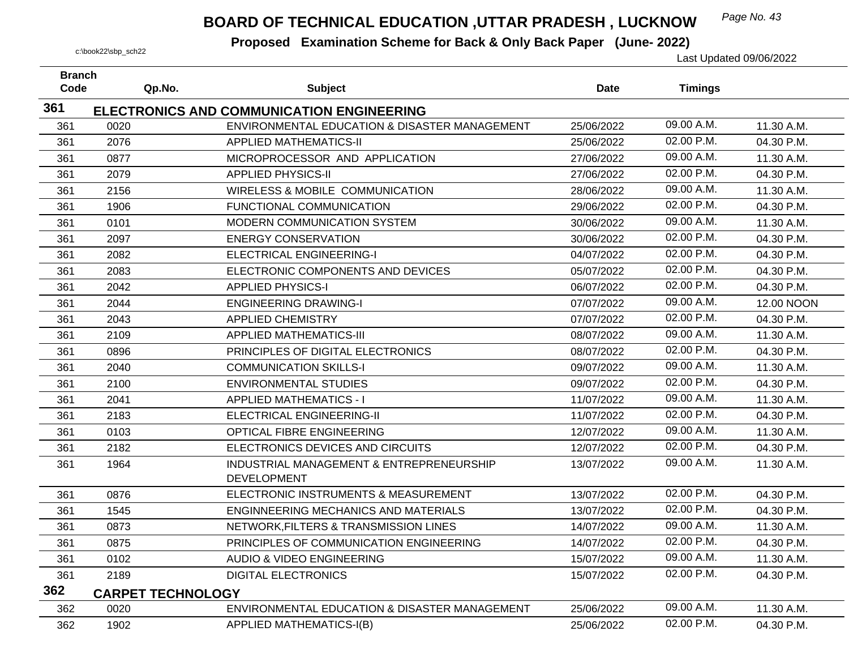## *Page No. 43* **BOARD OF TECHNICAL EDUCATION ,UTTAR PRADESH , LUCKNOW**

| <b>Branch</b><br>Code | Qp.No.                   | <b>Subject</b>                                                                                    | <b>Date</b> | <b>Timings</b> |            |
|-----------------------|--------------------------|---------------------------------------------------------------------------------------------------|-------------|----------------|------------|
| 361                   |                          |                                                                                                   |             |                |            |
| 361                   | 0020                     | <b>ELECTRONICS AND COMMUNICATION ENGINEERING</b><br>ENVIRONMENTAL EDUCATION & DISASTER MANAGEMENT | 25/06/2022  | 09.00 A.M.     | 11.30 A.M. |
| 361                   | 2076                     | <b>APPLIED MATHEMATICS-II</b>                                                                     | 25/06/2022  | $02.00$ P.M.   | 04.30 P.M. |
| 361                   | 0877                     | MICROPROCESSOR AND APPLICATION                                                                    | 27/06/2022  | 09.00 A.M.     | 11.30 A.M. |
| 361                   | 2079                     | <b>APPLIED PHYSICS-II</b>                                                                         | 27/06/2022  | 02.00 P.M.     | 04.30 P.M. |
| 361                   | 2156                     | <b>WIRELESS &amp; MOBILE COMMUNICATION</b>                                                        | 28/06/2022  | 09.00 A.M.     | 11.30 A.M. |
| 361                   | 1906                     | <b>FUNCTIONAL COMMUNICATION</b>                                                                   | 29/06/2022  | 02.00 P.M.     | 04.30 P.M. |
| 361                   | 0101                     | MODERN COMMUNICATION SYSTEM                                                                       | 30/06/2022  | 09.00 A.M.     | 11.30 A.M. |
| 361                   | 2097                     | <b>ENERGY CONSERVATION</b>                                                                        | 30/06/2022  | 02.00 P.M.     | 04.30 P.M. |
| 361                   | 2082                     | <b>ELECTRICAL ENGINEERING-I</b>                                                                   | 04/07/2022  | 02.00 P.M.     | 04.30 P.M. |
| 361                   | 2083                     | ELECTRONIC COMPONENTS AND DEVICES                                                                 | 05/07/2022  | 02.00 P.M.     | 04.30 P.M. |
| 361                   | 2042                     | <b>APPLIED PHYSICS-I</b>                                                                          | 06/07/2022  | 02.00 P.M.     | 04.30 P.M. |
| 361                   | 2044                     | <b>ENGINEERING DRAWING-I</b>                                                                      | 07/07/2022  | 09.00 A.M.     | 12.00 NOON |
| 361                   | 2043                     | <b>APPLIED CHEMISTRY</b>                                                                          | 07/07/2022  | 02.00 P.M.     | 04.30 P.M. |
| 361                   | 2109                     | <b>APPLIED MATHEMATICS-III</b>                                                                    | 08/07/2022  | 09.00 A.M.     | 11.30 A.M. |
| 361                   | 0896                     | PRINCIPLES OF DIGITAL ELECTRONICS                                                                 | 08/07/2022  | 02.00 P.M.     | 04.30 P.M. |
| 361                   | 2040                     | <b>COMMUNICATION SKILLS-I</b>                                                                     | 09/07/2022  | 09.00 A.M.     | 11.30 A.M. |
| 361                   | 2100                     | <b>ENVIRONMENTAL STUDIES</b>                                                                      | 09/07/2022  | 02.00 P.M.     | 04.30 P.M. |
| 361                   | 2041                     | <b>APPLIED MATHEMATICS - I</b>                                                                    | 11/07/2022  | 09.00 A.M.     | 11.30 A.M. |
| 361                   | 2183                     | <b>ELECTRICAL ENGINEERING-II</b>                                                                  | 11/07/2022  | 02.00 P.M.     | 04.30 P.M. |
| 361                   | 0103                     | OPTICAL FIBRE ENGINEERING                                                                         | 12/07/2022  | 09.00 A.M.     | 11.30 A.M. |
| 361                   | 2182                     | ELECTRONICS DEVICES AND CIRCUITS                                                                  | 12/07/2022  | 02.00 P.M.     | 04.30 P.M. |
| 361                   | 1964                     | INDUSTRIAL MANAGEMENT & ENTREPRENEURSHIP                                                          | 13/07/2022  | 09.00 A.M.     | 11.30 A.M. |
|                       |                          | <b>DEVELOPMENT</b>                                                                                |             |                |            |
| 361                   | 0876                     | ELECTRONIC INSTRUMENTS & MEASUREMENT                                                              | 13/07/2022  | 02.00 P.M.     | 04.30 P.M. |
| 361                   | 1545                     | <b>ENGINNEERING MECHANICS AND MATERIALS</b>                                                       | 13/07/2022  | 02.00 P.M.     | 04.30 P.M. |
| 361                   | 0873                     | NETWORK, FILTERS & TRANSMISSION LINES                                                             | 14/07/2022  | 09.00 A.M.     | 11.30 A.M. |
| 361                   | 0875                     | PRINCIPLES OF COMMUNICATION ENGINEERING                                                           | 14/07/2022  | 02.00 P.M.     | 04.30 P.M. |
| 361                   | 0102                     | <b>AUDIO &amp; VIDEO ENGINEERING</b>                                                              | 15/07/2022  | 09.00 A.M.     | 11.30 A.M. |
| 361                   | 2189                     | <b>DIGITAL ELECTRONICS</b>                                                                        | 15/07/2022  | 02.00 P.M.     | 04.30 P.M. |
| 362                   | <b>CARPET TECHNOLOGY</b> |                                                                                                   |             |                |            |
| 362                   | 0020                     | ENVIRONMENTAL EDUCATION & DISASTER MANAGEMENT                                                     | 25/06/2022  | 09.00 A.M.     | 11.30 A.M. |
| 362                   | 1902                     | <b>APPLIED MATHEMATICS-I(B)</b>                                                                   | 25/06/2022  | 02.00 P.M.     | 04.30 P.M. |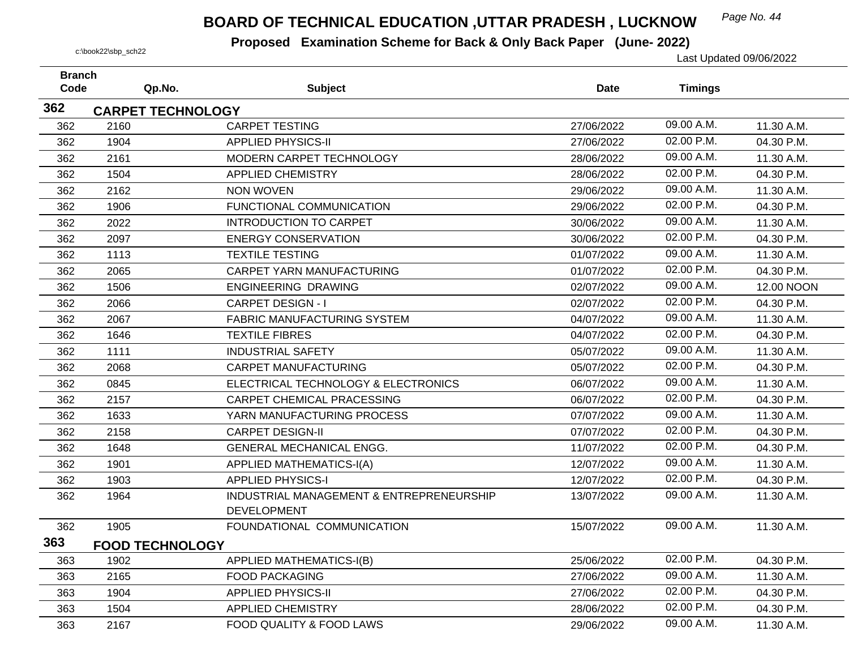## *Page No. 44* **BOARD OF TECHNICAL EDUCATION ,UTTAR PRADESH , LUCKNOW**

| <b>Branch</b> |                          |                                                                |             |                |            |
|---------------|--------------------------|----------------------------------------------------------------|-------------|----------------|------------|
| Code          | Qp.No.                   | <b>Subject</b>                                                 | <b>Date</b> | <b>Timings</b> |            |
| 362           | <b>CARPET TECHNOLOGY</b> |                                                                |             |                |            |
| 362           | 2160                     | <b>CARPET TESTING</b>                                          | 27/06/2022  | 09.00 A.M.     | 11.30 A.M. |
| 362           | 1904                     | <b>APPLIED PHYSICS-II</b>                                      | 27/06/2022  | 02.00 P.M.     | 04.30 P.M. |
| 362           | 2161                     | MODERN CARPET TECHNOLOGY                                       | 28/06/2022  | 09.00 A.M.     | 11.30 A.M. |
| 362           | 1504                     | <b>APPLIED CHEMISTRY</b>                                       | 28/06/2022  | 02.00 P.M.     | 04.30 P.M. |
| 362           | 2162                     | <b>NON WOVEN</b>                                               | 29/06/2022  | 09.00 A.M.     | 11.30 A.M. |
| 362           | 1906                     | FUNCTIONAL COMMUNICATION                                       | 29/06/2022  | 02.00 P.M.     | 04.30 P.M. |
| 362           | 2022                     | <b>INTRODUCTION TO CARPET</b>                                  | 30/06/2022  | 09.00 A.M.     | 11.30 A.M. |
| 362           | 2097                     | <b>ENERGY CONSERVATION</b>                                     | 30/06/2022  | 02.00 P.M.     | 04.30 P.M. |
| 362           | 1113                     | <b>TEXTILE TESTING</b>                                         | 01/07/2022  | 09.00 A.M.     | 11.30 A.M. |
| 362           | 2065                     | CARPET YARN MANUFACTURING                                      | 01/07/2022  | 02.00 P.M.     | 04.30 P.M. |
| 362           | 1506                     | <b>ENGINEERING DRAWING</b>                                     | 02/07/2022  | 09.00 A.M.     | 12.00 NOON |
| 362           | 2066                     | <b>CARPET DESIGN - I</b>                                       | 02/07/2022  | 02.00 P.M.     | 04.30 P.M. |
| 362           | 2067                     | <b>FABRIC MANUFACTURING SYSTEM</b>                             | 04/07/2022  | 09.00 A.M.     | 11.30 A.M. |
| 362           | 1646                     | <b>TEXTILE FIBRES</b>                                          | 04/07/2022  | 02.00 P.M.     | 04.30 P.M. |
| 362           | 1111                     | <b>INDUSTRIAL SAFETY</b>                                       | 05/07/2022  | 09.00 A.M.     | 11.30 A.M. |
| 362           | 2068                     | <b>CARPET MANUFACTURING</b>                                    | 05/07/2022  | 02.00 P.M.     | 04.30 P.M. |
| 362           | 0845                     | ELECTRICAL TECHNOLOGY & ELECTRONICS                            | 06/07/2022  | 09.00 A.M.     | 11.30 A.M. |
| 362           | 2157                     | <b>CARPET CHEMICAL PRACESSING</b>                              | 06/07/2022  | 02.00 P.M.     | 04.30 P.M. |
| 362           | 1633                     | YARN MANUFACTURING PROCESS                                     | 07/07/2022  | 09.00 A.M.     | 11.30 A.M. |
| 362           | 2158                     | <b>CARPET DESIGN-II</b>                                        | 07/07/2022  | 02.00 P.M.     | 04.30 P.M. |
| 362           | 1648                     | <b>GENERAL MECHANICAL ENGG.</b>                                | 11/07/2022  | 02.00 P.M.     | 04.30 P.M. |
| 362           | 1901                     | <b>APPLIED MATHEMATICS-I(A)</b>                                | 12/07/2022  | 09.00 A.M.     | 11.30 A.M. |
| 362           | 1903                     | <b>APPLIED PHYSICS-I</b>                                       | 12/07/2022  | 02.00 P.M.     | 04.30 P.M. |
| 362           | 1964                     | INDUSTRIAL MANAGEMENT & ENTREPRENEURSHIP<br><b>DEVELOPMENT</b> | 13/07/2022  | 09.00 A.M.     | 11.30 A.M. |
| 362           | 1905                     | FOUNDATIONAL COMMUNICATION                                     | 15/07/2022  | 09.00 A.M.     | 11.30 A.M. |
| 363           | <b>FOOD TECHNOLOGY</b>   |                                                                |             |                |            |
| 363           | 1902                     | <b>APPLIED MATHEMATICS-I(B)</b>                                | 25/06/2022  | 02.00 P.M.     | 04.30 P.M. |
| 363           | 2165                     | <b>FOOD PACKAGING</b>                                          | 27/06/2022  | 09.00 A.M.     | 11.30 A.M. |
| 363           | 1904                     | <b>APPLIED PHYSICS-II</b>                                      | 27/06/2022  | 02.00 P.M.     | 04.30 P.M. |
| 363           | 1504                     | <b>APPLIED CHEMISTRY</b>                                       | 28/06/2022  | 02.00 P.M.     | 04.30 P.M. |
| 363           | 2167                     | FOOD QUALITY & FOOD LAWS                                       | 29/06/2022  | 09.00 A.M.     | 11.30 A.M. |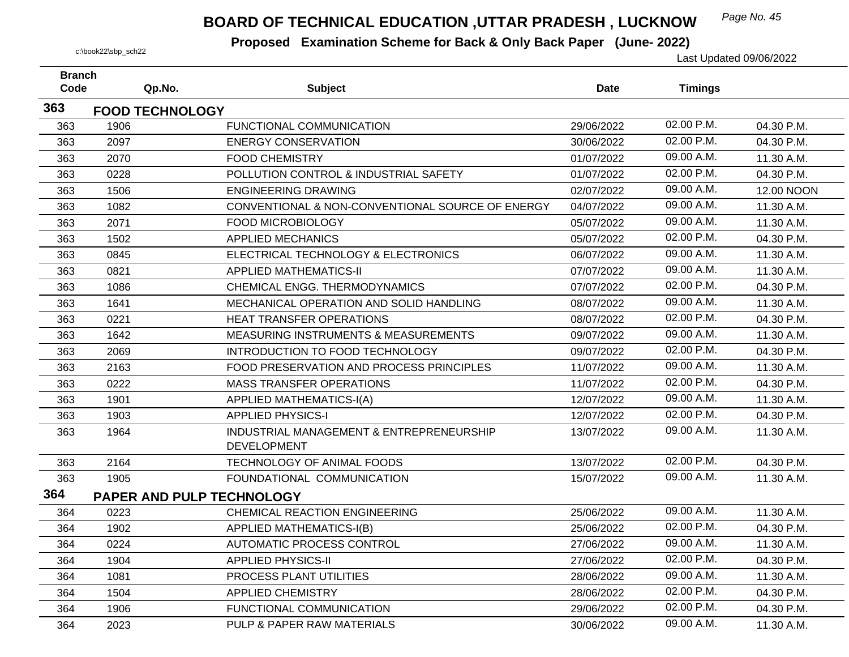## *Page No. 45* **BOARD OF TECHNICAL EDUCATION ,UTTAR PRADESH , LUCKNOW**

| <b>Branch</b><br>Code |      | Qp.No.                    | <b>Subject</b>                                   | <b>Date</b> | <b>Timings</b> |            |
|-----------------------|------|---------------------------|--------------------------------------------------|-------------|----------------|------------|
|                       |      |                           |                                                  |             |                |            |
| 363                   |      | <b>FOOD TECHNOLOGY</b>    |                                                  |             | 02.00 P.M.     |            |
| 363                   | 1906 |                           | FUNCTIONAL COMMUNICATION                         | 29/06/2022  |                | 04.30 P.M. |
| 363                   | 2097 |                           | <b>ENERGY CONSERVATION</b>                       | 30/06/2022  | 02.00 P.M.     | 04.30 P.M. |
| 363                   | 2070 |                           | <b>FOOD CHEMISTRY</b>                            | 01/07/2022  | 09.00 A.M.     | 11.30 A.M. |
| 363                   | 0228 |                           | POLLUTION CONTROL & INDUSTRIAL SAFETY            | 01/07/2022  | 02.00 P.M.     | 04.30 P.M. |
| 363                   | 1506 |                           | <b>ENGINEERING DRAWING</b>                       | 02/07/2022  | 09.00 A.M.     | 12.00 NOON |
| 363                   | 1082 |                           | CONVENTIONAL & NON-CONVENTIONAL SOURCE OF ENERGY | 04/07/2022  | 09.00 A.M.     | 11.30 A.M. |
| 363                   | 2071 |                           | <b>FOOD MICROBIOLOGY</b>                         | 05/07/2022  | 09.00 A.M.     | 11.30 A.M. |
| 363                   | 1502 |                           | <b>APPLIED MECHANICS</b>                         | 05/07/2022  | 02.00 P.M.     | 04.30 P.M. |
| 363                   | 0845 |                           | ELECTRICAL TECHNOLOGY & ELECTRONICS              | 06/07/2022  | 09.00 A.M.     | 11.30 A.M. |
| 363                   | 0821 |                           | <b>APPLIED MATHEMATICS-II</b>                    | 07/07/2022  | 09.00 A.M.     | 11.30 A.M. |
| 363                   | 1086 |                           | CHEMICAL ENGG. THERMODYNAMICS                    | 07/07/2022  | 02.00 P.M.     | 04.30 P.M. |
| 363                   | 1641 |                           | MECHANICAL OPERATION AND SOLID HANDLING          | 08/07/2022  | 09.00 A.M.     | 11.30 A.M. |
| 363                   | 0221 |                           | HEAT TRANSFER OPERATIONS                         | 08/07/2022  | 02.00 P.M.     | 04.30 P.M. |
| 363                   | 1642 |                           | <b>MEASURING INSTRUMENTS &amp; MEASUREMENTS</b>  | 09/07/2022  | 09.00 A.M.     | 11.30 A.M. |
| 363                   | 2069 |                           | INTRODUCTION TO FOOD TECHNOLOGY                  | 09/07/2022  | 02.00 P.M.     | 04.30 P.M. |
| 363                   | 2163 |                           | FOOD PRESERVATION AND PROCESS PRINCIPLES         | 11/07/2022  | 09.00 A.M.     | 11.30 A.M. |
| 363                   | 0222 |                           | <b>MASS TRANSFER OPERATIONS</b>                  | 11/07/2022  | 02.00 P.M.     | 04.30 P.M. |
| 363                   | 1901 |                           | <b>APPLIED MATHEMATICS-I(A)</b>                  | 12/07/2022  | 09.00 A.M.     | 11.30 A.M. |
| 363                   | 1903 |                           | <b>APPLIED PHYSICS-I</b>                         | 12/07/2022  | 02.00 P.M.     | 04.30 P.M. |
| 363                   | 1964 |                           | INDUSTRIAL MANAGEMENT & ENTREPRENEURSHIP         | 13/07/2022  | 09.00 A.M.     | 11.30 A.M. |
|                       |      |                           | <b>DEVELOPMENT</b>                               |             |                |            |
| 363                   | 2164 |                           | TECHNOLOGY OF ANIMAL FOODS                       | 13/07/2022  | 02.00 P.M.     | 04.30 P.M. |
| 363                   | 1905 |                           | FOUNDATIONAL COMMUNICATION                       | 15/07/2022  | 09.00 A.M.     | 11.30 A.M. |
| 364                   |      | PAPER AND PULP TECHNOLOGY |                                                  |             |                |            |
| 364                   | 0223 |                           | CHEMICAL REACTION ENGINEERING                    | 25/06/2022  | 09.00 A.M.     | 11.30 A.M. |
| 364                   | 1902 |                           | <b>APPLIED MATHEMATICS-I(B)</b>                  | 25/06/2022  | 02.00 P.M.     | 04.30 P.M. |
| 364                   | 0224 |                           | AUTOMATIC PROCESS CONTROL                        | 27/06/2022  | 09.00 A.M.     | 11.30 A.M. |
| 364                   | 1904 |                           | <b>APPLIED PHYSICS-II</b>                        | 27/06/2022  | 02.00 P.M.     | 04.30 P.M. |
| 364                   | 1081 |                           | PROCESS PLANT UTILITIES                          | 28/06/2022  | 09.00 A.M.     | 11.30 A.M. |
| 364                   | 1504 |                           | <b>APPLIED CHEMISTRY</b>                         | 28/06/2022  | 02.00 P.M.     | 04.30 P.M. |
| 364                   | 1906 |                           | FUNCTIONAL COMMUNICATION                         | 29/06/2022  | 02.00 P.M.     | 04.30 P.M. |
| 364                   | 2023 |                           | PULP & PAPER RAW MATERIALS                       | 30/06/2022  | 09.00 A.M.     | 11.30 A.M. |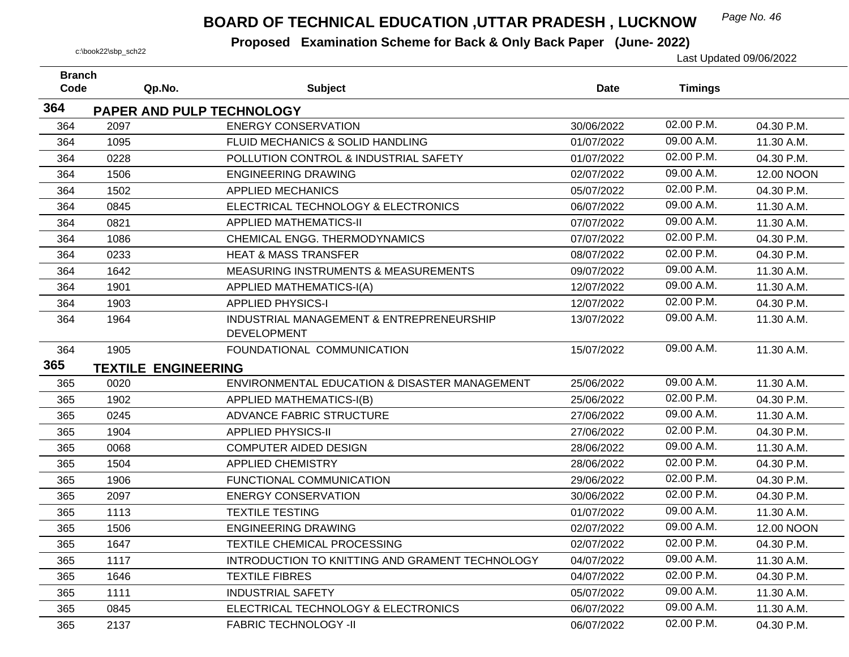## *Page No. 46* **BOARD OF TECHNICAL EDUCATION ,UTTAR PRADESH , LUCKNOW**

| <b>Branch</b><br>Code | Qp.No.                     | <b>Subject</b>                                                 | <b>Date</b> | <b>Timings</b> |            |
|-----------------------|----------------------------|----------------------------------------------------------------|-------------|----------------|------------|
| 364                   |                            |                                                                |             |                |            |
|                       |                            | PAPER AND PULP TECHNOLOGY                                      |             | 02.00 P.M.     |            |
| 364                   | 2097                       | <b>ENERGY CONSERVATION</b>                                     | 30/06/2022  |                | 04.30 P.M. |
| 364                   | 1095                       | FLUID MECHANICS & SOLID HANDLING                               | 01/07/2022  | 09.00 A.M.     | 11.30 A.M. |
| 364                   | 0228                       | POLLUTION CONTROL & INDUSTRIAL SAFETY                          | 01/07/2022  | 02.00 P.M.     | 04.30 P.M. |
| 364                   | 1506                       | <b>ENGINEERING DRAWING</b>                                     | 02/07/2022  | 09.00 A.M.     | 12.00 NOON |
| 364                   | 1502                       | <b>APPLIED MECHANICS</b>                                       | 05/07/2022  | 02.00 P.M.     | 04.30 P.M. |
| 364                   | 0845                       | ELECTRICAL TECHNOLOGY & ELECTRONICS                            | 06/07/2022  | 09.00 A.M.     | 11.30 A.M. |
| 364                   | 0821                       | <b>APPLIED MATHEMATICS-II</b>                                  | 07/07/2022  | 09.00 A.M.     | 11.30 A.M. |
| 364                   | 1086                       | CHEMICAL ENGG. THERMODYNAMICS                                  | 07/07/2022  | 02.00 P.M.     | 04.30 P.M. |
| 364                   | 0233                       | <b>HEAT &amp; MASS TRANSFER</b>                                | 08/07/2022  | 02.00 P.M.     | 04.30 P.M. |
| 364                   | 1642                       | <b>MEASURING INSTRUMENTS &amp; MEASUREMENTS</b>                | 09/07/2022  | 09.00 A.M.     | 11.30 A.M. |
| 364                   | 1901                       | <b>APPLIED MATHEMATICS-I(A)</b>                                | 12/07/2022  | 09.00 A.M.     | 11.30 A.M. |
| 364                   | 1903                       | <b>APPLIED PHYSICS-I</b>                                       | 12/07/2022  | 02.00 P.M.     | 04.30 P.M. |
| 364                   | 1964                       | INDUSTRIAL MANAGEMENT & ENTREPRENEURSHIP<br><b>DEVELOPMENT</b> | 13/07/2022  | 09.00 A.M.     | 11.30 A.M. |
| 364                   | 1905                       | FOUNDATIONAL COMMUNICATION                                     | 15/07/2022  | 09.00 A.M.     | 11.30 A.M. |
| 365                   |                            |                                                                |             |                |            |
|                       | <b>TEXTILE ENGINEERING</b> |                                                                |             | 09.00 A.M.     |            |
| 365                   | 0020                       | ENVIRONMENTAL EDUCATION & DISASTER MANAGEMENT                  | 25/06/2022  |                | 11.30 A.M. |
| 365                   | 1902                       | <b>APPLIED MATHEMATICS-I(B)</b>                                | 25/06/2022  | 02.00 P.M.     | 04.30 P.M. |
| 365                   | 0245                       | ADVANCE FABRIC STRUCTURE                                       | 27/06/2022  | 09.00 A.M.     | 11.30 A.M. |
| 365                   | 1904                       | <b>APPLIED PHYSICS-II</b>                                      | 27/06/2022  | 02.00 P.M.     | 04.30 P.M. |
| 365                   | 0068                       | <b>COMPUTER AIDED DESIGN</b>                                   | 28/06/2022  | 09.00 A.M.     | 11.30 A.M. |
| 365                   | 1504                       | <b>APPLIED CHEMISTRY</b>                                       | 28/06/2022  | 02.00 P.M.     | 04.30 P.M. |
| 365                   | 1906                       | FUNCTIONAL COMMUNICATION                                       | 29/06/2022  | 02.00 P.M.     | 04.30 P.M. |
| 365                   | 2097                       | <b>ENERGY CONSERVATION</b>                                     | 30/06/2022  | 02.00 P.M.     | 04.30 P.M. |
| 365                   | 1113                       | <b>TEXTILE TESTING</b>                                         | 01/07/2022  | 09.00 A.M.     | 11.30 A.M. |
| 365                   | 1506                       | <b>ENGINEERING DRAWING</b>                                     | 02/07/2022  | 09.00 A.M.     | 12.00 NOON |
| 365                   | 1647                       | TEXTILE CHEMICAL PROCESSING                                    | 02/07/2022  | 02.00 P.M.     | 04.30 P.M. |
| 365                   | 1117                       | INTRODUCTION TO KNITTING AND GRAMENT TECHNOLOGY                | 04/07/2022  | 09.00 A.M.     | 11.30 A.M. |
| 365                   | 1646                       | <b>TEXTILE FIBRES</b>                                          | 04/07/2022  | 02.00 P.M.     | 04.30 P.M. |
| 365                   | 1111                       | <b>INDUSTRIAL SAFETY</b>                                       | 05/07/2022  | 09.00 A.M.     | 11.30 A.M. |
| 365                   | 0845                       | ELECTRICAL TECHNOLOGY & ELECTRONICS                            | 06/07/2022  | 09.00 A.M.     | 11.30 A.M. |
| 365                   | 2137                       | <b>FABRIC TECHNOLOGY -II</b>                                   | 06/07/2022  | 02.00 P.M.     | 04.30 P.M. |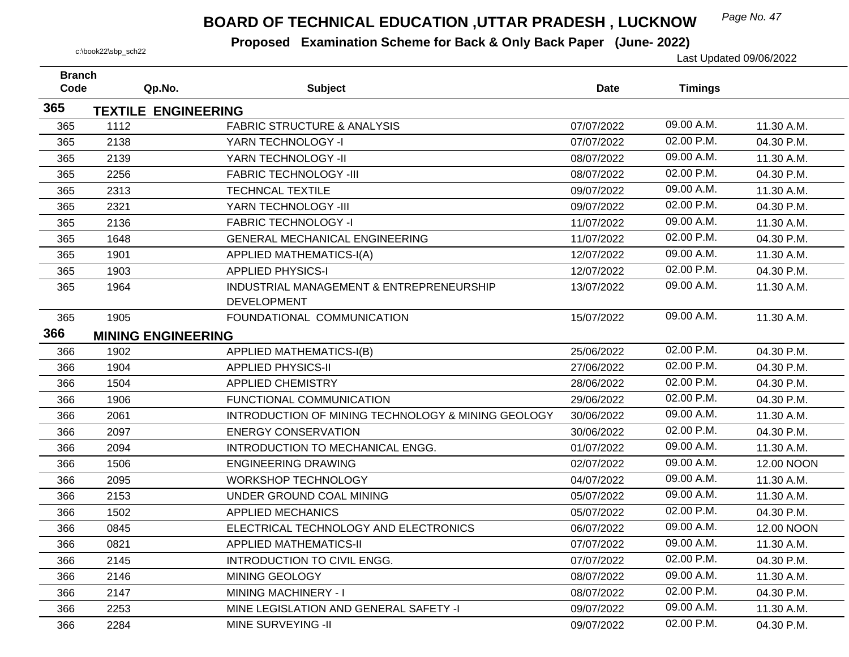## *Page No. 47* **BOARD OF TECHNICAL EDUCATION ,UTTAR PRADESH , LUCKNOW**

| <b>Branch</b> |                            |                                                                |             |                |            |
|---------------|----------------------------|----------------------------------------------------------------|-------------|----------------|------------|
| Code          | Qp.No.                     | <b>Subject</b>                                                 | <b>Date</b> | <b>Timings</b> |            |
| 365           | <b>TEXTILE ENGINEERING</b> |                                                                |             |                |            |
| 365           | 1112                       | <b>FABRIC STRUCTURE &amp; ANALYSIS</b>                         | 07/07/2022  | 09.00 A.M.     | 11.30 A.M. |
| 365           | 2138                       | YARN TECHNOLOGY -I                                             | 07/07/2022  | 02.00 P.M.     | 04.30 P.M. |
| 365           | 2139                       | YARN TECHNOLOGY -II                                            | 08/07/2022  | 09.00 A.M.     | 11.30 A.M. |
| 365           | 2256                       | <b>FABRIC TECHNOLOGY -III</b>                                  | 08/07/2022  | 02.00 P.M.     | 04.30 P.M. |
| 365           | 2313                       | <b>TECHNCAL TEXTILE</b>                                        | 09/07/2022  | 09.00 A.M.     | 11.30 A.M. |
| 365           | 2321                       | YARN TECHNOLOGY -III                                           | 09/07/2022  | 02.00 P.M.     | 04.30 P.M. |
| 365           | 2136                       | <b>FABRIC TECHNOLOGY -I</b>                                    | 11/07/2022  | 09.00 A.M.     | 11.30 A.M. |
| 365           | 1648                       | <b>GENERAL MECHANICAL ENGINEERING</b>                          | 11/07/2022  | 02.00 P.M.     | 04.30 P.M. |
| 365           | 1901                       | <b>APPLIED MATHEMATICS-I(A)</b>                                | 12/07/2022  | 09.00 A.M.     | 11.30 A.M. |
| 365           | 1903                       | <b>APPLIED PHYSICS-I</b>                                       | 12/07/2022  | 02.00 P.M.     | 04.30 P.M. |
| 365           | 1964                       | INDUSTRIAL MANAGEMENT & ENTREPRENEURSHIP<br><b>DEVELOPMENT</b> | 13/07/2022  | 09.00 A.M.     | 11.30 A.M. |
|               | 1905                       | FOUNDATIONAL COMMUNICATION                                     | 15/07/2022  | 09.00 A.M.     | 11.30 A.M. |
| 365<br>366    |                            |                                                                |             |                |            |
|               | <b>MINING ENGINEERING</b>  |                                                                |             | 02.00 P.M.     |            |
| 366           | 1902                       | APPLIED MATHEMATICS-I(B)                                       | 25/06/2022  | 02.00 P.M.     | 04.30 P.M. |
| 366           | 1904                       | <b>APPLIED PHYSICS-II</b>                                      | 27/06/2022  |                | 04.30 P.M. |
| 366           | 1504                       | <b>APPLIED CHEMISTRY</b>                                       | 28/06/2022  | 02.00 P.M.     | 04.30 P.M. |
| 366           | 1906                       | FUNCTIONAL COMMUNICATION                                       | 29/06/2022  | 02.00 P.M.     | 04.30 P.M. |
| 366           | 2061                       | INTRODUCTION OF MINING TECHNOLOGY & MINING GEOLOGY             | 30/06/2022  | 09.00 A.M.     | 11.30 A.M. |
| 366           | 2097                       | <b>ENERGY CONSERVATION</b>                                     | 30/06/2022  | 02.00 P.M.     | 04.30 P.M. |
| 366           | 2094                       | INTRODUCTION TO MECHANICAL ENGG.                               | 01/07/2022  | 09.00 A.M.     | 11.30 A.M. |
| 366           | 1506                       | <b>ENGINEERING DRAWING</b>                                     | 02/07/2022  | 09.00 A.M.     | 12.00 NOON |
| 366           | 2095                       | <b>WORKSHOP TECHNOLOGY</b>                                     | 04/07/2022  | 09.00 A.M.     | 11.30 A.M. |
| 366           | 2153                       | UNDER GROUND COAL MINING                                       | 05/07/2022  | 09.00 A.M.     | 11.30 A.M. |
| 366           | 1502                       | <b>APPLIED MECHANICS</b>                                       | 05/07/2022  | 02.00 P.M.     | 04.30 P.M. |
| 366           | 0845                       | ELECTRICAL TECHNOLOGY AND ELECTRONICS                          | 06/07/2022  | 09.00 A.M.     | 12.00 NOON |
| 366           | 0821                       | <b>APPLIED MATHEMATICS-II</b>                                  | 07/07/2022  | 09.00 A.M.     | 11.30 A.M. |
| 366           | 2145                       | <b>INTRODUCTION TO CIVIL ENGG.</b>                             | 07/07/2022  | 02.00 P.M.     | 04.30 P.M. |
| 366           | 2146                       | MINING GEOLOGY                                                 | 08/07/2022  | 09.00 A.M.     | 11.30 A.M. |
| 366           | 2147                       | MINING MACHINERY - I                                           | 08/07/2022  | 02.00 P.M.     | 04.30 P.M. |
| 366           | 2253                       | MINE LEGISLATION AND GENERAL SAFETY -I                         | 09/07/2022  | 09.00 A.M.     | 11.30 A.M. |
| 366           | 2284                       | MINE SURVEYING -II                                             | 09/07/2022  | 02.00 P.M.     | 04.30 P.M. |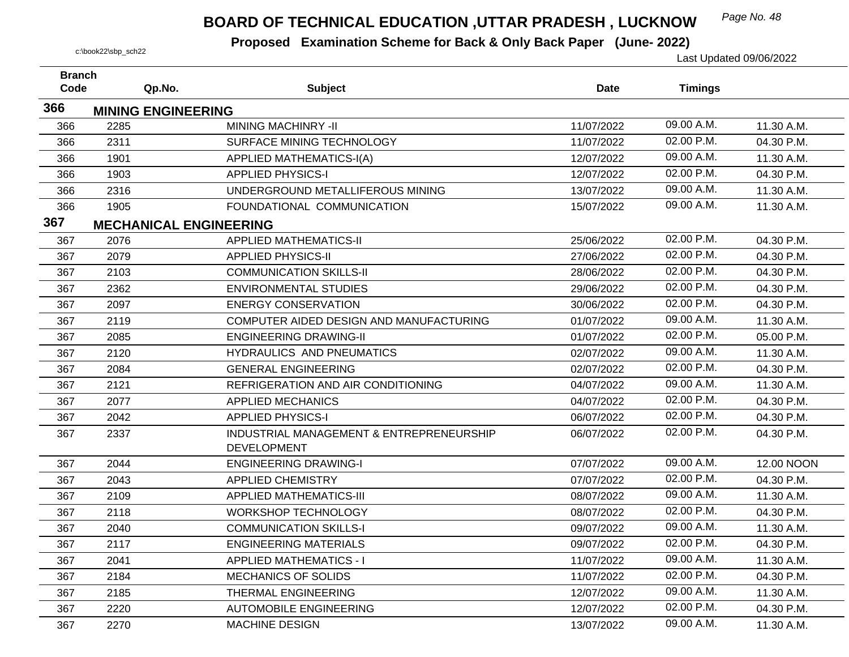## *Page No. 48* **BOARD OF TECHNICAL EDUCATION ,UTTAR PRADESH , LUCKNOW**

| <b>Branch</b> |                               |                                          |             |                |            |
|---------------|-------------------------------|------------------------------------------|-------------|----------------|------------|
| Code          | Qp.No.                        | <b>Subject</b>                           | <b>Date</b> | <b>Timings</b> |            |
| 366           | <b>MINING ENGINEERING</b>     |                                          |             |                |            |
| 366           | 2285                          | MINING MACHINRY -II                      | 11/07/2022  | 09.00 A.M.     | 11.30 A.M. |
| 366           | 2311                          | SURFACE MINING TECHNOLOGY                | 11/07/2022  | 02.00 P.M.     | 04.30 P.M. |
| 366           | 1901                          | <b>APPLIED MATHEMATICS-I(A)</b>          | 12/07/2022  | 09.00 A.M.     | 11.30 A.M. |
| 366           | 1903                          | <b>APPLIED PHYSICS-I</b>                 | 12/07/2022  | 02.00 P.M.     | 04.30 P.M. |
| 366           | 2316                          | UNDERGROUND METALLIFEROUS MINING         | 13/07/2022  | 09.00 A.M.     | 11.30 A.M. |
| 366           | 1905                          | FOUNDATIONAL COMMUNICATION               | 15/07/2022  | 09.00 A.M.     | 11.30 A.M. |
| 367           | <b>MECHANICAL ENGINEERING</b> |                                          |             |                |            |
| 367           | 2076                          | <b>APPLIED MATHEMATICS-II</b>            | 25/06/2022  | 02.00 P.M.     | 04.30 P.M. |
| 367           | 2079                          | <b>APPLIED PHYSICS-II</b>                | 27/06/2022  | 02.00 P.M.     | 04.30 P.M. |
| 367           | 2103                          | <b>COMMUNICATION SKILLS-II</b>           | 28/06/2022  | 02.00 P.M.     | 04.30 P.M. |
| 367           | 2362                          | <b>ENVIRONMENTAL STUDIES</b>             | 29/06/2022  | 02.00 P.M.     | 04.30 P.M. |
| 367           | 2097                          | <b>ENERGY CONSERVATION</b>               | 30/06/2022  | 02.00 P.M.     | 04.30 P.M. |
| 367           | 2119                          | COMPUTER AIDED DESIGN AND MANUFACTURING  | 01/07/2022  | 09.00 A.M.     | 11.30 A.M. |
| 367           | 2085                          | <b>ENGINEERING DRAWING-II</b>            | 01/07/2022  | 02.00 P.M.     | 05.00 P.M. |
| 367           | 2120                          | HYDRAULICS AND PNEUMATICS                | 02/07/2022  | 09.00 A.M.     | 11.30 A.M. |
| 367           | 2084                          | <b>GENERAL ENGINEERING</b>               | 02/07/2022  | 02.00 P.M.     | 04.30 P.M. |
| 367           | 2121                          | REFRIGERATION AND AIR CONDITIONING       | 04/07/2022  | 09.00 A.M.     | 11.30 A.M. |
| 367           | 2077                          | <b>APPLIED MECHANICS</b>                 | 04/07/2022  | 02.00 P.M.     | 04.30 P.M. |
| 367           | 2042                          | <b>APPLIED PHYSICS-I</b>                 | 06/07/2022  | 02.00 P.M.     | 04.30 P.M. |
| 367           | 2337                          | INDUSTRIAL MANAGEMENT & ENTREPRENEURSHIP | 06/07/2022  | 02.00 P.M.     | 04.30 P.M. |
|               |                               | <b>DEVELOPMENT</b>                       |             |                |            |
| 367           | 2044                          | <b>ENGINEERING DRAWING-I</b>             | 07/07/2022  | 09.00 A.M.     | 12.00 NOON |
| 367           | 2043                          | <b>APPLIED CHEMISTRY</b>                 | 07/07/2022  | 02.00 P.M.     | 04.30 P.M. |
| 367           | 2109                          | <b>APPLIED MATHEMATICS-III</b>           | 08/07/2022  | 09.00 A.M.     | 11.30 A.M. |
| 367           | 2118                          | <b>WORKSHOP TECHNOLOGY</b>               | 08/07/2022  | 02.00 P.M.     | 04.30 P.M. |
| 367           | 2040                          | <b>COMMUNICATION SKILLS-I</b>            | 09/07/2022  | 09.00 A.M.     | 11.30 A.M. |
| 367           | 2117                          | <b>ENGINEERING MATERIALS</b>             | 09/07/2022  | 02.00 P.M.     | 04.30 P.M. |
| 367           | 2041                          | <b>APPLIED MATHEMATICS - I</b>           | 11/07/2022  | 09.00 A.M.     | 11.30 A.M. |
| 367           | 2184                          | <b>MECHANICS OF SOLIDS</b>               | 11/07/2022  | 02.00 P.M.     | 04.30 P.M. |
| 367           | 2185                          | <b>THERMAL ENGINEERING</b>               | 12/07/2022  | 09.00 A.M.     | 11.30 A.M. |
| 367           | 2220                          | <b>AUTOMOBILE ENGINEERING</b>            | 12/07/2022  | 02.00 P.M.     | 04.30 P.M. |
| 367           | 2270                          | <b>MACHINE DESIGN</b>                    | 13/07/2022  | 09.00 A.M.     | 11.30 A.M. |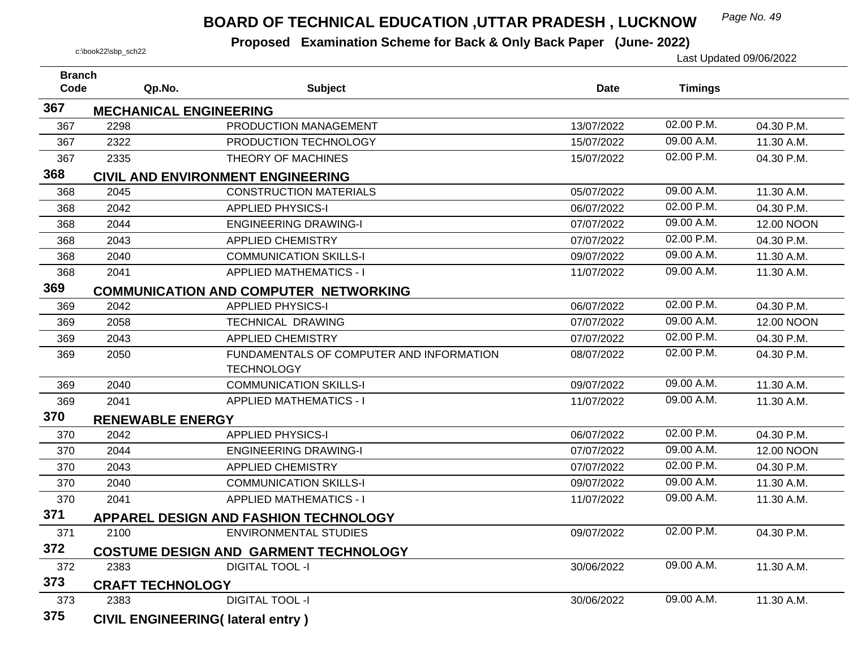#### *Page No. 49* **BOARD OF TECHNICAL EDUCATION ,UTTAR PRADESH , LUCKNOW**

| <b>Branch</b> |                               |                                                               |             |                |            |
|---------------|-------------------------------|---------------------------------------------------------------|-------------|----------------|------------|
| Code          | Qp.No.                        | <b>Subject</b>                                                | <b>Date</b> | <b>Timings</b> |            |
| 367           | <b>MECHANICAL ENGINEERING</b> |                                                               |             |                |            |
| 367           | 2298                          | PRODUCTION MANAGEMENT                                         | 13/07/2022  | 02.00 P.M.     | 04.30 P.M. |
| 367           | 2322                          | PRODUCTION TECHNOLOGY                                         | 15/07/2022  | 09.00 A.M.     | 11.30 A.M. |
| 367           | 2335                          | THEORY OF MACHINES                                            | 15/07/2022  | 02.00 P.M.     | 04.30 P.M. |
| 368           |                               | <b>CIVIL AND ENVIRONMENT ENGINEERING</b>                      |             |                |            |
| 368           | 2045                          | <b>CONSTRUCTION MATERIALS</b>                                 | 05/07/2022  | 09.00 A.M.     | 11.30 A.M. |
| 368           | 2042                          | <b>APPLIED PHYSICS-I</b>                                      | 06/07/2022  | 02.00 P.M.     | 04.30 P.M. |
| 368           | 2044                          | <b>ENGINEERING DRAWING-I</b>                                  | 07/07/2022  | 09.00 A.M.     | 12.00 NOON |
| 368           | 2043                          | <b>APPLIED CHEMISTRY</b>                                      | 07/07/2022  | 02.00 P.M.     | 04.30 P.M. |
| 368           | 2040                          | <b>COMMUNICATION SKILLS-I</b>                                 | 09/07/2022  | 09.00 A.M.     | 11.30 A.M. |
| 368           | 2041                          | <b>APPLIED MATHEMATICS - I</b>                                | 11/07/2022  | 09.00 A.M.     | 11.30 A.M. |
| 369           |                               | <b>COMMUNICATION AND COMPUTER NETWORKING</b>                  |             |                |            |
| 369           | 2042                          | <b>APPLIED PHYSICS-I</b>                                      | 06/07/2022  | 02.00 P.M.     | 04.30 P.M. |
| 369           | 2058                          | TECHNICAL DRAWING                                             | 07/07/2022  | 09.00 A.M.     | 12.00 NOON |
| 369           | 2043                          | <b>APPLIED CHEMISTRY</b>                                      | 07/07/2022  | 02.00 P.M.     | 04.30 P.M. |
| 369           | 2050                          | FUNDAMENTALS OF COMPUTER AND INFORMATION<br><b>TECHNOLOGY</b> | 08/07/2022  | 02.00 P.M.     | 04.30 P.M. |
| 369           | 2040                          | <b>COMMUNICATION SKILLS-I</b>                                 | 09/07/2022  | 09.00 A.M.     | 11.30 A.M. |
| 369           | 2041                          | <b>APPLIED MATHEMATICS - I</b>                                | 11/07/2022  | 09.00 A.M.     | 11.30 A.M. |
| 370           | <b>RENEWABLE ENERGY</b>       |                                                               |             |                |            |
| 370           | 2042                          | <b>APPLIED PHYSICS-I</b>                                      | 06/07/2022  | 02.00 P.M.     | 04.30 P.M. |
| 370           | 2044                          | <b>ENGINEERING DRAWING-I</b>                                  | 07/07/2022  | 09.00 A.M.     | 12.00 NOON |
| 370           | 2043                          | <b>APPLIED CHEMISTRY</b>                                      | 07/07/2022  | 02.00 P.M.     | 04.30 P.M. |
| 370           | 2040                          | <b>COMMUNICATION SKILLS-I</b>                                 | 09/07/2022  | 09.00 A.M.     | 11.30 A.M. |
| 370           | 2041                          | <b>APPLIED MATHEMATICS - I</b>                                | 11/07/2022  | 09.00 A.M.     | 11.30 A.M. |
| 371           |                               | APPAREL DESIGN AND FASHION TECHNOLOGY                         |             |                |            |
| 371           | 2100                          | <b>ENVIRONMENTAL STUDIES</b>                                  | 09/07/2022  | 02.00 P.M.     | 04.30 P.M. |
| 372           |                               | <b>COSTUME DESIGN AND GARMENT TECHNOLOGY</b>                  |             |                |            |
| 372           | 2383                          | <b>DIGITAL TOOL -I</b>                                        | 30/06/2022  | 09.00 A.M.     | 11.30 A.M. |
| 373           | <b>CRAFT TECHNOLOGY</b>       |                                                               |             |                |            |
| 373           | 2383                          | <b>DIGITAL TOOL -I</b>                                        | 30/06/2022  | 09.00 A.M.     | 11.30 A.M. |
| 375           |                               | <b>CIVIL ENGINEERING(Iateral entry)</b>                       |             |                |            |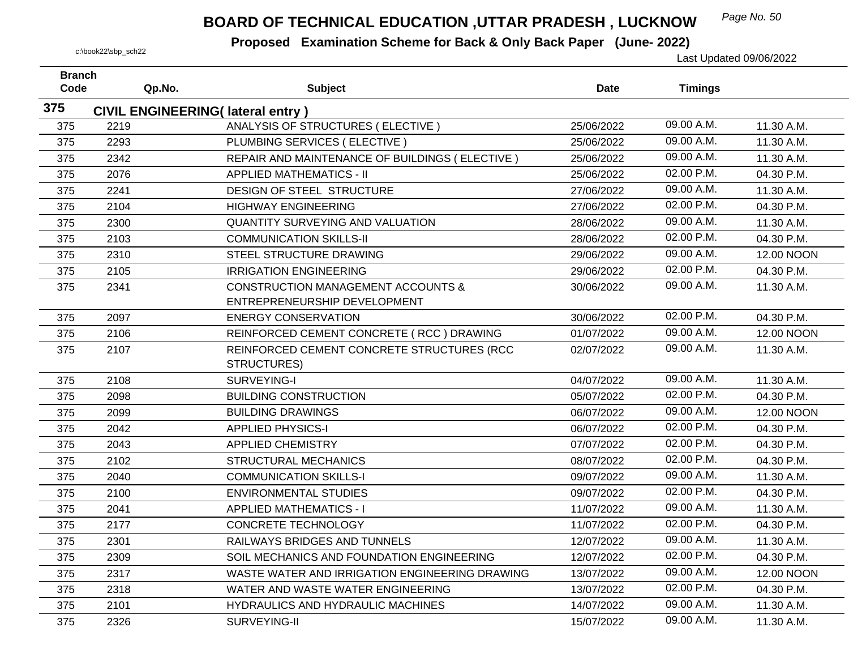## *Page No. 50* **BOARD OF TECHNICAL EDUCATION ,UTTAR PRADESH , LUCKNOW**

| <b>Branch</b><br>Code |      | Qp.No. | <b>Subject</b>                                 | <b>Date</b> | <b>Timings</b> |            |
|-----------------------|------|--------|------------------------------------------------|-------------|----------------|------------|
|                       |      |        |                                                |             |                |            |
| 375                   |      |        | <b>CIVIL ENGINEERING(Iateral entry)</b>        |             |                |            |
| 375                   | 2219 |        | ANALYSIS OF STRUCTURES (ELECTIVE)              | 25/06/2022  | 09.00 A.M.     | 11.30 A.M. |
| 375                   | 2293 |        | PLUMBING SERVICES (ELECTIVE)                   | 25/06/2022  | 09.00 A.M.     | 11.30 A.M. |
| 375                   | 2342 |        | REPAIR AND MAINTENANCE OF BUILDINGS (ELECTIVE) | 25/06/2022  | 09.00 A.M.     | 11.30 A.M. |
| 375                   | 2076 |        | <b>APPLIED MATHEMATICS - II</b>                | 25/06/2022  | 02.00 P.M.     | 04.30 P.M. |
| 375                   | 2241 |        | DESIGN OF STEEL STRUCTURE                      | 27/06/2022  | 09.00 A.M.     | 11.30 A.M. |
| 375                   | 2104 |        | <b>HIGHWAY ENGINEERING</b>                     | 27/06/2022  | 02.00 P.M.     | 04.30 P.M. |
| 375                   | 2300 |        | <b>QUANTITY SURVEYING AND VALUATION</b>        | 28/06/2022  | 09.00 A.M.     | 11.30 A.M. |
| 375                   | 2103 |        | <b>COMMUNICATION SKILLS-II</b>                 | 28/06/2022  | 02.00 P.M.     | 04.30 P.M. |
| 375                   | 2310 |        | STEEL STRUCTURE DRAWING                        | 29/06/2022  | 09.00 A.M.     | 12.00 NOON |
| 375                   | 2105 |        | <b>IRRIGATION ENGINEERING</b>                  | 29/06/2022  | 02.00 P.M.     | 04.30 P.M. |
| 375                   | 2341 |        | <b>CONSTRUCTION MANAGEMENT ACCOUNTS &amp;</b>  | 30/06/2022  | 09.00 A.M.     | 11.30 A.M. |
|                       |      |        | ENTREPRENEURSHIP DEVELOPMENT                   |             |                |            |
| 375                   | 2097 |        | <b>ENERGY CONSERVATION</b>                     | 30/06/2022  | 02.00 P.M.     | 04.30 P.M. |
| 375                   | 2106 |        | REINFORCED CEMENT CONCRETE (RCC) DRAWING       | 01/07/2022  | 09.00 A.M.     | 12.00 NOON |
| 375                   | 2107 |        | REINFORCED CEMENT CONCRETE STRUCTURES (RCC     | 02/07/2022  | 09.00 A.M.     | 11.30 A.M. |
|                       |      |        | STRUCTURES)                                    |             |                |            |
| 375                   | 2108 |        | SURVEYING-I                                    | 04/07/2022  | 09.00 A.M.     | 11.30 A.M. |
| 375                   | 2098 |        | <b>BUILDING CONSTRUCTION</b>                   | 05/07/2022  | 02.00 P.M.     | 04.30 P.M. |
| 375                   | 2099 |        | <b>BUILDING DRAWINGS</b>                       | 06/07/2022  | 09.00 A.M.     | 12.00 NOON |
| 375                   | 2042 |        | <b>APPLIED PHYSICS-I</b>                       | 06/07/2022  | 02.00 P.M.     | 04.30 P.M. |
| 375                   | 2043 |        | <b>APPLIED CHEMISTRY</b>                       | 07/07/2022  | 02.00 P.M.     | 04.30 P.M. |
| 375                   | 2102 |        | <b>STRUCTURAL MECHANICS</b>                    | 08/07/2022  | 02.00 P.M.     | 04.30 P.M. |
| 375                   | 2040 |        | <b>COMMUNICATION SKILLS-I</b>                  | 09/07/2022  | 09.00 A.M.     | 11.30 A.M. |
| 375                   | 2100 |        | <b>ENVIRONMENTAL STUDIES</b>                   | 09/07/2022  | 02.00 P.M.     | 04.30 P.M. |
| 375                   | 2041 |        | <b>APPLIED MATHEMATICS - I</b>                 | 11/07/2022  | 09.00 A.M.     | 11.30 A.M. |
| 375                   | 2177 |        | <b>CONCRETE TECHNOLOGY</b>                     | 11/07/2022  | 02.00 P.M.     | 04.30 P.M. |
| 375                   | 2301 |        | RAILWAYS BRIDGES AND TUNNELS                   | 12/07/2022  | 09.00 A.M.     | 11.30 A.M. |
| 375                   | 2309 |        | SOIL MECHANICS AND FOUNDATION ENGINEERING      | 12/07/2022  | 02.00 P.M.     | 04.30 P.M. |
| 375                   | 2317 |        | WASTE WATER AND IRRIGATION ENGINEERING DRAWING | 13/07/2022  | 09.00 A.M.     | 12.00 NOON |
| 375                   | 2318 |        | WATER AND WASTE WATER ENGINEERING              | 13/07/2022  | 02.00 P.M.     | 04.30 P.M. |
| 375                   | 2101 |        | HYDRAULICS AND HYDRAULIC MACHINES              | 14/07/2022  | 09.00 A.M.     | 11.30 A.M. |
| 375                   | 2326 |        | SURVEYING-II                                   | 15/07/2022  | 09.00 A.M.     | 11.30 A.M. |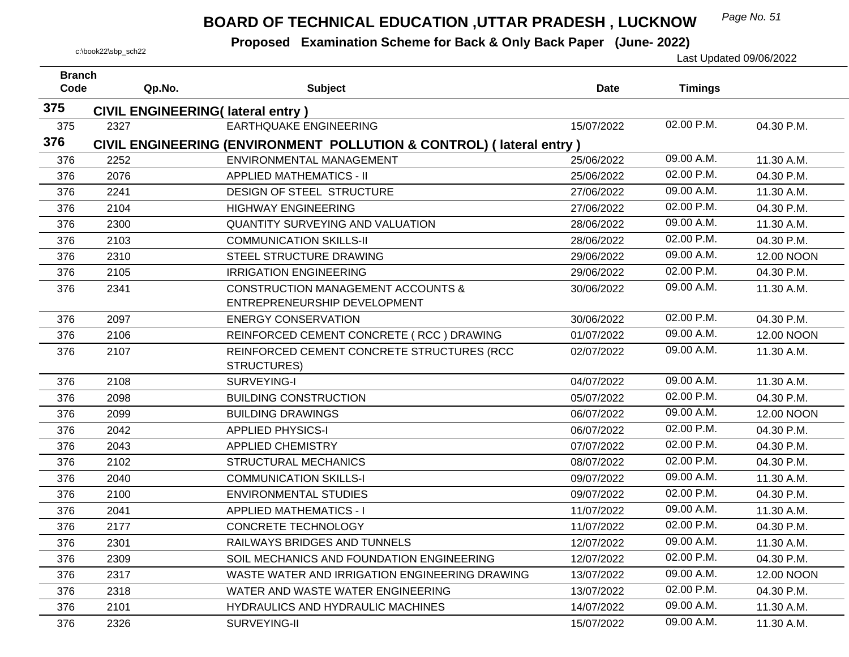## *Page No. 51* **BOARD OF TECHNICAL EDUCATION ,UTTAR PRADESH , LUCKNOW**

| <b>Branch</b><br>Code | Qp.No. | <b>Subject</b>                                                      | <b>Date</b> | <b>Timings</b> |            |
|-----------------------|--------|---------------------------------------------------------------------|-------------|----------------|------------|
|                       |        |                                                                     |             |                |            |
| 375                   |        | <b>CIVIL ENGINEERING(Iateral entry)</b>                             |             |                |            |
| 375                   | 2327   | <b>EARTHQUAKE ENGINEERING</b>                                       | 15/07/2022  | 02.00 P.M.     | 04.30 P.M. |
| 376                   |        | CIVIL ENGINEERING (ENVIRONMENT POLLUTION & CONTROL) (lateral entry) |             |                |            |
| 376                   | 2252   | ENVIRONMENTAL MANAGEMENT                                            | 25/06/2022  | 09.00 A.M.     | 11.30 A.M. |
| 376                   | 2076   | <b>APPLIED MATHEMATICS - II</b>                                     | 25/06/2022  | 02.00 P.M.     | 04.30 P.M. |
| 376                   | 2241   | DESIGN OF STEEL STRUCTURE                                           | 27/06/2022  | 09.00 A.M.     | 11.30 A.M. |
| 376                   | 2104   | <b>HIGHWAY ENGINEERING</b>                                          | 27/06/2022  | 02.00 P.M.     | 04.30 P.M. |
| 376                   | 2300   | QUANTITY SURVEYING AND VALUATION                                    | 28/06/2022  | 09.00 A.M.     | 11.30 A.M. |
| 376                   | 2103   | <b>COMMUNICATION SKILLS-II</b>                                      | 28/06/2022  | 02.00 P.M.     | 04.30 P.M. |
| 376                   | 2310   | STEEL STRUCTURE DRAWING                                             | 29/06/2022  | 09.00 A.M.     | 12.00 NOON |
| 376                   | 2105   | <b>IRRIGATION ENGINEERING</b>                                       | 29/06/2022  | 02.00 P.M.     | 04.30 P.M. |
| 376                   | 2341   | <b>CONSTRUCTION MANAGEMENT ACCOUNTS &amp;</b>                       | 30/06/2022  | 09.00 A.M.     | 11.30 A.M. |
|                       |        | ENTREPRENEURSHIP DEVELOPMENT                                        |             |                |            |
| 376                   | 2097   | <b>ENERGY CONSERVATION</b>                                          | 30/06/2022  | 02.00 P.M.     | 04.30 P.M. |
| 376                   | 2106   | REINFORCED CEMENT CONCRETE (RCC) DRAWING                            | 01/07/2022  | 09.00 A.M.     | 12.00 NOON |
| 376                   | 2107   | REINFORCED CEMENT CONCRETE STRUCTURES (RCC                          | 02/07/2022  | 09.00 A.M.     | 11.30 A.M. |
|                       |        | STRUCTURES)                                                         |             |                |            |
| 376                   | 2108   | SURVEYING-I                                                         | 04/07/2022  | 09.00 A.M.     | 11.30 A.M. |
| 376                   | 2098   | <b>BUILDING CONSTRUCTION</b>                                        | 05/07/2022  | 02.00 P.M.     | 04.30 P.M. |
| 376                   | 2099   | <b>BUILDING DRAWINGS</b>                                            | 06/07/2022  | 09.00 A.M.     | 12.00 NOON |
| 376                   | 2042   | <b>APPLIED PHYSICS-I</b>                                            | 06/07/2022  | 02.00 P.M.     | 04.30 P.M. |
| 376                   | 2043   | <b>APPLIED CHEMISTRY</b>                                            | 07/07/2022  | 02.00 P.M.     | 04.30 P.M. |
| 376                   | 2102   | <b>STRUCTURAL MECHANICS</b>                                         | 08/07/2022  | 02.00 P.M.     | 04.30 P.M. |
| 376                   | 2040   | <b>COMMUNICATION SKILLS-I</b>                                       | 09/07/2022  | 09.00 A.M.     | 11.30 A.M. |
| 376                   | 2100   | <b>ENVIRONMENTAL STUDIES</b>                                        | 09/07/2022  | 02.00 P.M.     | 04.30 P.M. |
| 376                   | 2041   | <b>APPLIED MATHEMATICS - I</b>                                      | 11/07/2022  | 09.00 A.M.     | 11.30 A.M. |
| 376                   | 2177   | <b>CONCRETE TECHNOLOGY</b>                                          | 11/07/2022  | 02.00 P.M.     | 04.30 P.M. |
| 376                   | 2301   | RAILWAYS BRIDGES AND TUNNELS                                        | 12/07/2022  | 09.00 A.M.     | 11.30 A.M. |
| 376                   | 2309   | SOIL MECHANICS AND FOUNDATION ENGINEERING                           | 12/07/2022  | 02.00 P.M.     | 04.30 P.M. |
| 376                   | 2317   | WASTE WATER AND IRRIGATION ENGINEERING DRAWING                      | 13/07/2022  | 09.00 A.M.     | 12.00 NOON |
| 376                   | 2318   | WATER AND WASTE WATER ENGINEERING                                   | 13/07/2022  | 02.00 P.M.     | 04.30 P.M. |
| 376                   | 2101   | HYDRAULICS AND HYDRAULIC MACHINES                                   | 14/07/2022  | 09.00 A.M.     | 11.30 A.M. |
| 376                   | 2326   | SURVEYING-II                                                        | 15/07/2022  | 09.00 A.M.     | 11.30 A.M. |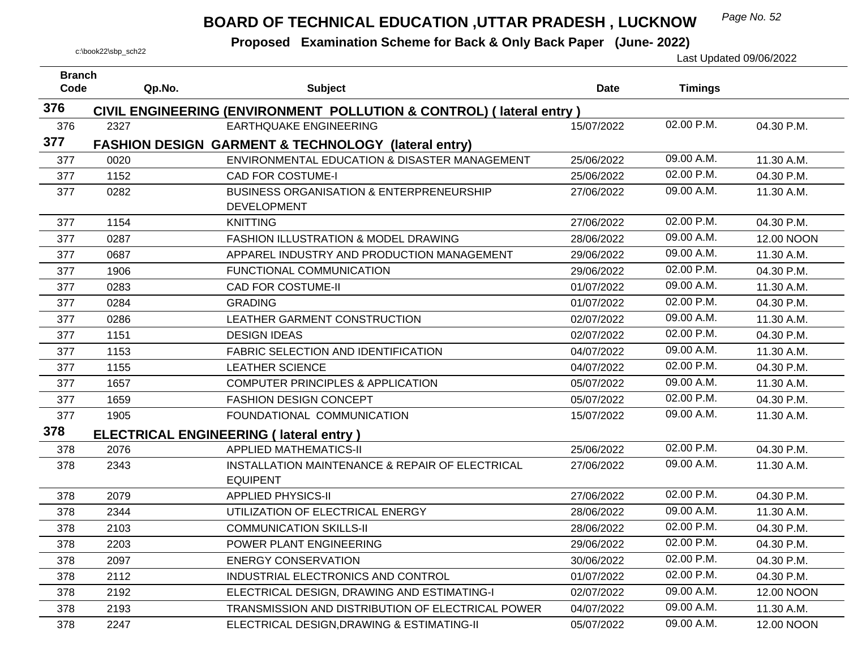## *Page No. 52* **BOARD OF TECHNICAL EDUCATION ,UTTAR PRADESH , LUCKNOW**

| <b>Branch</b><br>Code | Qp.No. | <b>Subject</b>                                                            | <b>Date</b> | <b>Timings</b> |            |
|-----------------------|--------|---------------------------------------------------------------------------|-------------|----------------|------------|
|                       |        |                                                                           |             |                |            |
| 376                   |        | CIVIL ENGINEERING (ENVIRONMENT POLLUTION & CONTROL) (lateral entry)       |             |                |            |
| 376                   | 2327   | <b>EARTHQUAKE ENGINEERING</b>                                             | 15/07/2022  | 02.00 P.M.     | 04.30 P.M. |
| 377                   |        | <b>FASHION DESIGN GARMENT &amp; TECHNOLOGY (lateral entry)</b>            |             |                |            |
| 377                   | 0020   | ENVIRONMENTAL EDUCATION & DISASTER MANAGEMENT                             | 25/06/2022  | 09.00 A.M.     | 11.30 A.M. |
| 377                   | 1152   | <b>CAD FOR COSTUME-I</b>                                                  | 25/06/2022  | 02.00 P.M.     | 04.30 P.M. |
| 377                   | 0282   | <b>BUSINESS ORGANISATION &amp; ENTERPRENEURSHIP</b><br><b>DEVELOPMENT</b> | 27/06/2022  | 09.00 A.M.     | 11.30 A.M. |
| 377                   | 1154   | <b>KNITTING</b>                                                           | 27/06/2022  | 02.00 P.M.     | 04.30 P.M. |
| 377                   | 0287   | <b>FASHION ILLUSTRATION &amp; MODEL DRAWING</b>                           | 28/06/2022  | 09.00 A.M.     | 12.00 NOON |
| 377                   | 0687   | APPAREL INDUSTRY AND PRODUCTION MANAGEMENT                                | 29/06/2022  | 09.00 A.M.     | 11.30 A.M. |
| 377                   | 1906   | FUNCTIONAL COMMUNICATION                                                  | 29/06/2022  | 02.00 P.M.     | 04.30 P.M. |
| 377                   | 0283   | <b>CAD FOR COSTUME-II</b>                                                 | 01/07/2022  | 09.00 A.M.     | 11.30 A.M. |
| 377                   | 0284   | <b>GRADING</b>                                                            | 01/07/2022  | 02.00 P.M.     | 04.30 P.M. |
| 377                   | 0286   | LEATHER GARMENT CONSTRUCTION                                              | 02/07/2022  | 09.00 A.M.     | 11.30 A.M. |
| 377                   | 1151   | <b>DESIGN IDEAS</b>                                                       | 02/07/2022  | 02.00 P.M.     | 04.30 P.M. |
| 377                   | 1153   | FABRIC SELECTION AND IDENTIFICATION                                       | 04/07/2022  | 09.00 A.M.     | 11.30 A.M. |
| 377                   | 1155   | <b>LEATHER SCIENCE</b>                                                    | 04/07/2022  | 02.00 P.M.     | 04.30 P.M. |
| 377                   | 1657   | <b>COMPUTER PRINCIPLES &amp; APPLICATION</b>                              | 05/07/2022  | 09.00 A.M.     | 11.30 A.M. |
| 377                   | 1659   | <b>FASHION DESIGN CONCEPT</b>                                             | 05/07/2022  | 02.00 P.M.     | 04.30 P.M. |
| 377                   | 1905   | FOUNDATIONAL COMMUNICATION                                                | 15/07/2022  | 09.00 A.M.     | 11.30 A.M. |
| 378                   |        | <b>ELECTRICAL ENGINEERING (Iateral entry)</b>                             |             |                |            |
| 378                   | 2076   | <b>APPLIED MATHEMATICS-II</b>                                             | 25/06/2022  | 02.00 P.M.     | 04.30 P.M. |
| 378                   | 2343   | INSTALLATION MAINTENANCE & REPAIR OF ELECTRICAL<br><b>EQUIPENT</b>        | 27/06/2022  | 09.00 A.M.     | 11.30 A.M. |
| 378                   | 2079   | <b>APPLIED PHYSICS-II</b>                                                 | 27/06/2022  | 02.00 P.M.     | 04.30 P.M. |
| 378                   | 2344   | UTILIZATION OF ELECTRICAL ENERGY                                          | 28/06/2022  | 09.00 A.M.     | 11.30 A.M. |
| 378                   | 2103   | <b>COMMUNICATION SKILLS-II</b>                                            | 28/06/2022  | 02.00 P.M.     | 04.30 P.M. |
| 378                   | 2203   | POWER PLANT ENGINEERING                                                   | 29/06/2022  | 02.00 P.M.     | 04.30 P.M. |
| 378                   | 2097   | <b>ENERGY CONSERVATION</b>                                                | 30/06/2022  | 02.00 P.M.     | 04.30 P.M. |
| 378                   | 2112   | INDUSTRIAL ELECTRONICS AND CONTROL                                        | 01/07/2022  | 02.00 P.M.     | 04.30 P.M. |
| 378                   | 2192   | ELECTRICAL DESIGN, DRAWING AND ESTIMATING-I                               | 02/07/2022  | 09.00 A.M.     | 12.00 NOON |
| 378                   | 2193   | TRANSMISSION AND DISTRIBUTION OF ELECTRICAL POWER                         | 04/07/2022  | 09.00 A.M.     | 11.30 A.M. |
| 378                   | 2247   | ELECTRICAL DESIGN, DRAWING & ESTIMATING-II                                | 05/07/2022  | 09.00 A.M.     | 12.00 NOON |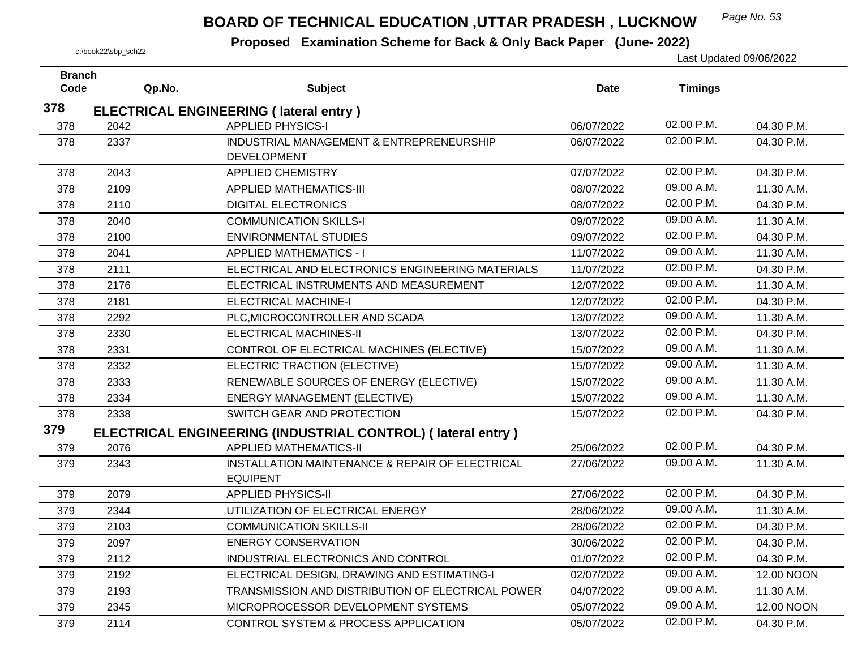## *Page No. 53* **BOARD OF TECHNICAL EDUCATION ,UTTAR PRADESH , LUCKNOW**

| <b>Branch</b> |        |                                                                    |             |                |            |
|---------------|--------|--------------------------------------------------------------------|-------------|----------------|------------|
| Code          | Qp.No. | <b>Subject</b>                                                     | <b>Date</b> | <b>Timings</b> |            |
| 378           |        | <b>ELECTRICAL ENGINEERING (Iateral entry)</b>                      |             |                |            |
| 378           | 2042   | <b>APPLIED PHYSICS-I</b>                                           | 06/07/2022  | 02.00 P.M.     | 04.30 P.M. |
| 378           | 2337   | INDUSTRIAL MANAGEMENT & ENTREPRENEURSHIP<br><b>DEVELOPMENT</b>     | 06/07/2022  | 02.00 P.M.     | 04.30 P.M. |
| 378           | 2043   | <b>APPLIED CHEMISTRY</b>                                           | 07/07/2022  | 02.00 P.M.     | 04.30 P.M. |
| 378           | 2109   | <b>APPLIED MATHEMATICS-III</b>                                     | 08/07/2022  | 09.00 A.M.     | 11.30 A.M. |
| 378           | 2110   | <b>DIGITAL ELECTRONICS</b>                                         | 08/07/2022  | 02.00 P.M.     | 04.30 P.M. |
| 378           | 2040   | <b>COMMUNICATION SKILLS-I</b>                                      | 09/07/2022  | 09.00 A.M.     | 11.30 A.M. |
|               | 2100   | <b>ENVIRONMENTAL STUDIES</b>                                       |             | 02.00 P.M.     | 04.30 P.M. |
| 378           |        |                                                                    | 09/07/2022  | 09.00 A.M.     |            |
| 378           | 2041   | <b>APPLIED MATHEMATICS - I</b>                                     | 11/07/2022  | 02.00 P.M.     | 11.30 A.M. |
| 378           | 2111   | ELECTRICAL AND ELECTRONICS ENGINEERING MATERIALS                   | 11/07/2022  |                | 04.30 P.M. |
| 378           | 2176   | ELECTRICAL INSTRUMENTS AND MEASUREMENT                             | 12/07/2022  | 09.00 A.M.     | 11.30 A.M. |
| 378           | 2181   | <b>ELECTRICAL MACHINE-I</b>                                        | 12/07/2022  | 02.00 P.M.     | 04.30 P.M. |
| 378           | 2292   | PLC, MICROCONTROLLER AND SCADA                                     | 13/07/2022  | 09.00 A.M.     | 11.30 A.M. |
| 378           | 2330   | <b>ELECTRICAL MACHINES-II</b>                                      | 13/07/2022  | 02.00 P.M.     | 04.30 P.M. |
| 378           | 2331   | CONTROL OF ELECTRICAL MACHINES (ELECTIVE)                          | 15/07/2022  | 09.00 A.M.     | 11.30 A.M. |
| 378           | 2332   | ELECTRIC TRACTION (ELECTIVE)                                       | 15/07/2022  | 09.00 A.M.     | 11.30 A.M. |
| 378           | 2333   | RENEWABLE SOURCES OF ENERGY (ELECTIVE)                             | 15/07/2022  | 09.00 A.M.     | 11.30 A.M. |
| 378           | 2334   | <b>ENERGY MANAGEMENT (ELECTIVE)</b>                                | 15/07/2022  | 09.00 A.M.     | 11.30 A.M. |
| 378           | 2338   | SWITCH GEAR AND PROTECTION                                         | 15/07/2022  | 02.00 P.M.     | 04.30 P.M. |
| 379           |        | <b>ELECTRICAL ENGINEERING (INDUSTRIAL CONTROL) (Iateral entry)</b> |             |                |            |
| 379           | 2076   | <b>APPLIED MATHEMATICS-II</b>                                      | 25/06/2022  | 02.00 P.M.     | 04.30 P.M. |
| 379           | 2343   | INSTALLATION MAINTENANCE & REPAIR OF ELECTRICAL                    | 27/06/2022  | 09.00 A.M.     | 11.30 A.M. |
|               |        | <b>EQUIPENT</b>                                                    |             |                |            |
| 379           | 2079   | <b>APPLIED PHYSICS-II</b>                                          | 27/06/2022  | 02.00 P.M.     | 04.30 P.M. |
| 379           | 2344   | UTILIZATION OF ELECTRICAL ENERGY                                   | 28/06/2022  | 09.00 A.M.     | 11.30 A.M. |
| 379           | 2103   | <b>COMMUNICATION SKILLS-II</b>                                     | 28/06/2022  | 02.00 P.M.     | 04.30 P.M. |
| 379           | 2097   | <b>ENERGY CONSERVATION</b>                                         | 30/06/2022  | 02.00 P.M.     | 04.30 P.M. |
| 379           | 2112   | INDUSTRIAL ELECTRONICS AND CONTROL                                 | 01/07/2022  | 02.00 P.M.     | 04.30 P.M. |
| 379           | 2192   | ELECTRICAL DESIGN, DRAWING AND ESTIMATING-I                        | 02/07/2022  | 09.00 A.M.     | 12.00 NOON |
| 379           | 2193   | TRANSMISSION AND DISTRIBUTION OF ELECTRICAL POWER                  | 04/07/2022  | 09.00 A.M.     | 11.30 A.M. |
| 379           | 2345   | MICROPROCESSOR DEVELOPMENT SYSTEMS                                 | 05/07/2022  | 09.00 A.M.     | 12.00 NOON |
| 379           | 2114   | CONTROL SYSTEM & PROCESS APPLICATION                               | 05/07/2022  | 02.00 P.M.     | 04.30 P.M. |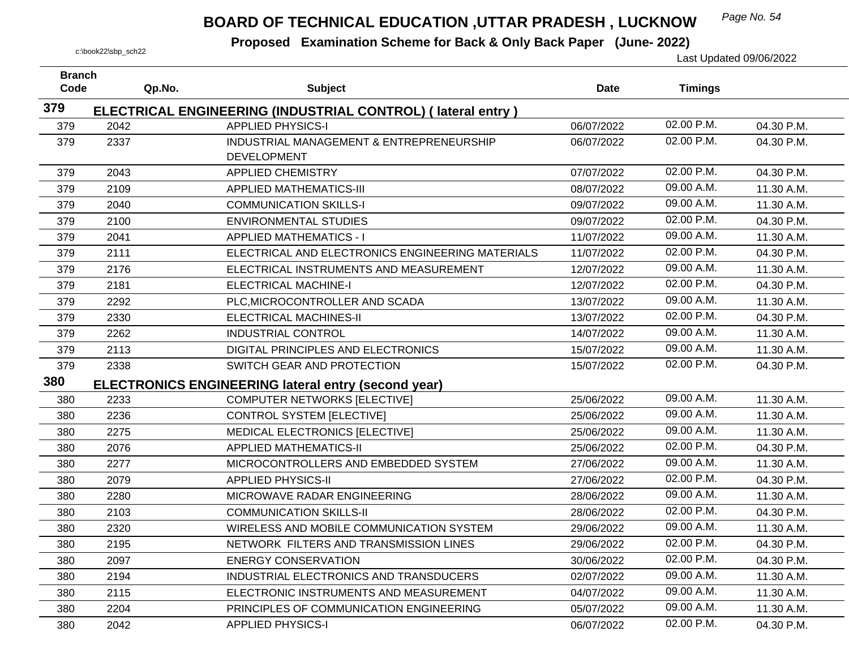## *Page No. 54* **BOARD OF TECHNICAL EDUCATION ,UTTAR PRADESH , LUCKNOW**

| <b>Branch</b><br>Code | Qp.No. | <b>Subject</b>                                                                          | <b>Date</b> | <b>Timings</b> |            |
|-----------------------|--------|-----------------------------------------------------------------------------------------|-------------|----------------|------------|
| 379                   |        |                                                                                         |             |                |            |
| 379                   | 2042   | ELECTRICAL ENGINEERING (INDUSTRIAL CONTROL) (lateral entry)<br><b>APPLIED PHYSICS-I</b> | 06/07/2022  | 02.00 P.M.     | 04.30 P.M. |
| 379                   | 2337   | INDUSTRIAL MANAGEMENT & ENTREPRENEURSHIP                                                | 06/07/2022  | 02.00 P.M.     | 04.30 P.M. |
|                       |        | <b>DEVELOPMENT</b>                                                                      |             |                |            |
| 379                   | 2043   | <b>APPLIED CHEMISTRY</b>                                                                | 07/07/2022  | 02.00 P.M.     | 04.30 P.M. |
| 379                   | 2109   | <b>APPLIED MATHEMATICS-III</b>                                                          | 08/07/2022  | 09.00 A.M.     | 11.30 A.M. |
| 379                   | 2040   | <b>COMMUNICATION SKILLS-I</b>                                                           | 09/07/2022  | 09.00 A.M.     | 11.30 A.M. |
| 379                   | 2100   | <b>ENVIRONMENTAL STUDIES</b>                                                            | 09/07/2022  | 02.00 P.M.     | 04.30 P.M. |
| 379                   | 2041   | <b>APPLIED MATHEMATICS - I</b>                                                          | 11/07/2022  | 09.00 A.M.     | 11.30 A.M. |
| 379                   | 2111   | ELECTRICAL AND ELECTRONICS ENGINEERING MATERIALS                                        | 11/07/2022  | 02.00 P.M.     | 04.30 P.M. |
| 379                   | 2176   | ELECTRICAL INSTRUMENTS AND MEASUREMENT                                                  | 12/07/2022  | 09.00 A.M.     | 11.30 A.M. |
| 379                   | 2181   | <b>ELECTRICAL MACHINE-I</b>                                                             | 12/07/2022  | 02.00 P.M.     | 04.30 P.M. |
| 379                   | 2292   | PLC, MICROCONTROLLER AND SCADA                                                          | 13/07/2022  | 09.00 A.M.     | 11.30 A.M. |
| 379                   | 2330   | <b>ELECTRICAL MACHINES-II</b>                                                           | 13/07/2022  | 02.00 P.M.     | 04.30 P.M. |
| 379                   | 2262   | <b>INDUSTRIAL CONTROL</b>                                                               | 14/07/2022  | 09.00 A.M.     | 11.30 A.M. |
| 379                   | 2113   | DIGITAL PRINCIPLES AND ELECTRONICS                                                      | 15/07/2022  | 09.00 A.M.     | 11.30 A.M. |
| 379                   | 2338   | SWITCH GEAR AND PROTECTION                                                              | 15/07/2022  | 02.00 P.M.     | 04.30 P.M. |
| 380                   |        | <b>ELECTRONICS ENGINEERING lateral entry (second year)</b>                              |             |                |            |
| 380                   | 2233   | <b>COMPUTER NETWORKS [ELECTIVE]</b>                                                     | 25/06/2022  | 09.00 A.M.     | 11.30 A.M. |
| 380                   | 2236   | <b>CONTROL SYSTEM [ELECTIVE]</b>                                                        | 25/06/2022  | 09.00 A.M.     | 11.30 A.M. |
| 380                   | 2275   | MEDICAL ELECTRONICS [ELECTIVE]                                                          | 25/06/2022  | 09.00 A.M.     | 11.30 A.M. |
| 380                   | 2076   | <b>APPLIED MATHEMATICS-II</b>                                                           | 25/06/2022  | 02.00 P.M.     | 04.30 P.M. |
| 380                   | 2277   | MICROCONTROLLERS AND EMBEDDED SYSTEM                                                    | 27/06/2022  | 09.00 A.M.     | 11.30 A.M. |
| 380                   | 2079   | <b>APPLIED PHYSICS-II</b>                                                               | 27/06/2022  | 02.00 P.M.     | 04.30 P.M. |
| 380                   | 2280   | MICROWAVE RADAR ENGINEERING                                                             | 28/06/2022  | 09.00 A.M.     | 11.30 A.M. |
| 380                   | 2103   | <b>COMMUNICATION SKILLS-II</b>                                                          | 28/06/2022  | 02.00 P.M.     | 04.30 P.M. |
| 380                   | 2320   | WIRELESS AND MOBILE COMMUNICATION SYSTEM                                                | 29/06/2022  | 09.00 A.M.     | 11.30 A.M. |
| 380                   | 2195   | NETWORK FILTERS AND TRANSMISSION LINES                                                  | 29/06/2022  | 02.00 P.M.     | 04.30 P.M. |
| 380                   | 2097   | <b>ENERGY CONSERVATION</b>                                                              | 30/06/2022  | 02.00 P.M.     | 04.30 P.M. |
| 380                   | 2194   | INDUSTRIAL ELECTRONICS AND TRANSDUCERS                                                  | 02/07/2022  | 09.00 A.M.     | 11.30 A.M. |
| 380                   | 2115   | ELECTRONIC INSTRUMENTS AND MEASUREMENT                                                  | 04/07/2022  | 09.00 A.M.     | 11.30 A.M. |
| 380                   | 2204   | PRINCIPLES OF COMMUNICATION ENGINEERING                                                 | 05/07/2022  | 09.00 A.M.     | 11.30 A.M. |
| 380                   | 2042   | <b>APPLIED PHYSICS-I</b>                                                                | 06/07/2022  | 02.00 P.M.     | 04.30 P.M. |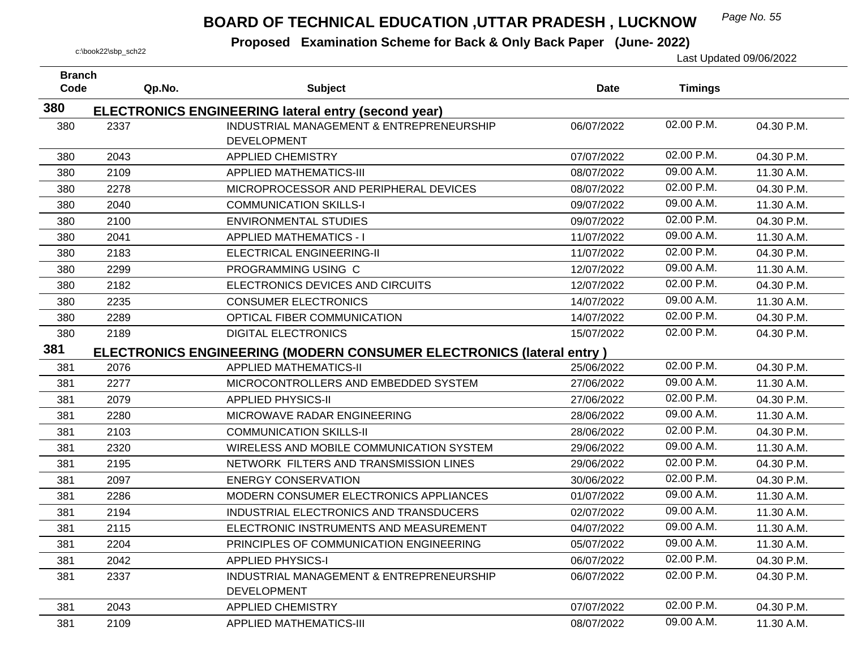## *Page No. 55* **BOARD OF TECHNICAL EDUCATION ,UTTAR PRADESH , LUCKNOW**

| <b>Branch</b><br>Code | Qp.No. | <b>Subject</b>                                                              | <b>Date</b> | <b>Timings</b> |            |
|-----------------------|--------|-----------------------------------------------------------------------------|-------------|----------------|------------|
| 380                   |        | <b>ELECTRONICS ENGINEERING lateral entry (second year)</b>                  |             |                |            |
| 380                   | 2337   | INDUSTRIAL MANAGEMENT & ENTREPRENEURSHIP                                    | 06/07/2022  | 02.00 P.M.     | 04.30 P.M. |
|                       |        | <b>DEVELOPMENT</b>                                                          |             |                |            |
| 380                   | 2043   | <b>APPLIED CHEMISTRY</b>                                                    | 07/07/2022  | 02.00 P.M.     | 04.30 P.M. |
| 380                   | 2109   | <b>APPLIED MATHEMATICS-III</b>                                              | 08/07/2022  | 09.00 A.M.     | 11.30 A.M. |
| 380                   | 2278   | MICROPROCESSOR AND PERIPHERAL DEVICES                                       | 08/07/2022  | 02.00 P.M.     | 04.30 P.M. |
| 380                   | 2040   | <b>COMMUNICATION SKILLS-I</b>                                               | 09/07/2022  | 09.00 A.M.     | 11.30 A.M. |
| 380                   | 2100   | <b>ENVIRONMENTAL STUDIES</b>                                                | 09/07/2022  | 02.00 P.M.     | 04.30 P.M. |
| 380                   | 2041   | <b>APPLIED MATHEMATICS - I</b>                                              | 11/07/2022  | 09.00 A.M.     | 11.30 A.M. |
| 380                   | 2183   | ELECTRICAL ENGINEERING-II                                                   | 11/07/2022  | 02.00 P.M.     | 04.30 P.M. |
| 380                   | 2299   | PROGRAMMING USING C                                                         | 12/07/2022  | 09.00 A.M.     | 11.30 A.M. |
| 380                   | 2182   | ELECTRONICS DEVICES AND CIRCUITS                                            | 12/07/2022  | 02.00 P.M.     | 04.30 P.M. |
| 380                   | 2235   | <b>CONSUMER ELECTRONICS</b>                                                 | 14/07/2022  | 09.00 A.M.     | 11.30 A.M. |
| 380                   | 2289   | OPTICAL FIBER COMMUNICATION                                                 | 14/07/2022  | 02.00 P.M.     | 04.30 P.M. |
| 380                   | 2189   | <b>DIGITAL ELECTRONICS</b>                                                  | 15/07/2022  | 02.00 P.M.     | 04.30 P.M. |
| 381                   |        | <b>ELECTRONICS ENGINEERING (MODERN CONSUMER ELECTRONICS (lateral entry)</b> |             |                |            |
| 381                   | 2076   | <b>APPLIED MATHEMATICS-II</b>                                               | 25/06/2022  | 02.00 P.M.     | 04.30 P.M. |
| 381                   | 2277   | MICROCONTROLLERS AND EMBEDDED SYSTEM                                        | 27/06/2022  | 09.00 A.M.     | 11.30 A.M. |
| 381                   | 2079   | <b>APPLIED PHYSICS-II</b>                                                   | 27/06/2022  | 02.00 P.M.     | 04.30 P.M. |
| 381                   | 2280   | MICROWAVE RADAR ENGINEERING                                                 | 28/06/2022  | 09.00 A.M.     | 11.30 A.M. |
| 381                   | 2103   | <b>COMMUNICATION SKILLS-II</b>                                              | 28/06/2022  | 02.00 P.M.     | 04.30 P.M. |
| 381                   | 2320   | WIRELESS AND MOBILE COMMUNICATION SYSTEM                                    | 29/06/2022  | 09.00 A.M.     | 11.30 A.M. |
| 381                   | 2195   | NETWORK FILTERS AND TRANSMISSION LINES                                      | 29/06/2022  | 02.00 P.M.     | 04.30 P.M. |
| 381                   | 2097   | <b>ENERGY CONSERVATION</b>                                                  | 30/06/2022  | 02.00 P.M.     | 04.30 P.M. |
| 381                   | 2286   | MODERN CONSUMER ELECTRONICS APPLIANCES                                      | 01/07/2022  | 09.00 A.M.     | 11.30 A.M. |
| 381                   | 2194   | INDUSTRIAL ELECTRONICS AND TRANSDUCERS                                      | 02/07/2022  | 09.00 A.M.     | 11.30 A.M. |
| 381                   | 2115   | ELECTRONIC INSTRUMENTS AND MEASUREMENT                                      | 04/07/2022  | 09.00 A.M.     | 11.30 A.M. |
| 381                   | 2204   | PRINCIPLES OF COMMUNICATION ENGINEERING                                     | 05/07/2022  | 09.00 A.M.     | 11.30 A.M. |
| 381                   | 2042   | <b>APPLIED PHYSICS-I</b>                                                    | 06/07/2022  | 02.00 P.M.     | 04.30 P.M. |
| 381                   | 2337   | INDUSTRIAL MANAGEMENT & ENTREPRENEURSHIP                                    | 06/07/2022  | 02.00 P.M.     | 04.30 P.M. |
|                       |        | <b>DEVELOPMENT</b>                                                          |             |                |            |
| 381                   | 2043   | <b>APPLIED CHEMISTRY</b>                                                    | 07/07/2022  | 02.00 P.M.     | 04.30 P.M. |
| 381                   | 2109   | <b>APPLIED MATHEMATICS-III</b>                                              | 08/07/2022  | 09.00 A.M.     | 11.30 A.M. |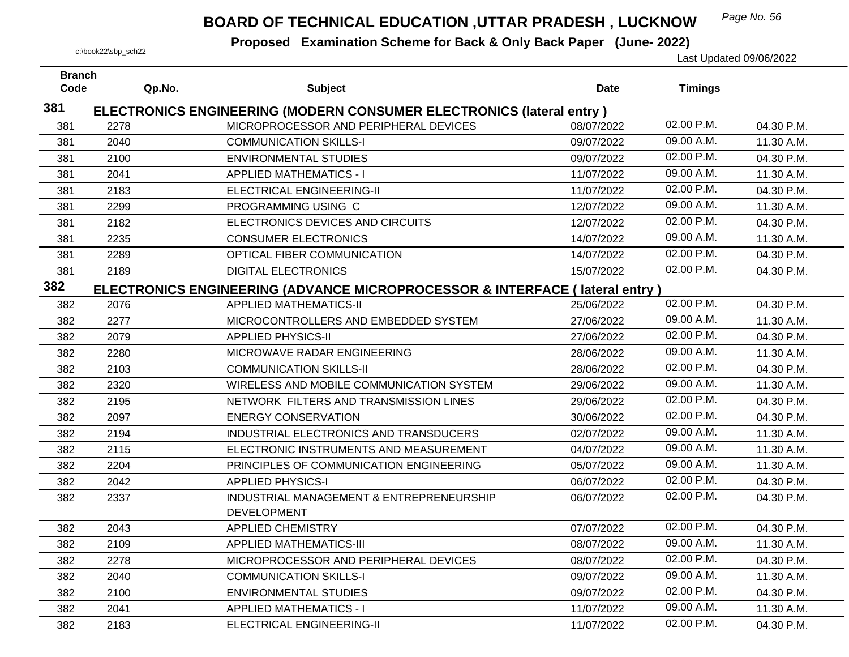## *Page No. 56* **BOARD OF TECHNICAL EDUCATION ,UTTAR PRADESH , LUCKNOW**

| <b>Branch</b><br>Code | Qp.No. | <b>Subject</b>                                                              | <b>Date</b> | <b>Timings</b> |            |
|-----------------------|--------|-----------------------------------------------------------------------------|-------------|----------------|------------|
| 381                   |        |                                                                             |             |                |            |
|                       |        | <b>ELECTRONICS ENGINEERING (MODERN CONSUMER ELECTRONICS (lateral entry)</b> |             | 02.00 P.M.     |            |
| 381                   | 2278   | MICROPROCESSOR AND PERIPHERAL DEVICES                                       | 08/07/2022  | 09.00 A.M.     | 04.30 P.M. |
| 381                   | 2040   | <b>COMMUNICATION SKILLS-I</b>                                               | 09/07/2022  |                | 11.30 A.M. |
| 381                   | 2100   | <b>ENVIRONMENTAL STUDIES</b>                                                | 09/07/2022  | 02.00 P.M.     | 04.30 P.M. |
| 381                   | 2041   | <b>APPLIED MATHEMATICS - I</b>                                              | 11/07/2022  | 09.00 A.M.     | 11.30 A.M. |
| 381                   | 2183   | ELECTRICAL ENGINEERING-II                                                   | 11/07/2022  | 02.00 P.M.     | 04.30 P.M. |
| 381                   | 2299   | PROGRAMMING USING C                                                         | 12/07/2022  | 09.00 A.M.     | 11.30 A.M. |
| 381                   | 2182   | ELECTRONICS DEVICES AND CIRCUITS                                            | 12/07/2022  | 02.00 P.M.     | 04.30 P.M. |
| 381                   | 2235   | <b>CONSUMER ELECTRONICS</b>                                                 | 14/07/2022  | 09.00 A.M.     | 11.30 A.M. |
| 381                   | 2289   | OPTICAL FIBER COMMUNICATION                                                 | 14/07/2022  | 02.00 P.M.     | 04.30 P.M. |
| 381                   | 2189   | <b>DIGITAL ELECTRONICS</b>                                                  | 15/07/2022  | 02.00 P.M.     | 04.30 P.M. |
| 382                   |        | ELECTRONICS ENGINEERING (ADVANCE MICROPROCESSOR & INTERFACE (lateral entry) |             |                |            |
| 382                   | 2076   | <b>APPLIED MATHEMATICS-II</b>                                               | 25/06/2022  | 02.00 P.M.     | 04.30 P.M. |
| 382                   | 2277   | MICROCONTROLLERS AND EMBEDDED SYSTEM                                        | 27/06/2022  | 09.00 A.M.     | 11.30 A.M. |
| 382                   | 2079   | <b>APPLIED PHYSICS-II</b>                                                   | 27/06/2022  | 02.00 P.M.     | 04.30 P.M. |
| 382                   | 2280   | MICROWAVE RADAR ENGINEERING                                                 | 28/06/2022  | 09.00 A.M.     | 11.30 A.M. |
| 382                   | 2103   | <b>COMMUNICATION SKILLS-II</b>                                              | 28/06/2022  | 02.00 P.M.     | 04.30 P.M. |
| 382                   | 2320   | WIRELESS AND MOBILE COMMUNICATION SYSTEM                                    | 29/06/2022  | 09.00 A.M.     | 11.30 A.M. |
| 382                   | 2195   | NETWORK FILTERS AND TRANSMISSION LINES                                      | 29/06/2022  | 02.00 P.M.     | 04.30 P.M. |
| 382                   | 2097   | <b>ENERGY CONSERVATION</b>                                                  | 30/06/2022  | 02.00 P.M.     | 04.30 P.M. |
| 382                   | 2194   | INDUSTRIAL ELECTRONICS AND TRANSDUCERS                                      | 02/07/2022  | 09.00 A.M.     | 11.30 A.M. |
| 382                   | 2115   | ELECTRONIC INSTRUMENTS AND MEASUREMENT                                      | 04/07/2022  | 09.00 A.M.     | 11.30 A.M. |
| 382                   | 2204   | PRINCIPLES OF COMMUNICATION ENGINEERING                                     | 05/07/2022  | 09.00 A.M.     | 11.30 A.M. |
| 382                   | 2042   | <b>APPLIED PHYSICS-I</b>                                                    | 06/07/2022  | 02.00 P.M.     | 04.30 P.M. |
| 382                   | 2337   | INDUSTRIAL MANAGEMENT & ENTREPRENEURSHIP                                    | 06/07/2022  | 02.00 P.M.     | 04.30 P.M. |
|                       |        | <b>DEVELOPMENT</b>                                                          |             |                |            |
| 382                   | 2043   | <b>APPLIED CHEMISTRY</b>                                                    | 07/07/2022  | 02.00 P.M.     | 04.30 P.M. |
| 382                   | 2109   | <b>APPLIED MATHEMATICS-III</b>                                              | 08/07/2022  | 09.00 A.M.     | 11.30 A.M. |
| 382                   | 2278   | MICROPROCESSOR AND PERIPHERAL DEVICES                                       | 08/07/2022  | 02.00 P.M.     | 04.30 P.M. |
| 382                   | 2040   | <b>COMMUNICATION SKILLS-I</b>                                               | 09/07/2022  | 09.00 A.M.     | 11.30 A.M. |
| 382                   | 2100   | ENVIRONMENTAL STUDIES                                                       | 09/07/2022  | 02.00 P.M.     | 04.30 P.M. |
| 382                   | 2041   | <b>APPLIED MATHEMATICS - I</b>                                              | 11/07/2022  | 09.00 A.M.     | 11.30 A.M. |
| 382                   | 2183   | ELECTRICAL ENGINEERING-II                                                   | 11/07/2022  | 02.00 P.M.     | 04.30 P.M. |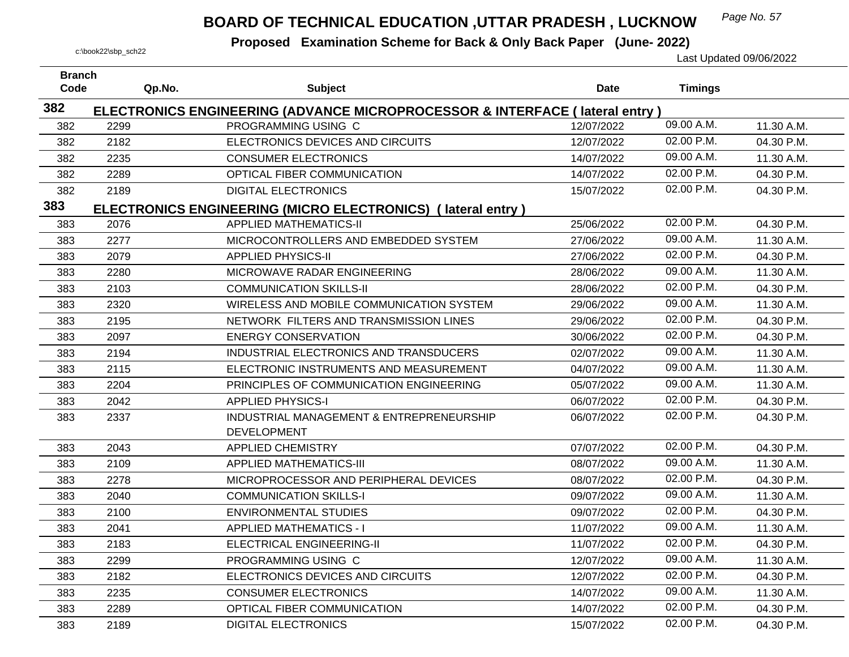## *Page No. 57* **BOARD OF TECHNICAL EDUCATION ,UTTAR PRADESH , LUCKNOW**

| <b>Branch</b><br>Code |        |                                                                             |             |                |            |
|-----------------------|--------|-----------------------------------------------------------------------------|-------------|----------------|------------|
|                       | Qp.No. | <b>Subject</b>                                                              | <b>Date</b> | <b>Timings</b> |            |
| 382                   |        | ELECTRONICS ENGINEERING (ADVANCE MICROPROCESSOR & INTERFACE (lateral entry) |             |                |            |
| 382                   | 2299   | PROGRAMMING USING C                                                         | 12/07/2022  | 09.00 A.M.     | 11.30 A.M. |
| 382                   | 2182   | ELECTRONICS DEVICES AND CIRCUITS                                            | 12/07/2022  | 02.00 P.M.     | 04.30 P.M. |
| 382                   | 2235   | <b>CONSUMER ELECTRONICS</b>                                                 | 14/07/2022  | 09.00 A.M.     | 11.30 A.M. |
| 382                   | 2289   | OPTICAL FIBER COMMUNICATION                                                 | 14/07/2022  | 02.00 P.M.     | 04.30 P.M. |
| 382                   | 2189   | <b>DIGITAL ELECTRONICS</b>                                                  | 15/07/2022  | 02.00 P.M.     | 04.30 P.M. |
| 383                   |        | ELECTRONICS ENGINEERING (MICRO ELECTRONICS) (lateral entry)                 |             |                |            |
| 383                   | 2076   | <b>APPLIED MATHEMATICS-II</b>                                               | 25/06/2022  | 02.00 P.M.     | 04.30 P.M. |
| 383                   | 2277   | MICROCONTROLLERS AND EMBEDDED SYSTEM                                        | 27/06/2022  | 09.00 A.M.     | 11.30 A.M. |
| 383                   | 2079   | <b>APPLIED PHYSICS-II</b>                                                   | 27/06/2022  | 02.00 P.M.     | 04.30 P.M. |
| 383                   | 2280   | MICROWAVE RADAR ENGINEERING                                                 | 28/06/2022  | 09.00 A.M.     | 11.30 A.M. |
| 383                   | 2103   | <b>COMMUNICATION SKILLS-II</b>                                              | 28/06/2022  | 02.00 P.M.     | 04.30 P.M. |
| 383                   | 2320   | WIRELESS AND MOBILE COMMUNICATION SYSTEM                                    | 29/06/2022  | 09.00 A.M.     | 11.30 A.M. |
| 383                   | 2195   | NETWORK FILTERS AND TRANSMISSION LINES                                      | 29/06/2022  | 02.00 P.M.     | 04.30 P.M. |
| 383                   | 2097   | <b>ENERGY CONSERVATION</b>                                                  | 30/06/2022  | 02.00 P.M.     | 04.30 P.M. |
| 383                   | 2194   | INDUSTRIAL ELECTRONICS AND TRANSDUCERS                                      | 02/07/2022  | 09.00 A.M.     | 11.30 A.M. |
| 383                   | 2115   | ELECTRONIC INSTRUMENTS AND MEASUREMENT                                      | 04/07/2022  | 09.00 A.M.     | 11.30 A.M. |
| 383                   | 2204   | PRINCIPLES OF COMMUNICATION ENGINEERING                                     | 05/07/2022  | 09.00 A.M.     | 11.30 A.M. |
| 383                   | 2042   | <b>APPLIED PHYSICS-I</b>                                                    | 06/07/2022  | 02.00 P.M.     | 04.30 P.M. |
| 383                   | 2337   | INDUSTRIAL MANAGEMENT & ENTREPRENEURSHIP                                    | 06/07/2022  | 02.00 P.M.     | 04.30 P.M. |
|                       |        | <b>DEVELOPMENT</b>                                                          |             |                |            |
| 383                   | 2043   | <b>APPLIED CHEMISTRY</b>                                                    | 07/07/2022  | 02.00 P.M.     | 04.30 P.M. |
| 383                   | 2109   | <b>APPLIED MATHEMATICS-III</b>                                              | 08/07/2022  | 09.00 A.M.     | 11.30 A.M. |
| 383                   | 2278   | MICROPROCESSOR AND PERIPHERAL DEVICES                                       | 08/07/2022  | 02.00 P.M.     | 04.30 P.M. |
| 383                   | 2040   | <b>COMMUNICATION SKILLS-I</b>                                               | 09/07/2022  | 09.00 A.M.     | 11.30 A.M. |
| 383                   | 2100   | <b>ENVIRONMENTAL STUDIES</b>                                                | 09/07/2022  | 02.00 P.M.     | 04.30 P.M. |
| 383                   | 2041   | <b>APPLIED MATHEMATICS - I</b>                                              | 11/07/2022  | 09.00 A.M.     | 11.30 A.M. |
| 383                   | 2183   | ELECTRICAL ENGINEERING-II                                                   | 11/07/2022  | 02.00 P.M.     | 04.30 P.M. |
| 383                   | 2299   | PROGRAMMING USING C                                                         | 12/07/2022  | 09.00 A.M.     | 11.30 A.M. |
| 383                   | 2182   | ELECTRONICS DEVICES AND CIRCUITS                                            | 12/07/2022  | 02.00 P.M.     | 04.30 P.M. |
| 383                   | 2235   | <b>CONSUMER ELECTRONICS</b>                                                 | 14/07/2022  | 09.00 A.M.     | 11.30 A.M. |
| 383                   | 2289   | OPTICAL FIBER COMMUNICATION                                                 | 14/07/2022  | 02.00 P.M.     | 04.30 P.M. |
| 383                   | 2189   | <b>DIGITAL ELECTRONICS</b>                                                  | 15/07/2022  | 02.00 P.M.     | 04.30 P.M. |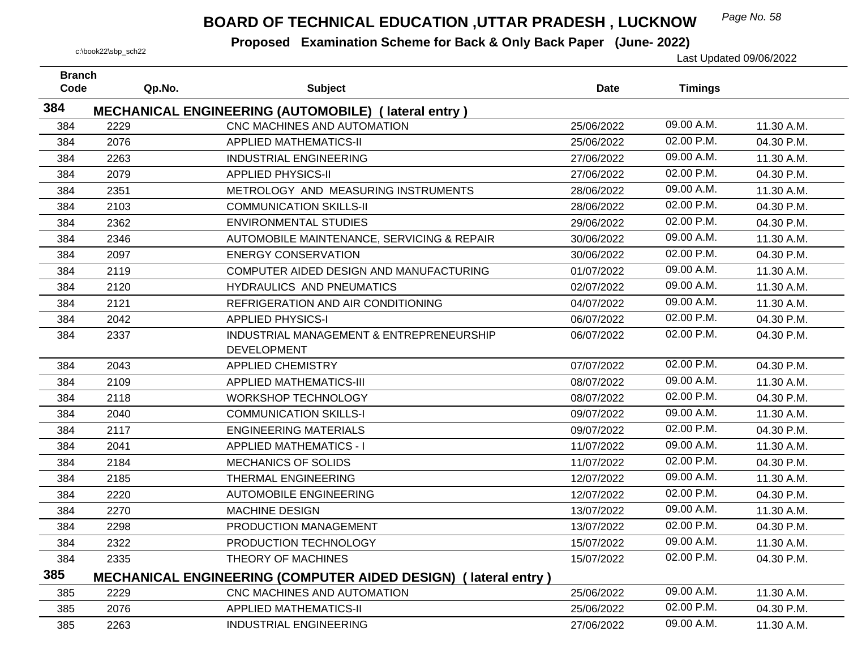## *Page No. 58* **BOARD OF TECHNICAL EDUCATION ,UTTAR PRADESH , LUCKNOW**

| <b>Branch</b> |        |                                                                       |             |                |            |
|---------------|--------|-----------------------------------------------------------------------|-------------|----------------|------------|
| Code          | Qp.No. | <b>Subject</b>                                                        | <b>Date</b> | <b>Timings</b> |            |
| 384           |        | <b>MECHANICAL ENGINEERING (AUTOMOBILE) (lateral entry)</b>            |             |                |            |
| 384           | 2229   | CNC MACHINES AND AUTOMATION                                           | 25/06/2022  | 09.00 A.M.     | 11.30 A.M. |
| 384           | 2076   | <b>APPLIED MATHEMATICS-II</b>                                         | 25/06/2022  | 02.00 P.M.     | 04.30 P.M. |
| 384           | 2263   | <b>INDUSTRIAL ENGINEERING</b>                                         | 27/06/2022  | 09.00 A.M.     | 11.30 A.M. |
| 384           | 2079   | <b>APPLIED PHYSICS-II</b>                                             | 27/06/2022  | 02.00 P.M.     | 04.30 P.M. |
| 384           | 2351   | METROLOGY AND MEASURING INSTRUMENTS                                   | 28/06/2022  | 09.00 A.M.     | 11.30 A.M. |
| 384           | 2103   | <b>COMMUNICATION SKILLS-II</b>                                        | 28/06/2022  | 02.00 P.M.     | 04.30 P.M. |
| 384           | 2362   | <b>ENVIRONMENTAL STUDIES</b>                                          | 29/06/2022  | 02.00 P.M.     | 04.30 P.M. |
| 384           | 2346   | AUTOMOBILE MAINTENANCE, SERVICING & REPAIR                            | 30/06/2022  | 09.00 A.M.     | 11.30 A.M. |
| 384           | 2097   | <b>ENERGY CONSERVATION</b>                                            | 30/06/2022  | 02.00 P.M.     | 04.30 P.M. |
| 384           | 2119   | COMPUTER AIDED DESIGN AND MANUFACTURING                               | 01/07/2022  | 09.00 A.M.     | 11.30 A.M. |
| 384           | 2120   | <b>HYDRAULICS AND PNEUMATICS</b>                                      | 02/07/2022  | 09.00 A.M.     | 11.30 A.M. |
| 384           | 2121   | REFRIGERATION AND AIR CONDITIONING                                    | 04/07/2022  | 09.00 A.M.     | 11.30 A.M. |
| 384           | 2042   | <b>APPLIED PHYSICS-I</b>                                              | 06/07/2022  | 02.00 P.M.     | 04.30 P.M. |
| 384           | 2337   | INDUSTRIAL MANAGEMENT & ENTREPRENEURSHIP                              | 06/07/2022  | 02.00 P.M.     | 04.30 P.M. |
|               |        | <b>DEVELOPMENT</b>                                                    |             |                |            |
| 384           | 2043   | <b>APPLIED CHEMISTRY</b>                                              | 07/07/2022  | 02.00 P.M.     | 04.30 P.M. |
| 384           | 2109   | <b>APPLIED MATHEMATICS-III</b>                                        | 08/07/2022  | 09.00 A.M.     | 11.30 A.M. |
| 384           | 2118   | <b>WORKSHOP TECHNOLOGY</b>                                            | 08/07/2022  | 02.00 P.M.     | 04.30 P.M. |
| 384           | 2040   | <b>COMMUNICATION SKILLS-I</b>                                         | 09/07/2022  | 09.00 A.M.     | 11.30 A.M. |
| 384           | 2117   | <b>ENGINEERING MATERIALS</b>                                          | 09/07/2022  | 02.00 P.M.     | 04.30 P.M. |
| 384           | 2041   | <b>APPLIED MATHEMATICS - I</b>                                        | 11/07/2022  | 09.00 A.M.     | 11.30 A.M. |
| 384           | 2184   | MECHANICS OF SOLIDS                                                   | 11/07/2022  | 02.00 P.M.     | 04.30 P.M. |
| 384           | 2185   | THERMAL ENGINEERING                                                   | 12/07/2022  | 09.00 A.M.     | 11.30 A.M. |
| 384           | 2220   | <b>AUTOMOBILE ENGINEERING</b>                                         | 12/07/2022  | 02.00 P.M.     | 04.30 P.M. |
| 384           | 2270   | <b>MACHINE DESIGN</b>                                                 | 13/07/2022  | 09.00 A.M.     | 11.30 A.M. |
| 384           | 2298   | PRODUCTION MANAGEMENT                                                 | 13/07/2022  | 02.00 P.M.     | 04.30 P.M. |
| 384           | 2322   | PRODUCTION TECHNOLOGY                                                 | 15/07/2022  | 09.00 A.M.     | 11.30 A.M. |
| 384           | 2335   | THEORY OF MACHINES                                                    | 15/07/2022  | 02.00 P.M.     | 04.30 P.M. |
| 385           |        | <b>MECHANICAL ENGINEERING (COMPUTER AIDED DESIGN) (lateral entry)</b> |             |                |            |
| 385           | 2229   | CNC MACHINES AND AUTOMATION                                           | 25/06/2022  | 09.00 A.M.     | 11.30 A.M. |
| 385           | 2076   | <b>APPLIED MATHEMATICS-II</b>                                         | 25/06/2022  | 02.00 P.M.     | 04.30 P.M. |
| 385           | 2263   | INDUSTRIAL ENGINEERING                                                | 27/06/2022  | 09.00 A.M.     | 11.30 A.M. |
|               |        |                                                                       |             |                |            |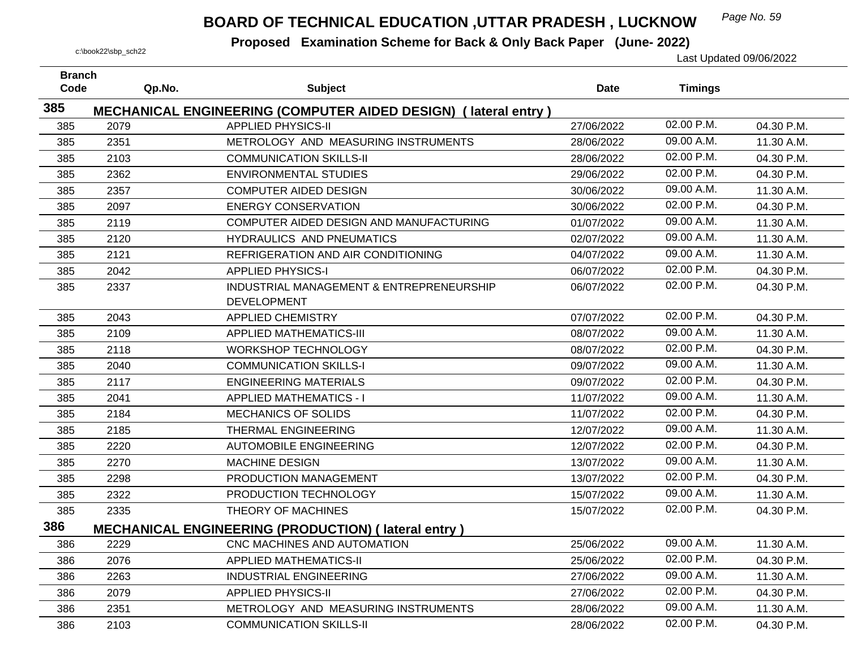## *Page No. 59* **BOARD OF TECHNICAL EDUCATION ,UTTAR PRADESH , LUCKNOW**

| <b>Branch</b><br>Code | Qp.No. | <b>Subject</b>                                                 | <b>Date</b> | <b>Timings</b> |            |
|-----------------------|--------|----------------------------------------------------------------|-------------|----------------|------------|
|                       |        |                                                                |             |                |            |
| 385                   |        | MECHANICAL ENGINEERING (COMPUTER AIDED DESIGN) (lateral entry) |             |                |            |
| 385                   | 2079   | <b>APPLIED PHYSICS-II</b>                                      | 27/06/2022  | 02.00 P.M.     | 04.30 P.M. |
| 385                   | 2351   | METROLOGY AND MEASURING INSTRUMENTS                            | 28/06/2022  | 09.00 A.M.     | 11.30 A.M. |
| 385                   | 2103   | <b>COMMUNICATION SKILLS-II</b>                                 | 28/06/2022  | 02.00 P.M.     | 04.30 P.M. |
| 385                   | 2362   | <b>ENVIRONMENTAL STUDIES</b>                                   | 29/06/2022  | 02.00 P.M.     | 04.30 P.M. |
| 385                   | 2357   | <b>COMPUTER AIDED DESIGN</b>                                   | 30/06/2022  | 09.00 A.M.     | 11.30 A.M. |
| 385                   | 2097   | <b>ENERGY CONSERVATION</b>                                     | 30/06/2022  | 02.00 P.M.     | 04.30 P.M. |
| 385                   | 2119   | COMPUTER AIDED DESIGN AND MANUFACTURING                        | 01/07/2022  | 09.00 A.M.     | 11.30 A.M. |
| 385                   | 2120   | HYDRAULICS AND PNEUMATICS                                      | 02/07/2022  | 09.00 A.M.     | 11.30 A.M. |
| 385                   | 2121   | REFRIGERATION AND AIR CONDITIONING                             | 04/07/2022  | 09.00 A.M.     | 11.30 A.M. |
| 385                   | 2042   | <b>APPLIED PHYSICS-I</b>                                       | 06/07/2022  | 02.00 P.M.     | 04.30 P.M. |
| 385                   | 2337   | INDUSTRIAL MANAGEMENT & ENTREPRENEURSHIP                       | 06/07/2022  | 02.00 P.M.     | 04.30 P.M. |
|                       |        | <b>DEVELOPMENT</b>                                             |             |                |            |
| 385                   | 2043   | <b>APPLIED CHEMISTRY</b>                                       | 07/07/2022  | 02.00 P.M.     | 04.30 P.M. |
| 385                   | 2109   | <b>APPLIED MATHEMATICS-III</b>                                 | 08/07/2022  | 09.00 A.M.     | 11.30 A.M. |
| 385                   | 2118   | <b>WORKSHOP TECHNOLOGY</b>                                     | 08/07/2022  | 02.00 P.M.     | 04.30 P.M. |
| 385                   | 2040   | <b>COMMUNICATION SKILLS-I</b>                                  | 09/07/2022  | 09.00 A.M.     | 11.30 A.M. |
| 385                   | 2117   | <b>ENGINEERING MATERIALS</b>                                   | 09/07/2022  | 02.00 P.M.     | 04.30 P.M. |
| 385                   | 2041   | <b>APPLIED MATHEMATICS - I</b>                                 | 11/07/2022  | 09.00 A.M.     | 11.30 A.M. |
| 385                   | 2184   | <b>MECHANICS OF SOLIDS</b>                                     | 11/07/2022  | 02.00 P.M.     | 04.30 P.M. |
| 385                   | 2185   | THERMAL ENGINEERING                                            | 12/07/2022  | 09.00 A.M.     | 11.30 A.M. |
| 385                   | 2220   | <b>AUTOMOBILE ENGINEERING</b>                                  | 12/07/2022  | 02.00 P.M.     | 04.30 P.M. |
| 385                   | 2270   | <b>MACHINE DESIGN</b>                                          | 13/07/2022  | 09.00 A.M.     | 11.30 A.M. |
| 385                   | 2298   | PRODUCTION MANAGEMENT                                          | 13/07/2022  | 02.00 P.M.     | 04.30 P.M. |
| 385                   | 2322   | PRODUCTION TECHNOLOGY                                          | 15/07/2022  | 09.00 A.M.     | 11.30 A.M. |
| 385                   | 2335   | THEORY OF MACHINES                                             | 15/07/2022  | 02.00 P.M.     | 04.30 P.M. |
| 386                   |        | <b>MECHANICAL ENGINEERING (PRODUCTION) (lateral entry)</b>     |             |                |            |
| 386                   | 2229   | CNC MACHINES AND AUTOMATION                                    | 25/06/2022  | 09.00 A.M.     | 11.30 A.M. |
| 386                   | 2076   | <b>APPLIED MATHEMATICS-II</b>                                  | 25/06/2022  | 02.00 P.M.     | 04.30 P.M. |
| 386                   | 2263   | <b>INDUSTRIAL ENGINEERING</b>                                  | 27/06/2022  | 09.00 A.M.     | 11.30 A.M. |
| 386                   | 2079   | <b>APPLIED PHYSICS-II</b>                                      | 27/06/2022  | 02.00 P.M.     | 04.30 P.M. |
| 386                   | 2351   | METROLOGY AND MEASURING INSTRUMENTS                            | 28/06/2022  | 09.00 A.M.     | 11.30 A.M. |
| 386                   | 2103   | <b>COMMUNICATION SKILLS-II</b>                                 | 28/06/2022  | 02.00 P.M.     | 04.30 P.M. |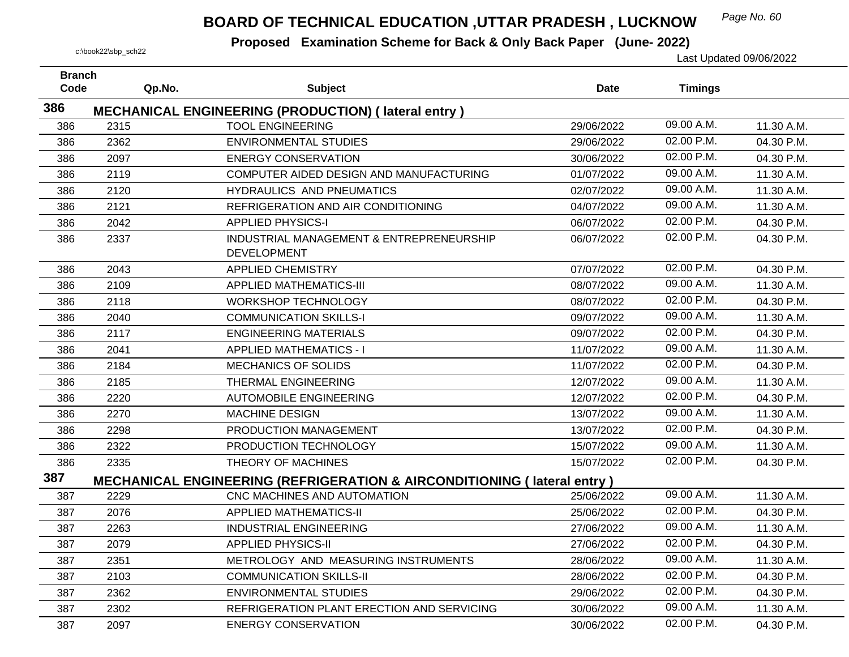## *Page No. 60* **BOARD OF TECHNICAL EDUCATION ,UTTAR PRADESH , LUCKNOW**

| <b>Branch</b><br>Code |      | <b>Subject</b>                                                                     |             |                |            |
|-----------------------|------|------------------------------------------------------------------------------------|-------------|----------------|------------|
|                       |      | Qp.No.                                                                             | <b>Date</b> | <b>Timings</b> |            |
| 386                   |      | <b>MECHANICAL ENGINEERING (PRODUCTION) (lateral entry)</b>                         |             |                |            |
| 386                   | 2315 | <b>TOOL ENGINEERING</b>                                                            | 29/06/2022  | 09.00 A.M.     | 11.30 A.M. |
| 386                   | 2362 | <b>ENVIRONMENTAL STUDIES</b>                                                       | 29/06/2022  | 02.00 P.M.     | 04.30 P.M. |
| 386                   | 2097 | <b>ENERGY CONSERVATION</b>                                                         | 30/06/2022  | 02.00 P.M.     | 04.30 P.M. |
| 386                   | 2119 | COMPUTER AIDED DESIGN AND MANUFACTURING                                            | 01/07/2022  | 09.00 A.M.     | 11.30 A.M. |
| 386                   | 2120 | HYDRAULICS AND PNEUMATICS                                                          | 02/07/2022  | 09.00 A.M.     | 11.30 A.M. |
| 386                   | 2121 | REFRIGERATION AND AIR CONDITIONING                                                 | 04/07/2022  | 09.00 A.M.     | 11.30 A.M. |
| 386                   | 2042 | <b>APPLIED PHYSICS-I</b>                                                           | 06/07/2022  | 02.00 P.M.     | 04.30 P.M. |
| 386                   | 2337 | INDUSTRIAL MANAGEMENT & ENTREPRENEURSHIP<br><b>DEVELOPMENT</b>                     | 06/07/2022  | 02.00 P.M.     | 04.30 P.M. |
| 386                   | 2043 | <b>APPLIED CHEMISTRY</b>                                                           | 07/07/2022  | 02.00 P.M.     | 04.30 P.M. |
| 386                   | 2109 | <b>APPLIED MATHEMATICS-III</b>                                                     | 08/07/2022  | 09.00 A.M.     | 11.30 A.M. |
| 386                   | 2118 | <b>WORKSHOP TECHNOLOGY</b>                                                         | 08/07/2022  | 02.00 P.M.     | 04.30 P.M. |
| 386                   | 2040 | <b>COMMUNICATION SKILLS-I</b>                                                      | 09/07/2022  | 09.00 A.M.     | 11.30 A.M. |
| 386                   | 2117 | <b>ENGINEERING MATERIALS</b>                                                       | 09/07/2022  | 02.00 P.M.     | 04.30 P.M. |
| 386                   | 2041 | <b>APPLIED MATHEMATICS - I</b>                                                     | 11/07/2022  | 09.00 A.M.     | 11.30 A.M. |
| 386                   | 2184 | <b>MECHANICS OF SOLIDS</b>                                                         | 11/07/2022  | 02.00 P.M.     | 04.30 P.M. |
| 386                   | 2185 | <b>THERMAL ENGINEERING</b>                                                         | 12/07/2022  | 09.00 A.M.     | 11.30 A.M. |
| 386                   | 2220 | <b>AUTOMOBILE ENGINEERING</b>                                                      | 12/07/2022  | 02.00 P.M.     | 04.30 P.M. |
| 386                   | 2270 | MACHINE DESIGN                                                                     | 13/07/2022  | 09.00 A.M.     | 11.30 A.M. |
| 386                   | 2298 | PRODUCTION MANAGEMENT                                                              | 13/07/2022  | 02.00 P.M.     | 04.30 P.M. |
| 386                   | 2322 | PRODUCTION TECHNOLOGY                                                              | 15/07/2022  | 09.00 A.M.     | 11.30 A.M. |
| 386                   | 2335 | THEORY OF MACHINES                                                                 | 15/07/2022  | 02.00 P.M.     | 04.30 P.M. |
| 387                   |      | <b>MECHANICAL ENGINEERING (REFRIGERATION &amp; AIRCONDITIONING (Iateral entry)</b> |             |                |            |
| 387                   | 2229 | CNC MACHINES AND AUTOMATION                                                        | 25/06/2022  | 09.00 A.M.     | 11.30 A.M. |
| 387                   | 2076 | <b>APPLIED MATHEMATICS-II</b>                                                      | 25/06/2022  | 02.00 P.M.     | 04.30 P.M. |
| 387                   | 2263 | <b>INDUSTRIAL ENGINEERING</b>                                                      | 27/06/2022  | 09.00 A.M.     | 11.30 A.M. |
| 387                   | 2079 | <b>APPLIED PHYSICS-II</b>                                                          | 27/06/2022  | 02.00 P.M.     | 04.30 P.M. |
| 387                   | 2351 | METROLOGY AND MEASURING INSTRUMENTS                                                | 28/06/2022  | 09.00 A.M.     | 11.30 A.M. |
| 387                   | 2103 | <b>COMMUNICATION SKILLS-II</b>                                                     | 28/06/2022  | 02.00 P.M.     | 04.30 P.M. |
| 387                   | 2362 | <b>ENVIRONMENTAL STUDIES</b>                                                       | 29/06/2022  | 02.00 P.M.     | 04.30 P.M. |
| 387                   | 2302 | REFRIGERATION PLANT ERECTION AND SERVICING                                         | 30/06/2022  | 09.00 A.M.     | 11.30 A.M. |
| 387                   | 2097 | <b>ENERGY CONSERVATION</b>                                                         | 30/06/2022  | 02.00 P.M.     | 04.30 P.M. |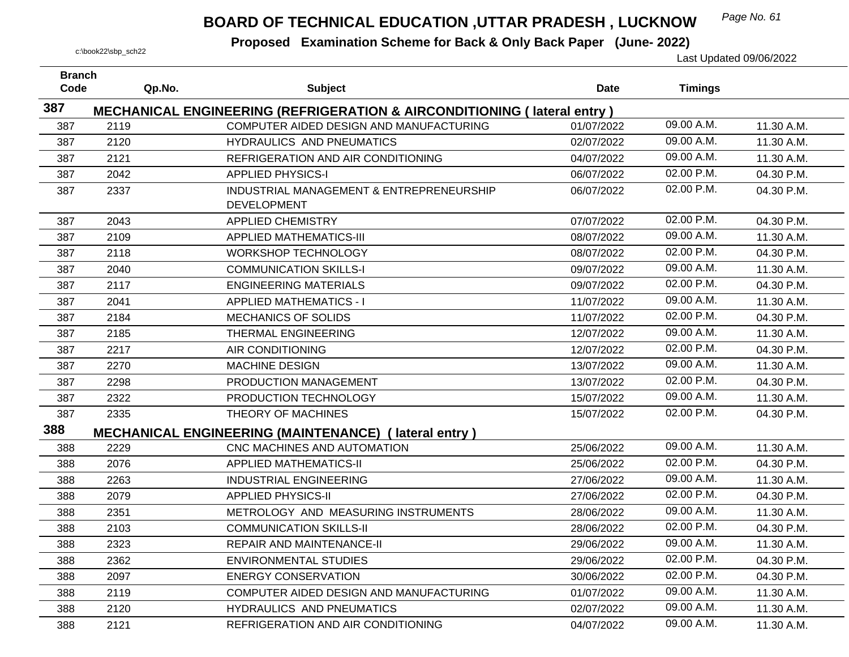## *Page No. 61* **BOARD OF TECHNICAL EDUCATION ,UTTAR PRADESH , LUCKNOW**

| <b>Branch</b> |        |                                                                                    |             |                |            |
|---------------|--------|------------------------------------------------------------------------------------|-------------|----------------|------------|
| Code          | Qp.No. | <b>Subject</b>                                                                     | <b>Date</b> | <b>Timings</b> |            |
| 387           |        | <b>MECHANICAL ENGINEERING (REFRIGERATION &amp; AIRCONDITIONING (Iateral entry)</b> |             |                |            |
| 387           | 2119   | COMPUTER AIDED DESIGN AND MANUFACTURING                                            | 01/07/2022  | 09.00 A.M.     | 11.30 A.M. |
| 387           | 2120   | HYDRAULICS AND PNEUMATICS                                                          | 02/07/2022  | $09.00$ A.M.   | 11.30 A.M. |
| 387           | 2121   | REFRIGERATION AND AIR CONDITIONING                                                 | 04/07/2022  | 09.00 A.M.     | 11.30 A.M. |
| 387           | 2042   | <b>APPLIED PHYSICS-I</b>                                                           | 06/07/2022  | 02.00 P.M.     | 04.30 P.M. |
| 387           | 2337   | INDUSTRIAL MANAGEMENT & ENTREPRENEURSHIP<br><b>DEVELOPMENT</b>                     | 06/07/2022  | 02.00 P.M.     | 04.30 P.M. |
| 387           | 2043   | <b>APPLIED CHEMISTRY</b>                                                           | 07/07/2022  | 02.00 P.M.     | 04.30 P.M. |
| 387           | 2109   | <b>APPLIED MATHEMATICS-III</b>                                                     | 08/07/2022  | 09.00 A.M.     | 11.30 A.M. |
| 387           | 2118   | <b>WORKSHOP TECHNOLOGY</b>                                                         | 08/07/2022  | 02.00 P.M.     | 04.30 P.M. |
| 387           | 2040   | <b>COMMUNICATION SKILLS-I</b>                                                      | 09/07/2022  | 09.00 A.M.     | 11.30 A.M. |
| 387           | 2117   | <b>ENGINEERING MATERIALS</b>                                                       | 09/07/2022  | 02.00 P.M.     | 04.30 P.M. |
| 387           | 2041   | <b>APPLIED MATHEMATICS - I</b>                                                     | 11/07/2022  | 09.00 A.M.     | 11.30 A.M. |
| 387           | 2184   | MECHANICS OF SOLIDS                                                                | 11/07/2022  | 02.00 P.M.     | 04.30 P.M. |
| 387           | 2185   | THERMAL ENGINEERING                                                                | 12/07/2022  | 09.00 A.M.     | 11.30 A.M. |
| 387           | 2217   | AIR CONDITIONING                                                                   | 12/07/2022  | 02.00 P.M.     | 04.30 P.M. |
| 387           | 2270   | <b>MACHINE DESIGN</b>                                                              | 13/07/2022  | 09.00 A.M.     | 11.30 A.M. |
| 387           | 2298   | PRODUCTION MANAGEMENT                                                              | 13/07/2022  | 02.00 P.M.     | 04.30 P.M. |
| 387           | 2322   | PRODUCTION TECHNOLOGY                                                              | 15/07/2022  | 09.00 A.M.     | 11.30 A.M. |
| 387           | 2335   | THEORY OF MACHINES                                                                 | 15/07/2022  | 02.00 P.M.     | 04.30 P.M. |
| 388           |        | <b>MECHANICAL ENGINEERING (MAINTENANCE) (lateral entry)</b>                        |             |                |            |
| 388           | 2229   | CNC MACHINES AND AUTOMATION                                                        | 25/06/2022  | 09.00 A.M.     | 11.30 A.M. |
| 388           | 2076   | <b>APPLIED MATHEMATICS-II</b>                                                      | 25/06/2022  | 02.00 P.M.     | 04.30 P.M. |
| 388           | 2263   | <b>INDUSTRIAL ENGINEERING</b>                                                      | 27/06/2022  | 09.00 A.M.     | 11.30 A.M. |
| 388           | 2079   | <b>APPLIED PHYSICS-II</b>                                                          | 27/06/2022  | 02.00 P.M.     | 04.30 P.M. |
| 388           | 2351   | METROLOGY AND MEASURING INSTRUMENTS                                                | 28/06/2022  | 09.00 A.M.     | 11.30 A.M. |
| 388           | 2103   | <b>COMMUNICATION SKILLS-II</b>                                                     | 28/06/2022  | 02.00 P.M.     | 04.30 P.M. |
| 388           | 2323   | <b>REPAIR AND MAINTENANCE-II</b>                                                   | 29/06/2022  | 09.00 A.M.     | 11.30 A.M. |
| 388           | 2362   | <b>ENVIRONMENTAL STUDIES</b>                                                       | 29/06/2022  | 02.00 P.M.     | 04.30 P.M. |
| 388           | 2097   | <b>ENERGY CONSERVATION</b>                                                         | 30/06/2022  | 02.00 P.M.     | 04.30 P.M. |
| 388           | 2119   | COMPUTER AIDED DESIGN AND MANUFACTURING                                            | 01/07/2022  | 09.00 A.M.     | 11.30 A.M. |
| 388           | 2120   | HYDRAULICS AND PNEUMATICS                                                          | 02/07/2022  | 09.00 A.M.     | 11.30 A.M. |
| 388           | 2121   | REFRIGERATION AND AIR CONDITIONING                                                 | 04/07/2022  | 09.00 A.M.     | 11.30 A.M. |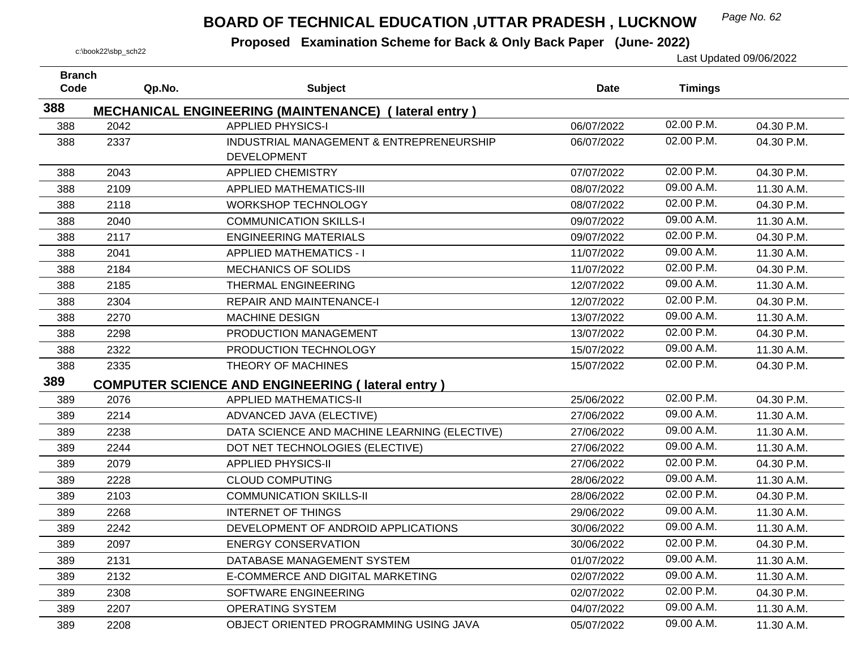## *Page No. 62* **BOARD OF TECHNICAL EDUCATION ,UTTAR PRADESH , LUCKNOW**

| <b>Branch</b><br>Code | Qp.No. | <b>Subject</b>                                              | <b>Date</b> | <b>Timings</b> |            |
|-----------------------|--------|-------------------------------------------------------------|-------------|----------------|------------|
| 388                   |        | <b>MECHANICAL ENGINEERING (MAINTENANCE) (lateral entry)</b> |             |                |            |
| 388                   | 2042   | <b>APPLIED PHYSICS-I</b>                                    | 06/07/2022  | 02.00 P.M.     | 04.30 P.M. |
| 388                   | 2337   | INDUSTRIAL MANAGEMENT & ENTREPRENEURSHIP                    | 06/07/2022  | 02.00 P.M.     | 04.30 P.M. |
|                       |        | <b>DEVELOPMENT</b>                                          |             |                |            |
| 388                   | 2043   | <b>APPLIED CHEMISTRY</b>                                    | 07/07/2022  | 02.00 P.M.     | 04.30 P.M. |
| 388                   | 2109   | <b>APPLIED MATHEMATICS-III</b>                              | 08/07/2022  | 09.00 A.M.     | 11.30 A.M. |
| 388                   | 2118   | <b>WORKSHOP TECHNOLOGY</b>                                  | 08/07/2022  | 02.00 P.M.     | 04.30 P.M. |
| 388                   | 2040   | <b>COMMUNICATION SKILLS-I</b>                               | 09/07/2022  | 09.00 A.M.     | 11.30 A.M. |
| 388                   | 2117   | <b>ENGINEERING MATERIALS</b>                                | 09/07/2022  | 02.00 P.M.     | 04.30 P.M. |
| 388                   | 2041   | <b>APPLIED MATHEMATICS - I</b>                              | 11/07/2022  | 09.00 A.M.     | 11.30 A.M. |
| 388                   | 2184   | <b>MECHANICS OF SOLIDS</b>                                  | 11/07/2022  | 02.00 P.M.     | 04.30 P.M. |
| 388                   | 2185   | THERMAL ENGINEERING                                         | 12/07/2022  | 09.00 A.M.     | 11.30 A.M. |
| 388                   | 2304   | <b>REPAIR AND MAINTENANCE-I</b>                             | 12/07/2022  | 02.00 P.M.     | 04.30 P.M. |
| 388                   | 2270   | <b>MACHINE DESIGN</b>                                       | 13/07/2022  | 09.00 A.M.     | 11.30 A.M. |
| 388                   | 2298   | PRODUCTION MANAGEMENT                                       | 13/07/2022  | 02.00 P.M.     | 04.30 P.M. |
| 388                   | 2322   | PRODUCTION TECHNOLOGY                                       | 15/07/2022  | 09.00 A.M.     | 11.30 A.M. |
| 388                   | 2335   | THEORY OF MACHINES                                          | 15/07/2022  | 02.00 P.M.     | 04.30 P.M. |
| 389                   |        | <b>COMPUTER SCIENCE AND ENGINEERING (lateral entry)</b>     |             |                |            |
| 389                   | 2076   | <b>APPLIED MATHEMATICS-II</b>                               | 25/06/2022  | 02.00 P.M.     | 04.30 P.M. |
| 389                   | 2214   | ADVANCED JAVA (ELECTIVE)                                    | 27/06/2022  | 09.00 A.M.     | 11.30 A.M. |
| 389                   | 2238   | DATA SCIENCE AND MACHINE LEARNING (ELECTIVE)                | 27/06/2022  | 09.00 A.M.     | 11.30 A.M. |
| 389                   | 2244   | DOT NET TECHNOLOGIES (ELECTIVE)                             | 27/06/2022  | 09.00 A.M.     | 11.30 A.M. |
| 389                   | 2079   | <b>APPLIED PHYSICS-II</b>                                   | 27/06/2022  | 02.00 P.M.     | 04.30 P.M. |
| 389                   | 2228   | <b>CLOUD COMPUTING</b>                                      | 28/06/2022  | 09.00 A.M.     | 11.30 A.M. |
| 389                   | 2103   | <b>COMMUNICATION SKILLS-II</b>                              | 28/06/2022  | 02.00 P.M.     | 04.30 P.M. |
| 389                   | 2268   | <b>INTERNET OF THINGS</b>                                   | 29/06/2022  | 09.00 A.M.     | 11.30 A.M. |
| 389                   | 2242   | DEVELOPMENT OF ANDROID APPLICATIONS                         | 30/06/2022  | 09.00 A.M.     | 11.30 A.M. |
| 389                   | 2097   | <b>ENERGY CONSERVATION</b>                                  | 30/06/2022  | 02.00 P.M.     | 04.30 P.M. |
| 389                   | 2131   | DATABASE MANAGEMENT SYSTEM                                  | 01/07/2022  | 09.00 A.M.     | 11.30 A.M. |
| 389                   | 2132   | E-COMMERCE AND DIGITAL MARKETING                            | 02/07/2022  | 09.00 A.M.     | 11.30 A.M. |
| 389                   | 2308   | SOFTWARE ENGINEERING                                        | 02/07/2022  | 02.00 P.M.     | 04.30 P.M. |
| 389                   | 2207   | <b>OPERATING SYSTEM</b>                                     | 04/07/2022  | 09.00 A.M.     | 11.30 A.M. |
| 389                   | 2208   | OBJECT ORIENTED PROGRAMMING USING JAVA                      | 05/07/2022  | 09.00 A.M.     | 11.30 A.M. |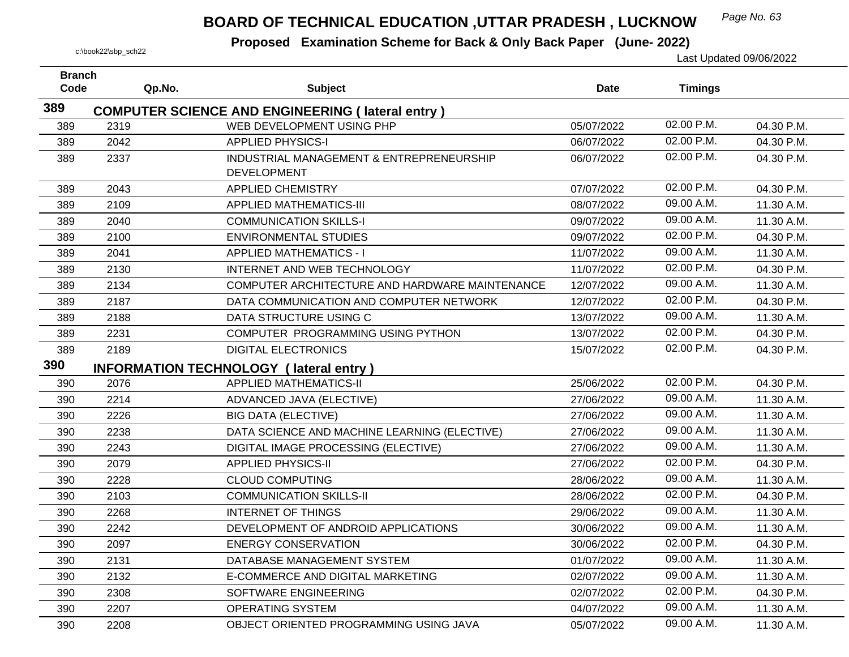## *Page No. 63* **BOARD OF TECHNICAL EDUCATION ,UTTAR PRADESH , LUCKNOW**

| <b>Branch</b><br>Code | Qp.No. | <b>Subject</b>                                                 | <b>Date</b> | <b>Timings</b> |            |
|-----------------------|--------|----------------------------------------------------------------|-------------|----------------|------------|
| 389                   |        |                                                                |             |                |            |
|                       |        | <b>COMPUTER SCIENCE AND ENGINEERING (lateral entry)</b>        |             | 02.00 P.M.     |            |
| 389                   | 2319   | WEB DEVELOPMENT USING PHP                                      | 05/07/2022  | 02.00 P.M.     | 04.30 P.M. |
| 389                   | 2042   | <b>APPLIED PHYSICS-I</b>                                       | 06/07/2022  |                | 04.30 P.M. |
| 389                   | 2337   | INDUSTRIAL MANAGEMENT & ENTREPRENEURSHIP<br><b>DEVELOPMENT</b> | 06/07/2022  | 02.00 P.M.     | 04.30 P.M. |
| 389                   | 2043   | <b>APPLIED CHEMISTRY</b>                                       | 07/07/2022  | 02.00 P.M.     | 04.30 P.M. |
| 389                   | 2109   | <b>APPLIED MATHEMATICS-III</b>                                 | 08/07/2022  | 09.00 A.M.     | 11.30 A.M. |
| 389                   | 2040   | <b>COMMUNICATION SKILLS-I</b>                                  | 09/07/2022  | 09.00 A.M.     | 11.30 A.M. |
| 389                   | 2100   | <b>ENVIRONMENTAL STUDIES</b>                                   | 09/07/2022  | 02.00 P.M.     | 04.30 P.M. |
| 389                   | 2041   | <b>APPLIED MATHEMATICS - I</b>                                 | 11/07/2022  | 09.00 A.M.     | 11.30 A.M. |
| 389                   | 2130   | INTERNET AND WEB TECHNOLOGY                                    | 11/07/2022  | 02.00 P.M.     | 04.30 P.M. |
| 389                   | 2134   | COMPUTER ARCHITECTURE AND HARDWARE MAINTENANCE                 | 12/07/2022  | 09.00 A.M.     | 11.30 A.M. |
| 389                   | 2187   | DATA COMMUNICATION AND COMPUTER NETWORK                        | 12/07/2022  | 02.00 P.M.     | 04.30 P.M. |
| 389                   | 2188   | DATA STRUCTURE USING C                                         | 13/07/2022  | 09.00 A.M.     | 11.30 A.M. |
| 389                   | 2231   | COMPUTER PROGRAMMING USING PYTHON                              | 13/07/2022  | 02.00 P.M.     | 04.30 P.M. |
| 389                   | 2189   | <b>DIGITAL ELECTRONICS</b>                                     | 15/07/2022  | 02.00 P.M.     | 04.30 P.M. |
| 390                   |        | <b>INFORMATION TECHNOLOGY (lateral entry)</b>                  |             |                |            |
| 390                   | 2076   | <b>APPLIED MATHEMATICS-II</b>                                  | 25/06/2022  | 02.00 P.M.     | 04.30 P.M. |
| 390                   | 2214   | ADVANCED JAVA (ELECTIVE)                                       | 27/06/2022  | 09.00 A.M.     | 11.30 A.M. |
| 390                   | 2226   | <b>BIG DATA (ELECTIVE)</b>                                     | 27/06/2022  | 09.00 A.M.     | 11.30 A.M. |
| 390                   | 2238   | DATA SCIENCE AND MACHINE LEARNING (ELECTIVE)                   | 27/06/2022  | 09.00 A.M.     | 11.30 A.M. |
| 390                   | 2243   | DIGITAL IMAGE PROCESSING (ELECTIVE)                            | 27/06/2022  | 09.00 A.M.     | 11.30 A.M. |
| 390                   | 2079   | <b>APPLIED PHYSICS-II</b>                                      | 27/06/2022  | 02.00 P.M.     | 04.30 P.M. |
| 390                   | 2228   | <b>CLOUD COMPUTING</b>                                         | 28/06/2022  | 09.00 A.M.     | 11.30 A.M. |
| 390                   | 2103   | <b>COMMUNICATION SKILLS-II</b>                                 | 28/06/2022  | 02.00 P.M.     | 04.30 P.M. |
| 390                   | 2268   | <b>INTERNET OF THINGS</b>                                      | 29/06/2022  | 09.00 A.M.     | 11.30 A.M. |
| 390                   | 2242   | DEVELOPMENT OF ANDROID APPLICATIONS                            | 30/06/2022  | 09.00 A.M.     | 11.30 A.M. |
| 390                   | 2097   | <b>ENERGY CONSERVATION</b>                                     | 30/06/2022  | 02.00 P.M.     | 04.30 P.M. |
| 390                   | 2131   | DATABASE MANAGEMENT SYSTEM                                     | 01/07/2022  | 09.00 A.M.     | 11.30 A.M. |
| 390                   | 2132   | E-COMMERCE AND DIGITAL MARKETING                               | 02/07/2022  | 09.00 A.M.     | 11.30 A.M. |
| 390                   | 2308   | SOFTWARE ENGINEERING                                           | 02/07/2022  | 02.00 P.M.     | 04.30 P.M. |
| 390                   | 2207   | <b>OPERATING SYSTEM</b>                                        | 04/07/2022  | 09.00 A.M.     | 11.30 A.M. |
| 390                   | 2208   | OBJECT ORIENTED PROGRAMMING USING JAVA                         | 05/07/2022  | 09.00 A.M.     | 11.30 A.M. |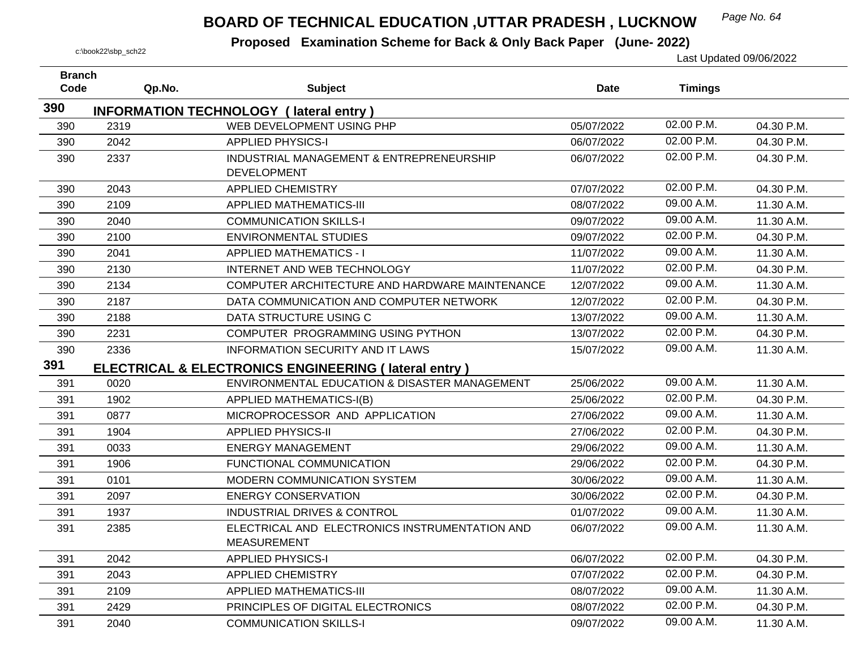## *Page No. 64* **BOARD OF TECHNICAL EDUCATION ,UTTAR PRADESH , LUCKNOW**

| <b>Branch</b><br>Code | Qp.No. | <b>Subject</b>                                                  | <b>Date</b> | <b>Timings</b> |            |
|-----------------------|--------|-----------------------------------------------------------------|-------------|----------------|------------|
|                       |        |                                                                 |             |                |            |
| 390                   |        | <b>INFORMATION TECHNOLOGY (lateral entry)</b>                   |             |                |            |
| 390                   | 2319   | WEB DEVELOPMENT USING PHP                                       | 05/07/2022  | 02.00 P.M.     | 04.30 P.M. |
| 390                   | 2042   | <b>APPLIED PHYSICS-I</b>                                        | 06/07/2022  | 02.00 P.M.     | 04.30 P.M. |
| 390                   | 2337   | INDUSTRIAL MANAGEMENT & ENTREPRENEURSHIP                        | 06/07/2022  | 02.00 P.M.     | 04.30 P.M. |
|                       |        | <b>DEVELOPMENT</b>                                              |             | 02.00 P.M.     |            |
| 390                   | 2043   | <b>APPLIED CHEMISTRY</b>                                        | 07/07/2022  | 09.00 A.M.     | 04.30 P.M. |
| 390                   | 2109   | <b>APPLIED MATHEMATICS-III</b>                                  | 08/07/2022  |                | 11.30 A.M. |
| 390                   | 2040   | <b>COMMUNICATION SKILLS-I</b>                                   | 09/07/2022  | 09.00 A.M.     | 11.30 A.M. |
| 390                   | 2100   | <b>ENVIRONMENTAL STUDIES</b>                                    | 09/07/2022  | 02.00 P.M.     | 04.30 P.M. |
| 390                   | 2041   | <b>APPLIED MATHEMATICS - I</b>                                  | 11/07/2022  | 09.00 A.M.     | 11.30 A.M. |
| 390                   | 2130   | INTERNET AND WEB TECHNOLOGY                                     | 11/07/2022  | 02.00 P.M.     | 04.30 P.M. |
| 390                   | 2134   | COMPUTER ARCHITECTURE AND HARDWARE MAINTENANCE                  | 12/07/2022  | 09.00 A.M.     | 11.30 A.M. |
| 390                   | 2187   | DATA COMMUNICATION AND COMPUTER NETWORK                         | 12/07/2022  | 02.00 P.M.     | 04.30 P.M. |
| 390                   | 2188   | DATA STRUCTURE USING C                                          | 13/07/2022  | 09.00 A.M.     | 11.30 A.M. |
| 390                   | 2231   | COMPUTER PROGRAMMING USING PYTHON                               | 13/07/2022  | 02.00 P.M.     | 04.30 P.M. |
| 390                   | 2336   | <b>INFORMATION SECURITY AND IT LAWS</b>                         | 15/07/2022  | 09.00 A.M.     | 11.30 A.M. |
| 391                   |        | <b>ELECTRICAL &amp; ELECTRONICS ENGINEERING (lateral entry)</b> |             |                |            |
| 391                   | 0020   | ENVIRONMENTAL EDUCATION & DISASTER MANAGEMENT                   | 25/06/2022  | 09.00 A.M.     | 11.30 A.M. |
| 391                   | 1902   | APPLIED MATHEMATICS-I(B)                                        | 25/06/2022  | 02.00 P.M.     | 04.30 P.M. |
| 391                   | 0877   | MICROPROCESSOR AND APPLICATION                                  | 27/06/2022  | 09.00 A.M.     | 11.30 A.M. |
| 391                   | 1904   | <b>APPLIED PHYSICS-II</b>                                       | 27/06/2022  | 02.00 P.M.     | 04.30 P.M. |
| 391                   | 0033   | <b>ENERGY MANAGEMENT</b>                                        | 29/06/2022  | 09.00 A.M.     | 11.30 A.M. |
| 391                   | 1906   | FUNCTIONAL COMMUNICATION                                        | 29/06/2022  | 02.00 P.M.     | 04.30 P.M. |
| 391                   | 0101   | MODERN COMMUNICATION SYSTEM                                     | 30/06/2022  | 09.00 A.M.     | 11.30 A.M. |
| 391                   | 2097   | <b>ENERGY CONSERVATION</b>                                      | 30/06/2022  | 02.00 P.M.     | 04.30 P.M. |
| 391                   | 1937   | INDUSTRIAL DRIVES & CONTROL                                     | 01/07/2022  | 09.00 A.M.     | 11.30 A.M. |
| 391                   | 2385   | ELECTRICAL AND ELECTRONICS INSTRUMENTATION AND                  | 06/07/2022  | 09.00 A.M.     | 11.30 A.M. |
|                       |        | <b>MEASUREMENT</b>                                              |             |                |            |
| 391                   | 2042   | <b>APPLIED PHYSICS-I</b>                                        | 06/07/2022  | 02.00 P.M.     | 04.30 P.M. |
| 391                   | 2043   | <b>APPLIED CHEMISTRY</b>                                        | 07/07/2022  | 02.00 P.M.     | 04.30 P.M. |
| 391                   | 2109   | <b>APPLIED MATHEMATICS-III</b>                                  | 08/07/2022  | 09.00 A.M.     | 11.30 A.M. |
| 391                   | 2429   | PRINCIPLES OF DIGITAL ELECTRONICS                               | 08/07/2022  | 02.00 P.M.     | 04.30 P.M. |
| 391                   | 2040   | <b>COMMUNICATION SKILLS-I</b>                                   | 09/07/2022  | 09.00 A.M.     | 11.30 A.M. |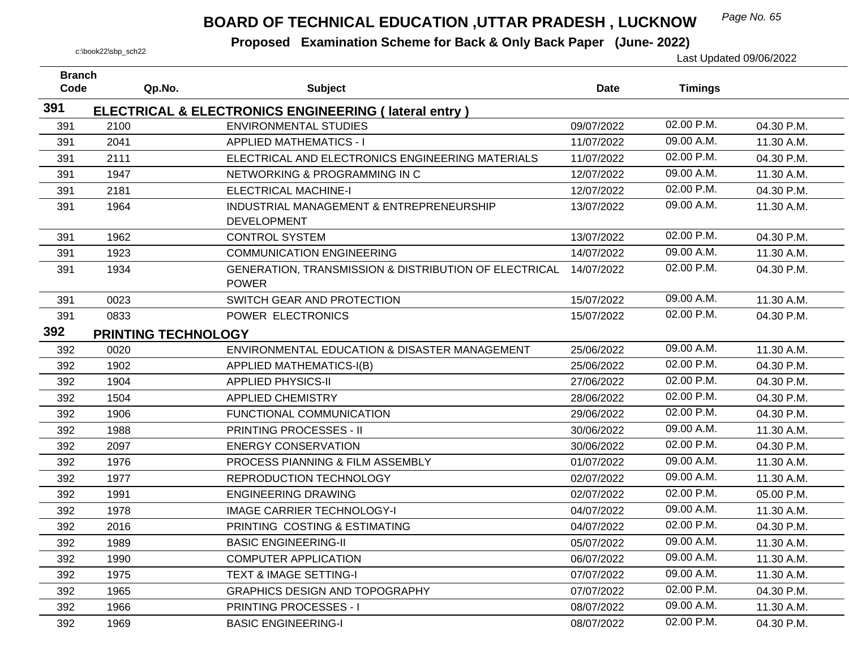## *Page No. 65* **BOARD OF TECHNICAL EDUCATION ,UTTAR PRADESH , LUCKNOW**

| <b>Branch</b><br>Code |                     | <b>Subject</b>                                                  | <b>Date</b> |                |            |
|-----------------------|---------------------|-----------------------------------------------------------------|-------------|----------------|------------|
|                       | Qp.No.              |                                                                 |             | <b>Timings</b> |            |
| 391                   |                     | <b>ELECTRICAL &amp; ELECTRONICS ENGINEERING (lateral entry)</b> |             |                |            |
| 391                   | 2100                | <b>ENVIRONMENTAL STUDIES</b>                                    | 09/07/2022  | 02.00 P.M.     | 04.30 P.M. |
| 391                   | 2041                | <b>APPLIED MATHEMATICS - I</b>                                  | 11/07/2022  | 09.00 A.M.     | 11.30 A.M. |
| 391                   | 2111                | ELECTRICAL AND ELECTRONICS ENGINEERING MATERIALS                | 11/07/2022  | 02.00 P.M.     | 04.30 P.M. |
| 391                   | 1947                | NETWORKING & PROGRAMMING IN C                                   | 12/07/2022  | 09.00 A.M.     | 11.30 A.M. |
| 391                   | 2181                | <b>ELECTRICAL MACHINE-I</b>                                     | 12/07/2022  | 02.00 P.M.     | 04.30 P.M. |
| 391                   | 1964                | INDUSTRIAL MANAGEMENT & ENTREPRENEURSHIP                        | 13/07/2022  | 09.00 A.M.     | 11.30 A.M. |
|                       |                     | <b>DEVELOPMENT</b>                                              |             |                |            |
| 391                   | 1962                | <b>CONTROL SYSTEM</b>                                           | 13/07/2022  | 02.00 P.M.     | 04.30 P.M. |
| 391                   | 1923                | <b>COMMUNICATION ENGINEERING</b>                                | 14/07/2022  | 09.00 A.M.     | 11.30 A.M. |
| 391                   | 1934                | GENERATION, TRANSMISSION & DISTRIBUTION OF ELECTRICAL           | 14/07/2022  | 02.00 P.M.     | 04.30 P.M. |
|                       |                     | <b>POWER</b>                                                    |             |                |            |
| 391                   | 0023                | SWITCH GEAR AND PROTECTION                                      | 15/07/2022  | 09.00 A.M.     | 11.30 A.M. |
| 391                   | 0833                | POWER ELECTRONICS                                               | 15/07/2022  | 02.00 P.M.     | 04.30 P.M. |
| 392                   | PRINTING TECHNOLOGY |                                                                 |             |                |            |
| 392                   | 0020                | ENVIRONMENTAL EDUCATION & DISASTER MANAGEMENT                   | 25/06/2022  | 09.00 A.M.     | 11.30 A.M. |
| 392                   | 1902                | <b>APPLIED MATHEMATICS-I(B)</b>                                 | 25/06/2022  | 02.00 P.M.     | 04.30 P.M. |
| 392                   | 1904                | <b>APPLIED PHYSICS-II</b>                                       | 27/06/2022  | 02.00 P.M.     | 04.30 P.M. |
| 392                   | 1504                | <b>APPLIED CHEMISTRY</b>                                        | 28/06/2022  | 02.00 P.M.     | 04.30 P.M. |
| 392                   | 1906                | FUNCTIONAL COMMUNICATION                                        | 29/06/2022  | 02.00 P.M.     | 04.30 P.M. |
| 392                   | 1988                | PRINTING PROCESSES - II                                         | 30/06/2022  | 09.00 A.M.     | 11.30 A.M. |
| 392                   | 2097                | <b>ENERGY CONSERVATION</b>                                      | 30/06/2022  | 02.00 P.M.     | 04.30 P.M. |
| 392                   | 1976                | PROCESS PIANNING & FILM ASSEMBLY                                | 01/07/2022  | 09.00 A.M.     | 11.30 A.M. |
| 392                   | 1977                | REPRODUCTION TECHNOLOGY                                         | 02/07/2022  | 09.00 A.M.     | 11.30 A.M. |
| 392                   | 1991                | <b>ENGINEERING DRAWING</b>                                      | 02/07/2022  | 02.00 P.M.     | 05.00 P.M. |
| 392                   | 1978                | <b>IMAGE CARRIER TECHNOLOGY-I</b>                               | 04/07/2022  | 09.00 A.M.     | 11.30 A.M. |
| 392                   | 2016                | PRINTING COSTING & ESTIMATING                                   | 04/07/2022  | 02.00 P.M.     | 04.30 P.M. |
| 392                   | 1989                | <b>BASIC ENGINEERING-II</b>                                     | 05/07/2022  | 09.00 A.M.     | 11.30 A.M. |
| 392                   | 1990                | <b>COMPUTER APPLICATION</b>                                     | 06/07/2022  | 09.00 A.M.     | 11.30 A.M. |
| 392                   | 1975                | <b>TEXT &amp; IMAGE SETTING-I</b>                               | 07/07/2022  | 09.00 A.M.     | 11.30 A.M. |
| 392                   | 1965                | <b>GRAPHICS DESIGN AND TOPOGRAPHY</b>                           | 07/07/2022  | 02.00 P.M.     | 04.30 P.M. |
| 392                   | 1966                | <b>PRINTING PROCESSES - I</b>                                   | 08/07/2022  | 09.00 A.M.     | 11.30 A.M. |
| 392                   | 1969                | <b>BASIC ENGINEERING-I</b>                                      | 08/07/2022  | 02.00 P.M.     | 04.30 P.M. |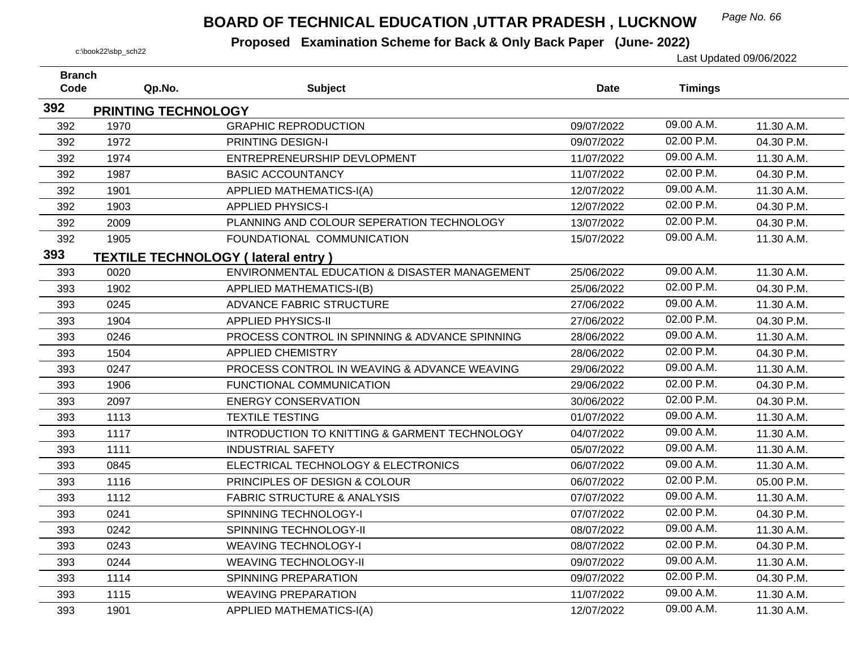## *Page No. 66* **BOARD OF TECHNICAL EDUCATION ,UTTAR PRADESH , LUCKNOW**

| <b>Branch</b> |                            |                                                |             |                |            |
|---------------|----------------------------|------------------------------------------------|-------------|----------------|------------|
| Code          | Qp.No.                     | <b>Subject</b>                                 | <b>Date</b> | <b>Timings</b> |            |
| 392           | <b>PRINTING TECHNOLOGY</b> |                                                |             |                |            |
| 392           | 1970                       | <b>GRAPHIC REPRODUCTION</b>                    | 09/07/2022  | 09.00 A.M.     | 11.30 A.M. |
| 392           | 1972                       | PRINTING DESIGN-I                              | 09/07/2022  | 02.00 P.M.     | 04.30 P.M. |
| 392           | 1974                       | ENTREPRENEURSHIP DEVLOPMENT                    | 11/07/2022  | 09.00 A.M.     | 11.30 A.M. |
| 392           | 1987                       | <b>BASIC ACCOUNTANCY</b>                       | 11/07/2022  | 02.00 P.M.     | 04.30 P.M. |
| 392           | 1901                       | <b>APPLIED MATHEMATICS-I(A)</b>                | 12/07/2022  | 09.00 A.M.     | 11.30 A.M. |
| 392           | 1903                       | <b>APPLIED PHYSICS-I</b>                       | 12/07/2022  | 02.00 P.M.     | 04.30 P.M. |
| 392           | 2009                       | PLANNING AND COLOUR SEPERATION TECHNOLOGY      | 13/07/2022  | 02.00 P.M.     | 04.30 P.M. |
| 392           | 1905                       | FOUNDATIONAL COMMUNICATION                     | 15/07/2022  | 09.00 A.M.     | 11.30 A.M. |
| 393           |                            | <b>TEXTILE TECHNOLOGY (lateral entry)</b>      |             |                |            |
| 393           | 0020                       | ENVIRONMENTAL EDUCATION & DISASTER MANAGEMENT  | 25/06/2022  | 09.00 A.M.     | 11.30 A.M. |
| 393           | 1902                       | APPLIED MATHEMATICS-I(B)                       | 25/06/2022  | 02.00 P.M.     | 04.30 P.M. |
| 393           | 0245                       | <b>ADVANCE FABRIC STRUCTURE</b>                | 27/06/2022  | 09.00 A.M.     | 11.30 A.M. |
| 393           | 1904                       | <b>APPLIED PHYSICS-II</b>                      | 27/06/2022  | 02.00 P.M.     | 04.30 P.M. |
| 393           | 0246                       | PROCESS CONTROL IN SPINNING & ADVANCE SPINNING | 28/06/2022  | 09.00 A.M.     | 11.30 A.M. |
| 393           | 1504                       | <b>APPLIED CHEMISTRY</b>                       | 28/06/2022  | 02.00 P.M.     | 04.30 P.M. |
| 393           | 0247                       | PROCESS CONTROL IN WEAVING & ADVANCE WEAVING   | 29/06/2022  | 09.00 A.M.     | 11.30 A.M. |
| 393           | 1906                       | FUNCTIONAL COMMUNICATION                       | 29/06/2022  | 02.00 P.M.     | 04.30 P.M. |
| 393           | 2097                       | <b>ENERGY CONSERVATION</b>                     | 30/06/2022  | 02.00 P.M.     | 04.30 P.M. |
| 393           | 1113                       | <b>TEXTILE TESTING</b>                         | 01/07/2022  | 09.00 A.M.     | 11.30 A.M. |
| 393           | 1117                       | INTRODUCTION TO KNITTING & GARMENT TECHNOLOGY  | 04/07/2022  | 09.00 A.M.     | 11.30 A.M. |
| 393           | 1111                       | <b>INDUSTRIAL SAFETY</b>                       | 05/07/2022  | 09.00 A.M.     | 11.30 A.M. |
| 393           | 0845                       | ELECTRICAL TECHNOLOGY & ELECTRONICS            | 06/07/2022  | 09.00 A.M.     | 11.30 A.M. |
| 393           | 1116                       | PRINCIPLES OF DESIGN & COLOUR                  | 06/07/2022  | 02.00 P.M.     | 05.00 P.M. |
| 393           | 1112                       | <b>FABRIC STRUCTURE &amp; ANALYSIS</b>         | 07/07/2022  | 09.00 A.M.     | 11.30 A.M. |
| 393           | 0241                       | SPINNING TECHNOLOGY-I                          | 07/07/2022  | 02.00 P.M.     | 04.30 P.M. |
| 393           | 0242                       | SPINNING TECHNOLOGY-II                         | 08/07/2022  | 09.00 A.M.     | 11.30 A.M. |
| 393           | 0243                       | <b>WEAVING TECHNOLOGY-I</b>                    | 08/07/2022  | 02.00 P.M.     | 04.30 P.M. |
| 393           | 0244                       | <b>WEAVING TECHNOLOGY-II</b>                   | 09/07/2022  | 09.00 A.M.     | 11.30 A.M. |
| 393           | 1114                       | SPINNING PREPARATION                           | 09/07/2022  | 02.00 P.M.     | 04.30 P.M. |
| 393           | 1115                       | <b>WEAVING PREPARATION</b>                     | 11/07/2022  | 09.00 A.M.     | 11.30 A.M. |
| 393           | 1901                       | APPLIED MATHEMATICS-I(A)                       | 12/07/2022  | 09.00 A.M.     | 11.30 A.M. |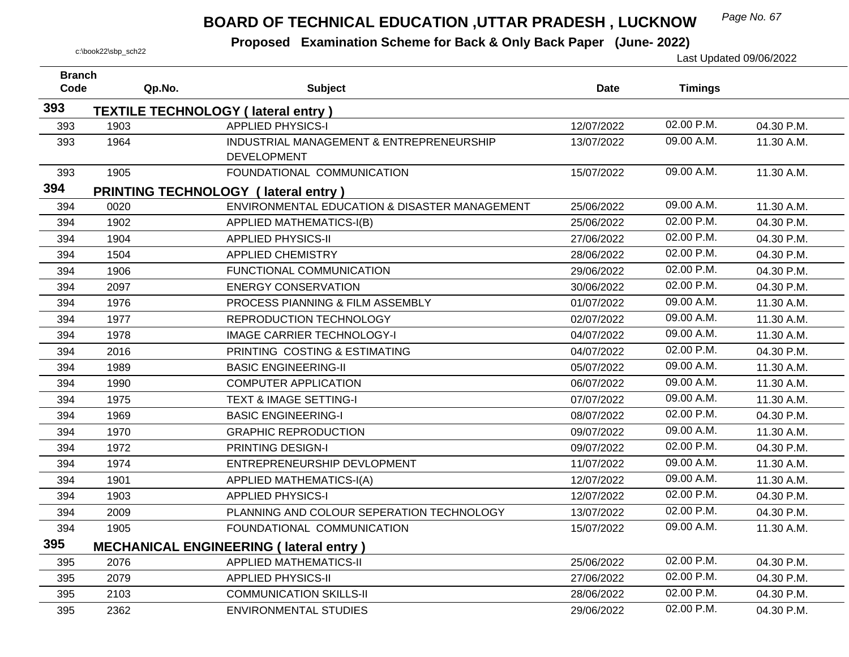## *Page No. 67* **BOARD OF TECHNICAL EDUCATION ,UTTAR PRADESH , LUCKNOW**

| <b>Branch</b> |        |                                                                |             |                |            |
|---------------|--------|----------------------------------------------------------------|-------------|----------------|------------|
| Code          | Qp.No. | <b>Subject</b>                                                 | <b>Date</b> | <b>Timings</b> |            |
| 393           |        | <b>TEXTILE TECHNOLOGY (lateral entry)</b>                      |             |                |            |
| 393           | 1903   | <b>APPLIED PHYSICS-I</b>                                       | 12/07/2022  | 02.00 P.M.     | 04.30 P.M. |
| 393           | 1964   | INDUSTRIAL MANAGEMENT & ENTREPRENEURSHIP<br><b>DEVELOPMENT</b> | 13/07/2022  | 09.00 A.M.     | 11.30 A.M. |
| 393           | 1905   | FOUNDATIONAL COMMUNICATION                                     | 15/07/2022  | 09.00 A.M.     | 11.30 A.M. |
| 394           |        | PRINTING TECHNOLOGY (lateral entry)                            |             |                |            |
| 394           | 0020   | ENVIRONMENTAL EDUCATION & DISASTER MANAGEMENT                  | 25/06/2022  | 09.00 A.M.     | 11.30 A.M. |
| 394           | 1902   | APPLIED MATHEMATICS-I(B)                                       | 25/06/2022  | 02.00 P.M.     | 04.30 P.M. |
| 394           | 1904   | <b>APPLIED PHYSICS-II</b>                                      | 27/06/2022  | 02.00 P.M.     | 04.30 P.M. |
| 394           | 1504   | <b>APPLIED CHEMISTRY</b>                                       | 28/06/2022  | 02.00 P.M.     | 04.30 P.M. |
| 394           | 1906   | FUNCTIONAL COMMUNICATION                                       | 29/06/2022  | 02.00 P.M.     | 04.30 P.M. |
| 394           | 2097   | <b>ENERGY CONSERVATION</b>                                     | 30/06/2022  | 02.00 P.M.     | 04.30 P.M. |
| 394           | 1976   | PROCESS PIANNING & FILM ASSEMBLY                               | 01/07/2022  | 09.00 A.M.     | 11.30 A.M. |
| 394           | 1977   | REPRODUCTION TECHNOLOGY                                        | 02/07/2022  | 09.00 A.M.     | 11.30 A.M. |
| 394           | 1978   | <b>IMAGE CARRIER TECHNOLOGY-I</b>                              | 04/07/2022  | 09.00 A.M.     | 11.30 A.M. |
| 394           | 2016   | PRINTING COSTING & ESTIMATING                                  | 04/07/2022  | 02.00 P.M.     | 04.30 P.M. |
| 394           | 1989   | <b>BASIC ENGINEERING-II</b>                                    | 05/07/2022  | 09.00 A.M.     | 11.30 A.M. |
| 394           | 1990   | <b>COMPUTER APPLICATION</b>                                    | 06/07/2022  | 09.00 A.M.     | 11.30 A.M. |
| 394           | 1975   | <b>TEXT &amp; IMAGE SETTING-I</b>                              | 07/07/2022  | 09.00 A.M.     | 11.30 A.M. |
| 394           | 1969   | <b>BASIC ENGINEERING-I</b>                                     | 08/07/2022  | 02.00 P.M.     | 04.30 P.M. |
| 394           | 1970   | <b>GRAPHIC REPRODUCTION</b>                                    | 09/07/2022  | 09.00 A.M.     | 11.30 A.M. |
| 394           | 1972   | PRINTING DESIGN-I                                              | 09/07/2022  | 02.00 P.M.     | 04.30 P.M. |
| 394           | 1974   | ENTREPRENEURSHIP DEVLOPMENT                                    | 11/07/2022  | 09.00 A.M.     | 11.30 A.M. |
| 394           | 1901   | <b>APPLIED MATHEMATICS-I(A)</b>                                | 12/07/2022  | 09.00 A.M.     | 11.30 A.M. |
| 394           | 1903   | <b>APPLIED PHYSICS-I</b>                                       | 12/07/2022  | 02.00 P.M.     | 04.30 P.M. |
| 394           | 2009   | PLANNING AND COLOUR SEPERATION TECHNOLOGY                      | 13/07/2022  | 02.00 P.M.     | 04.30 P.M. |
| 394           | 1905   | FOUNDATIONAL COMMUNICATION                                     | 15/07/2022  | 09.00 A.M.     | 11.30 A.M. |
| 395           |        | <b>MECHANICAL ENGINEERING (lateral entry)</b>                  |             |                |            |
| 395           | 2076   | <b>APPLIED MATHEMATICS-II</b>                                  | 25/06/2022  | 02.00 P.M.     | 04.30 P.M. |
| 395           | 2079   | <b>APPLIED PHYSICS-II</b>                                      | 27/06/2022  | 02.00 P.M.     | 04.30 P.M. |
| 395           | 2103   | <b>COMMUNICATION SKILLS-II</b>                                 | 28/06/2022  | 02.00 P.M.     | 04.30 P.M. |
| 395           | 2362   | <b>ENVIRONMENTAL STUDIES</b>                                   | 29/06/2022  | 02.00 P.M.     | 04.30 P.M. |